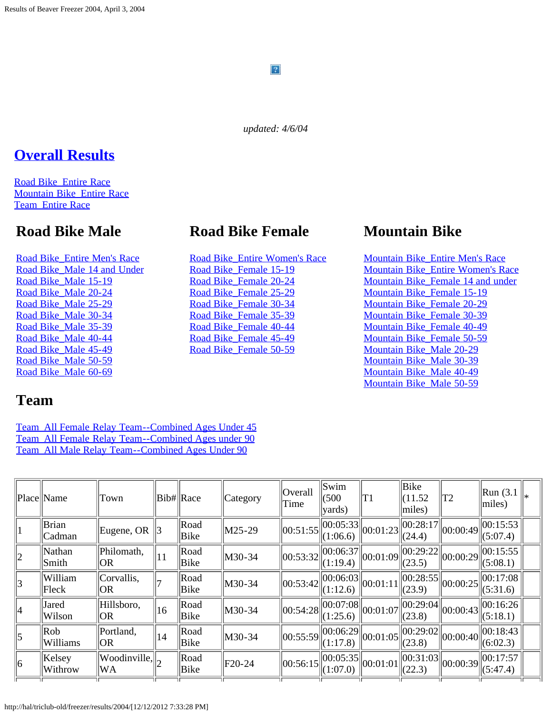### $\mathbf{P}$

*updated: 4/6/04*

### **[Overall Results](#page-0-0)**

[Road Bike\\_Entire Race](#page-12-0) [Mountain Bike\\_Entire Race](#page-22-0) [Team\\_Entire Race](#page-25-0)

### **Road Bike Male**

[Road Bike\\_Entire Men's Race](#page-26-0) [Road Bike\\_Male 14 and Under](#page-32-0) [Road Bike\\_Male 15-19](#page-33-0) [Road Bike\\_Male 20-24](#page-34-0) [Road Bike\\_Male 25-29](#page-35-0) [Road Bike\\_Male 30-34](#page-36-0) [Road Bike\\_Male 35-39](#page-38-0) [Road Bike\\_Male 40-44](#page-39-0) [Road Bike\\_Male 45-49](#page-41-0) [Road Bike\\_Male 50-59](#page-43-0) [Road Bike\\_Male 60-69](#page-44-0)

### **Team**

[Team\\_All Female Relay Team--Combined Ages Under 45](#page-74-0) [Team\\_All Female Relay Team--Combined Ages under 90](#page-75-0) [Team\\_All Male Relay Team--Combined Ages Under 90](#page-76-0)

#### <span id="page-0-0"></span>Place  $\|\text{Name} \|$ Town  $\|\text{Bib#}\|$ Race  $\|$ Category  $\|$ Overall Time Swim (500 yards) T1 Bike  $(11.52)$ miles)  $\vert_{\text{T2}}$  | Run (3.1) miles) \*  $1$   $\begin{array}{c} \n\text{Brian} \\ \n\text{Cadman} \n\end{array}$ Eugene, OR  $\begin{array}{c} 3 \\ \end{array}$  Road  $\text{Boad} \quad \text{max} \quad \text{max} \quad \text{max} \quad \text{max} \quad \text{max} \quad \text{max} \quad \text{max} \quad \text{max} \quad \text{max} \quad \text{max} \quad \text{max} \quad \text{max} \quad \text{max} \quad \text{max} \quad \text{max} \quad \text{max} \quad \text{max} \quad \text{max} \quad \text{max} \quad \text{max} \quad \text{max} \quad \text{max} \quad \text{max} \quad \text{max} \quad \text{max} \quad \text{max} \quad \text{max} \quad \text{max} \quad \text{max} \quad \text{max} \quad \text$  $\left\| \begin{matrix} 00:28:17 \\ (24.4) \end{matrix} \right\| 00:00:49 \left\| \begin{matrix} 00:15:53 \\ (5:07.4) \end{matrix} \right\|$  $(5:07.4)$  $\sum_{n=1}^{\infty}$  Nathan Smith Philomath, 11 Road<br>OR 11 Bike Road  $\text{M30-34}$   $\begin{bmatrix} 00:53:32 \end{bmatrix}$   $\begin{bmatrix} 00:06:37 \ (1:19.4) \end{bmatrix}$  $\begin{array}{c} |00:06:37|00:01:09|00:29:22 \ (1:19.4)\end{array}$ (23.5) 00:00:29 00:15:55  $(5:08.1)$  $\frac{1}{3}$  William Fleck Corvallis, 7 Road<br>OR Bike Road  $\text{M30-34}$   $\left| 00:53:42 \right| 00:06:03$ <br>Bike  $\begin{array}{c} 00:06:03 \\ (1:12.6) \end{array}$  00:01:11  $\begin{array}{|l} 00:28:55 \\ (23.9) \end{array}$ 00:28:55||00:00:25||00:17:08<br>(23.9) ||00:00:25||(5:31.6)  $\begin{array}{c} \mathcal{A} \\ \end{array}$  Jared Wilson Hillsboro, 16 Road<br>OR 16 Bike  $\text{Bike} \quad \left\| \text{M30-34} \quad \right\| 00:54:28 \left\| 00:07:08 \right\| 00:01:07 \left\| 00:29:04 \right\}$  $\begin{array}{c} |00:29:04 \\ (23.8) \end{array}$   $|00:00:43 \times 16:26 \times 15:18.1$  $(5:18.1)$  $\begin{vmatrix} 5 \end{vmatrix}$  Rob Williams Portland, ||14 ||Road<br>OR ||14 ||Bike Road M30-34  $\|$ 00:55:59 $\|$ 00:06:29<br>Bike  $\|$ M30-34  $\|$ 00:55:59 $\|$  $\|$ (1:17.8)  $\left| 00:01:05 \right| 00:29:02$  $\left| \begin{smallmatrix} 00:00:40 \end{smallmatrix} \right|$  00:18:43  $(6:02.3)$  $\begin{vmatrix} 6 & \text{Kelsey} \\ \text{W} & \text{W} \end{vmatrix}$ Withrow Woodinville,  $\begin{bmatrix} 2 \\ \end{bmatrix}$  Road Bike Road  $\bigg\Vert$ F20-24  $\bigg\Vert$ 00:56:15 $\bigg\Vert$ 00:05:35<br>Bike  $\bigg\Vert$ F20-24  $\bigg\Vert$ 00:56:15 $\bigg\Vert$ (1:07.0)  $\begin{array}{c} 00:05:35 \\ (1:07.0) \end{array}$   $\begin{array}{c} 00:01:01 \\ (22.3) \end{array}$  $\left| \right|_{00:00:39}$  00:17:57  $(5:47.4)$

### **Road Bike Female**

[Road Bike\\_Entire Women's Race](#page-45-0) [Road Bike\\_Female 15-19](#page-50-0) [Road Bike\\_Female 20-24](#page-51-0) [Road Bike\\_Female 25-29](#page-53-0) [Road Bike\\_Female 30-34](#page-54-0) [Road Bike\\_Female 35-39](#page-56-0) [Road Bike\\_Female 40-44](#page-57-0) [Road Bike\\_Female 45-49](#page-58-0) [Road Bike\\_Female 50-59](#page-59-0)

### **Mountain Bike**

[Mountain Bike\\_Entire Men's Race](#page-60-0) [Mountain Bike\\_Entire Women's Race](#page-62-0) [Mountain Bike\\_Female 14 and under](#page-64-0) [Mountain Bike\\_Female 15-19](#page-65-0) [Mountain Bike\\_Female 20-29](#page-66-0) [Mountain Bike\\_Female 30-39](#page-67-0) [Mountain Bike\\_Female 40-49](#page-68-0) [Mountain Bike\\_Female 50-59](#page-69-0) [Mountain Bike\\_Male 20-29](#page-70-0) [Mountain Bike\\_Male 30-39](#page-71-0) [Mountain Bike\\_Male 40-49](#page-72-0) [Mountain Bike\\_Male 50-59](#page-73-0)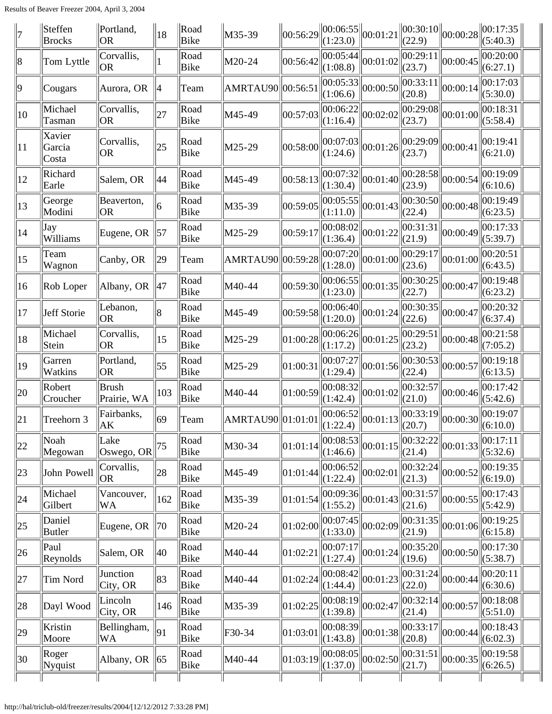| 7            | Steffen<br><b>Brocks</b>  | Portland,<br> OR                     | 18             | Road<br>Bike | M35-39             |          | $\left  00:56:29 \right\  00:06:55 \left\  00:01:21 \right\ $<br>(1:23.0) |                                                                                                                                                                                                                                                                                                                     | (22.9)              | $\ 00:30:10\ _{00:00:28}\ $                                             | 00:17:35<br>(5:40.3)                   |  |
|--------------|---------------------------|--------------------------------------|----------------|--------------|--------------------|----------|---------------------------------------------------------------------------|---------------------------------------------------------------------------------------------------------------------------------------------------------------------------------------------------------------------------------------------------------------------------------------------------------------------|---------------------|-------------------------------------------------------------------------|----------------------------------------|--|
| $\ 8$        | Tom Lyttle                | Corvallis,<br> OR                    |                | Road<br>Bike | M20-24             | 00:56:42 | 00:05:44 <br>(1:08.8)                                                     | 00:01:02                                                                                                                                                                                                                                                                                                            | 00:29:11<br>(23.7)  | 00:00:45                                                                | 00:20:00<br>(6:27.1)                   |  |
| 9            | Cougars                   | Aurora, OR                           | 4              | Team         | AMRTAU90 00:56:51  |          | 00:05:33 <br>(1:06.6)                                                     | 00:00:50                                                                                                                                                                                                                                                                                                            | 00:33:11 <br>(20.8) | 00:00:14                                                                | 00:17:03<br>(5:30.0)                   |  |
| $ 10\rangle$ | Michael<br>Tasman         | Corvallis,<br> OR                    | 27             | Road<br>Bike | M45-49             | 00:57:03 | 00:06:22<br>(1:16.4)                                                      | 00:02:02                                                                                                                                                                                                                                                                                                            | 00:29:08 <br>(23.7) | 00:01:00                                                                | 00:18:31<br>(5:58.4)                   |  |
| 11           | Xavier<br>Garcia<br>Costa | Corvallis,<br><b>OR</b>              | 25             | Road<br>Bike | M25-29             | 00:58:00 | 00:07:03 <br>(1:24.6)                                                     | 00:01:26                                                                                                                                                                                                                                                                                                            | 00:29:09<br>(23.7)  | 00:00:41                                                                | 00:19:41<br>(6:21.0)                   |  |
| 12           | Richard<br>Earle          | Salem, OR                            | 44             | Road<br>Bike | M45-49             | 00:58:13 | 00:07:32 <br>(1:30.4)                                                     | 00:01:40                                                                                                                                                                                                                                                                                                            | 00:28:58 <br>(23.9) | 00:00:54                                                                | 00:19:09<br>(6:10.6)                   |  |
| 13           | George<br>Modini          | Beaverton,<br>OR                     | 6              | Road<br>Bike | M35-39             | 00:59:05 | 00:05:55 <br>(1:11.0)                                                     | 00:01:43                                                                                                                                                                                                                                                                                                            | 00:30:50 <br>(22.4) | 00:00:48                                                                | 00:19:49<br>(6:23.5)                   |  |
| $ 14\rangle$ | Jay<br>Williams           | Eugene, OR                           | $\parallel$ 57 | Road<br>Bike | M25-29             | 00:59:17 | 00:08:02 <br>(1:36.4)                                                     | 00:01:22                                                                                                                                                                                                                                                                                                            | 00:31:31 <br>(21.9) | 00:00:49                                                                | 00:17:33<br>(5:39.7)                   |  |
| 15           | Team<br>Wagnon            | Canby, OR                            | $ 29\rangle$   | Team         | AMRTAU90  00:59:28 |          | $\left\  \overline{00:07:20} \right\ _{00:01:00}$<br>(1:28.0)             |                                                                                                                                                                                                                                                                                                                     | 00:29:17 <br>(23.6) | 00:01:00                                                                | 00:20:51<br>(6:43.5)                   |  |
| $ 16\rangle$ | Rob Loper                 | Albany, OR                           | $\parallel$ 47 | Road<br>Bike | M40-44             | 00:59:30 | 00:06:55 <br>(1:23.0)                                                     | 00:01:35                                                                                                                                                                                                                                                                                                            | 00:30:25 <br>(22.7) | 00:00:47                                                                | 00:19:48<br>(6:23.2)                   |  |
| 17           | Jeff Storie               | Lebanon,<br><b>OR</b>                | 8              | Road<br>Bike | M45-49             | 00:59:58 | $\overline{ 00:06:40 } 00:01:24$<br>(1:20.0)                              |                                                                                                                                                                                                                                                                                                                     | 00:30:35 <br>(22.6) | 00:00:47                                                                | 00:20:32<br>(6:37.4)                   |  |
| 18           | Michael<br>Stein          | Corvallis,<br>OR <sub>.</sub>        | 15             | Road<br>Bike | M25-29             | 01:00:28 | $\overline{ 00:06:26 } 00:01:25$<br>(1:17.2)                              |                                                                                                                                                                                                                                                                                                                     | 00:29:51 <br>(23.2) | 00:00:48                                                                | 00:21:58<br>(7:05.2)                   |  |
| 19           | Garren<br><b>Watkins</b>  | Portland,<br><b>OR</b>               | 55             | Road<br>Bike | M25-29             | 01:00:31 | 00:07:27 <br>(1:29.4)                                                     | 00:01:56                                                                                                                                                                                                                                                                                                            | 00:30:53 <br>(22.4) | 00:00:57                                                                | 00:19:18<br>(6:13.5)                   |  |
| 20           | Robert<br>Croucher        | Brush<br>Prairie, WA                 | 103            | Road<br>Bike | M40-44             | 01:00:59 | 00:08:32 <br>(1:42.4)                                                     | 00:01:02                                                                                                                                                                                                                                                                                                            | 00:32:57<br>(21.0)  | 00:00:46                                                                | 00:17:42<br>(5:42.6)                   |  |
| $\ 21\ $     | Treehorn 3                | Fairbanks,<br>AK                     | $ 69\rangle$   | Team         | AMRTAU90  01:01:01 |          |                                                                           | $\begin{array}{ l l }\n\hline\n00:06:52 & 00:01:13 & 00:001 \\ \hline\n0:1.22 & 41 & 00:011 & 000 \\ \hline\n0:01 & 00 & 00:011 & 000 \\ \hline\n0:01 & 00 & 00:011 & 000 \\ \hline\n0:01 & 00 & 00:011 & 000 \\ \hline\n0:01 & 00 & 00:011 & 000 \\ \hline\n0:01 & 00 & 00:011 & 000 \\ \hline\n0:01 & 00 & 00:01$ | 00:33:19            | $\left\  00:00:30 \right\ _{\left(6:10.0\right)}^{\left(6:10.0\right)}$ | 00:19:07                               |  |
| 22           | Noah<br>Megowan           | Lake<br> Oswego, OR                  | 75             | Road<br>Bike | M30-34             | 01:01:14 | (1:46.6)                                                                  | $\sqrt{100:08:53}$ 00:01:15                                                                                                                                                                                                                                                                                         | 00:32:22 <br>(21.4) | 00:01:33                                                                | 00:17:11<br>(5:32.6)                   |  |
| $ 23\rangle$ | John Powell               | Corvallis,<br>OR <sub>1</sub>        | 28             | Road<br>Bike | M45-49             | 01:01:44 | $\overline{ 00:06:52 } 00:02:01$<br>(1:22.4)                              |                                                                                                                                                                                                                                                                                                                     | 00:32:24 <br>(21.3) | 00:00:52                                                                | 00:19:35<br>(6:19.0)                   |  |
| 24           | Michael<br>Gilbert        | Vancouver,<br>WA                     | 162            | Road<br>Bike | M35-39             | 01:01:54 | (1:55.2)                                                                  | $\overline{ 00:09:36 } 00:01:43 $                                                                                                                                                                                                                                                                                   | 00:31:57 <br>(21.6) | 00:00:55                                                                | $ 00:17:43\rangle$<br>$\vert$ (5:42.9) |  |
| $ 25\rangle$ | Daniel<br>Butler          | Eugene, OR                           | $\parallel$ 70 | Road<br>Bike | M20-24             | 01:02:00 | $\Vert (1:33.0) \Vert$                                                    | $\overline{ 00:07:45 } 00:02:09$                                                                                                                                                                                                                                                                                    | 00:31:35 <br>(21.9) | 00:01:06                                                                | 00:19:25<br>(6:15.8)                   |  |
| $ 26\rangle$ | Paul<br>Reynolds          | Salem, OR                            | 40             | Road<br>Bike | M40-44             | 01:02:21 | 00:07:17 <br>(1:27.4)                                                     | 00:01:24                                                                                                                                                                                                                                                                                                            | 00:35:20 <br>(19.6) | 00:00:50                                                                | 00:17:30 <br> (5:38.7)                 |  |
| 27           | Tim Nord                  | Junction<br>$\text{City}, \text{OR}$ | 83             | Road<br>Bike | M40-44             | 01:02:24 | (1:44.4)                                                                  | $\overline{ 00:08:42 } 00:01:23$                                                                                                                                                                                                                                                                                    | 00:31:24 <br>(22.0) | 00:00:44                                                                | 00:20:11<br>(6:30.6)                   |  |
| 28           | Dayl Wood                 | Lincoln<br>City, OR                  | 146            | Road<br>Bike | M35-39             | 01:02:25 | $\overline{ 00:08:19 }$ 00:02:47<br>(1:39.8)                              |                                                                                                                                                                                                                                                                                                                     | 00:32:14 <br>(21.4) | 00:00:57                                                                | 00:18:08<br>$\vert (5:51.0) \vert$     |  |
| 29           | Kristin<br>Moore          | Bellingham,<br>WA                    | $\vert$ 91     | Road<br>Bike | F30-34             | 01:03:01 | (1:43.8)                                                                  | $\overline{ 00:08:39 } 00:01:38 $                                                                                                                                                                                                                                                                                   | 00:33:17 <br>(20.8) | 00:00:44                                                                | 00:18:43<br> (6:02.3)                  |  |
| 30           | Roger<br>Nyquist          | Albany, OR $\ $ 65                   |                | Road<br>Bike | M40-44             | 01:03:19 | (1:37.0)                                                                  | $\overline{ 00:08:05 } 00:02:50$                                                                                                                                                                                                                                                                                    | (21.7)              | $\overline{ 00:31:51 } 00:00:35 $                                       | 00:19:58<br>(6:26.5)                   |  |
|              |                           |                                      |                |              |                    |          |                                                                           |                                                                                                                                                                                                                                                                                                                     |                     |                                                                         |                                        |  |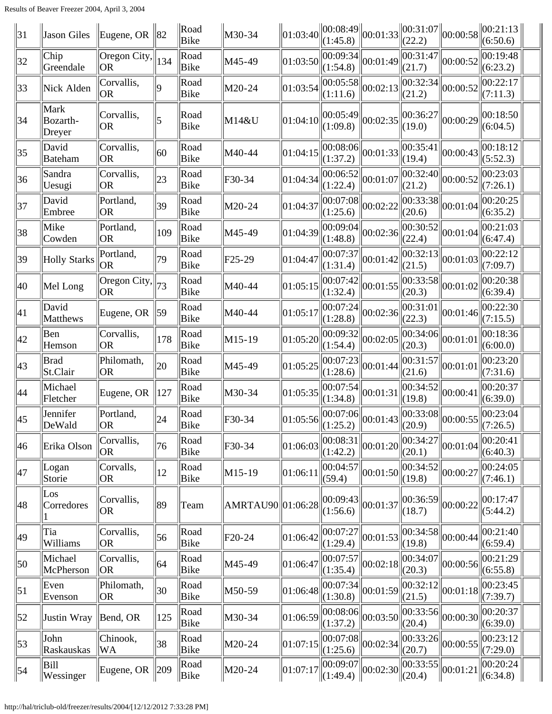| $\parallel$ 31   | Jason Giles                | Eugene, OR $\ 82\ $                                        |                | $\ $ Road<br>Bike | M30-34              |          | $\left\  01:03:40 \right\  00:08:49 \left\  00:01:33 \right\  00:31:07 \left\  00:00:58 \right\}$<br>(1:45.8) |                                                                 | (22.2)                                      |          | $\ 00:21:13\ $<br>(6:50.6)                                                                                        |  |
|------------------|----------------------------|------------------------------------------------------------|----------------|-------------------|---------------------|----------|---------------------------------------------------------------------------------------------------------------|-----------------------------------------------------------------|---------------------------------------------|----------|-------------------------------------------------------------------------------------------------------------------|--|
| 32               | Chip<br>Greendale          | $\overline{\text{Oregon}}$ City, $\ $ 134<br><b>OR</b>     |                | Road<br>Bike      | M45-49              | 01:03:50 | $\overline{ 00:09:34 }_{00:01:49}$<br>(1:54.8)                                                                |                                                                 | 00:31:47 <br>(21.7)                         | 00:00:52 | 00:19:48<br>(6:23.2)                                                                                              |  |
| 33               | Nick Alden                 | Corvallis,<br><b>OR</b>                                    | ١q             | Road<br>Bike      | M20-24              | 01:03:54 | $\overline{ 00:05:58 } 00:02:13$<br>(1:11.6)                                                                  |                                                                 | 00:32:34<br>(21.2)                          | 00:00:52 | 00:22:17<br>(7:11.3)                                                                                              |  |
| 34               | Mark<br>Bozarth-<br>Dreyer | Corvallis,<br><b>OR</b>                                    |                | Road<br>Bike      | M14&U               | 01:04:10 | $\left\  00:05:49 \right\  00:02:35$<br>(1:09.8)                                                              |                                                                 | 00:36:27<br>(19.0)                          | 00:00:29 | 00:18:50<br>(6:04.5)                                                                                              |  |
| $ 35\rangle$     | David<br>Bateham           | Corvallis,<br> OR                                          | 60             | Road<br>Bike      | M40-44              | 01:04:15 | $\overline{00:08:06}$ 00:01:33<br>(1:37.2)                                                                    |                                                                 | 00:35:41<br>(19.4)                          | 00:00:43 | 00:18:12<br>(5:52.3)                                                                                              |  |
| 36               | Sandra<br>Uesugi           | Corvallis,<br>OR.                                          | 23             | Road<br>Bike      | F30-34              | 01:04:34 | $\overline{ 00:06:52 } 00:01:07$<br>(1:22.4)                                                                  |                                                                 | 00:32:40 <br>(21.2)                         | 00:00:52 | 00:23:03<br>(7:26.1)                                                                                              |  |
| 37               | David<br>Embree            | Portland,<br><b>OR</b>                                     | $ 39\rangle$   | Road<br>Bike      | M20-24              | 01:04:37 | 00:07:08 <br>(1:25.6)                                                                                         | 00:02:22                                                        | 00:33:38 <br>(20.6)                         | 00:01:04 | 00:20:25<br>(6:35.2)                                                                                              |  |
| 38               | Mike<br>Cowden             | Portland,<br><b>OR</b>                                     | $ 109\rangle$  | Road<br>Bike      | M45-49              | 01:04:39 | 00:09:04 <br>(1:48.8)                                                                                         | 00:02:36                                                        | 00:30:52 <br>(22.4)                         | 00:01:04 | 00:21:03<br>(6:47.4)                                                                                              |  |
| 39               | <b>Holly Starks</b>        | Portland,<br>OR <sub>.</sub>                               | 79             | Road<br>Bike      | F <sub>25</sub> -29 | 01:04:47 | $\overline{ 00:07:37 } _{00:01:42}$<br>(1:31.4)                                                               |                                                                 | 00:32:13 <br>(21.5)                         | 00:01:03 | 00:22:12<br>(7:09.7)                                                                                              |  |
| 40               | Mel Long                   | $\overline{\text{Oregon City}}, \parallel$ 73<br><b>OR</b> |                | Road<br>Bike      | M40-44              | 01:05:15 | 00:07:42 <br>(1:32.4)                                                                                         | $\left\Vert 00:01:55\right\Vert 00:\overline{33:58}\right\Vert$ | (20.3)                                      | 00:01:02 | 00:20:38<br>(6:39.4)                                                                                              |  |
| 41               | David<br>Matthews          | Eugene, OR $\parallel$ 59                                  |                | Road<br>Bike      | M40-44              | 01:05:17 | $\overline{[00:07:24]} \big  00:02:36 \big $<br>(1:28.8)                                                      |                                                                 | 00:31:01 <br>(22.3)                         | 00:01:46 | 00:22:30<br>(7:15.5)                                                                                              |  |
| $ 42\rangle$     | Ben<br>Hemson              | Corvallis,<br><b>OR</b>                                    | 178            | Road<br>Bike      | M15-19              | 01:05:20 | $\overline{ 00:09:32 } 00:02:05 $<br>(1:54.4)                                                                 |                                                                 | $\overline{ 00:34:06 } 00:01:01 $<br>(20.3) |          | 00:18:36<br>(6:00.0)                                                                                              |  |
| $ 43\rangle$     | <b>Brad</b><br>St.Clair    | Philomath,<br><b>OR</b>                                    | $ 20\rangle$   | Road<br>Bike      | M45-49              | 01:05:25 | $\overline{ 00:07:23 } 00:01:44 $<br>(1:28.6)                                                                 |                                                                 | 00:31:57<br>(21.6)                          | 00:01:01 | 00:23:20<br>(7:31.6)                                                                                              |  |
| 44               | Michael<br>Fletcher        | Eugene, OR $\parallel$ 127                                 |                | Road<br>Bike      | M30-34              | 01:05:35 | $\overline{ 00:07:54 } 00:01:31$<br>(1:34.8)                                                                  |                                                                 | 00:34:52 <br>(19.8)                         | 00:00:41 | 00:20:37<br>(6:39.0)                                                                                              |  |
| $\parallel$ 45   | Jennifer<br>$\ $ DeWald    | Portland,<br> OR                                           | $\parallel$ 24 | Road<br>Bike      | F30-34              |          |                                                                                                               |                                                                 |                                             |          | $\left\ 01:05:56\left\ 00:07:06\right\ 00:01:43\left\ 00:33:08\right\ 00:00:55\left\ 00:23:04\atop(7:26.5\right)$ |  |
| 46               | Erika Olson                | Corvallis,<br> OR                                          | 76             | Road<br>Bike      | F30-34              | 01:06:03 | $\overline{ 00:08:31 } 00:01:20 $<br>(1:42.2)                                                                 |                                                                 | 00:34:27<br>(20.1)                          | 00:01:04 | 00:20:41<br>(6:40.3)                                                                                              |  |
| 47               | Logan<br>Storie            | Corvalls,<br><b>OR</b>                                     | $ 12\rangle$   | Road<br>Bike      | M <sub>15-19</sub>  | 01:06:11 | 00:04:57<br>(59.4)                                                                                            | 00:01:50                                                        | 100:34:52<br>(19.8)                         | 00:00:27 | 00:24:05<br>(7:46.1)                                                                                              |  |
| 48               | Los<br>Corredores          | Corvallis,<br><b>OR</b>                                    | 89             | Team              | AMRTAU90 01:06:28   |          | $\ 00:09:43\ _{00:01:37}$<br>(1:56.6)                                                                         |                                                                 | 00:36:59<br>(18.7)                          | 00:00:22 | 00:17:47<br>(5:44.2)                                                                                              |  |
| 49               | Tia<br>Williams            | Corvallis,<br><b>OR</b>                                    | 56             | Road<br>Bike      | F <sub>20</sub> -24 | 01:06:42 | $\overline{ 00:07:27 } 00:01:53 $<br>(1:29.4)                                                                 |                                                                 | 00:34:58 <br>(19.8)                         | 00:00:44 | 00:21:40<br>(6:59.4)                                                                                              |  |
| $\vert$ 50       | Michael<br>McPherson       | Corvallis,<br><b>OR</b>                                    | 64             | Road<br>Bike      | M45-49              | 01:06:47 | $\left\  \overline{00:07:57} \right\ _{00:02:18}$<br>(1:35.4)                                                 |                                                                 | 00:34:07<br>(20.3)                          | 00:00:56 | 00:21:29<br>(6:55.8)                                                                                              |  |
| $\vert 51 \vert$ | Even<br>Evenson            | Philomath,<br>OR <sub>.</sub>                              | $ 30\rangle$   | Road<br>Bike      | M50-59              | 01:06:48 | (1:30.8)                                                                                                      | $\overline{ 00:07:34 } 00:01:59 $                               | 00:32:12<br>$\Vert(21.5)\Vert$              | 00:01:18 | 00:23:45<br>(7:39.7)                                                                                              |  |
| $\vert 52 \vert$ | Justin Wray                | $\parallel$ Bend, OR                                       | 125            | Road<br>Bike      | M30-34              | 01:06:59 | 00:08:06 <br>(1:37.2)                                                                                         | 00:03:50                                                        | 00:33:56 <br>(20.4)                         | 00:00:30 | 00:20:37<br>(6:39.0)                                                                                              |  |
| $\vert 53 \vert$ | John<br>Raskauskas         | Chinook,<br>WA                                             | 38             | Road<br>Bike      | M20-24              | 01:07:15 | $\overline{00:07:08}\big\  00:02:34$<br>(1:25.6)                                                              |                                                                 | 00:33:26 <br>(20.7)                         | 00:00:55 | 00:23:12<br>(7:29.0)                                                                                              |  |
| $\parallel$ 54   | Bill<br>Wessinger          | Eugene, OR $\ 209\ $                                       |                | Road<br>$\ $ Bike | M20-24              | 01:07:17 | $\frac{1}{\sqrt{100:09:07}}\bigg _{00:02:30}\bigg _{(20.4)}$                                                  |                                                                 | $\frac{\sqrt{100:33:55}}{00:01:21}$         |          | 00:20:24 <br>$\ (6:34.8)$                                                                                         |  |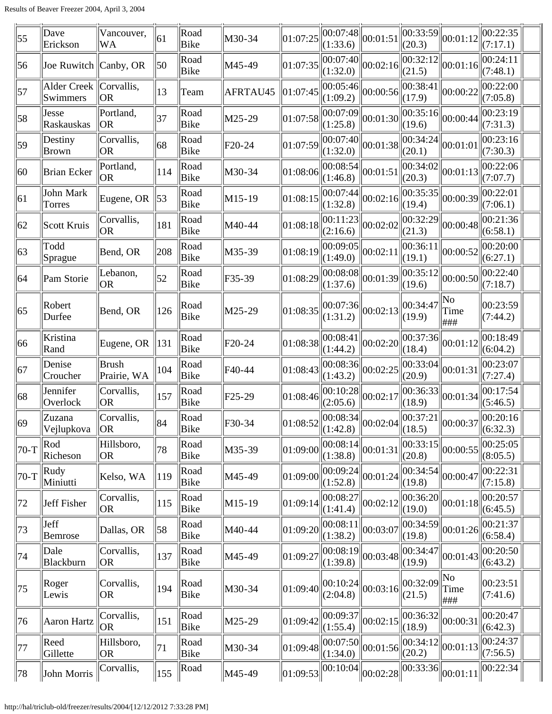| 55           | Dave<br>Erickson                     | Vancouver,<br>WA              | 61             | Road<br>Bike | M30-34              | 01:07:25 | (1:33.6)                                           | $\sqrt{00:07:48}\bigg  00:01:51$              | 00:33:59 <br>(20.3) | 00:01:12                                                                                                                | 00:22:35<br>(7:17.1)           |  |
|--------------|--------------------------------------|-------------------------------|----------------|--------------|---------------------|----------|----------------------------------------------------|-----------------------------------------------|---------------------|-------------------------------------------------------------------------------------------------------------------------|--------------------------------|--|
| 56           | Joe Ruwitch $ $ Canby, OR            |                               | 50             | Road<br>Bike | M45-49              | 01:07:35 | (1:32.0)                                           | $\left \overline{00:07:40}\right _{00:02:16}$ | 00:32:12 <br>(21.5) | 00:01:16                                                                                                                | 00:24:11<br>(7:48.1)           |  |
| 57           | Alder Creek   Corvallis,<br>Swimmers | OR <sub>.</sub>               | 13             | Team         | AFRTAU45            | 01:07:45 | 00:05:46 <br>(1:09.2)                              | 00:00:56                                      | 00:38:41 <br>(17.9) | 00:00:22                                                                                                                | 00:22:00<br>(7:05.8)           |  |
| 58           | Jesse<br>Raskauskas                  | Portland,<br><b>OR</b>        | 37             | Road<br>Bike | M25-29              | 01:07:58 | (1:25.8)                                           | $\overline{00:07:09}$ 00:01:30                | 00:35:16 <br>(19.6) | 00:00:44                                                                                                                | 00:23:19<br>(7:31.3)           |  |
| 59           | Destiny<br><b>Brown</b>              | Corvallis,<br><b>OR</b>       | 68             | Road<br>Bike | F20-24              | 01:07:59 | 00:07:40 <br>(1:32.0)                              | 00:01:38                                      | 00:34:24<br>(20.1)  | 00:01:01                                                                                                                | 00:23:16<br>(7:30.3)           |  |
| 60           | <b>Brian Ecker</b>                   | Portland,<br> OR              | 114            | Road<br>Bike | M30-34              | 01:08:06 | $\overline{[00:08:54]} \big  00:01:51$<br>(1:46.8) |                                               | 00:34:02 <br>(20.3) | 00:01:13                                                                                                                | 00:22:06<br>(7:07.7)           |  |
| 61           | John Mark<br>Torres                  | Eugene, OR                    | $\parallel$ 53 | Road<br>Bike | M15-19              | 01:08:15 | (1:32.8)                                           | $\overline{00:07:}44\overline{00:02:16}$      | 00:35:35<br>(19.4)  | 00:00:39                                                                                                                | 00:22:01<br>(7:06.1)           |  |
| 62           | Scott Kruis                          | Corvallis,<br> OR             | 181            | Road<br>Bike | M40-44              | 01:08:18 | 00:11:23<br>(2:16.6)                               | 00:02:02                                      | 00:32:29<br>(21.3)  | 00:00:48                                                                                                                | 00:21:36<br>(6:58.1)           |  |
| 63           | Todd<br>Sprague                      | Bend, OR                      | 208            | Road<br>Bike | M35-39              | 01:08:19 | 00:09:05 <br>(1:49.0)                              | 00:02:11                                      | 00:36:11<br>(19.1)  | 00:00:52                                                                                                                | 00:20:00<br>(6:27.1)           |  |
| 64           | Pam Storie                           | Lebanon,<br>OR <sub>.</sub>   | 52             | Road<br>Bike | F35-39              | 01:08:29 | 00:08:08 <br>(1:37.6)                              | 00:01:39                                      | 00:35:12<br>(19.6)  | 00:00:50                                                                                                                | $ 00:22:40\rangle$<br>(7:18.7) |  |
| 65           | Robert<br>Durfee                     | Bend, OR                      | 126            | Road<br>Bike | M25-29              | 01:08:35 | (1:31.2)                                           | $\ 00:07:36\ _{00:02:13}$                     | 00:34:47<br>(19.9)  | No<br>Time<br> ###                                                                                                      | 00:23:59<br>(7:44.2)           |  |
| 66           | Kristina<br>Rand                     | Eugene, OR                    | 131            | Road<br>Bike | F20-24              | 01:08:38 | (1:44.2)                                           | $\overline{ 00:08:41 } 00:02:20 $             | 00:37:36 <br>(18.4) | 00:01:12                                                                                                                | 00:18:49<br>(6:04.2)           |  |
| 67           | Denise<br>Croucher                   | <b>Brush</b><br>Prairie, WA   | 104            | Road<br>Bike | F40-44              | 01:08:43 | 00:08:36 <br>(1:43.2)                              | 00:02:25                                      | 00:33:04 <br>(20.9) | 00:01:31                                                                                                                | 00:23:07<br>(7:27.4)           |  |
| 68           | Jennifer<br>Overlock                 | Corvallis,<br>OR <sub>.</sub> | 157            | Road<br>Bike | F <sub>25</sub> -29 | 01:08:46 | 00:10:28<br>(2:05.6)                               | 00:02:17                                      | 00:36:33 <br>(18.9) | 00:01:34                                                                                                                | 00:17:54<br>(5:46.5)           |  |
| $ 69\rangle$ | Zuzana<br>Vejlupkova                 | Corvallis,<br><b>OR</b>       | 84             | Road<br>Bike | F30-34              |          |                                                    |                                               |                     | $\left\  01:08:52 \right\  00:08:34 \left\  00:02:04 \right\  00:37:21 \left\  00:00:37 \right\  00:20:16 \tag{6.32.3}$ | 00:20:16                       |  |
| 70-T         | Rod<br>Richeson                      | Hillsboro,<br>OR <sub>.</sub> | 78             | Road<br>Bike | M35-39              | 01:09:00 | 00:08:14 <br>(1:38.8)                              | 00:01:31                                      | 00:33:15 <br>(20.8) | 00:00:55                                                                                                                | 00:25:05<br>(8:05.5)           |  |
| 70-T         | Rudy<br>Miniutti                     | Kelso, WA                     | 119            | Road<br>Bike | M45-49              | 01:09:00 | 00:09:24 <br>(1:52.8)                              | 00:01:24                                      | 00:34:54<br>(19.8)  | 00:00:47                                                                                                                | 00:22:31<br>(7:15.8)           |  |
| 72           | Jeff Fisher                          | Corvallis,<br>OR              | 115            | Road<br>Bike | M15-19              | 01:09:14 | 00:08:27<br>(1:41.4)                               | 00:02:12                                      | 00:36:20 <br>(19.0) | 00:01:18                                                                                                                | 00:20:57 <br>(6:45.5)          |  |
| 73           | Jeff<br>Bemrose                      | Dallas, OR                    | 58             | Road<br>Bike | M40-44              | 01:09:20 | 00:08:11<br>(1:38.2)                               | 00:03:07                                      | 00:34:59 <br>(19.8) | 00:01:26                                                                                                                | 00:21:37<br>(6:58.4)           |  |
| 74           | Dale<br>Blackburn                    | Corvallis,<br>OR <sub>.</sub> | 137            | Road<br>Bike | M45-49              | 01:09:27 | 00:08:19<br>(1:39.8)                               | 00:03:48                                      | 00:34:47<br>(19.9)  | 00:01:43                                                                                                                | 00:20:50<br>(6:43.2)           |  |
| 75           | Roger<br>Lewis                       | Corvallis,<br><b>OR</b>       | 194            | Road<br>Bike | M30-34              | 01:09:40 | (2:04.8)                                           | $\ 00:10:24\ _{00:03:16}$                     | 00:32:09<br>(21.5)  | No<br>Time<br>###                                                                                                       | 00:23:51<br>(7:41.6)           |  |
| 76           | Aaron Hartz                          | Corvallis,<br><b>OR</b>       | 151            | Road<br>Bike | M25-29              | 01:09:42 | 00:09:37<br>(1:55.4)                               | 00:02:15                                      | 00:36:32<br>(18.9)  | 00:00:31                                                                                                                | 00:20:47<br>(6:42.3)           |  |
| 77           | Reed<br>Gillette                     | Hillsboro,<br>OR <sub>.</sub> | 71             | Road<br>Bike | M30-34              | 01:09:48 | 00:07:50<br>(1:34.0)                               | 00:01:56                                      | 00:34:12<br>(20.2)  | 00:01:13                                                                                                                | 00:24:37<br>(7:56.5)           |  |
| 78           | John Morris                          | Corvallis,                    | 155            | Road         | M45-49              | 01:09:53 | 00:10:04                                           | 00:02:28                                      | 00:33:36            | 00:01:11                                                                                                                | 00:22:34                       |  |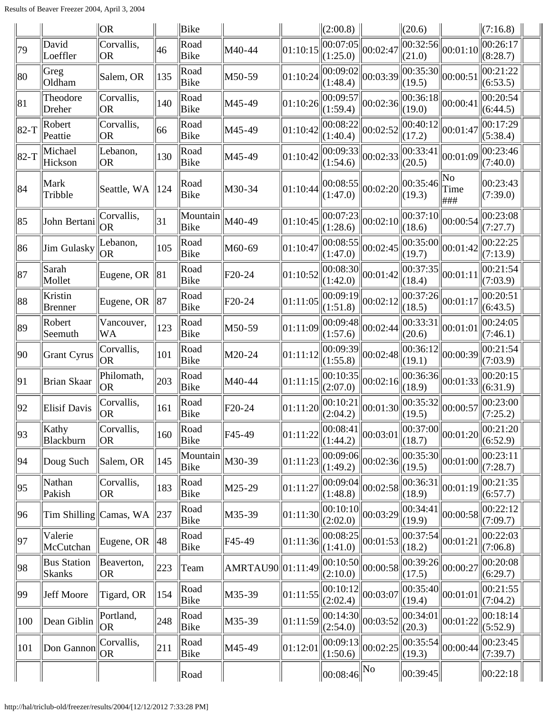|                  |                                     | OR                            |                 | Bike             |                     |          | (2:00.8)                                   |                                            | $\ $ (20.6)                                 |                                                   | (7:16.8)                                                                                                       |  |
|------------------|-------------------------------------|-------------------------------|-----------------|------------------|---------------------|----------|--------------------------------------------|--------------------------------------------|---------------------------------------------|---------------------------------------------------|----------------------------------------------------------------------------------------------------------------|--|
| 79               | David<br>Loeffler                   | Corvallis,<br>OR <sub>.</sub> | $ 46\rangle$    | Road<br>Bike     | M40-44              | 01:10:15 | 00:07:05 <br>(1:25.0)                      | 00:02:47                                   | (21.0)                                      | $\left\  \overline{00:32:56} \right\ _{00:01:10}$ | 00:26:17<br>(8:28.7)                                                                                           |  |
| 80               | Greg<br>Oldham                      | Salem, OR                     | 135             | Road<br>Bike     | M50-59              | 01:10:24 | 00:09:02 <br>(1:48.4)                      | 00:03:39                                   | 00:35:30 <br> (19.5)                        | 00:00:51                                          | 00:21:22<br>(6:53.5)                                                                                           |  |
| $\ 81$           | Theodore<br>Dreher                  | Corvallis,<br> OR             | 140             | Road<br>Bike     | M45-49              | 01:10:26 | 00:09:57 <br>(1:59.4)                      | 00:02:36                                   | 00:36:18 <br>(19.0)                         | 00:00:41                                          | 00:20:54<br>(6:44.5)                                                                                           |  |
| $\parallel$ 82-T | Robert<br>Peattie                   | Corvallis,<br> OR             | 66              | Road<br>Bike     | M45-49              | 01:10:42 | (1:40.4)                                   | $\overline{[00:08:}22\overline{00:02:52]}$ | 00:40:12 <br>(17.2)                         | $\vert 00$ :01:47 $\vert$                         | 00:17:29<br>(5:38.4)                                                                                           |  |
| $\parallel$ 82-T | Michael<br>Hickson                  | Lebanon,<br> OR               | 130             | Road<br>Bike     | M45-49              | 01:10:42 | 00:09:33 <br>(1:54.6)                      | 00:02:33                                   | 00:33:41 <br>(20.5)                         | 00:01:09                                          | 00:23:46<br>(7:40.0)                                                                                           |  |
| 84               | Mark<br>Tribble                     | Seattle, WA                   | $\parallel$ 124 | Road<br>Bike     | M30-34              | 01:10:44 | (1:47.0)                                   | $\left\  00:08:55 \right\  00:02:20$       | 00:35:46 <br>(19.3)                         | No<br>Time<br>###                                 | 00:23:43<br>(7:39.0)                                                                                           |  |
| $\ 85$           | John Bertani                        | Corvallis,<br> OR             | 31              | Mountain<br>Bike | M40-49              | 01:10:45 | 00:07:23 <br>(1:28.6)                      | 00:02:10                                   | 00:37:10 <br>(18.6)                         | 00:00:54                                          | 00:23:08<br>(7:27.7)                                                                                           |  |
| 86               | Jim Gulasky                         | Lebanon,<br><b>OR</b>         | 105             | Road<br>Bike     | M60-69              | 01:10:47 | (1:47.0)                                   | $\overline{ 00:08:55 } _{00:02:45}$        | (19.7)                                      | $\overline{ 00:35:00 } _{00:01:42}$               | 00:22:25<br>(7:13.9)                                                                                           |  |
| $\ 87$           | Sarah<br>Mollet                     | Eugene, OR                    | $\parallel$ 81  | Road<br>Bike     | F <sub>20</sub> -24 | 01:10:52 | (1:42.0)                                   | $\overline{ 00:08:30 } 00:01:42$           | (18.4)                                      | $\left\  \overline{00:37:35} \right\ _{00:01:11}$ | 00:21:54<br>(7:03.9)                                                                                           |  |
| 88               | Kristin<br><b>Brenner</b>           | Eugene, OR                    | $\parallel$ 87  | Road<br>Bike     | F20-24              | 01:11:05 | (1:51.8)                                   | $\overline{ 00:09:19 } 00:02:12 $          | $\overline{ 00:37:26 } 00:01:17$<br>(18.5)  |                                                   | 00:20:51<br>(6:43.5)                                                                                           |  |
| 89               | Robert<br>Seemuth                   | Vancouver,<br>WA              | 123             | Road<br>Bike     | M50-59              | 01:11:09 | 00:09:48 <br>(1:57.6)                      | 00:02:44                                   | 00:33:31 <br>(20.6)                         | $\ 00:01:01$                                      | 00:24:05<br>(7:46.1)                                                                                           |  |
| 90               | Grant Cyrus                         | Corvallis,<br><b>OR</b>       | 101             | Road<br>Bike     | M20-24              | 01:11:12 | 00:09:39 <br>(1:55.8)                      | 00:02:48                                   | 00:36:12 <br>(19.1)                         | 00:00:39                                          | 00:21:54<br>(7:03.9)                                                                                           |  |
| 91               | Brian Skaar                         | Philomath,<br><b>OR</b>       | 203             | Road<br>Bike     | M40-44              | 01:11:15 | 00:10:35 <br>(2:07.0)                      | 00:02:16                                   | 00:36:36 <br>(18.9)                         | 00:01:33                                          | 00:20:15<br>(6:31.9)                                                                                           |  |
| 92               | Elisif Davis                        | Corvallis,<br><b>OR</b>       | 161             | Road<br>Bike     | F20-24              | 01:11:20 | (2:04.2)                                   | $\overline{ 00:10:21 } 00:01:30 $          | $\overline{ 00:35:32 } 00:00:57$<br> (19.5) |                                                   | 00:23:00<br>(7:25.2)                                                                                           |  |
| $\ 93\ $         | Kathy<br>Blackburn                  | Corvallis,<br>OR              | $ 160\rangle$   | Road<br>Bike     | F <sub>45</sub> -49 |          | (1:44.2)                                   |                                            | (18.7)                                      |                                                   | $\boxed{01:11:22}\boxed{00:08:41}\boxed{00:03:01}\boxed{00:37:00}\boxed{00:01:20}\boxed{00:21:20}$<br>(6:52.9) |  |
| 94               | Doug Such                           | Salem, OR                     | 145             | Mountain<br>Bike | M30-39              | 01:11:23 | (1:49.2)                                   | $\overline{ 00:09:06 } 00:02:36 $          | 00:35:30 <br>(19.5)                         | 00:01:00                                          | 00:23:11<br>(7:28.7)                                                                                           |  |
| 95               | Nathan<br>Pakish                    | Corvallis,<br>OR <sub>.</sub> | 183             | Road<br>Bike     | M25-29              | 01:11:27 | 00:09:04 <br>(1:48.8)                      | 00:02:58                                   | 00:36:31<br>(18.9)                          | 00:01:19                                          | 00:21:35<br>(6:57.7)                                                                                           |  |
| 96               |                                     | Tim Shilling Camas, WA 237    |                 | Road<br>Bike     | M35-39              | 01:11:30 | 00:10:10 <br>(2:02.0)                      | 00:03:29                                   | 00:34:41 <br>(19.9)                         | 00:00:58                                          | 00:22:12<br>(7:09.7)                                                                                           |  |
| 97               | Valerie<br>McCutchan                | Eugene, OR $\parallel$ 48     |                 | Road<br>Bike     | F45-49              | 01:11:36 | 00:08:25 <br>(1:41.0)                      | 00:01:53                                   | 00:37:54 <br>(18.2)                         | 00:01:21                                          | 00:22:03<br>(7:06.8)                                                                                           |  |
| 98               | <b>Bus Station</b><br><b>Skanks</b> | Beaverton,<br>OR <sub>.</sub> | 223             | Team             | AMRTAU90  01:11:49  |          | (2:10.0)                                   | $\overline{ 00:10:50 } 00:00:58 $          | 00:39:26 <br>(17.5)                         | 00:00:27                                          | 00:20:08<br>(6:29.7)                                                                                           |  |
| 99               | Jeff Moore                          | Tigard, OR                    | 154             | Road<br>Bike     | M35-39              | 01:11:55 | 00:10:12 <br>(2:02.4)                      | 00:03:07                                   | 00:35:40 <br>(19.4)                         | 00:01:01                                          | 00:21:55<br>(7:04.2)                                                                                           |  |
| 100              | Dean Giblin                         | Portland,<br><b>OR</b>        | 248             | Road<br>Bike     | M35-39              | 01:11:59 | (2:54.0)                                   | $\overline{ 00:14:30 } 00:03:52$           | 00:34:01 <br>(20.3)                         | 00:01:22                                          | 00:18:14<br>(5:52.9)                                                                                           |  |
| 101              | Don Gannon                          | Corvallis,<br>OR <sub>.</sub> | 211             | Road<br>Bike     | M45-49              | 01:12:01 | 00:09:13 <br>(1:50.6)                      | 00:02:25                                   | 00:35:54 <br>(19.3)                         | 00:00:44                                          | 00:23:45<br>(7:39.7)                                                                                           |  |
|                  |                                     |                               |                 | Road             |                     |          | $\left\Vert 00:08:46\right\Vert \text{No}$ |                                            | 00:39:45                                    |                                                   | 00:22:18                                                                                                       |  |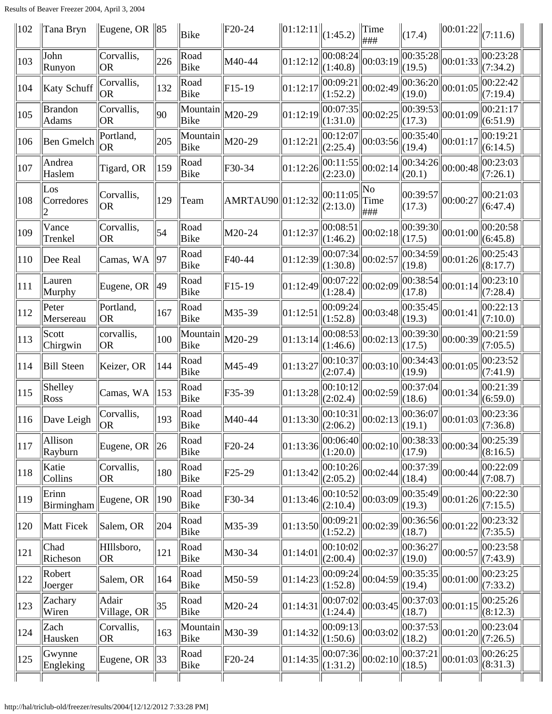| $\parallel$ 102 | Tana Bryn                   | Eugene, OR $\ 85\ $           |                 | Bike             | F <sub>20</sub> -24 | $\ 01:12:11\ _{(1:45.2)}$ |                       | $\ $ Time<br> ###                | (17.4)              | $\ 00:01:22\ _{(7:11.6)}$ |                                                                                                                                         |  |
|-----------------|-----------------------------|-------------------------------|-----------------|------------------|---------------------|---------------------------|-----------------------|----------------------------------|---------------------|---------------------------|-----------------------------------------------------------------------------------------------------------------------------------------|--|
| 103             | John<br>Runyon              | Corvallis,<br> OR             | 226             | Road<br>Bike     | M40-44              | 01:12:12                  | 00:08:24 <br>(1:40.8) | 00:03:19                         | 00:35:28 <br>(19.5) | 00:01:33                  | 00:23:28<br>(7:34.2)                                                                                                                    |  |
| 104             | <b>Katy Schuff</b>          | Corvallis,<br><b>OR</b>       | 132             | Road<br>Bike     | $F15-19$            | 01:12:17                  | 00:09:21<br>(1:52.2)  | 00:02:49                         | 00:36:20 <br>(19.0) | 00:01:05                  | 00:22:42<br>(7:19.4)                                                                                                                    |  |
| 105             | <b>Brandon</b><br>Adams     | Corvallis,<br>OR <sub>.</sub> | 90              | Mountain<br>Bike | M20-29              | 01:12:19                  | 00:07:35 <br>(1:31.0) | 00:02:25                         | 00:39:53 <br>(17.3) | 00:01:09                  | 00:21:17<br>(6:51.9)                                                                                                                    |  |
| 106             | Ben Gmelch                  | Portland,<br> OR              | 205             | Mountain<br>Bike | M20-29              | 01:12:21                  | 00:12:07 <br>(2:25.4) | 00:03:56                         | 00:35:40 <br>(19.4) | 00:01:17                  | 00:19:21<br>(6:14.5)                                                                                                                    |  |
| 107             | Andrea<br>Haslem            | Tigard, OR                    | 159             | Road<br>Bike     | F30-34              | 01:12:26                  | 00:11:55 <br>(2:23.0) | 00:02:14                         | 00:34:26 <br>(20.1) | 00:00:48                  | 00:23:03<br>(7:26.1)                                                                                                                    |  |
| 108             | $\text{Los }$<br>Corredores | Corvallis,<br><b>OR</b>       | 129             | Team             | AMRTAU90 01:12:32   |                           | 00:11:05<br>(2:13.0)  | No<br>Time<br>###                | 00:39:57 <br>(17.3) | 00:00:27                  | 00:21:03 <br>(6:47.4)                                                                                                                   |  |
| 109             | Vance<br>Trenkel            | Corvallis,<br><b>OR</b>       | 54              | Road<br>Bike     | M20-24              | 01:12:37                  | 00:08:51<br>(1:46.2)  | 00:02:18                         | 00:39:30 <br>(17.5) | 00:01:00                  | 00:20:58<br>(6:45.8)                                                                                                                    |  |
| 110             | Dee Real                    | Camas, WA                     | 97              | Road<br>Bike     | F40-44              | 01:12:39                  | 00:07:34 <br>(1:30.8) | 00:02:57                         | 00:34:59<br>(19.8)  | 00:01:26                  | $ 00:25:43\rangle$<br>(8:17.7)                                                                                                          |  |
| 111             | Lauren<br>Murphy            | Eugene, OR                    | 49              | Road<br>Bike     | $F15-19$            | 01:12:49                  | 00:07:22<br>(1:28.4)  | 00:02:09                         | 00:38:54 <br>(17.8) | 00:01:14                  | 00:23:10<br>(7:28.4)                                                                                                                    |  |
| 112             | Peter<br>Mersereau          | Portland,<br><b>OR</b>        | 167             | Road<br>Bike     | M35-39              | 01:12:51                  | 00:09:24 <br>(1:52.8) | 00:03:48                         | 00:35:45<br>(19.3)  | 00:01:41                  | 00:22:13<br>(7:10.0)                                                                                                                    |  |
| 113             | Scott<br>Chirgwin           | corvallis,<br><b>OR</b>       | 100             | Mountain<br>Bike | M20-29              | 01:13:14                  | 00:08:53 <br>(1:46.6) | 00:02:13                         | 00:39:30 <br>(17.5) | 00:00:39                  | 00:21:59<br>(7:05.5)                                                                                                                    |  |
| 114             | <b>Bill Steen</b>           | Keizer, OR                    | 144             | Road<br>Bike     | M45-49              | 01:13:27                  | 00:10:37<br>(2:07.4)  | 00:03:10                         | 00:34:43 <br>(19.9) | 00:01:05                  | 00:23:52<br>(7:41.9)                                                                                                                    |  |
| 115             | Shelley<br>Ross             | Camas, WA                     | $\ 153$         | Road<br>Bike     | F35-39              | 01:13:28                  | 00:10:12 <br>(2:02.4) | 00:02:59                         | 00:37:04 <br>(18.6) | 00:01:34                  | 00:21:39<br>(6:59.0)                                                                                                                    |  |
| $\parallel$ 116 | $\Delta$ Dave Leigh         | Corvallis,<br>OR              | $ 193\rangle$   | Road<br>Bike     | M40-44              |                           |                       |                                  |                     |                           | $\left\ 01:13:30\right\ ^{00:10:31}_{(2:06.2)}\left\ 00:02:13\right\ ^{00:36:07}_{(19.1)}\left\ 00:01:03\right\ ^{00:23:36}_{(7:36.8)}$ |  |
| 117             | Allison<br>Rayburn          | Eugene, OR                    | $\ 26\ $        | Road<br>Bike     | F20-24              | 01:13:36                  | 00:06:40 <br>(1:20.0) | 00:02:10                         | 00:38:33 <br>(17.9) | 00:00:34                  | 00:25:39<br>(8:16.5)                                                                                                                    |  |
| 118             | Katie<br>Collins            | Corvallis,<br>OR <sub>1</sub> | 180             | Road<br>Bike     | F <sub>25</sub> -29 | 01:13:42                  | 00:10:26 <br>(2:05.2) | 00:02:44                         | 00:37:39<br>(18.4)  | 00:00:44                  | 00:22:09<br>(7:08.7)                                                                                                                    |  |
| 119             | Erinn<br>Birmingham         | Eugene, OR                    | $\parallel$ 190 | Road<br>Bike     | F30-34              | 01:13:46                  | 00:10:52 <br>(2:10.4) | 00:03:09                         | 00:35:49 <br>(19.3) | 00:01:26                  | 00:22:30<br>(7:15.5)                                                                                                                    |  |
| 120             | Matt Ficek                  | Salem, OR                     | 204             | Road<br>Bike     | M35-39              | 01:13:50                  | 00:09:21<br>(1:52.2)  | 00:02:39                         | 00:36:56 <br>(18.7) | 00:01:22                  | 00:23:32<br>(7:35.5)                                                                                                                    |  |
| 121             | Chad<br>Richeson            | HIllsboro,<br><b>OR</b>       | 121             | Road<br>Bike     | M30-34              | 01:14:01                  | 00:10:02 <br>(2:00.4) | 00:02:37                         | 00:36:27<br>(19.0)  | 00:00:57                  | 00:23:58<br>(7:43.9)                                                                                                                    |  |
| 122             | Robert<br>Joerger           | Salem, OR                     | 164             | Road<br>Bike     | M50-59              | 01:14:23                  | 00:09:24 <br>(1:52.8) | 00:04:59                         | 00:35:35 <br>(19.4) | 00:01:00                  | 00:23:25<br>(7:33.2)                                                                                                                    |  |
| 123             | Zachary<br>Wiren            | Adair<br>Village, OR          | 35              | Road<br>Bike     | M20-24              | 01:14:31                  | 00:07:02 <br>(1:24.4) | 00:03:45                         | 00:37:03 <br>(18.7) | 00:01:15                  | 00:25:26<br>(8:12.3)                                                                                                                    |  |
| 124             | Zach<br>Hausken             | Corvallis,<br>OR <sub>1</sub> | $ 163\rangle$   | Mountain<br>Bike | M30-39              | 01:14:32                  | 00:09:13 <br>(1:50.6) | 00:03:02                         | 00:37:53<br>(18.2)  | 00:01:20                  | 00:23:04<br>(7:26.5)                                                                                                                    |  |
| 125             | Gwynne<br>Engleking         | Eugene, OR                    | $\parallel$ 33  | Road<br>Bike     | F <sub>20</sub> -24 | 01:14:35                  | (1:31.2)              | $\overline{ 00:07:36 } 00:02:10$ | 00:37:21<br>(18.5)  | 00:01:03                  | 00:26:25<br>(8:31.3)                                                                                                                    |  |
|                 |                             |                               |                 |                  |                     |                           |                       |                                  |                     |                           |                                                                                                                                         |  |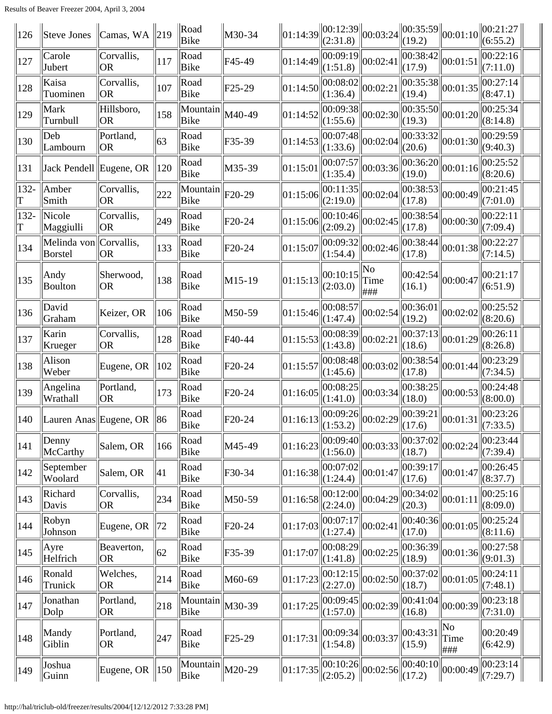| 126       | Steve Jones             | Camas, WA                     | $\parallel$ 219 | Road<br>Bike                                       | M30-34              |          | $\left\  01:14:39 \right\  00:12:39 \left\  00:03:24 \right\ $<br>(2:31.8) |                                                                                                                                                                          | $\ 00:35:59\ $<br>(19.2) | 00:01:10                            | $\ 00:21:27\ $<br>(6:55.2)     |  |
|-----------|-------------------------|-------------------------------|-----------------|----------------------------------------------------|---------------------|----------|----------------------------------------------------------------------------|--------------------------------------------------------------------------------------------------------------------------------------------------------------------------|--------------------------|-------------------------------------|--------------------------------|--|
| 127       | Carole<br>Jubert        | Corvallis,<br><b>OR</b>       | 117             | Road<br>Bike                                       | F45-49              | 01:14:49 | $\left\ \overline{00:09:19}\right\ _{00:02:41}$<br>(1:51.8)                |                                                                                                                                                                          | 00:38:42 <br>(17.9)      | 00:01:51                            | 00:22:16<br>(7:11.0)           |  |
| 128       | Kaisa<br>Tuominen       | Corvallis,<br>OR <sub>.</sub> | 107             | Road<br><b>Bike</b>                                | F <sub>25</sub> -29 | 01:14:50 | 00:08:02 <br>(1:36.4)                                                      | 00:02:21                                                                                                                                                                 | 00:35:38 <br>(19.4)      | 00:01:35                            | 00:27:14<br>(8:47.1)           |  |
| 129       | Mark<br>Turnbull        | Hillsboro,<br>OR <sub>.</sub> | 158             | Mountain<br>Bike                                   | M40-49              | 01:14:52 | 00:09:38 <br>(1:55.6)                                                      | 00:02:30                                                                                                                                                                 | 00:35:50 <br>(19.3)      | 00:01:20                            | 00:25:34<br>(8:14.8)           |  |
| 130       | Deb<br>Lambourn         | Portland,<br>OR <sub>.</sub>  | 63              | Road<br>Bike                                       | F35-39              | 01:14:53 | 00:07:48 <br>(1:33.6)                                                      | 00:02:04                                                                                                                                                                 | 00:33:32 <br>(20.6)      | 00:01:30                            | 00:29:59<br>(9:40.3)           |  |
| 131       | Jack Pendell Eugene, OR |                               | $\parallel$ 120 | Road<br>Bike                                       | M35-39              | 01:15:01 | 00:07:57 <br>(1:35.4)                                                      | 00:03:36                                                                                                                                                                 | 00:36:20 <br>(19.0)      | 00:01:16                            | 00:25:52<br>(8:20.6)           |  |
| 132-<br>T | Amber<br>Smith          | Corvallis,<br><b>OR</b>       | 222             | Mountain<br>Bike                                   | F <sub>20</sub> -29 | 01:15:06 | 00:11:35 <br>(2:19.0)                                                      | 00:02:04                                                                                                                                                                 | 00:38:53 <br>(17.8)      | 00:00:49                            | 00:21:45<br>(7:01.0)           |  |
| 132-<br>T | Nicole<br>Maggiulli     | Corvallis,<br><b>OR</b>       | 249             | Road<br>Bike                                       | F20-24              | 01:15:06 | 00:10:46 <br>(2:09.2)                                                      | 00:02:45                                                                                                                                                                 | 00:38:54 <br>(17.8)      | 00:00:30                            | 00:22:11<br>(7:09.4)           |  |
| 134       | Melinda von<br>Borstel  | Corvallis,<br> OR             | 133             | Road<br>Bike                                       | $F20-24$            | 01:15:07 | 00:09:32 <br>(1:54.4)                                                      | 00:02:46                                                                                                                                                                 | 00:38:44 <br>(17.8)      | 00:01:38                            | 00:22:27<br>(7:14.5)           |  |
| 135       | Andy<br><b>Boulton</b>  | Sherwood,<br><b>OR</b>        | 138             | Road<br>Bike                                       | $M15-19$            | 01:15:13 | 00:10:15<br>(2:03.0)                                                       | No<br>Time<br> ###                                                                                                                                                       | 00:42:54 <br>(16.1)      | 00:00:47                            | 00:21:17<br>(6:51.9)           |  |
| 136       | David<br>Graham         | Keizer, OR                    | 106             | Road<br>Bike                                       | M50-59              | 01:15:46 | 00:08:57<br>(1:47.4)                                                       | 00:02:54                                                                                                                                                                 | (19.2)                   | $\overline{ 00:36:01 } _{00:02:02}$ | 00:25:52<br>(8:20.6)           |  |
| 137       | Karin<br>Krueger        | Corvallis,<br><b>OR</b>       | 128             | Road<br>Bike                                       | F40-44              | 01:15:53 | 00:08:39 <br>(1:43.8)                                                      | $ 00:02:2\rangle$                                                                                                                                                        | (18.6)                   | $\overline{ 00:37:13 } 00:01:29 $   | 00:26:11<br>(8:26.8)           |  |
| 138       | Alison<br>Weber         | Eugene, OR                    | $\parallel$ 102 | Road<br>Bike                                       | F20-24              | 01:15:57 | 00:08:48 <br>(1:45.6)                                                      | 00:03:02                                                                                                                                                                 | 00:38:54 <br>(17.8)      | 00:01:44                            | 00:23:29<br>(7:34.5)           |  |
| 139       | Angelina<br>Wrathall    | Portland,<br>OR <sub>1</sub>  | 173             | Road<br>Bike                                       | $F20-24$            | 01:16:05 | 00:08:25 <br>(1:41.0)                                                      | 00:03:34                                                                                                                                                                 | 00:38:25 <br>(18.0)      | 00:00:53                            | 00:24:48<br>(8:00.0)           |  |
| 140       |                         | Lauren Anas Eugene, OR  86    |                 | Road<br>Bike                                       | F20-24              |          |                                                                            | $\begin{array}{ l l l l l } \hline 01:16:13 & 00:09:26 & 00:02:29 & 00:39:21 & 00:01:31 & 00:23:26 \\ \hline (1:53.2) & (17.6) & (17.6) & (7:33.5) & \hline \end{array}$ |                          |                                     | 00:23:26                       |  |
| 141       | Denny<br>McCarthy       | Salem, OR                     | 166             | Road<br>Bike                                       | M45-49              | 01:16:23 | (1:56.0)                                                                   | $\left\ \overline{00:09:40}\right\ _{00:03:33}$                                                                                                                          | 00:37:02 <br>(18.7)      | 00:02:24                            | 00:23:44 <br>(7:39.4)          |  |
| 142       | September<br>Woolard    | Salem, OR                     | 41              | Road<br>Bike                                       | F30-34              | 01:16:38 | $\overline{ 00:07:02 } 00:01:47$<br>(1:24.4)                               |                                                                                                                                                                          | 00:39:17<br>(17.6)       | 00:01:47                            | 00:26:45 <br>(8:37.7)          |  |
| 143       | Richard<br>Davis        | Corvallis,<br>OR <sub>.</sub> | 234             | Road<br>Bike                                       | M50-59              | 01:16:58 | (2:24.0)                                                                   | $\overline{00:12:00}\big\  00:04:29$                                                                                                                                     | 00:34:02 <br>(20.3)      | 00:01:11                            | 00:25:16<br>(8:09.0)           |  |
| 144       | Robyn<br>Johnson        | Eugene, OR                    | $\parallel$ 72  | Road<br>Bike                                       | F20-24              | 01:17:03 | 00:07:17 <br>(1:27.4)                                                      | 00:02:41                                                                                                                                                                 | 00:40:36 <br>(17.0)      | 00:01:05                            | 00:25:24 <br>(8:11.6)          |  |
| 145       | Ayre<br>Helfrich        | Beaverton,<br> OR             | 62              | Road<br>Bike                                       | F35-39              | 01:17:07 | (1:41.8)                                                                   | $\overline{ 00:08:29 } 00:02:25$                                                                                                                                         | 00:36:39 <br>(18.9)      | 00:01:36                            | 00:27:58 <br>(9:01.3)          |  |
| 146       | Ronald<br>Trunick       | Welches,<br><b>OR</b>         | 214             | Road<br>Bike                                       | M60-69              | 01:17:23 | 00:12:15 <br>(2:27.0)                                                      | 00:02:50                                                                                                                                                                 | 00:37:02 <br>(18.7)      | 00:01:05                            | 00:24:11<br>(7:48.1)           |  |
| 147       | Jonathan<br>Dolp        | Portland,<br>OR <sub>.</sub>  | 218             | Mountain<br>Bike                                   | M30-39              | 01:17:25 | 00:09:45 <br>(1:57.0)                                                      | 00:02:39                                                                                                                                                                 | 00:41:04 <br>(16.8)      | 00:00:39                            | 00:23:18<br>(7:31.0)           |  |
| 148       | Mandy<br>Giblin         | Portland,<br>OR               | 247             | Road<br>Bike                                       | F <sub>25</sub> -29 | 01:17:31 | $\left\  00:09:34 \right\  00:03:37$<br>(1:54.8)                           |                                                                                                                                                                          | 00:43:31<br>(15.9)       | No<br>Time<br>###                   | $ 00:20:49\rangle$<br>(6:42.9) |  |
| 149       | Joshua<br>Guinn         | Eugene, OR $\parallel$ 150    |                 | $\sqrt{\text{Mountain}}\ _{\text{M20-29}}$<br>Bike |                     |          |                                                                            | $\left\ 01:17:35\right\ ^{00:10:26}_{(2:05.2)}\right\ 00:02:56\left\ 00:40:17:2\right\}$                                                                                 | 00:40:10                 | 00:00:49                            | 00:23:14<br>$\Vert$ (7:29.7)   |  |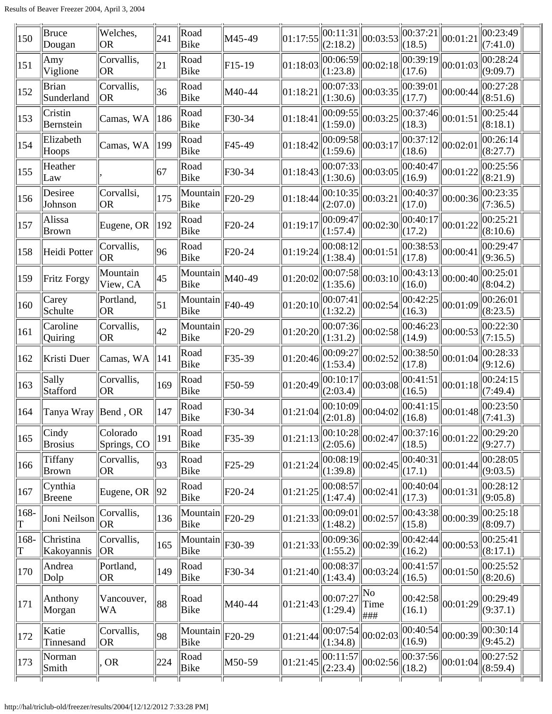| 150           | Bruce<br>Dougan            | Welches,<br> OR               | 241              | Road<br>Bike            | M45-49              | 01:17:55 | 00:11:31 <br>(2:18.2)                        | 00:03:53                                         | 00:37:21<br>(18.5)                         | 00:01:21                                 | 00:23:49<br>(7:41.0)  |  |
|---------------|----------------------------|-------------------------------|------------------|-------------------------|---------------------|----------|----------------------------------------------|--------------------------------------------------|--------------------------------------------|------------------------------------------|-----------------------|--|
| 151           | Amy<br>Viglione            | Corvallis,<br> OR             | 21               | Road<br>Bike            | $F15-19$            | 01:18:03 | 00:06:59 <br>(1:23.8)                        | 00:02:18                                         | (17.6)                                     | $\sqrt{\frac{1}{100:39:19}}\ 00:01:03\}$ | 00:28:24<br>(9:09.7)  |  |
| 152           | Brian<br>Sunderland        | Corvallis,<br><b>OR</b>       | 36               | Road<br>Bike            | M40-44              | 01:18:21 | 00:07:33 <br>(1:30.6)                        | 00:03:35                                         | 00:39:01 <br>(17.7)                        | 00:00:44                                 | 00:27:28<br>(8:51.6)  |  |
| 153           | Cristin<br>Bernstein       | Camas, WA                     | $\parallel$ 186  | Road<br>Bike            | F30-34              | 01:18:41 | (1:59.0)                                     | $\overline{ 00:09:55 } 00:03:25$                 | $\overline{ 00:37:46 } 00:01:51$<br>(18.3) |                                          | 00:25:44<br>(8:18.1)  |  |
| 154           | Elizabeth<br>Hoops         | Camas, WA                     | 199              | Road<br>Bike            | F45-49              | 01:18:42 | $\overline{ 00:09:58 } 00:03:17$<br>(1:59.6) |                                                  | 00:37:12 <br>(18.6)                        | 00:02:01                                 | 00:26:14<br>(8:27.7)  |  |
| 155           | Heather<br>Law             |                               | 67               | Road<br>Bike            | F30-34              | 01:18:43 | 00:07:33 <br>(1:30.6)                        | 00:03:05                                         | 00:40:47 <br>(16.9)                        | 00:01:22                                 | 00:25:56<br>(8:21.9)  |  |
| 156           | Desiree<br>Johnson         | Corvallsi,<br><b>OR</b>       | 175              | Mountain<br>Bike        | F20-29              | 01:18:44 | 00:10:35 <br>(2:07.0)                        | 00:03:21                                         | 00:40:37 <br>(17.0)                        | $\vert\vert 00$ :00:36 $\vert$           | 00:23:35<br>(7:36.5)  |  |
| 157           | Alissa<br>Brown            | Eugene, OR                    | $\parallel$ 192  | Road<br>Bike            | F20-24              | 01:19:17 | 00:09:47 <br>(1:57.4)                        | 00:02:30                                         | 00:40:17 <br>(17.2)                        | 00:01:22                                 | 00:25:21<br>(8:10.6)  |  |
| 158           | Heidi Potter               | Corvallis,<br><b>OR</b>       | 96               | Road<br>Bike            | $F20-24$            | 01:19:24 | 00:08:12 <br>(1:38.4)                        | 00:01:51                                         | 00:38:53 <br>(17.8)                        | 00:00:41                                 | 00:29:47<br>(9:36.5)  |  |
| 159           | Fritz Forgy                | Mountain<br>View, CA          | 45               | Mountain<br>Bike        | M40-49              | 01:20:02 | 00:07:58 <br>(1:35.6)                        | 00:03:10                                         | 00:43:13 <br>(16.0)                        | 00:00:40                                 | 00:25:01<br>(8:04.2)  |  |
| 160           | Carey<br>Schulte           | Portland,<br> OR              | $\vert 51 \vert$ | Mountain<br><b>Bike</b> | F40-49              | 01:20:10 | 00:07:41 <br>(1:32.2)                        | 00:02:54                                         | 00:42:25<br>(16.3)                         | 00:01:09                                 | 00:26:01<br>(8:23.5)  |  |
| 161           | Caroline<br><b>Quiring</b> | Corvallis,<br><b>OR</b>       | 42               | Mountain<br>Bike        | F <sub>20</sub> -29 | 01:20:20 | 00:07:36<br>(1:31.2)                         | 00:02:58                                         | 00:46:23 <br>(14.9)                        | 00:00:53                                 | 00:22:30<br>(7:15.5)  |  |
| 162           | Kristi Duer                | Camas, WA                     | 141              | Road<br>Bike            | F35-39              | 01:20:46 | 00:09:27<br>(1:53.4)                         | 00:02:52                                         | 00:38:50 <br>(17.8)                        | 00:01:04                                 | 00:28:33<br>(9:12.6)  |  |
| 163           | Sally<br>Stafford          | Corvallis,<br> OR             | 169              | Road<br>Bike            | F50-59              | 01:20:49 | 00:10:17 <br>(2:03.4)                        | 00:03:08                                         | 00:41:51 <br>(16.5)                        | 00:01:18                                 | 00:24:15<br>(7:49.4)  |  |
| 164           | Tanya Wray                 | $\parallel$ Bend, OR          | 147              | Road<br>Bike            | F30-34              | 01:21:04 | 00:10:09<br>(2:01.8)                         | 00:04:02                                         | 00:41:15 <br>(16.8)                        | 00:01:48                                 | 00:23:50<br>(7:41.3)  |  |
| $ 165\rangle$ | Cindy<br><b>Brosius</b>    | Colorado<br>Springs, CO       | 191              | Road<br>Bike            | F35-39              | 01:21:13 | (2:05.6)                                     | $\left\  \frac{1}{00:10:28} \right\ _{00:02:47}$ | (18.5)                                     | $\frac{1}{ 00:37:16 }$ 00:01:22          | 00:29:20 <br>(9:27.7) |  |
| 166           | Tiffany<br>Brown           | Corvallis,<br> OR             | 93               | Road<br>Bike            | $F25-29$            | 01:21:24 | 00:08:19 <br>(1:39.8)                        | 00:02:45                                         | 00:40:31<br>(17.1)                         | 00:01:44                                 | 00:28:05<br>(9:03.5)  |  |
| 167           | Cynthia<br>Breene          | Eugene, OR                    | 92               | Road<br>Bike            | F20-24              | 01:21:25 | 00:08:57<br>(1:47.4)                         | 00:02:41                                         | 00:40:04 <br>(17.3)                        | 00:01:31                                 | 00:28:12 <br>(9:05.8) |  |
| 168-<br>T     | Joni Neilson               | Corvallis,<br><b>OR</b>       | 136              | Mountain<br>Bike        | F <sub>20</sub> -29 | 01:21:33 | 00:09:01<br>(1:48.2)                         | 00:02:57                                         | 00:43:38 <br>(15.8)                        | 00:00:39                                 | 00:25:18 <br>(8:09.7) |  |
| 168-<br>T     | Christina<br>Kakoyannis    | Corvallis,<br>OR              | 165              | Mountain<br>Bike        | F30-39              | 01:21:33 | 00:09:36 <br>(1:55.2)                        | 00:02:39                                         | 00:42:44 <br>(16.2)                        | 00:00:53                                 | 00:25:41<br>(8:17.1)  |  |
| 170           | Andrea<br>Dolp             | Portland,<br>OR               | 149              | Road<br>Bike            | F30-34              | 01:21:40 | 00:08:37 <br>(1:43.4)                        | 00:03:24                                         | 00:41:57<br>(16.5)                         | 00:01:50                                 | 00:25:52<br>(8:20.6)  |  |
| 171           | Anthony<br>Morgan          | Vancouver,<br>WA              | 88               | Road<br>Bike            | M40-44              | 01:21:43 | 00:07:27<br>(1:29.4)                         | No<br>Time<br> ###                               | 00:42:58 <br>(16.1)                        | 00:01:29                                 | 00:29:49 <br>(9:37.1) |  |
| 172           | Katie<br>Tinnesand         | Corvallis,<br>OR <sub>.</sub> | 98               | Mountain<br>Bike        | F <sub>20</sub> -29 | 01:21:44 | 00:07:54<br>(1:34.8)                         | 00:02:03                                         | 00:40:54 <br>(16.9)                        | 00:00:39                                 | 00:30:14<br>(9:45.2)  |  |
| 173           | Norman<br>Smith            | <b>OR</b>                     | 224              | Road<br>Bike            | M50-59              | 01:21:45 | 00:11:57<br>(2:23.4)                         | 00:02:56                                         | (18.2)                                     | $\overline{ 00:37:56 } 00:01:04 $        | 00:27:52<br>(8:59.4)  |  |
|               |                            |                               |                  |                         |                     |          |                                              |                                                  |                                            |                                          |                       |  |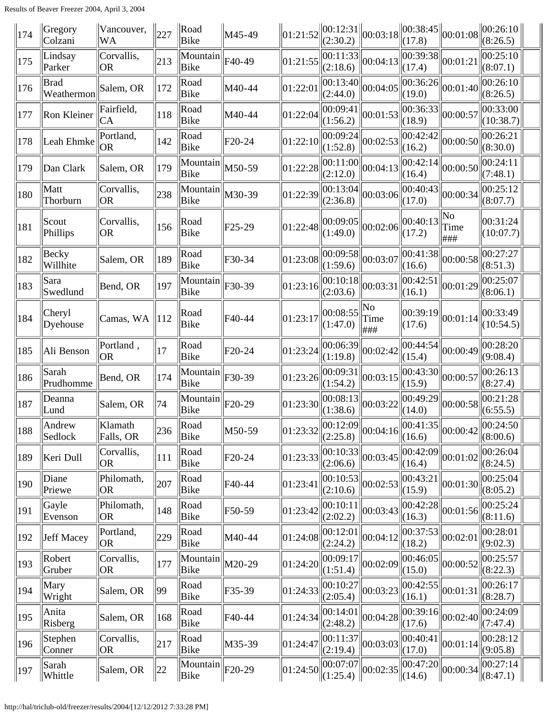| 174 | Gregory<br>Colzani        | Vancouver,<br><b>WA</b>       | 227             | Road<br>Bike     | M45-49              | 01:21:52                                        | (2:30.2)                                     | $\ 00:12:31\ _{00:03:18}$                       | (17.8)              | $\ 00:38:45\ _{00:01:08}\ $                     | $\ 00:26:10\ $<br>(8:26.5)                                  |  |
|-----|---------------------------|-------------------------------|-----------------|------------------|---------------------|-------------------------------------------------|----------------------------------------------|-------------------------------------------------|---------------------|-------------------------------------------------|-------------------------------------------------------------|--|
| 175 | Lindsay<br>Parker         | Corvallis,<br> OR             | 213             | Mountain<br>Bike | F40-49              | 01:21:55                                        | 00:11:33<br>(2:18.6)                         | 00:04:13                                        | 00:39:38 <br>(17.4) | 00:01:21                                        | 00:25:10<br>(8:07.1)                                        |  |
| 176 | <b>Brad</b><br>Weathermon | Salem, OR                     | 172             | Road<br>Bike     | M40-44              | 01:22:01                                        | 00:13:40<br>(2:44.0)                         | 00:04:05                                        | 00:36:26 <br>(19.0) | 00:01:40                                        | 00:26:10<br>(8:26.5)                                        |  |
| 177 | Ron Kleiner               | Fairfield,<br>CА              | 118             | Road<br>Bike     | M40-44              | 01:22:04                                        | 00:09:41<br>(1:56.2)                         | 00:01:53                                        | 00:36:33 <br>(18.9) | 00:00:57                                        | 00:33:00<br>(10:38.7)                                       |  |
| 178 | Leah Ehmke                | Portland,<br><b>OR</b>        | 142             | Road<br>Bike     | F20-24              | 01:22:10                                        | 00:09:24 <br>(1:52.8)                        | 00:02:53                                        | 00:42:42<br>(16.2)  | 00:00:50                                        | 00:26:21<br>(8:30.0)                                        |  |
| 179 | Dan Clark                 | Salem, OR                     | 179             | Mountain<br>Bike | M50-59              | 01:22:28                                        | 00:11:00 <br>(2:12.0)                        | 00:04:13                                        | 00:42:14<br>(16.4)  | 00:00:50                                        | 00:24:11<br>(7:48.1)                                        |  |
| 180 | Matt<br>Thorburn          | Corvallis,<br> OR             | 238             | Mountain<br>Bike | M30-39              | 01:22:39                                        | 00:13:04 <br>(2:36.8)                        | 00:03:06                                        | 00:40:43 <br>(17.0) | 00:00:34                                        | 00:25:12<br>(8:07.7)                                        |  |
| 181 | Scout<br>Phillips         | Corvallis,<br><b>OR</b>       | 156             | Road<br>Bike     | F <sub>25</sub> -29 | 01:22:48                                        | 00:09:05 <br>(1:49.0)                        | 00:02:06                                        | 00:40:13<br>(17.2)  | No<br>Time<br> ###                              | 00:31:24<br>(10:07.7)                                       |  |
| 182 | Becky<br>Willhite         | Salem, OR                     | 189             | Road<br>Bike     | F30-34              | 01:23:08                                        | 00:09:58 <br>(1:59.6)                        | 00:03:07                                        | 00:41:38<br>(16.6)  | 00:00:58                                        | 00:27:27<br>(8:51.3)                                        |  |
| 183 | Sara<br>Swedlund          | Bend, OR                      | 197             | Mountain<br>Bike | F30-39              | 01:23:16                                        | 00:10:18 <br>(2:03.6)                        | 00:03:31                                        | 00:42:51<br>(16.1)  | 00:01:29                                        | 00:25:07<br>(8:06.1)                                        |  |
| 184 | Cheryl<br>Dyehouse        | Camas, WA                     | $\parallel$ 112 | Road<br>Bike     | F40-44              | 01:23:17                                        | 00:08:55<br>(1:47.0)                         | No<br>Time<br>###                               | 00:39:19 <br>(17.6) | 00:01:14                                        | 00:33:49<br>(10:54.5)                                       |  |
| 185 | Ali Benson                | Portland,<br> OR              | 17              | Road<br>Bike     | F <sub>20</sub> -24 | 01:23:24                                        | 00:06:39 <br>(1:19.8)                        | 00:02:42                                        | 00:44:54 <br>(15.4) | 00:00:49                                        | 00:28:20<br>(9:08.4)                                        |  |
| 186 | Sarah<br>Prudhomme        | Bend, OR                      | 174             | Mountain<br>Bike | F30-39              | 01:23:26                                        | 00:09:31 <br>(1:54.2)                        | 00:03:15                                        | 00:43:30 <br>(15.9) | 00:00:57                                        | 00:26:13<br>(8:27.4)                                        |  |
| 187 | Deanna<br>Lund            | Salem, OR                     | 74              | Mountain<br>Bike | F <sub>20</sub> -29 | 01:23:30                                        | 00:08:13 <br>(1:38.6)                        | 00:03:22                                        | 00:49:29 <br>(14.0) | 00:00:58                                        | 00:21:28<br>(6:55.5)                                        |  |
| 188 | Andrew<br>Sedlock         | Klamath<br>Falls, OR          | $\ 236\ $       | Road<br>Bike     | M50-59              | $\ 01:23:32\ _{(2:25.8)}^{\cup \cup \{1,2,3\}}$ | 00:12:09                                     | $\ 00:04:16\ _{(16.6)}^{\infty}$                | 00:41:35            |                                                 | $\left\  00:00:42 \right\  00:24:50 \left\  00:00 \right\ $ |  |
| 189 | Keri Dull                 | Corvallis,<br>OR <sub>.</sub> | 111             | Road<br>Bike     | F20-24              | 01:23:33                                        | $\overline{ 00:10:33 } 00:03:45$<br>(2:06.6) |                                                 | 00:42:09 <br>(16.4) | 00:01:02                                        | 00:26:04<br>(8:24.5)                                        |  |
| 190 | Diane<br>Priewe           | Philomath,<br> OR             | 207             | Road<br>Bike     | F40-44              | 01:23:41                                        | 00:10:53 <br>(2:10.6)                        | 00:02:53                                        | 00:43:21<br>(15.9)  | 00:01:30                                        | 00:25:04<br>(8:05.2)                                        |  |
| 191 | Gayle<br>Evenson          | Philomath,<br>OR <sub>.</sub> | 148             | Road<br>Bike     | F50-59              | 01:23:42                                        | 00:10:11 <br>(2:02.2)                        | 00:03:43                                        | 00:42:28 <br>(16.3) | 00:01:56                                        | 00:25:24<br>(8:11.6)                                        |  |
| 192 | Jeff Macey                | Portland,<br>OR <sub>.</sub>  | 229             | Road<br>Bike     | M40-44              | 01:24:08                                        | 00:12:01<br>(2:24.2)                         | 00:04:12                                        | 00:37:53<br>(18.2)  | 00:02:01                                        | 00:28:01<br>(9:02.3)                                        |  |
| 193 | Robert<br>Gruber          | Corvallis,<br>OR <sub>1</sub> | 177             | Mountain<br>Bike | M20-29              | 01:24:20                                        | 00:09:17 <br>(1:51.4)                        | 00:02:09                                        | 00:46:05<br>(15.0)  | 00:00:52                                        | 00:25:57<br>(8:22.3)                                        |  |
| 194 | Mary<br>Wright            | Salem, OR                     | 99              | Road<br>Bike     | F35-39              | 01:24:33                                        | 00:10:27 <br>(2:05.4)                        | 00:03:23                                        | 00:42:55 <br>(16.1) | 00:01:31                                        | 00:26:17<br>(8:28.7)                                        |  |
| 195 | Anita<br>Risberg          | Salem, OR                     | 168             | Road<br>Bike     | F40-44              | 01:24:34                                        | 00:14:01 <br>(2:48.2)                        | 00:04:28                                        | (17.6)              | $\sqrt{00:}39:16\big\ 00:02:40\big\ $           | 00:24:09<br>(7:47.4)                                        |  |
| 196 | Stephen<br>Conner         | Corvallis,<br> OR             | 217             | Road<br>Bike     | M35-39              | 01:24:47                                        | 00:11:37 <br>(2:19.4)                        | 00:03:03                                        | 00:40:41 <br>(17.0) | 00:01:14                                        | 00:28:12<br>(9:05.8)                                        |  |
| 197 | Sarah<br>Whittle          | Salem, OR                     | $\parallel$ 22  | Mountain<br>Bike | F <sub>20</sub> -29 | 01:24:50                                        | $\ $ (1:25.4) $\ $                           | $\left\ \overline{00:07:07}\right\ _{00:02:35}$ | $\Vert(14.6)$       | $\left\ \overline{00:47:20}\right\ _{00:00:34}$ | 00:27:14<br>$\ $ (8:47.1)                                   |  |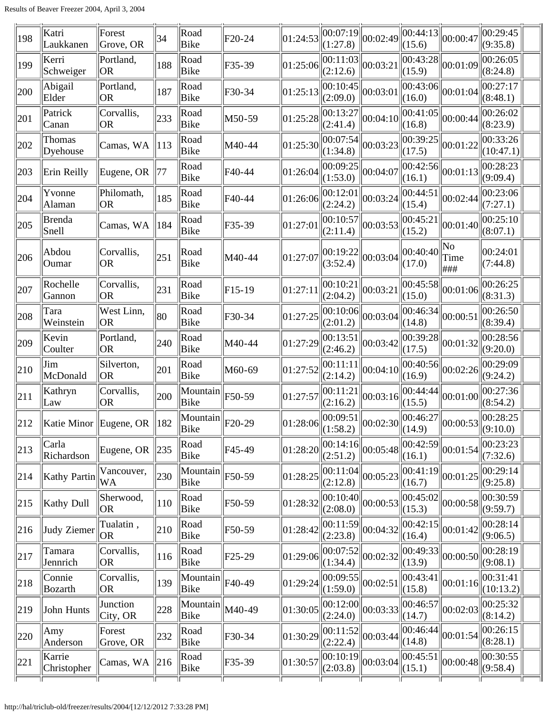| 198 | Katri<br>Laukkanen                     | Forest<br>Grove, OR     | 34              | Road<br>Bike                                    | F20-24              | 01:24:53                       | 00:07:19<br>(1:27.8)  | 00:02:49                                                                                                                                                                                                                    | 00:44:13 <br>(15.6)                            | 00:00:47          | 00:29:45<br>(9:35.8)           |
|-----|----------------------------------------|-------------------------|-----------------|-------------------------------------------------|---------------------|--------------------------------|-----------------------|-----------------------------------------------------------------------------------------------------------------------------------------------------------------------------------------------------------------------------|------------------------------------------------|-------------------|--------------------------------|
| 199 | Kerri<br>Schweiger                     | Portland,<br><b>OR</b>  | 188             | Road<br>Bike                                    | F35-39              | 01:25:06                       | 00:11:03 <br>(2:12.6) | 00:03:21                                                                                                                                                                                                                    | 00:43:28 <br>(15.9)                            | 00:01:09          | 00:26:05 <br>(8:24.8)          |
| 200 | Abigail<br>Elder                       | Portland,<br><b>OR</b>  | 187             | Road<br>Bike                                    | F30-34              | 01:25:13                       | 00:10:45 <br>(2:09.0) | 00:03:01                                                                                                                                                                                                                    | $\overline{ 00:43:06 } 00:01:04 $<br>(16.0)    |                   | 00:27:17<br>(8:48.1)           |
| 201 | Patrick<br>Canan                       | Corvallis,<br>OR        | 233             | Road<br>Bike                                    | M50-59              | 01:25:28                       | 00:13:27<br>(2:41.4)  | 00:04:10                                                                                                                                                                                                                    | 00:41:05 <br>(16.8)                            | 00:00:44          | $ 00:26:02\rangle$<br>(8:23.9) |
| 202 | Thomas<br>Dyehouse                     | Camas, WA               | 113             | Road<br>Bike                                    | M40-44              | 01:25:30                       | 00:07:54<br>(1:34.8)  | 00:03:23                                                                                                                                                                                                                    | 00:39:25 <br>(17.5)                            | 00:01:22          | 00:33:26 <br>(10:47.1)         |
| 203 | Erin Reilly                            | Eugene, OR              | 177             | Road<br>Bike                                    | F40-44              | 01:26:04                       | 00:09:25<br>(1:53.0)  | 00:04:07                                                                                                                                                                                                                    | 00:42:56 <br>(16.1)                            | 00:01:13          | 00:28:23 <br>(9:09.4)          |
| 204 | Yvonne<br>Alaman                       | Philomath,<br><b>OR</b> | 185             | Road<br>Bike                                    | F40-44              | 01:26:06                       | 00:12:01<br>(2:24.2)  | 00:03:24                                                                                                                                                                                                                    | 00:44:51<br>(15.4)                             | 00:02:44          | 00:23:06<br>(7:27.1)           |
| 205 | Brenda<br>Snell                        | Camas, WA               | 184             | Road<br>Bike                                    | F35-39              | 01:27:01                       | 00:10:57<br>(2:11.4)  | 00:03:53                                                                                                                                                                                                                    | 00:45:21<br>(15.2)                             | 00:01:40          | 00:25:10<br>(8:07.1)           |
| 206 | Abdou<br>Oumar                         | Corvallis,<br><b>OR</b> | 251             | Road<br>Bike                                    | M40-44              | 01:27:07                       | 00:19:22<br>(3:52.4)  | 00:03:04                                                                                                                                                                                                                    | 00:40:40<br>(17.0)                             | No<br>Time<br>### | 00:24:01<br>(7:44.8)           |
| 207 | Rochelle<br>Gannon                     | Corvallis,<br><b>OR</b> | 231             | Road<br>Bike                                    | $F15-19$            | 01:27:11                       | 00:10:21<br>(2:04.2)  | 00:03:21                                                                                                                                                                                                                    | 00:45:58<br>(15.0)                             | 00:01:06          | 00:26:25 <br>(8:31.3)          |
| 208 | Tara<br>Weinstein                      | West Linn,<br><b>OR</b> | 80              | Road<br>Bike                                    | F30-34              | 01:27:25                       | 00:10:06 <br>(2:01.2) | 00:03:04                                                                                                                                                                                                                    | 00:46:34<br>(14.8)                             | 00:00:51          | 00:26:50<br>(8:39.4)           |
| 209 | Kevin<br>Coulter                       | Portland,<br><b>OR</b>  | 240             | Road<br>Bike                                    | M40-44              | 01:27:29                       | 00:13:51<br>(2:46.2)  | 00:03:42                                                                                                                                                                                                                    | 00:39:28<br>(17.5)                             | 00:01:32          | 00:28:56<br>(9:20.0)           |
| 210 | Jim<br>McDonald                        | Silverton,<br><b>OR</b> | 201             | Road<br>Bike                                    | M60-69              | 01:27:52                       | 00:11:11<br>(2:14.2)  | 00:04:10                                                                                                                                                                                                                    | 00:40:56 <br>(16.9)                            | 00:02:26          | 00:29:09<br>(9:24.2)           |
| 211 | Kathryn<br>Law                         | Corvallis,<br> OR       | 200             | Mountain<br>Bike                                | F50-59              | 01:27:57                       | 00:11:21<br>(2:16.2)  | 00:03:16                                                                                                                                                                                                                    | 00:44:44<br>(15.5)                             | 00:01:00          | 00:27:36<br>(8:54.2)           |
| 212 | Katie Minor Eugene, OR $\parallel$ 182 |                         |                 | $\sqrt{\text{Mountain}}\ _{F20-29}$<br>$ $ Bike |                     | $\ 01:28:06\ $ $\sqrt{1:58.2}$ |                       | $\left\ \begin{bmatrix} 00:09:51 \\ (1:58.2) \end{bmatrix}\right\  00:02:30 \left\  \begin{bmatrix} 00:46:27 \\ (14.9) \end{bmatrix} \right\  00:00:53 \left\  \begin{bmatrix} 00:28:25 \\ (9:10.0) \end{bmatrix} \right\ $ |                                                |                   | 00:28:25                       |
| 213 | Carla<br>Richardson                    | Eugene, OR              | $\ 235\ $       | Road<br>Bike                                    | F45-49              | 01:28:20                       | 00:14:16 <br>(2:51.2) | 00:05:48                                                                                                                                                                                                                    | 00:42:59 <br>(16.1)                            | 00:01:54          | 00:23:23<br>(7:32.6)           |
| 214 | <b>Kathy Partin</b>                    | Vancouver,<br>WA        | 230             | Mountain<br>Bike                                | F50-59              | 01:28:25                       | 00:11:04 <br>(2:12.8) | 00:05:23                                                                                                                                                                                                                    | 00:41:19 <br>(16.7)                            | 00:01:25          | 00:29:14<br>(9:25.8)           |
| 215 | Kathy Dull                             | Sherwood,<br><b>OR</b>  | 110             | Road<br>Bike                                    | F50-59              | 01:28:32                       | 00:10:40 <br>(2:08.0) | 00:00:53                                                                                                                                                                                                                    | 00:45:02 <br>(15.3)                            | 00:00:58          | 00:30:59 <br>(9:59.7)          |
| 216 | Judy Ziemer                            | Tualatin,<br><b>OR</b>  | 210             | Road<br>Bike                                    | F50-59              | 01:28:42                       | 00:11:59 <br>(2:23.8) | 00:04:32                                                                                                                                                                                                                    | 00:42:15 <br>(16.4)                            | 00:01:42          | 00:28:14 <br>(9:06.5)          |
| 217 | Tamara<br>Jennrich                     | Corvallis,<br><b>OR</b> | 116             | Road<br>Bike                                    | F <sub>25</sub> -29 | 01:29:06                       | 00:07:52<br>(1:34.4)  | 00:02:32                                                                                                                                                                                                                    | $\ \overline{00:49:33}\ _{00:00:50}$<br>(13.9) |                   | $ 00:28:19\rangle$<br>(9:08.1) |
| 218 | Connie<br>Bozarth                      | Corvallis,<br><b>OR</b> | 139             | Mountain<br>Bike                                | F40-49              | 01:29:24                       | 00:09:55 <br>(1:59.0) | 00:02:51                                                                                                                                                                                                                    | 00:43:41 <br>(15.8)                            | $\ 00:01:16\ $    | 00:31:41<br>(10:13.2)          |
| 219 | John Hunts                             | Junction<br>City, OR    | 228             | Mountain<br>Bike                                | M40-49              | 01:30:05                       | 00:12:00 <br>(2:24.0) | 00:03:33                                                                                                                                                                                                                    | 00:46:57<br>(14.7)                             | 00:02:03          | 00:25:32<br>(8:14.2)           |
| 220 | Amy<br>Anderson                        | Forest<br>Grove, OR     | 232             | Road<br>Bike                                    | F30-34              | 01:30:29                       | 00:11:52 <br>(2:22.4) | 00:03:44                                                                                                                                                                                                                    | 00:46:44<br>(14.8)                             | 00:01:54          | 00:26:15<br>(8:28.1)           |
| 221 | Karrie<br>Christopher                  | Camas, WA               | $\parallel$ 216 | Road<br>Bike                                    | F35-39              | 01:30:57                       | 00:10:19 <br>(2:03.8) | 00:03:04                                                                                                                                                                                                                    | 00:45:51<br>(15.1)                             | 00:00:48          | 00:30:55 <br>(9:58.4)          |
|     |                                        |                         |                 |                                                 |                     |                                |                       |                                                                                                                                                                                                                             |                                                |                   |                                |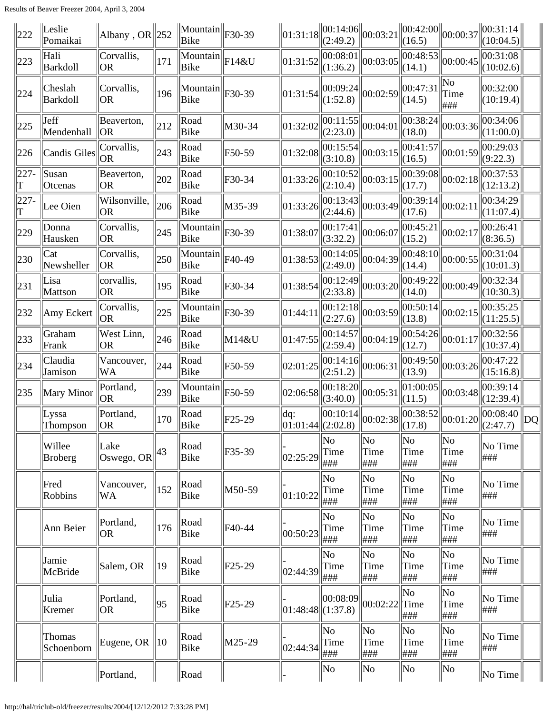| 222          | Leslie<br>Pomaikai         | Albany, OR $ 252$                          |                | $\ \text{Mountain}\ _{F30-39}$<br>Bike |                     | 01:31:18              | $\ 00:14:06\ 00:03:21$<br>(2:49.2) |                                       | 00:42:00 <br>(16.5)    | 00:00:37                              | 00:31:14<br>(10:04.5)                                                                                                                                                                                                                                                                                                                                                                                                     |    |
|--------------|----------------------------|--------------------------------------------|----------------|----------------------------------------|---------------------|-----------------------|------------------------------------|---------------------------------------|------------------------|---------------------------------------|---------------------------------------------------------------------------------------------------------------------------------------------------------------------------------------------------------------------------------------------------------------------------------------------------------------------------------------------------------------------------------------------------------------------------|----|
| 223          | Hali<br>Barkdoll           | Corvallis,<br> OR                          | 171            | Mountain<br>Bike                       | $\parallel$ F14&U   | 01:31:52              | 00:08:01 <br>(1:36.2)              | 00:03:05                              | 00:48:53 <br>(14.1)    | 00:00:45                              | 00:31:08<br>(10:02.6)                                                                                                                                                                                                                                                                                                                                                                                                     |    |
| 224          | Cheslah<br><b>Barkdoll</b> | Corvallis,<br><b>OR</b>                    | 196            | Mountain<br>Bike                       | F30-39              | 01:31:54              | 00:09:24 <br>(1:52.8)              | 00:02:59                              | 00:47:31<br>(14.5)     | No<br>Time<br>###                     | 00:32:00<br>(10:19.4)                                                                                                                                                                                                                                                                                                                                                                                                     |    |
| 225          | Jeff<br>Mendenhall         | Beaverton,<br>  OR                         | 212            | Road<br>Bike                           | M30-34              | 01:32:02              | 00:11:55 <br>(2:23.0)              | 00:04:01                              | 00:38:24 <br>(18.0)    | 00:03:36                              | 00:34:06 <br>(11:00.0)                                                                                                                                                                                                                                                                                                                                                                                                    |    |
| 226          | Candis Giles               | Corvallis,<br> OR                          | 243            | Road<br>Bike                           | F50-59              | 01:32:08              | 00:15:54 <br>(3:10.8)              | 00:03:15                              | 00:41:57 <br>(16.5)    | 00:01:59                              | 00:29:03<br>(9:22.3)                                                                                                                                                                                                                                                                                                                                                                                                      |    |
| $227 -$<br>T | Susan<br>Otcenas           | Beaverton,<br> OR                          | 202            | Road<br>Bike                           | F30-34              | 01:33:26              | 00:10:52 <br>(2:10.4)              | 00:03:15                              | 00:39:08 <br>(17.7)    | 00:02:18                              | 00:37:53 <br>(12:13.2)                                                                                                                                                                                                                                                                                                                                                                                                    |    |
| $227 -$<br>T | Lee Oien                   | Wilsonville,<br><b>OR</b>                  | 206            | Road<br>Bike                           | M35-39              | 01:33:26              | 00:13:43 <br>(2:44.6)              | 00:03:49                              | 00:39:14 <br>(17.6)    | 00:02:11                              | 00:34:29<br>(11:07.4)                                                                                                                                                                                                                                                                                                                                                                                                     |    |
| 229          | Donna<br>Hausken           | Corvallis,<br> OR                          | 245            | Mountain<br>Bike                       | F30-39              | 01:38:07              | 00:17:41 <br>(3:32.2)              | 00:06:07                              | 00:45:21<br>(15.2)     | 00:02:17                              | 00:26:41<br>(8:36.5)                                                                                                                                                                                                                                                                                                                                                                                                      |    |
| 230          | Cat<br>Newsheller          | Corvallis,<br> OR                          | 250            | Mountain<br>Bike                       | F40-49              | 01:38:53              | 00:14:05 <br>(2:49.0)              | 00:04:39                              | 00:48:10 <br>(14.4)    | 00:00:55                              | 00:31:04<br>(10:01.3)                                                                                                                                                                                                                                                                                                                                                                                                     |    |
| 231          | Lisa<br>Mattson            | corvallis,<br>OR.                          | 195            | Road<br>Bike                           | F30-34              | 01:38:54              | 00:12:49 <br>(2:33.8)              | 00:03:20                              | 00:49:22 <br>(14.0)    | 00:00:49                              | 00:32:34<br>(10:30.3)                                                                                                                                                                                                                                                                                                                                                                                                     |    |
| 232          | Amy Eckert                 | Corvallis,<br> OR                          | 225            | Mountain<br>Bike                       | F30-39              | 01:44:11              | 00:12:18 <br>(2:27.6)              | 00:03:59                              | 00:50:14 <br>(13.8)    | 00:02:15                              | 00:35:25<br>(11:25.5)                                                                                                                                                                                                                                                                                                                                                                                                     |    |
| 233          | Graham<br>Frank            | West Linn,<br>OR                           | 246            | Road<br>Bike                           | M14&U               | 01:47:55              | 00:14:57<br>(2:59.4)               | 00:04:19                              | 00:54:26 <br>(12.7)    | 00:01:17                              | 00:32:56<br>(10:37.4)                                                                                                                                                                                                                                                                                                                                                                                                     |    |
| 234          | Claudia<br>Jamison         | Vancouver,<br>WA                           | 244            | Road<br>Bike                           | F50-59              | 02:01:25              | 00:14:16 <br>(2:51.2)              | 00:06:31                              | 00:49:50 <br>(13.9)    | 00:03:26                              | 00:47:22<br>(15:16.8)                                                                                                                                                                                                                                                                                                                                                                                                     |    |
| 235          | Mary Minor                 | Portland,<br> OR                           | 239            | Mountain<br>Bike                       | F50-59              | 02:06:58              | 00:18:20 <br>(3:40.0)              | 00:05:31                              | 01:00:05<br>(11.5)     | 00:03:48                              | 00:39:14<br>(12:39.4)                                                                                                                                                                                                                                                                                                                                                                                                     |    |
|              | Lyssa<br>Thompson          | Portland,<br>$\overline{O}R$               | 170            | Road<br>Bike                           | F <sub>25</sub> -29 |                       |                                    |                                       |                        |                                       | $\begin{bmatrix} \text{d}q: & \begin{Vmatrix} 00:10:14 \end{Vmatrix} & \begin{Vmatrix} 00:02:38 \end{Vmatrix} & \begin{Vmatrix} 00:38:52 \end{Vmatrix} & \begin{Vmatrix} 00:01:20 \end{Vmatrix} & \begin{Vmatrix} 00:08:40 \end{Vmatrix} \\ (2:47.7) & \begin{Vmatrix} 00:08:40 \end{Vmatrix} & \begin{Vmatrix} 00:08:40 \end{Vmatrix} & \begin{Vmatrix} 00:08:40 \end{Vmatrix} & \begin{Vmatrix} 00:08:40 \end{Vmatrix}$ | DQ |
|              | Willee<br>Broberg          | Lake<br>$\cos(\cos(\theta))$ <sup>43</sup> |                | Road<br>Bike                           | F35-39              | 02:25:29              | No<br>Time<br> ###                 | $\ $ No<br>Time<br>###                | No<br>Time<br>###      | No<br>Time<br>###                     | No Time<br>###                                                                                                                                                                                                                                                                                                                                                                                                            |    |
|              | Fred<br>Robbins            | Vancouver,<br>WA                           | $\vert$ 152    | Road<br>Bike                           | M50-59              | 01:10:22              | No<br>Time<br> ###                 | No<br>Time<br>###                     | No<br>Time<br>###      | No<br>Time<br>###                     | No Time<br>###                                                                                                                                                                                                                                                                                                                                                                                                            |    |
|              | Ann Beier                  | Portland,<br>OR <sub>1</sub>               | 176            | Road<br>Bike                           | F40-44              | 00:50:23              | No<br>Time<br>###                  | $\overline{\text{No}}$<br>Time<br>### | No<br>Time<br>###      | $\overline{\text{No}}$<br>Time<br>### | No Time<br> ###                                                                                                                                                                                                                                                                                                                                                                                                           |    |
|              | Jamie<br>McBride           | Salem, OR                                  | $\parallel$ 19 | Road<br>Bike                           | $F25-29$            | 02:44:39              | No<br>Time<br>  ###                | No<br>Time<br>###                     | No<br>Time<br>###      | No<br>Time<br> ###                    | No Time<br>###                                                                                                                                                                                                                                                                                                                                                                                                            |    |
|              | Julia<br>Kremer            | Portland,<br>OR                            | 95             | Road<br>Bike                           | F25-29              | $ 01:48:48 $ (1:37.8) |                                    | $\ 00:08:09\ 00:02:22\ $              | No<br>$\ $ Time<br>### | No<br>Time<br> ###                    | No Time<br>###                                                                                                                                                                                                                                                                                                                                                                                                            |    |
|              | Thomas<br>Schoenborn       | Eugene, OR $\parallel$ 10                  |                | Road<br>Bike                           | M25-29              | 02:44:34              | No<br>Time<br>###                  | $ $ No<br>Time<br>###                 | No<br>Time<br>###      | No<br>Time<br>###                     | No Time<br>###                                                                                                                                                                                                                                                                                                                                                                                                            |    |
|              |                            | Portland,                                  |                | Road                                   |                     |                       | $\ $ No                            | $\ $ No                               | No                     | $\vert$ No                            | $\ $ No Time $\ $                                                                                                                                                                                                                                                                                                                                                                                                         |    |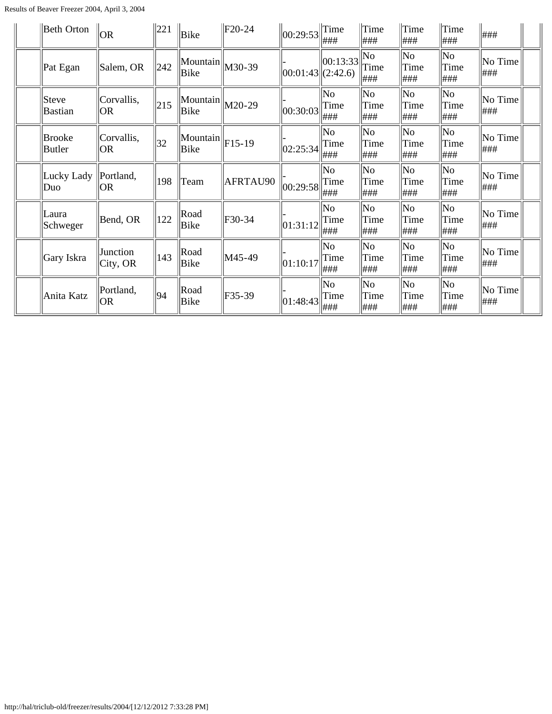Results of Beaver Freezer 2004, April 3, 2004

| Beth Orton              | <b>OR</b>                    | 221 | Bike                                                | $\vert$ F20-24 | 00:29:53              | $\ $ Time<br>###   | $\ $ Time<br>###                   | $\ $ Time<br>###                       | Time<br> ###       | ###            |  |
|-------------------------|------------------------------|-----|-----------------------------------------------------|----------------|-----------------------|--------------------|------------------------------------|----------------------------------------|--------------------|----------------|--|
| Pat Egan                | Salem, OR                    | 242 | $\frac{1}{2}$ Mountain $\frac{1}{2}$ M30-39<br>Bike |                | $ 00:01:43 $ (2:42.6) | 00:13:33           | No<br>Time<br> ###                 | No<br>Time<br>###                      | No<br>Time<br>###  | No Time<br>### |  |
| Steve<br><b>Bastian</b> | Corvallis,<br><b>OR</b>      | 215 | $\ \text{Mountain}\ _{\text{M20-29}}$<br>Bike       |                | 00:30:03              | No<br>Time<br> ### | No<br>Time<br>###                  | $\overline{\text{No}}$<br>Time<br> ### | No<br>Time<br>###  | No Time<br>### |  |
| Brooke<br>Butler        | Corvallis,<br><b>OR</b>      | 32  | $\ \text{Mountain}\ _{F15-19}$<br>Bike              |                | 02:25:34              | No<br>Time<br> ### | No<br>Time<br>###                  | $\overline{\text{No}}$<br>Time<br>###  | No<br>Time<br>###  | No Time<br>### |  |
| Lucky Lady<br>Duo       | Portland,<br><b>OR</b>       | 198 | Team                                                | AFRTAU90       | 00:29:58              | No<br>Time<br> ### | No<br>Time<br>###                  | $\overline{\text{No}}$<br>Time<br>###  | No<br>Time<br>###  | No Time<br>### |  |
| Laura<br>Schweger       | Bend, OR                     | 122 | Road<br>Bike                                        | F30-34         | 01:31:12              | No<br>Time<br> ### | $\overline{\rm No}$<br>Time<br>### | $\overline{\rm No}$<br>Time<br>###     | No<br>Time<br>###  | No Time<br>### |  |
| Gary Iskra              | Junction<br>$\vert$ City, OR | 143 | Road<br>Bike                                        | M45-49         | 01:10:17              | No<br>Time<br> ### | No<br>Time<br>###                  | $\overline{\text{No}}$<br>Time<br>###  | No<br>Time<br>###  | No Time<br>### |  |
| Anita Katz              | Portland,<br> OR             | 94  | Road<br>Bike                                        | F35-39         | 01:48:43              | No<br>Time<br> ### | No<br>Time<br> ###                 | $\overline{\rm No}$<br>Time<br>###     | No<br>Time<br> ### | No Time<br>### |  |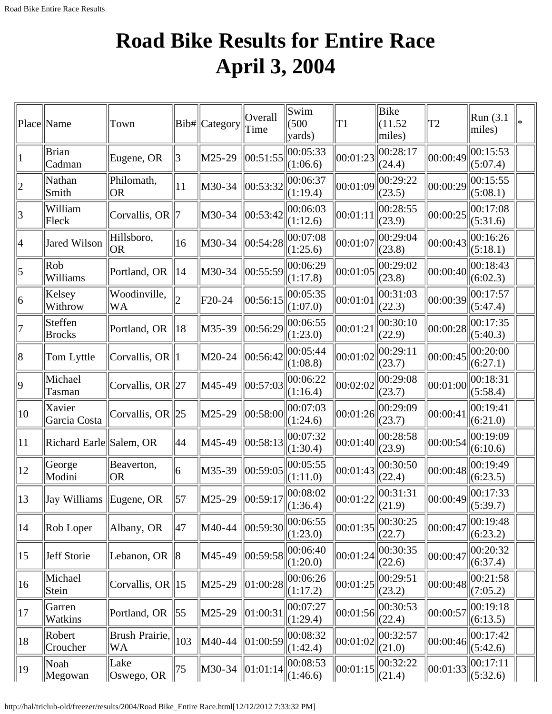## **Road Bike Results for Entire Race April 3, 2004**

<span id="page-12-0"></span>

|                | Place Name               | Town                      |                | Bib# Category | Overall<br>Time | Swim<br>(500)<br>yards) | T1                                            | Bike<br>(11.52)<br>miles) | T2                                      | Run (3.1)<br>miles)  |  |
|----------------|--------------------------|---------------------------|----------------|---------------|-----------------|-------------------------|-----------------------------------------------|---------------------------|-----------------------------------------|----------------------|--|
|                | <b>Brian</b><br>Cadman   | Eugene, OR                | 3              | M25-29        | 00:51:55        | 00:05:33<br>(1:06.6)    | 00:01:23                                      | 00:28:17<br>(24.4)        | 00:00:49                                | 00:15:53<br>(5:07.4) |  |
| $\overline{2}$ | Nathan<br>Smith          | Philomath,<br>OR)         | 11             | M30-34        | 00:53:32        | 00:06:37<br>(1:19.4)    | 00:01:09                                      | 00:29:22<br>(23.5)        | 00:00:29                                | 00:15:55<br>(5:08.1) |  |
| 3              | William<br>Fleck         | Corvallis, OR   7         |                | M30-34        | 00:53:42        | 00:06:03<br>(1:12.6)    | 00:01:11                                      | 00:28:55<br>(23.9)        | 00:00:25                                | 00:17:08<br>(5:31.6) |  |
| 4              | Jared Wilson             | Hillsboro,<br> OR         | 16             | M30-34        | 00:54:28        | 00:07:08<br>(1:25.6)    | 00:01:07                                      | 00:29:04<br>(23.8)        | 00:00:43                                | 00:16:26<br>(5:18.1) |  |
| 5              | Rob<br>Williams          | Portland, OR              | 14             | M30-34        | 00:55:59        | 00:06:29<br>(1:17.8)    | 00:01:05                                      | 00:29:02<br>(23.8)        | 00:00:40                                | 00:18:43<br>(6:02.3) |  |
| 6              | Kelsey<br>Withrow        | Woodinville,<br><b>WA</b> | $\overline{2}$ | F20-24        | 00:56:15        | 00:05:35<br>(1:07.0)    | 00:01:01                                      | 00:31:03<br>(22.3)        | 00:00:39                                | 00:17:57<br>(5:47.4) |  |
|                | Steffen<br><b>Brocks</b> | Portland, OR              | 18             | M35-39        | 00:56:29        | 00:06:55<br>(1:23.0)    | 00:01:21                                      | 00:30:10<br>(22.9)        | 00:00:28                                | 00:17:35<br>(5:40.3) |  |
| 8              | Tom Lyttle               | Corvallis, OR $\ 1\ $     |                | M20-24        | 00:56:42        | 00:05:44 <br>(1:08.8)   | 00:01:02                                      | 00:29:11<br>(23.7)        | 00:00:45                                | 00:20:00<br>(6:27.1) |  |
| 9              | Michael<br>Tasman        | Corvallis, OR 27          |                | M45-49        | 00:57:03        | 00:06:22<br>(1:16.4)    | 00:02:02                                      | 00:29:08<br>(23.7)        | 00:01:00                                | 00:18:31<br>(5:58.4) |  |
| $ 10\rangle$   | Xavier<br>Garcia Costa   | Corvallis, OR $\ 25$      |                | M25-29        | 00:58:00        | 00:07:03<br>(1:24.6)    | 00:01:26                                      | 00:29:09<br>(23.7)        | 00:00:41                                | 00:19:41<br>(6:21.0) |  |
| 11             | Richard Earle Salem, OR  |                           | 44             | M45-49        | 00:58:13        | 00:07:32<br>(1:30.4)    | 00:01:40                                      | 00:28:58<br>(23.9)        | 00:00:54                                | 00:19:09<br>(6:10.6) |  |
| 12             | George<br>Modini         | Beaverton,<br>OR)         | 6              | M35-39        | 00:59:05        | 00:05:55<br>(1:11.0)    | 00:01:43                                      | 00:30:50<br>(22.4)        | 00:00:48                                | 00:19:49<br>(6:23.5) |  |
| 13             | Jay Williams             | $\parallel$ Eugene, OR    | 57             | M25-29        | 00:59:17        | 00:08:02<br>(1:36.4)    | $\left\  00:01:22 \right\ _{(21.9)}^{\infty}$ | 00:31:31                  | $\left\  00:00:49 \right\  \leq 5:39.7$ | 00:17:33             |  |
| 14             | Rob Loper                | Albany, OR                | 47             | M40-44        | 00:59:30        | 00:06:55<br>(1:23.0)    | 00:01:35                                      | 00:30:25<br>(22.7)        | 00:00:47                                | 00:19:48<br>(6:23.2) |  |
| $ 15\rangle$   | Jeff Storie              | Lebanon, OR               | 8              | M45-49        | 00:59:58        | 00:06:40<br>(1:20.0)    | 00:01:24                                      | 00:30:35<br>(22.6)        | 00:00:47                                | 00:20:32<br>(6:37.4) |  |
| $ 16\rangle$   | Michael<br>Stein         | Corvallis, OR $\ 15\ $    |                | M25-29        | 01:00:28        | 00:06:26<br>(1:17.2)    | 00:01:25                                      | 00:29:51<br>(23.2)        | 00:00:48                                | 00:21:58<br>(7:05.2) |  |
| $ 17\rangle$   | Garren<br>Watkins        | Portland, OR              | $ 55\rangle$   | M25-29        | 01:00:31        | 00:07:27<br>(1:29.4)    | 00:01:56                                      | 00:30:53<br>(22.4)        | 00:00:57                                | 00:19:18<br>(6:13.5) |  |
| 18             | Robert<br>Croucher       | Brush Prairie,<br>WA      | 103            | M40-44        | 01:00:59        | 00:08:32<br>(1:42.4)    | 00:01:02                                      | 00:32:57<br>(21.0)        | 00:00:46                                | 00:17:42<br>(5:42.6) |  |
| 19             | Noah<br>Megowan          | Lake<br>Oswego, OR        | 75             | M30-34        | 01:01:14        | 00:08:53 <br>(1:46.6)   | 00:01:15                                      | 00:32:22<br>$\ $ (21.4)   | 00:01:33                                | 00:17:11<br>(5:32.6) |  |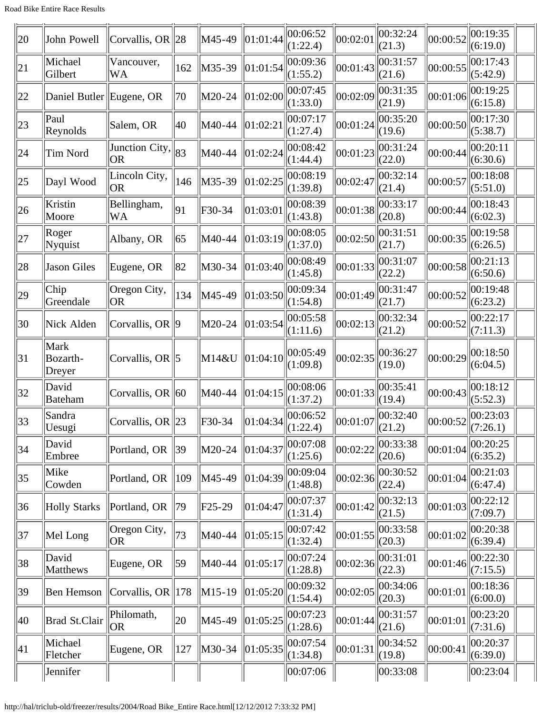| 20           | John Powell                       | Corvallis, OR $\ 28$                                                  |               | M45-49   | 01:01:44 | 00:06:52<br>(1:22.4)  | 00:02:01                                   | 00:32:24<br>(21.3) | 00:00:52                             | 00:19:35<br>(6:19.0) |
|--------------|-----------------------------------|-----------------------------------------------------------------------|---------------|----------|----------|-----------------------|--------------------------------------------|--------------------|--------------------------------------|----------------------|
| 21           | Michael<br>Gilbert                | Vancouver,<br><b>WA</b>                                               | 162           | M35-39   | 01:01:54 | 00:09:36<br>(1:55.2)  | 00:01:43                                   | 00:31:57<br>(21.6) | 00:00:55                             | 00:17:43<br>(5:42.9) |
| 22           | Daniel Butler Eugene, OR          |                                                                       | 70            | M20-24   | 01:02:00 | 00:07:45<br>(1:33.0)  | 00:02:09                                   | 00:31:35<br>(21.9) | 00:01:06                             | 00:19:25<br>(6:15.8) |
| 23           | Paul<br>Reynolds                  | Salem, OR                                                             | 40            | M40-44   | 01:02:21 | 00:07:17<br>(1:27.4)  | 00:01:24                                   | 00:35:20<br>(19.6) | 00:00:50                             | 00:17:30<br>(5:38.7) |
| 24           | Tim Nord                          | $\frac{1}{\sqrt{3}}$ Unction City, $\left\  83 \right\ $<br><b>OR</b> |               | M40-44   | 01:02:24 | 00:08:42<br>(1:44.4)  | 00:01:23                                   | 00:31:24<br>(22.0) | 00:00:44                             | 00:20:11<br>(6:30.6) |
| 25           | Dayl Wood                         | Lincoln City,<br> OR                                                  | 146           | M35-39   | 01:02:25 | 00:08:19<br>(1:39.8)  | 00:02:47                                   | 00:32:14<br>(21.4) | 00:00:57                             | 00:18:08<br>(5:51.0) |
| 26           | Kristin<br>Moore                  | Bellingham,<br>WA                                                     | 91            | F30-34   | 01:03:01 | 00:08:39<br>(1:43.8)  | 00:01:38                                   | 00:33:17<br>(20.8) | 00:00:44                             | 00:18:43<br>(6:02.3) |
| 27           | Roger<br>Nyquist                  | Albany, OR                                                            | 65            | M40-44   | 01:03:19 | 00:08:05<br>(1:37.0)  | 00:02:50                                   | 00:31:51<br>(21.7) | 00:00:35                             | 00:19:58<br>(6:26.5) |
| 28           | <b>Jason Giles</b>                | Eugene, OR                                                            | 82            | M30-34   | 01:03:40 | 00:08:49<br>(1:45.8)  | 00:01:33                                   | 00:31:07<br>(22.2) | 00:00:58                             | 00:21:13<br>(6:50.6) |
| 29           | Chip<br>Greendale                 | Oregon City,<br><b>OR</b>                                             | 134           | M45-49   | 01:03:50 | 00:09:34<br>(1:54.8)  | 00:01:49                                   | 00:31:47<br>(21.7) | 00:00:52                             | 00:19:48<br>(6:23.2) |
| 30           | Nick Alden                        | Corvallis, OR $\vert\!\vert\!\vert$ 9                                 |               | M20-24   | 01:03:54 | 00:05:58<br>(1:11.6)  | 00:02:13                                   | 00:32:34<br>(21.2) | 00:00:52                             | 00:22:17<br>(7:11.3) |
| 31           | <b>Mark</b><br>Bozarth-<br>Dreyer | Corvallis, OR   5                                                     |               | M14&U    | 01:04:10 | 00:05:49<br>(1:09.8)  | 00:02:35                                   | 00:36:27<br>(19.0) | 00:00:29                             | 00:18:50<br>(6:04.5) |
| 32           | David<br><b>Bateham</b>           | Corvallis, OR $\vert$ 60                                              |               | M40-44   | 01:04:15 | 00:08:06<br>(1:37.2)  | 00:01:33                                   | 00:35:41<br>(19.4) | 00:00:43                             | 00:18:12<br>(5:52.3) |
| $ 33\rangle$ | Sandra<br>Uesugi                  | Corvallis, OR $\ 23\ $                                                |               | F30-34   | 01:04:34 | 00:06:52<br> (1:22.4) | $\ 00:01:07\ _{(21.2)}^{\cup \cup \ldots}$ | $\ 00:32:40$       | $\left\  00:00:52 \right\  \leq 2.1$ | 00:23:03             |
| 34           | David<br>Embree                   | Portland, OR                                                          | 39            | M20-24   | 01:04:37 | 00:07:08<br>(1:25.6)  | 00:02:22                                   | 00:33:38<br>(20.6) | 00:01:04                             | 00:20:25<br>(6:35.2) |
| 35           | Mike<br>Cowden                    | Portland, OR                                                          | $ 109\rangle$ | M45-49   | 01:04:39 | 00:09:04<br>(1:48.8)  | 00:02:36                                   | 00:30:52<br>(22.4) | 00:01:04                             | 00:21:03<br>(6:47.4) |
| 36           | <b>Holly Starks</b>               | Portland, OR                                                          | 79            | $F25-29$ | 01:04:47 | 00:07:37<br>(1:31.4)  | 00:01:42                                   | 00:32:13<br>(21.5) | 00:01:03                             | 00:22:12<br>(7:09.7) |
| 37           | Mel Long                          | Oregon City,<br><b>OR</b>                                             | 73            | M40-44   | 01:05:15 | 00:07:42<br>(1:32.4)  | 00:01:55                                   | 00:33:58<br>(20.3) | 00:01:02                             | 00:20:38<br>(6:39.4) |
| 38           | David<br>Matthews                 | Eugene, OR                                                            | $ 59\rangle$  | M40-44   | 01:05:17 | 00:07:24<br>(1:28.8)  | 00:02:36                                   | 00:31:01<br>(22.3) | 00:01:46                             | 00:22:30<br>(7:15.5) |
| 39           | Ben Hemson                        | Corvallis, OR $\parallel$ 178                                         |               | M15-19   | 01:05:20 | 00:09:32<br>(1:54.4)  | 00:02:05                                   | 00:34:06<br>(20.3) | 00:01:01                             | 00:18:36<br>(6:00.0) |
| 40           | <b>Brad St.Clair</b>              | Philomath,<br> OR                                                     | 20            | M45-49   | 01:05:25 | 00:07:23<br>(1:28.6)  | 00:01:44                                   | 00:31:57<br>(21.6) | 00:01:01                             | 00:23:20<br>(7:31.6) |
| $ 41\rangle$ | Michael<br>Fletcher               | Eugene, OR                                                            | 127           | M30-34   | 01:05:35 | 00:07:54<br>(1:34.8)  | 00:01:31                                   | 00:34:52<br>(19.8) | 00:00:41                             | 00:20:37<br>(6:39.0) |
|              | Jennifer                          |                                                                       |               |          |          | 00:07:06              |                                            | 00:33:08           |                                      | 00:23:04             |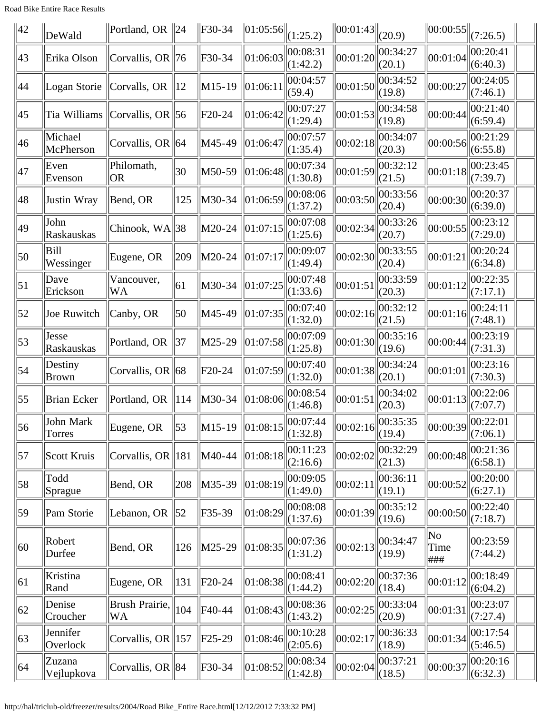Road Bike Entire Race Results

| $\parallel$ 42   | DeWald                  | Portland, OR $\ 24$           |                 | F30-34               | $\ 01:05:56\ $                                               | (1:25.2)             | 00:01:43                                                               | (20.9)             | $\ 00:00:55\ $                                                          | (7:26.5)             |
|------------------|-------------------------|-------------------------------|-----------------|----------------------|--------------------------------------------------------------|----------------------|------------------------------------------------------------------------|--------------------|-------------------------------------------------------------------------|----------------------|
| 43               | Erika Olson             | Corvallis, OR $\ 76$          |                 | $F30-34$             | 01:06:03                                                     | 00:08:31<br>(1:42.2) | 00:01:20                                                               | 00:34:27<br>(20.1) | 00:01:04                                                                | 00:20:41<br>(6:40.3) |
| 44               | Logan Storie            | Corvalls, OR                  | $ 12\rangle$    | $M15-19$             | 01:06:11                                                     | 00:04:57<br>(59.4)   | 00:01:50                                                               | 00:34:52<br>(19.8) | 00:00:27                                                                | 00:24:05<br>(7:46.1) |
| 45               | Tia Williams            | Corvallis, OR   56            |                 | F20-24               | 01:06:42                                                     | 00:07:27<br>(1:29.4) | 00:01:53                                                               | 00:34:58<br>(19.8) | 00:00:44                                                                | 00:21:40<br>(6:59.4) |
| 46               | Michael<br>McPherson    | Corvallis, OR $\ $ 64         |                 | M45-49               | 01:06:47                                                     | 00:07:57<br>(1:35.4) | 00:02:18                                                               | 00:34:07<br>(20.3) | 00:00:56                                                                | 00:21:29<br>(6:55.8) |
| 47               | Even<br>Evenson         | Philomath,<br><b>OR</b>       | 30              | M50-59               | 01:06:48                                                     | 00:07:34<br>(1:30.8) | 00:01:59                                                               | 00:32:12<br>(21.5) | 00:01:18                                                                | 00:23:45<br>(7:39.7) |
| 48               | Justin Wray             | Bend, OR                      | 125             | M30-34               | 01:06:59                                                     | 00:08:06<br>(1:37.2) | 00:03:50                                                               | 00:33:56<br>(20.4) | 00:00:30                                                                | 00:20:37<br>(6:39.0) |
| 49               | John<br>Raskauskas      | Chinook, WA  38               |                 | M20-24               | 01:07:15                                                     | 00:07:08<br>(1:25.6) | 00:02:34                                                               | 00:33:26<br>(20.7) | 00:00:55                                                                | 00:23:12<br>(7:29.0) |
| $ 50\rangle$     | Bill<br>Wessinger       | Eugene, OR                    | 209             | M20-24               | 01:07:17                                                     | 00:09:07<br>(1:49.4) | 00:02:30                                                               | 00:33:55<br>(20.4) | 00:01:21                                                                | 00:20:24<br>(6:34.8) |
| $\vert 51 \vert$ | Dave<br>Erickson        | Vancouver,<br>WA              | 61              | M30-34               | 01:07:25                                                     | 00:07:48<br>(1:33.6) | 00:01:51                                                               | 00:33:59<br>(20.3) | 00:01:12                                                                | 00:22:35<br>(7:17.1) |
| 52               | Joe Ruwitch             | Canby, OR                     | 50              | M45-49               | 01:07:35                                                     | 00:07:40<br>(1:32.0) | 00:02:16                                                               | 00:32:12<br>(21.5) | 00:01:16                                                                | 00:24:11<br>(7:48.1) |
| 53               | Jesse<br>Raskauskas     | Portland, OR                  | 37              | M25-29               | 01:07:58                                                     | 00:07:09<br>(1:25.8) | 00:01:30                                                               | 00:35:16<br>(19.6) | 00:00:44                                                                | 00:23:19<br>(7:31.3) |
| $\vert$ 54       | Destiny<br><b>Brown</b> | Corvallis, OR 68              |                 | F20-24               | 01:07:59                                                     | 00:07:40<br>(1:32.0) | 00:01:38                                                               | 00:34:24<br>(20.1) | 00:01:01                                                                | 00:23:16<br>(7:30.3) |
| $\vert 55 \vert$ | Brian Ecker             | Portland, OR                  | $\parallel$ 114 | M30-34               | 01:08:06                                                     | 00:08:54<br>(1:46.8) | 00:01:51                                                               | 00:34:02<br>(20.3) | 00:01:13                                                                | 00:22:06<br>(7:07.7) |
| 56               | John Mark<br>Torres     | Eugene, OR                    | 53              | $\vert M15-19 \vert$ | $\ 01:08:15\ _{(\underline{1:32.8})}^{\circ\circ\circ\circ}$ | 00:07:44             | $\left\  00:02:16 \right\ _{\left( \underline{19.4} \right)}^{\infty}$ | 00:35:35           | $\ 00:00:39\ _{\left(\underline{7:06.1}\right)}^{\circ\circ\circ\circ}$ | 00:22:01             |
| 57               | Scott Kruis             | Corvallis, OR $\parallel$ 181 |                 | M40-44               | 01:08:18                                                     | 00:11:23<br>(2:16.6) | 00:02:02                                                               | 00:32:29<br>(21.3) | 00:00:48                                                                | 00:21:36<br>(6:58.1) |
| 58               | Todd<br>Sprague         | Bend, OR                      | 208             | M35-39               | 01:08:19                                                     | 00:09:05<br>(1:49.0) | 00:02:11                                                               | 00:36:11<br>(19.1) | 00:00:52                                                                | 00:20:00<br>(6:27.1) |
| $ 59\rangle$     | Pam Storie              | Lebanon, OR                   | 52              | F35-39               | 01:08:29                                                     | 00:08:08<br>(1:37.6) | 00:01:39                                                               | 00:35:12<br>(19.6) | 00:00:50                                                                | 00:22:40<br>(7:18.7) |
| 60               | Robert<br>Durfee        | Bend, OR                      | 126             | M25-29               | 01:08:35                                                     | 00:07:36<br>(1:31.2) | 00:02:13                                                               | 00:34:47<br>(19.9) | No<br>Time<br>###                                                       | 00:23:59<br>(7:44.2) |
| 61               | Kristina<br>Rand        | Eugene, OR                    | 131             | F20-24               | 01:08:38                                                     | 00:08:41<br>(1:44.2) | 00:02:20                                                               | 00:37:36<br>(18.4) | 00:01:12                                                                | 00:18:49<br>(6:04.2) |
| 62               | Denise<br>Croucher      | Brush Prairie,<br>WA          | 104             | F40-44               | 01:08:43                                                     | 00:08:36<br>(1:43.2) | 00:02:25                                                               | 00:33:04<br>(20.9) | 00:01:31                                                                | 00:23:07<br>(7:27.4) |
| 63               | Jennifer<br>Overlock    | Corvallis, OR $\parallel$ 157 |                 | $F25-29$             | 01:08:46                                                     | 00:10:28<br>(2:05.6) | 00:02:17                                                               | 00:36:33<br>(18.9) | 00:01:34                                                                | 00:17:54<br>(5:46.5) |
| 64               | Zuzana<br>Vejlupkova    | Corvallis, OR $\ 84$          |                 | F30-34               | 01:08:52                                                     | 00:08:34<br>(1:42.8) | 00:02:04                                                               | 00:37:21<br>(18.5) | 00:00:37                                                                | 00:20:16<br>(6:32.3) |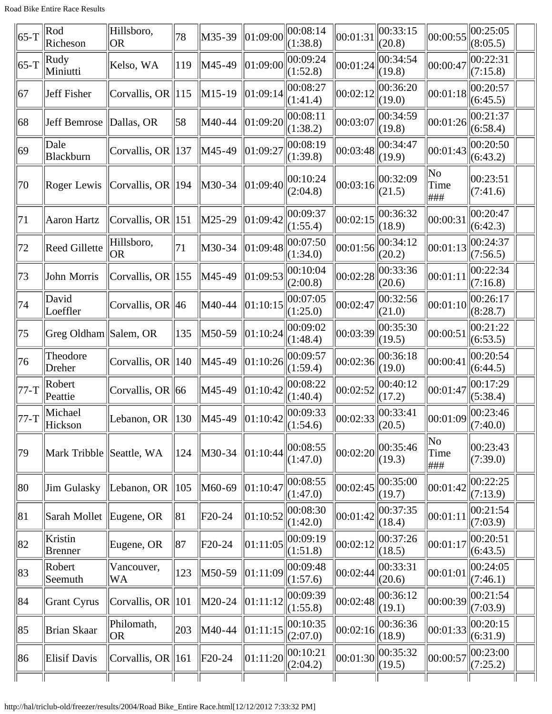| $ 65-T$      | Rod<br>Richeson           | Hillsboro,<br> OR                                             | 78              | M35-39                                  | 01:09:00 | 00:08:14<br>(1:38.8)  | 00:01:31                                     | 00:33:15<br>(20.8) | 00:00:55           | 00:25:05<br>(8:05.5)                                                       |  |
|--------------|---------------------------|---------------------------------------------------------------|-----------------|-----------------------------------------|----------|-----------------------|----------------------------------------------|--------------------|--------------------|----------------------------------------------------------------------------|--|
| $ 65-T$      | Rudy<br>Miniutti          | Kelso, WA                                                     | 119             | M45-49                                  | 01:09:00 | 00:09:24<br>(1:52.8)  | 00:01:24                                     | 00:34:54<br>(19.8) | 00:00:47           | 00:22:31<br>(7:15.8)                                                       |  |
| 67           | <b>Jeff Fisher</b>        | Corvallis, OR $\parallel$ 115                                 |                 | $M15-19$                                | 01:09:14 | 00:08:27<br>(1:41.4)  | 00:02:12                                     | 00:36:20<br>(19.0) | 00:01:18           | 00:20:57<br>(6:45.5)                                                       |  |
| 68           | Jeff Bemrose   Dallas, OR |                                                               | 58              | M40-44                                  | 01:09:20 | 00:08:11<br>(1:38.2)  | 00:03:07                                     | 00:34:59<br>(19.8) | 00:01:26           | 00:21:37<br>(6:58.4)                                                       |  |
| $ 69\rangle$ | Dale<br>Blackburn         | Corvallis, OR $\parallel$ 137                                 |                 | M45-49                                  | 01:09:27 | 00:08:19<br>(1:39.8)  | 00:03:48                                     | 00:34:47<br>(19.9) | 00:01:43           | 00:20:50<br>(6:43.2)                                                       |  |
| 70           |                           | Roger Lewis $\sqrt{\text{Covallis}}$ , OR $\sqrt{\text{194}}$ |                 | M30-34                                  | 01:09:40 | 00:10:24<br>(2:04.8)  | 00:03:16                                     | 00:32:09<br>(21.5) | No<br>Time<br>###  | 00:23:51<br>(7:41.6)                                                       |  |
| 71           | <b>Aaron Hartz</b>        | Corvallis, OR $\parallel$ 151                                 |                 | $\ M25-29\ $                            | 01:09:42 | 100:09:37<br>(1:55.4) | 00:02:15                                     | 00:36:32<br>(18.9) | 00:00:31           | 00:20:47<br>(6:42.3)                                                       |  |
| 72           | <b>Reed Gillette</b>      | Hillsboro,<br><b>OR</b>                                       | 71              | M30-34                                  | 01:09:48 | 00:07:50<br>(1:34.0)  | 00:01:56                                     | 00:34:12<br>(20.2) | 00:01:13           | 00:24:37<br>(7:56.5)                                                       |  |
| 73           | John Morris               | Corvallis, OR $\parallel$ 155                                 |                 | M45-49                                  | 01:09:53 | 00:10:04<br>(2:00.8)  | 00:02:28                                     | 00:33:36<br>(20.6) | 00:01:11           | 00:22:34<br>(7:16.8)                                                       |  |
| 74           | David<br>Loeffler         | Corvallis, OR $ 46$                                           |                 | M40-44                                  | 01:10:15 | 00:07:05<br>(1:25.0)  | 00:02:47                                     | 00:32:56<br>(21.0) | 00:01:10           | 00:26:17<br>(8:28.7)                                                       |  |
| 75           | Greg Oldham Salem, OR     |                                                               | 135             | M50-59                                  | 01:10:24 | 00:09:02<br>(1:48.4)  | 00:03:39                                     | 00:35:30<br>(19.5) | 00:00:51           | 00:21:22<br>(6:53.5)                                                       |  |
| 76           | Theodore<br>Dreher        | Corvallis, OR $\parallel$ 140                                 |                 | M45-49                                  | 01:10:26 | 00:09:57<br>(1:59.4)  | 00:02:36                                     | 00:36:18<br>(19.0) | 00:00:41           | 00:20:54<br>(6:44.5)                                                       |  |
| 77-T         | Robert<br>Peattie         | Corvallis, OR $\ $ 66                                         |                 | M45-49                                  | 01:10:42 | 00:08:22<br>(1:40.4)  | 00:02:52                                     | 00:40:12<br>(17.2) | 00:01:47           | 00:17:29<br>(5:38.4)                                                       |  |
| 77-T         | Michael<br>Hickson        | Lebanon, OR $\parallel$ 130                                   |                 | $\ $ M45-49 $\ $ 01:10:42 $\ $ (1:54.6) |          | 00:09:33              | $\left  00:02:33 \right  00:33:41$<br>(20.5) |                    |                    | $\left  00:01:09 \right  \begin{matrix} 00:23:46 \\ (7:40.0) \end{matrix}$ |  |
| 79           | Mark Tribble Seattle, WA  |                                                               | 124             | M30-34                                  | 01:10:44 | 00:08:55<br>(1:47.0)  | 00:02:20                                     | 00:35:46<br>(19.3) | No<br>Time<br> ### | 00:23:43<br>(7:39.0)                                                       |  |
| 80           | Jim Gulasky               | Lebanon, OR                                                   | $\parallel$ 105 | M60-69                                  | 01:10:47 | 00:08:55<br>(1:47.0)  | 00:02:45                                     | 00:35:00<br>(19.7) | 00:01:42           | 00:22:25<br>(7:13.9)                                                       |  |
| 81           | Sarah Mollet Eugene, OR   |                                                               | 81              | $F20-24$                                | 01:10:52 | 00:08:30<br>(1:42.0)  | 00:01:42                                     | 00:37:35<br>(18.4) | 00:01:11           | 00:21:54<br>(7:03.9)                                                       |  |
| 82           | Kristin<br><b>Brenner</b> | Eugene, OR                                                    | 87              | F20-24                                  | 01:11:05 | 00:09:19<br>(1:51.8)  | 00:02:12                                     | 00:37:26<br>(18.5) | 00:01:17           | 00:20:51<br>(6:43.5)                                                       |  |
| 83           | Robert<br>Seemuth         | Vancouver,<br>WA                                              | $ 123\rangle$   | M50-59                                  | 01:11:09 | 00:09:48<br>(1:57.6)  | 00:02:44                                     | 00:33:31<br>(20.6) | 00:01:01           | 00:24:05<br>(7:46.1)                                                       |  |
| 84           | Grant Cyrus               | Corvallis, OR $\parallel$ 101                                 |                 | M20-24                                  | 01:11:12 | 00:09:39<br>(1:55.8)  | 00:02:48                                     | 00:36:12<br>(19.1) | 00:00:39           | 00:21:54<br>(7:03.9)                                                       |  |
| 85           | Brian Skaar               | Philomath,<br> OR                                             | 203             | M40-44                                  | 01:11:15 | 00:10:35<br>(2:07.0)  | 00:02:16                                     | 00:36:36<br>(18.9) | 00:01:33           | 00:20:15<br>(6:31.9)                                                       |  |
| 86           | <b>Elisif Davis</b>       | Corvallis, OR $\parallel$ 161                                 |                 | $F20-24$                                | 01:11:20 | 00:10:21<br>(2:04.2)  | 00:01:30                                     | 00:35:32<br>(19.5) | 00:00:57           | 00:23:00<br>(7:25.2)                                                       |  |
|              |                           |                                                               |                 |                                         |          |                       |                                              |                    |                    |                                                                            |  |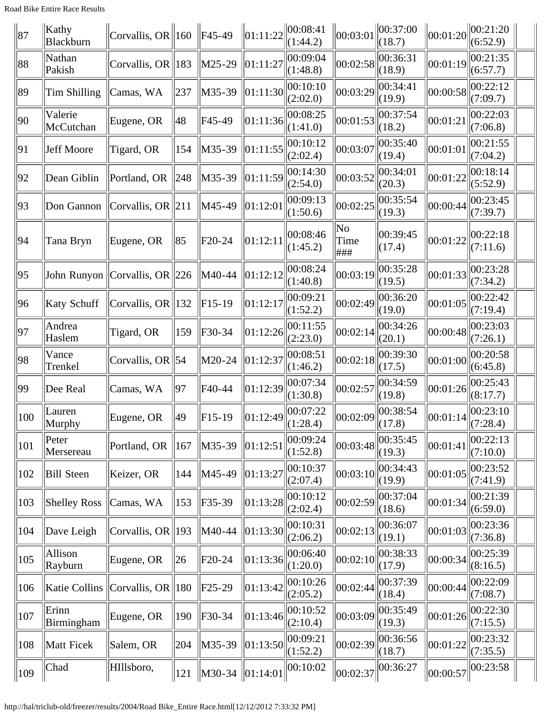| 87            | Kathy<br>Blackburn   | Corvallis, OR $\ 160\ $ F45-49                |                 |                     | 01:11:22 | 00:08:41<br>(1:44.2)  | $\ 00:03:01$                           | $\ 00:37:00$<br>(18.7) |          | $\ 00:01:20\ 00:21:20$<br>(6:52.9)      |  |
|---------------|----------------------|-----------------------------------------------|-----------------|---------------------|----------|-----------------------|----------------------------------------|------------------------|----------|-----------------------------------------|--|
| 88            | Nathan<br>Pakish     | Corvallis, OR $\parallel$ 183                 |                 | $M25-29$            | 01:11:27 | 00:09:04<br>(1:48.8)  | 00:02:58                               | 00:36:31<br>(18.9)     | 00:01:19 | 00:21:35<br>(6:57.7)                    |  |
| 89            | Tim Shilling         | Camas, WA                                     | 237             | M35-39              | 01:11:30 | 00:10:10<br>(2:02.0)  | 00:03:29                               | 00:34:41<br>(19.9)     | 00:00:58 | 00:22:12<br>(7:09.7)                    |  |
| $ 90\rangle$  | Valerie<br>McCutchan | Eugene, OR                                    | 48              | F45-49              | 01:11:36 | 00:08:25<br>(1:41.0)  | 00:01:53                               | 00:37:54<br>(18.2)     | 00:01:21 | 00:22:03<br>(7:06.8)                    |  |
| 91            | Jeff Moore           | Tigard, OR                                    | 154             | M35-39              | 01:11:55 | 00:10:12<br>(2:02.4)  | 00:03:07                               | 00:35:40<br>(19.4)     | 00:01:01 | 00:21:55<br>(7:04.2)                    |  |
| 92            | Dean Giblin          | Portland, OR                                  | $\parallel$ 248 | M35-39              | 01:11:59 | 00:14:30<br>(2:54.0)  | 00:03:52                               | 00:34:01<br>(20.3)     | 00:01:22 | 00:18:14<br>(5:52.9)                    |  |
| 93            | Don Gannon           | Corvallis, OR $\ 211$                         |                 | M45-49              | 01:12:01 | 00:09:13<br>(1:50.6)  | 00:02:25                               | 00:35:54<br>(19.3)     | 00:00:44 | 00:23:45<br>(7:39.7)                    |  |
| 94            | Tana Bryn            | Eugene, OR                                    | 85              | F <sub>20</sub> -24 | 01:12:11 | 00:08:46<br>(1:45.2)  | $\overline{\text{No}}$<br>Time<br> ### | 00:39:45<br>(17.4)     | 00:01:22 | 00:22:18<br>(7:11.6)                    |  |
| 95            |                      | John Runyon $\vert$ Corvallis, OR $\vert$ 226 |                 | M40-44              | 01:12:12 | 00:08:24<br>(1:40.8)  | 00:03:19                               | 00:35:28<br>(19.5)     | 00:01:33 | 00:23:28<br>(7:34.2)                    |  |
| 96            | Katy Schuff          | Corvallis, OR $\parallel$ 132                 |                 | $F15-19$            | 01:12:17 | 00:09:21<br>(1:52.2)  | 00:02:49                               | 00:36:20<br>(19.0)     | 00:01:05 | 00:22:42<br>(7:19.4)                    |  |
| 97            | Andrea<br>Haslem     | Tigard, OR                                    | $ 159\rangle$   | $F30-34$            | 01:12:26 | 00:11:55<br>(2:23.0)  | 00:02:14                               | 00:34:26<br>(20.1)     | 00:00:48 | 00:23:03<br>(7:26.1)                    |  |
| 98            | Vance<br>Trenkel     | Corvallis, OR   54                            |                 | M20-24              | 01:12:37 | 00:08:51<br>(1:46.2)  | 00:02:18                               | 00:39:30<br>(17.5)     | 00:01:00 | 00:20:58<br>(6:45.8)                    |  |
| $ 99\rangle$  | Dee Real             | Camas, WA                                     | 97              | F40-44              | 01:12:39 | 00:07:34<br>(1:30.8)  | 00:02:57                               | 00:34:59<br>(19.8)     | 00:01:26 | 00:25:43<br>(8:17.7)                    |  |
| 100           | Lauren<br>Murphy     | Eugene, OR                                    | 49              | $F15-19$            | 01:12:49 | 00:07:22<br> (1:28.4) | 00:02:09                               | 00:38:54<br>(17.8)     | 00:01:14 | 00:23:10<br>$\left\  (7:28.4) \right\ $ |  |
| 101           | Peter<br>Mersereau   | Portland, OR                                  | 167             | M35-39              | 01:12:5  | 00:09:24<br>(1:52.8)  | 00:03:48                               | 00:35:45<br>(19.3)     | 00:01:41 | 00:22:13<br>(7:10.0)                    |  |
| 102           | <b>Bill Steen</b>    | Keizer, OR                                    | 144             | M45-49              | 01:13:27 | 00:10:37<br>(2:07.4)  | 00:03:10                               | 00:34:43<br>(19.9)     | 00:01:05 | 00:23:52<br>(7:41.9)                    |  |
| 103           | <b>Shelley Ross</b>  | Camas, WA                                     | 153             | $F35-39$            | 01:13:28 | 00:10:12<br>(2:02.4)  | 00:02:59                               | 00:37:04<br>(18.6)     | 00:01:34 | 00:21:39<br>(6:59.0)                    |  |
| 104           | Dave Leigh           | Corvallis, OR 193                             |                 | M40-44              | 01:13:30 | 00:10:31<br>(2:06.2)  | 00:02:13                               | 00:36:07<br>(19.1)     | 00:01:03 | 00:23:36<br>(7:36.8)                    |  |
| 105           | Allison<br>Rayburn   | Eugene, OR                                    | $\ 26\ $        | $F20-24$            | 01:13:36 | 00:06:40<br>(1:20.0)  | 00:02:10                               | 00:38:33<br>(17.9)     | 00:00:34 | 00:25:39<br>(8:16.5)                    |  |
| 106           |                      | Katie Collins Corvallis, OR 180               |                 | $F25-29$            | 01:13:42 | 00:10:26<br>(2:05.2)  | 00:02:44                               | 00:37:39<br>(18.4)     | 00:00:44 | 00:22:09<br>(7:08.7)                    |  |
| 107           | Erinn<br>Birmingham  | Eugene, OR                                    | 190             | $F30-34$            | 01:13:46 | 00:10:52<br>(2:10.4)  | 00:03:09                               | 00:35:49<br>(19.3)     | 00:01:26 | 00:22:30<br>(7:15.5)                    |  |
| 108           | Matt Ficek           | Salem, OR                                     | 204             | M35-39              | 01:13:50 | 00:09:21<br>(1:52.2)  | 00:02:39                               | 00:36:56<br>(18.7)     | 00:01:22 | 00:23:32<br>(7:35.5)                    |  |
| $ 109\rangle$ | Chad                 | HIllsboro,                                    | $ 121\rangle$   | M30-34 01:14:01     |          | $\ 00:10:02\ $        | 00:02:37                               | 00:36:27               | 00:00:57 | 00:23:58                                |  |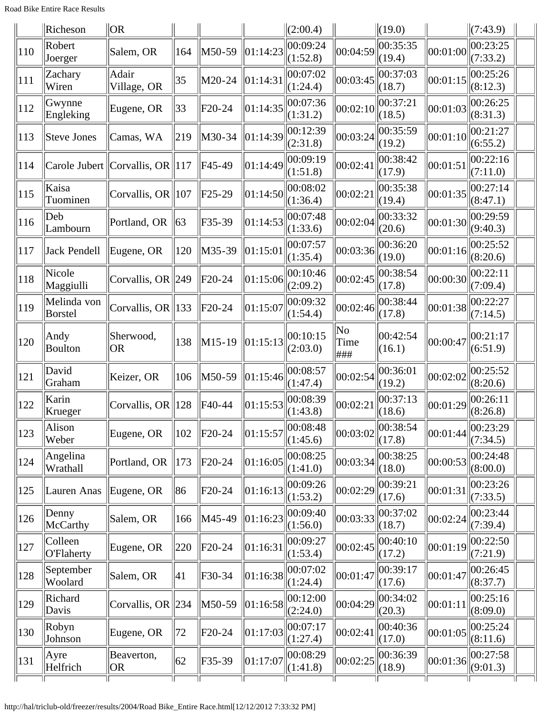|     | Richeson               | $\overline{O}R$                             |     |                      |          | $\ $ (2:00.4)                                         |                                                                 | $\ $ (19.0)        |                         | (7:43.9)             |  |
|-----|------------------------|---------------------------------------------|-----|----------------------|----------|-------------------------------------------------------|-----------------------------------------------------------------|--------------------|-------------------------|----------------------|--|
| 110 | Robert<br>Joerger      | Salem, OR                                   | 164 | M50-59               | 01:14:23 | 00:09:24<br>(1:52.8)                                  | 00:04:59                                                        | 00:35:35<br>(19.4) | $\left 00:01:00\right $ | 00:23:25<br>(7:33.2) |  |
| 111 | Zachary<br>Wiren       | Adair<br>Village, OR                        | 35  | M20-24               | 01:14:31 | 00:07:02<br>(1:24.4)                                  | 00:03:45                                                        | 00:37:03<br>(18.7) | 00:01:15                | 00:25:26<br>(8:12.3) |  |
| 112 | Gwynne<br>Engleking    | Eugene, OR                                  | 33  | $F20-24$             | 01:14:35 | 00:07:36<br>(1:31.2)                                  | 00:02:10                                                        | 00:37:21<br>(18.5) | 00:01:03                | 00:26:25<br>(8:31.3) |  |
| 113 | Steve Jones            | Camas, WA                                   | 219 | M30-34               | 01:14:39 | 00:12:39<br>(2:31.8)                                  | 00:03:24                                                        | 00:35:59<br>(19.2) | 00:01:10                | 00:21:27<br>(6:55.2) |  |
| 114 |                        | Carole Jubert Corvallis, OR $\parallel$ 117 |     | F45-49               |          | $\left\Vert 01:14:49\right\Vert 00:09:19$<br>(1:51.8) | 00:02:41                                                        | 00:38:42<br>(17.9) | 00:01:51                | 00:22:16<br>(7:11.0) |  |
| 115 | Kaisa<br>Tuominen      | Corvallis, OR $\ 107$                       |     | $F25-29$             | 01:14:50 | 00:08:02<br>(1:36.4)                                  | 00:02:21                                                        | 00:35:38<br>(19.4) | 00:01:35                | 00:27:14<br>(8:47.1) |  |
| 116 | Deb<br>Lambourn        | Portland, OR                                | 63  | F35-39               | 01:14:53 | 00:07:48<br>(1:33.6)                                  | 00:02:04                                                        | 00:33:32<br>(20.6) | 00:01:30                | 00:29:59<br>(9:40.3) |  |
| 117 | Jack Pendell           | Eugene, OR                                  | 120 | $ M35-39$            | 01:15:01 | 00:07:57<br>(1:35.4)                                  | 00:03:36                                                        | 00:36:20<br>(19.0) | 00:01:16                | 00:25:52<br>(8:20.6) |  |
| 118 | Nicole<br>Maggiulli    | Corvallis, OR $\ 249$                       |     | $F20-24$             | 01:15:06 | 00:10:46<br>(2:09.2)                                  | 00:02:45                                                        | 00:38:54<br>(17.8) | 00:00:30                | 00:22:11<br>(7:09.4) |  |
| 119 | Melinda von<br>Borstel | Corvallis, OR $\parallel$ 133               |     | $F20-24$             | 01:15:07 | 00:09:32<br>(1:54.4)                                  | 00:02:46                                                        | 00:38:44<br>(17.8) | 00:01:38                | 00:22:27<br>(7:14.5) |  |
| 120 | Andy<br><b>Boulton</b> | Sherwood,<br>OR                             | 138 | $\vert M15-19 \vert$ | 01:15:13 | 00:10:15<br>(2:03.0)                                  | No<br>Time<br> ###                                              | 00:42:54<br>(16.1) | 00:00:47                | 00:21:17<br>(6:51.9) |  |
| 121 | David<br>Graham        | Keizer, OR                                  | 106 | M50-59               | 01:15:46 | 00:08:57<br>(1:47.4)                                  | 00:02:54                                                        | 00:36:01<br>(19.2) | 00:02:02                | 00:25:52<br>(8:20.6) |  |
| 122 | Karin<br>Krueger       | Corvallis, OR   128                         |     | F40-44               | 01:15:53 | 00:08:39<br>(1:43.8)                                  | 00:02:2                                                         | 00:37:13<br>(18.6) | 00:01:29                | 00:26:11<br>(8:26.8) |  |
| 123 | Alison<br>Weber        | Eugene, OR                                  | 102 | $F20-24$             | 01:15:57 | 00:08:48<br>(1:45.6)                                  | $\ 00:03:02\ _{\mathcal{L}^{\bullet}(\mathbb{R}^2)}^{00:38:54}$ | (17.8)             | 00:01:44                | 00:23:29<br>(7:34.5) |  |
| 124 | Angelina<br>Wrathall   | Portland, OR                                | 173 | $F20-24$             | 01:16:05 | 00:08:25<br>(1:41.0)                                  | 00:03:34                                                        | 00:38:25<br>(18.0) | 00:00:53                | 00:24:48<br>(8:00.0) |  |
| 125 | Lauren Anas            | Eugene, OR                                  | 86  | $F20-24$             | 01:16:13 | 00:09:26<br>(1:53.2)                                  | 00:02:29                                                        | 00:39:21<br>(17.6) | 00:01:31                | 00:23:26<br>(7:33.5) |  |
| 126 | Denny<br>McCarthy      | Salem, OR                                   | 166 | M45-49               | 01:16:23 | 00:09:40<br>(1:56.0)                                  | 00:03:33                                                        | 00:37:02<br>(18.7) | 00:02:24                | 00:23:44<br>(7:39.4) |  |
| 127 | Colleen<br>O'Flaherty  | Eugene, OR                                  | 220 | $F20-24$             | 01:16:31 | 00:09:27<br>(1:53.4)                                  | 00:02:45                                                        | 00:40:10<br>(17.2) | 00:01:19                | 00:22:50<br>(7:21.9) |  |
| 128 | September<br>Woolard   | Salem, OR                                   | 41  | F30-34               | 01:16:38 | 00:07:02<br>(1:24.4)                                  | 00:01:47                                                        | 00:39:17<br>(17.6) | 00:01:47                | 00:26:45<br>(8:37.7) |  |
| 129 | Richard<br>Davis       | Corvallis, OR $\ 234\ $                     |     | M50-59               | 01:16:58 | 00:12:00<br>(2:24.0)                                  | 00:04:29                                                        | 00:34:02<br>(20.3) | 00:01:11                | 00:25:16<br>(8:09.0) |  |
| 130 | Robyn<br>Johnson       | Eugene, OR                                  | 72  | $F20-24$             | 01:17:03 | 00:07:17<br>(1:27.4)                                  | 00:02:41                                                        | 00:40:36<br>(17.0) | 00:01:05                | 00:25:24<br>(8:11.6) |  |
| 131 | Ayre<br>Helfrich       | Beaverton,<br><b>OR</b>                     | 62  | F35-39               | 01:17:07 | 00:08:29<br>(1:41.8)                                  | 00:02:25                                                        | 00:36:39<br>(18.9) | 00:01:36                | 00:27:58<br>(9:01.3) |  |
|     |                        |                                             |     |                      |          |                                                       |                                                                 |                    |                         |                      |  |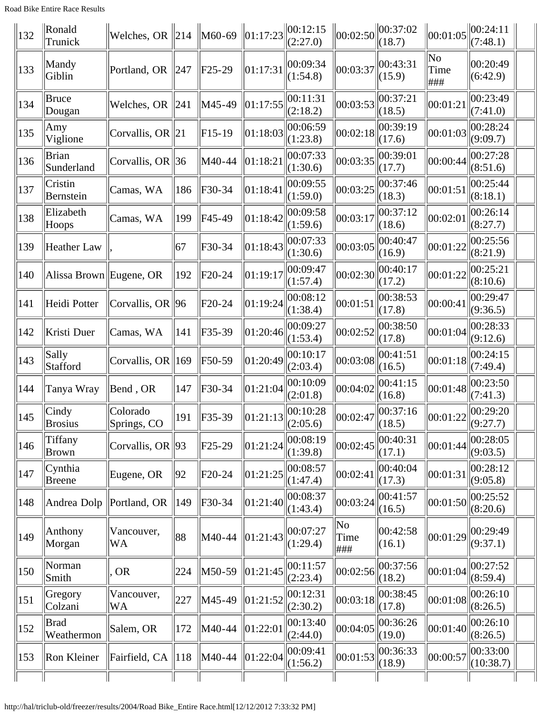| <b>Road Bike Entire Race Results</b> |
|--------------------------------------|
|--------------------------------------|

| $\parallel$ 132 | Ronald<br>Trunick          | Welches, OR $\ 214\ $         |                 | $\ M60-69\ 01:17:23$ |                   | 00:12:15<br>(2:27.0) | $\ $ 00:02:50     | 00:37:02<br>(18.7) | 00:01:05          | $\ 00:24:11\ $<br>(7:48.1) |
|-----------------|----------------------------|-------------------------------|-----------------|----------------------|-------------------|----------------------|-------------------|--------------------|-------------------|----------------------------|
| 133             | Mandy<br>Giblin            | Portland, OR 247              |                 | $F25-29$             | 01:17:31          | 00:09:34<br>(1:54.8) | 00:03:37          | 00:43:31<br>(15.9) | No<br>Time<br>### | 00:20:49<br>(6:42.9)       |
| 134             | Bruce<br>Dougan            | Welches, OR $\ 241$           |                 | M45-49               | 01:17:55          | 00:11:31<br>(2:18.2) | 00:03:53          | 00:37:21<br>(18.5) | 00:01:21          | 00:23:49<br>(7:41.0)       |
| 135             | Amy<br>Viglione            | Corvallis, OR $\ 21$          |                 | $F15-19$             | 01:18:03          | 00:06:59<br>(1:23.8) | 00:02:18          | 00:39:19<br>(17.6) | 00:01:03          | 00:28:24<br>(9:09.7)       |
| 136             | <b>Brian</b><br>Sunderland | Corvallis, OR $\ 36$          |                 | M40-44               | $ 01:18:2\rangle$ | 00:07:33<br>(1:30.6) | 00:03:35          | 00:39:01<br>(17.7) | 00:00:44          | 00:27:28<br>(8:51.6)       |
| 137             | Cristin<br>Bernstein       | Camas, WA                     | 186             | F30-34               | 01:18:4           | 00:09:55<br>(1:59.0) | 00:03:25          | 00:37:46<br>(18.3) | 00:01:51          | 00:25:44<br>(8:18.1)       |
| 138             | Elizabeth<br>Hoops         | Camas, WA                     | 199             | F45-49               | 01:18:42          | 00:09:58<br>(1:59.6) | 00:03:17          | 00:37:12<br>(18.6) | 00:02:01          | 00:26:14<br>(8:27.7)       |
| 139             | Heather Law                |                               | 67              | F30-34               | 01:18:43          | 00:07:33<br>(1:30.6) | 00:03:05          | 00:40:47<br>(16.9) | 00:01:22          | 00:25:56<br>(8:21.9)       |
| 140             | Alissa Brown Eugene, OR    |                               | $ 192\rangle$   | F20-24               | 01:19:17          | 00:09:47<br>(1:57.4) | 00:02:30          | 00:40:17<br>(17.2) | 00:01:22          | 00:25:21<br>(8:10.6)       |
| 141             | Heidi Potter               | Corvallis, OR $ 96$           |                 | F20-24               | 01:19:24          | 00:08:12<br>(1:38.4) | 00:01:51          | 00:38:53<br>(17.8) | 00:00:41          | 00:29:47<br>(9:36.5)       |
| 142             | Kristi Duer                | Camas, WA                     | $\parallel$ 141 | F35-39               | 01:20:46          | 00:09:27<br>(1:53.4) | 00:02:52          | 00:38:50<br>(17.8) | 00:01:04          | 00:28:33<br>(9:12.6)       |
| 143             | Sally<br>Stafford          | Corvallis, OR $\parallel$ 169 |                 | F50-59               | 01:20:49          | 00:10:17<br>(2:03.4) | 00:03:08          | 00:41:51<br>(16.5) | 00:01:18          | 00:24:15<br>(7:49.4)       |
| 144             | Tanya Wray                 | Bend, OR                      | 147             | F30-34               | 01:21:04          | 00:10:09<br>(2:01.8) | 00:04:02          | 00:41:15<br>(16.8) | 00:01:48          | 00:23:50<br>(7:41.3)       |
| 145             | Cindy<br><b>Brosius</b>    | Colorado<br>Springs, CO       | $ 191\rangle$   | F35-39               |                   | 00:10:28             | 00:02:47          | 00:37:16<br>(18.5) | 00:01:22          | 00:29:20<br>(9:27.7)       |
| 146             | Tiffany<br>Brown           | Corvallis, OR $ 93 $          |                 | F25-29               | 01:21:24          | 00:08:19<br>(1:39.8) | 00:02:45          | 00:40:31<br>(17.1) | 00:01:44          | 00:28:05<br>(9:03.5)       |
| $ 147\rangle$   | Cynthia<br><b>Breene</b>   | Eugene, OR                    | 92              | F20-24               | 01:21:25          | 00:08:57<br>(1:47.4) | 00:02:41          | 00:40:04<br>(17.3) | 00:01:31          | 00:28:12<br>(9:05.8)       |
| 148             | Andrea Dolp   Portland, OR |                               | $\parallel$ 149 | F30-34               | 01:21:40          | 00:08:37<br>(1:43.4) | 00:03:24          | 00:41:57<br>(16.5) | 00:01:50          | 00:25:52<br>(8:20.6)       |
| 149             | Anthony<br>Morgan          | Vancouver,<br>WA              | 88              | M40-44               | 01:21:43          | 00:07:27<br>(1:29.4) | No<br>Time<br>### | 00:42:58<br>(16.1) | 00:01:29          | 00:29:49<br>(9:37.1)       |
| 150             | Norman<br>Smith            | <b>OR</b>                     | 224             | M50-59               | 01:21:45          | 00:11:57<br>(2:23.4) | 00:02:56          | 00:37:56<br>(18.2) | 00:01:04          | 00:27:52<br>(8:59.4)       |
| 151             | Gregory<br>Colzani         | Vancouver,<br>WA              | 227             | M45-49               | 01:21:52          | 00:12:31<br>(2:30.2) | 00:03:18          | 00:38:45<br>(17.8) | 00:01:08          | 00:26:10<br>(8:26.5)       |
| 152             | Brad<br>Weathermon         | Salem, OR                     | $ 172\rangle$   | M40-44               | 01:22:01          | 00:13:40<br>(2:44.0) | 00:04:05          | 00:36:26<br>(19.0) | 00:01:40          | 00:26:10<br>(8:26.5)       |
| $ 153\rangle$   | Ron Kleiner                | Fairfield, CA $\ $ 118        |                 | $\ M40-44\ $         | $\ 01:22:04$      | 00:09:41<br>(1:56.2) | 00:01:53          | 00:36:33<br>(18.9) | 00:00:57          | 00:33:00<br>(10:38.7)      |
|                 |                            |                               |                 |                      |                   |                      |                   |                    |                   |                            |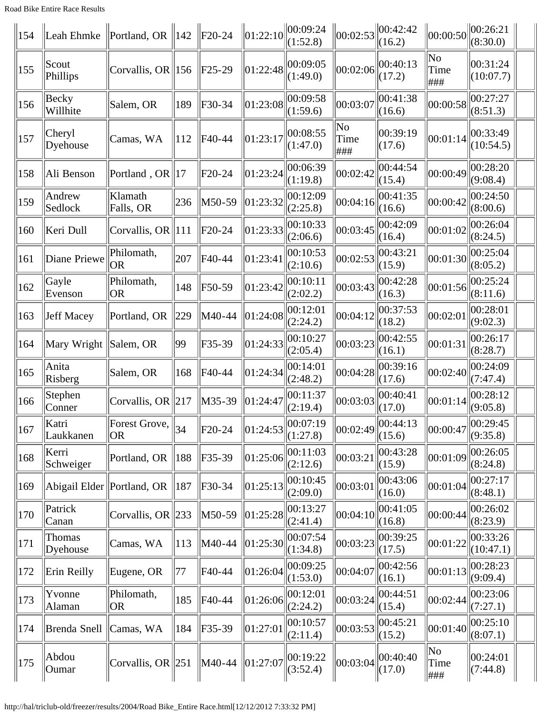Road Bike Entire Race Results

| 154               | Leah Ehmke         | Portland, OR $\parallel$ 142  |                 | $\ $ F20-24 | $\ 01:22:10$     | 100:09:24<br>(1:52.8)                                 | 00:02:53          | 100:42:42<br>(16.2)                                                      | 00:00:50                              | 00:26:21<br>(8:30.0)  |  |
|-------------------|--------------------|-------------------------------|-----------------|-------------|------------------|-------------------------------------------------------|-------------------|--------------------------------------------------------------------------|---------------------------------------|-----------------------|--|
| 155               | Scout<br>Phillips  | Corvallis, OR $\parallel$ 156 |                 | $F25-29$    | 01:22:48         | 00:09:05<br>(1:49.0)                                  | 00:02:06          | 00:40:13<br>(17.2)                                                       | $\overline{\text{No}}$<br>Time<br>### | 00:31:24<br>(10:07.7) |  |
| 156               | Becky<br>Willhite  | Salem, OR                     | 189             | F30-34      | 01:23:08         | 00:09:58<br>(1:59.6)                                  | 00:03:07          | 00:41:38<br>(16.6)                                                       | 00:00:58                              | 00:27:27<br>(8:51.3)  |  |
| $\vert 157 \vert$ | Cheryl<br>Dyehouse | Camas, WA                     | 112             | F40-44      | 01:23:17         | 00:08:55<br>(1:47.0)                                  | No<br>Time<br>### | 00:39:19<br>(17.6)                                                       | 00:01:14                              | 00:33:49<br>(10:54.5) |  |
| 158               | Ali Benson         | Portland, OR   17             |                 | F20-24      | 01:23:24         | 00:06:39<br>(1:19.8)                                  | 00:02:42          | 00:44:54<br>(15.4)                                                       | 00:00:49                              | 00:28:20<br>(9:08.4)  |  |
| 159               | Andrew<br>Sedlock  | Klamath<br>Falls, OR          | 236             | M50-59      | $\vert 01:23:32$ | 00:12:09<br>(2:25.8)                                  | 00:04:16          | 00:41:35<br>(16.6)                                                       | 00:00:42                              | 00:24:50<br>(8:00.6)  |  |
| 160               | Keri Dull          | Corvallis, OR $\ 111$         |                 | F20-24      | 01:23:33         | 00:10:33<br>(2:06.6)                                  | 00:03:45          | 00:42:09<br>(16.4)                                                       | 00:01:02                              | 00:26:04<br>(8:24.5)  |  |
| 161               | Diane Priewe       | Philomath,<br> OR             | 207             | F40-44      | 01:23:41         | 00:10:53<br>(2:10.6)                                  | 00:02:53          | 00:43:21<br>(15.9)                                                       | 00:01:30                              | 00:25:04<br>(8:05.2)  |  |
| 162               | Gayle<br>Evenson   | Philomath,<br><b>OR</b>       | 148             | F50-59      | 01:23:42         | 00:10:11<br>(2:02.2)                                  | 00:03:43          | 00:42:28<br>(16.3)                                                       | 00:01:56                              | 00:25:24<br>(8:11.6)  |  |
| 163               | Jeff Macey         | Portland, OR                  | $\parallel$ 229 | M40-44      | 01:24:08         | 00:12:01<br>(2:24.2)                                  | 00:04:12          | 00:37:53<br>(18.2)                                                       | 00:02:01                              | 00:28:01<br>(9:02.3)  |  |
| 164               | Mary Wright        | Salem, OR                     | $ 99\rangle$    | F35-39      | 01:24:33         | 00:10:27<br>(2:05.4)                                  | 00:03:23          | 00:42:55<br>(16.1)                                                       | 00:01:31                              | 00:26:17<br>(8:28.7)  |  |
| 165               | Anita<br>Risberg   | Salem, OR                     | 168             | F40-44      | 01:24:34         | 00:14:01<br>(2:48.2)                                  | 00:04:28          | 00:39:16<br>(17.6)                                                       | 00:02:40                              | 00:24:09<br>(7:47.4)  |  |
| 166               | Stephen<br>Conner  | Corvallis, OR $\ 217$         |                 | $M35-39$    | 01:24:47         | 00:11:37<br>(2:19.4)                                  | 00:03:03          | 00:40:41<br>(17.0)                                                       | 00:01:14                              | 00:28:12<br>(9:05.8)  |  |
| $\parallel$ 167   | Katri<br>Laukkanen | Forest Grove,<br> OR          | $\parallel$ 34  | $F20-24$    |                  | $\left\Vert 01:24:53\right\Vert 00:07:19$<br>(1:27.8) |                   | $\left\  00:02:49 \right\  \overline{\left( 00:44:13 \right)}$<br>(15.6) | 00:00:47                              | 00:29:45<br>(9:35.8)  |  |
| 168               | Kerri<br>Schweiger | Portland, OR                  | $\parallel$ 188 | $F35-39$    | 01:25:06         | 00:11:03<br>(2:12.6)                                  | 00:03:21          | 00:43:28<br>(15.9)                                                       | 00:01:09                              | 00:26:05<br>(8:24.8)  |  |
| 169               |                    | Abigail Elder Portland, OR    | 187             | $F30-34$    | 01:25:13         | 00:10:45<br>(2:09.0)                                  | 00:03:01          | 00:43:06<br>(16.0)                                                       | 00:01:04                              | 00:27:17<br>(8:48.1)  |  |
| 170               | Patrick<br>Canan   | Corvallis, OR $\ 233\ $       |                 | M50-59      | 01:25:28         | 00:13:27<br>(2:41.4)                                  | 00:04:10          | 00:41:05<br>(16.8)                                                       | 00:00:44                              | 00:26:02<br>(8:23.9)  |  |
| 171               | Thomas<br>Dyehouse | Camas, WA                     | 113             | M40-44      | 01:25:30         | 00:07:54<br>(1:34.8)                                  | 00:03:23          | 00:39:25<br>(17.5)                                                       | 00:01:22                              | 00:33:26<br>(10:47.1) |  |
| 172               | Erin Reilly        | Eugene, OR                    | 77              | F40-44      | 01:26:04         | 00:09:25<br>(1:53.0)                                  | 00:04:07          | 00:42:56<br>(16.1)                                                       | 00:01:13                              | 00:28:23<br>(9:09.4)  |  |
| 173               | Yvonne<br>Alaman   | Philomath,<br> OR             | 185             | F40-44      | 01:26:06         | 00:12:01<br>(2:24.2)                                  | 00:03:24          | 00:44:51<br>(15.4)                                                       | 00:02:44                              | 00:23:06<br>(7:27.1)  |  |
| 174               | Brenda Snell       | Camas, WA                     | 184             | $F35-39$    | 01:27:01         | 00:10:57<br>(2:11.4)                                  | 00:03:53          | 00:45:21<br>(15.2)                                                       | 00:01:40                              | 00:25:10<br>(8:07.1)  |  |
| 175               | Abdou<br>Oumar     | Corvallis, OR $\ 251$         |                 | M40-44      | 01:27:07         | 00:19:22<br>(3:52.4)                                  | 00:03:04          | 00:40:40<br>(17.0)                                                       | No<br>Time<br>###                     | 00:24:01<br>(7:44.8)  |  |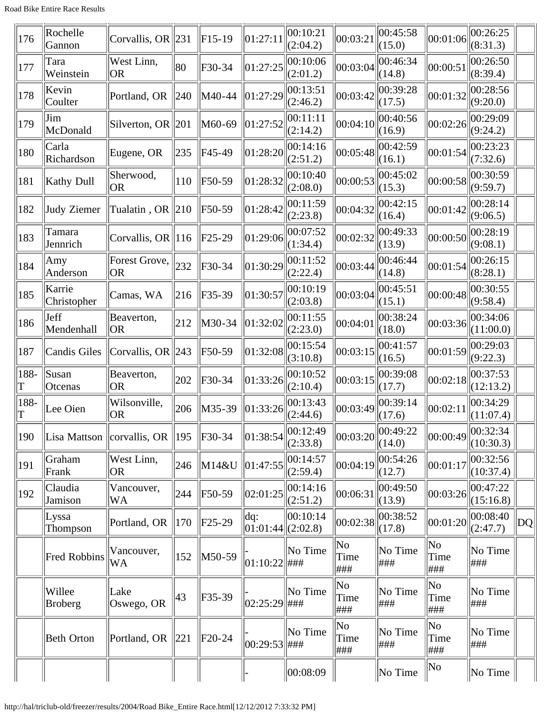| 176       | Rochelle<br>Gannon       | Corvallis, OR $\ 231$               |                 | $F15-19$    | 01:27:11         | 00:10:21<br>(2:04.2) | 00:03:21           | 00:45:58<br>(15.0)                               | 00:01:06                               | 00:26:25<br>(8:31.3)  |              |
|-----------|--------------------------|-------------------------------------|-----------------|-------------|------------------|----------------------|--------------------|--------------------------------------------------|----------------------------------------|-----------------------|--------------|
| 177       | Tara<br>Weinstein        | West Linn,<br> OR                   | 80              | $F30-34$    | 01:27:25         | 00:10:06<br>(2:01.2) | 00:03:04           | 00:46:34<br>(14.8)                               | 00:00:51                               | 00:26:50<br>(8:39.4)  |              |
| 178       | Kevin<br>Coulter         | Portland, OR                        | $\parallel$ 240 | M40-44      | 01:27:29         | 00:13:51<br>(2:46.2) | 00:03:42           | 00:39:28<br>(17.5)                               | 00:01:32                               | 00:28:56<br>(9:20.0)  |              |
| 179       | Jim<br>McDonald          | Silverton, OR $\ 201\ $             |                 | M60-69      | 01:27:52         | 00:11:11<br>(2:14.2) | 00:04:10           | 00:40:56<br>(16.9)                               | 00:02:26                               | 00:29:09<br>(9:24.2)  |              |
| 180       | Carla<br>Richardson      | Eugene, OR                          | 235             | F45-49      | 01:28:20         | 00:14:16<br>(2:51.2) | 00:05:48           | 00:42:59<br>(16.1)                               | 00:01:54                               | 00:23:23<br>(7:32.6)  |              |
| 181       | Kathy Dull               | Sherwood,<br> OR                    | 110             | F50-59      | 01:28:32         | 00:10:40<br>(2:08.0) | 00:00:53           | 00:45:02<br>(15.3)                               | 00:00:58                               | 00:30:59<br>(9:59.7)  |              |
| 182       | Judy Ziemer              | Tualatin, OR $\ 210\ $              |                 | F50-59      | 01:28:42         | 00:11:59<br>(2:23.8) | 00:04:32           | 00:42:15<br>(16.4)                               | 00:01:42                               | 00:28:14<br>(9:06.5)  |              |
| 183       | Tamara<br>Jennrich       | Corvallis, OR $\ 116$               |                 | $ F25-29$   | 01:29:06         | 00:07:52<br>(1:34.4) | 00:02:32           | 00:49:33<br>(13.9)                               | 00:00:50                               | 00:28:19<br>(9:08.1)  |              |
| 184       | Amy<br>Anderson          | Forest Grove,<br> OR                | 232             | $F30-34$    | 01:30:29         | 00:11:52<br>(2:22.4) | 00:03:44           | 00:46:44<br>(14.8)                               | 00:01:54                               | 00:26:15<br>(8:28.1)  |              |
| 185       | Karrie<br>Christopher    | Camas, WA                           | 216             | $F35-39$    | 01:30:57         | 00:10:19<br>(2:03.8) | 00:03:04           | 00:45:51<br>(15.1)                               | 00:00:48                               | 00:30:55<br>(9:58.4)  |              |
| 186       | Jeff<br>Mendenhall       | Beaverton,<br> OR                   | 212             | M30-34      | 01:32:02         | 00:11:55<br>(2:23.0) | 00:04:01           | 00:38:24<br>(18.0)                               | 00:03:36                               | 00:34:06<br>(11:00.0) |              |
| 187       | <b>Candis Giles</b>      | Corvallis, OR $ 243$                |                 | $F50-59$    | 01:32:08         | 00:15:54<br>(3:10.8) | 00:03:15           | 00:41:57<br>(16.5)                               | 00:01:59                               | 00:29:03<br>(9:22.3)  |              |
| 188-<br>Τ | Susan<br>Otcenas         | Beaverton,<br> OR                   | 202             | F30-34      | 01:33:26         | 00:10:52<br>(2:10.4) | 00:03:15           | 00:39:08<br>(17.7)                               | 00:02:18                               | 00:37:53<br>(12:13.2) |              |
| 188-<br>T | Lee Oien                 | Wilsonville,<br> OR                 | 206             | $M35-39$    | 01:33:26         | 00:13:43<br>(2:44.6) | 00:03:49           | 00:39:14<br>(17.6)                               | 00:02:11                               | 00:34:29<br>(11:07.4) |              |
| 190       |                          | Lisa Mattson $ corvallis, OR   195$ |                 | $\ $ F30-34 | 01:38:54         | 00:12:49<br>(2:33.8) |                    | $\ 00:03:20\ _{\text{max}}^{00:49:22}$<br>(14.0) | 00:00:49                               | 00:32:34<br>(10:30.3) |              |
| 191       | Graham<br>Frank          | West Linn,<br> OR                   | 246             | $M14\&U$    | 01:47:55         | 00:14:57<br>(2:59.4) | 00:04:19           | 00:54:26<br>(12.7)                               | 00:01:17                               | 00:32:56<br>(10:37.4) |              |
| 192       | Claudia<br>Jamison       | Vancouver,<br>WA                    | 244             | F50-59      | 02:01:25         | 00:14:16<br>(2:51.2) | 00:06:31           | 00:49:50<br>(13.9)                               | 00:03:26                               | 00:47:22<br>(15:16.8) |              |
|           | Lyssa<br>Thompson        | Portland, OR                        | 170             | $F25-29$    | dq:<br>01:01:44  | 00:10:14<br>(2:02.8) | 00:02:38           | 00:38:52<br>(17.8)                               | 00:01:20                               | 00:08:40<br>(2:47.7)  | $ {\rm DQ} $ |
|           | Fred Robbins             | Vancouver,<br>WA                    | 152             | M50-59      | $ 01:10:22 $ ### | No Time              | No<br>Time<br> ### | No Time<br>###                                   | No<br>Time<br> ###                     | No Time<br>###        |              |
|           | Willee<br><b>Broberg</b> | Lake<br>Oswego, OR                  | 43              | F35-39      | $ 02:25:29 $ ### | No Time              | No<br>Time<br> ### | No Time<br>###                                   | No<br>Time<br>###                      | No Time<br> ###       |              |
|           | <b>Beth Orton</b>        | Portland, OR                        | 221             | $F20-24$    | 00:29:53         | No Time<br>  ###     | No<br>Time<br>###  | No Time<br>###                                   | $\overline{\text{No}}$<br>Time<br> ### | No Time<br>###        |              |
|           |                          |                                     |                 |             |                  | 00:08:09             |                    | No Time                                          | No                                     | $\vert$ No Time       |              |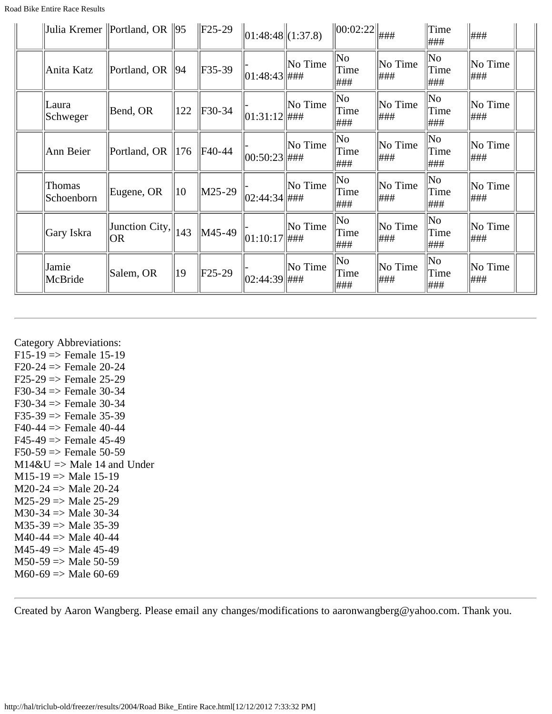|                      | Julia Kremer   Portland, OR $  95$ |     | $\parallel$ F25-29         | $\ 01:48:48\ (1:37.8)$ |         | $\ 00:02:22\ $                         | ###             | Time<br>###             | ###             |  |
|----------------------|------------------------------------|-----|----------------------------|------------------------|---------|----------------------------------------|-----------------|-------------------------|-----------------|--|
| Anita Katz           | Portland, OR $\ 94\ $              |     | $\textcolor{blue}{F}35-39$ | $ 01:48:43 $ ###       | No Time | No<br>Time<br> ###                     | No Time<br>###  | $\ $ No<br>Time<br>###  | No Time<br> ### |  |
| Laura<br>Schweger    | Bend, OR                           | 122 | F30-34                     | $ 01:31:12 $ ###       | No Time | $\ $ No<br>Time<br> ###                | No Time<br> ### | $\ $ No<br>Time<br>###  | No Time<br> ### |  |
| Ann Beier            | Portland, OR $\parallel$ 176       |     | F40-44                     | $ 00:50:23 $ ###       | No Time | $\overline{\text{No}}$<br>Time<br> ### | No Time<br> ### | $\ $ No<br>Time<br>###  | No Time<br> ### |  |
| Thomas<br>Schoenborn | Eugene, OR                         | 10  | $\vert$ M25-29             | 02:44:34  ###          | No Time | $\ $ No<br>Time<br> ###                | No Time<br> ### | $\ $ No<br>Time<br>###  | No Time<br> ### |  |
| Gary Iskra           | Junction City, $\ 143\ $<br> OR    |     | M45-49                     | $ 01:10:17 $ ###       | No Time | $\ $ No<br>Time<br> ###                | No Time<br> ### | $\ $ No<br>Time<br> ### | No Time<br> ### |  |
| Jamie<br>McBride     | Salem, OR                          | 19  | $F25-29$                   | 02:44:39  ###          | No Time | $\ $ No<br>Time<br> ###                | No Time<br>###  | $\ $ No<br>Time<br> ### | No Time<br> ### |  |

### Category Abbreviations:

 $F15-19 \implies$  Female 15-19  $F20-24 \Rightarrow$  Female 20-24  $F25-29 \Rightarrow$  Female 25-29 F30-34 => Female 30-34 F30-34  $\Rightarrow$  Female 30-34  $F35-39 \Rightarrow$  Female 35-39  $F40-44 \Rightarrow$  Female 40-44  $F45-49 \implies$  Female 45-49  $F50-59 \Rightarrow$  Female 50-59  $M14\&U \Rightarrow Male 14$  and Under  $M15-19 \Rightarrow Male 15-19$  $M20-24 \implies Male 20-24$  $M25-29 \Rightarrow Male 25-29$ M30-34  $\Rightarrow$  Male 30-34  $M35-39 \Rightarrow Male 35-39$  $M40-44 \Rightarrow$  Male 40-44  $M45-49 \Rightarrow Male 45-49$  $M50-59 \Rightarrow Male 50-59$  $M60-69 \Rightarrow Male 60-69$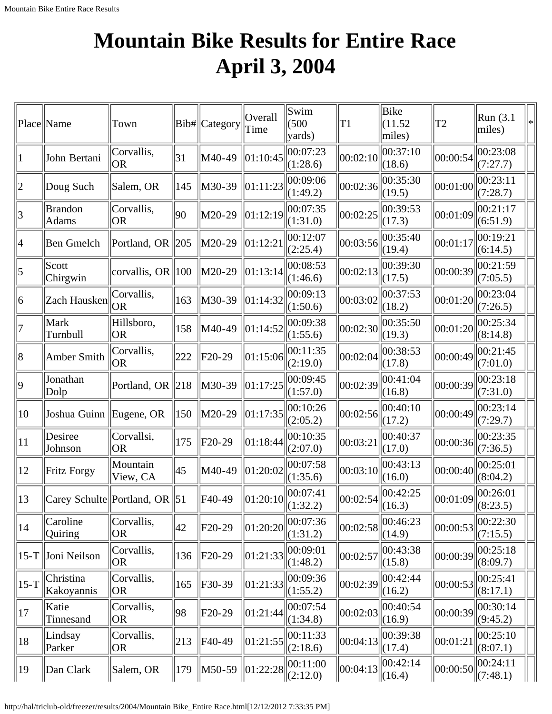# <span id="page-22-0"></span>**Mountain Bike Results for Entire Race April 3, 2004**

|                 | Place Name                    | Town                          |     | Bib# Category | Overall<br>Time   | Swim<br>(500)<br>yards) | T <sub>1</sub> | Bike<br>(11.52)<br>miles) | T <sub>2</sub> | Run (3.1)<br>miles)                     | $\ast$ |
|-----------------|-------------------------------|-------------------------------|-----|---------------|-------------------|-------------------------|----------------|---------------------------|----------------|-----------------------------------------|--------|
| 1               | John Bertani                  | Corvallis,<br><b>OR</b>       | 31  | M40-49        | 01:10:45          | 00:07:23<br>(1:28.6)    | 00:02:10       | 00:37:10<br>(18.6)        | 00:00:54       | 00:23:08<br>(7:27.7)                    |        |
| 2               | Doug Such                     | Salem, OR                     | 145 | M30-39        | 01:11:23          | 00:09:06<br>(1:49.2)    | 00:02:36       | 00:35:30<br>(19.5)        | 00:01:00       | 00:23:11<br>(7:28.7)                    |        |
| 3               | <b>Brandon</b><br>Adams       | Corvallis,<br>OR              | 90  | M20-29        | 01:12:19          | 00:07:35<br>(1:31.0)    | 00:02:25       | 00:39:53<br>(17.3)        | 00:01:09       | 00:21:17<br>(6:51.9)                    |        |
| $\vert 4 \vert$ | <b>Ben Gmelch</b>             | Portland, OR                  | 205 | M20-29        | 01:12:21          | 00:12:07<br>(2:25.4)    | 00:03:56       | 00:35:40<br>(19.4)        | 00:01:17       | 00:19:21<br>(6:14.5)                    |        |
| 5               | Scott<br>Chirgwin             | corvallis, OR $\parallel$ 100 |     | M20-29        | 01:13:14          | 00:08:53<br>(1:46.6)    | 00:02:13       | 00:39:30<br>(17.5)        | 00:00:39       | 00:21:59<br>(7:05.5)                    |        |
| 6               | Zach Hausken                  | Corvallis,<br><b>OR</b>       | 163 | M30-39        | 01:14:32          | 00:09:13<br>(1:50.6)    | 00:03:02       | 00:37:53<br>(18.2)        | 00:01:20       | 00:23:04<br>(7:26.5)                    |        |
| 7               | Mark<br>Turnbull              | Hillsboro,<br><b>OR</b>       | 158 | M40-49        | 01:14:52          | 00:09:38<br>(1:55.6)    | 00:02:30       | 00:35:50<br>(19.3)        | 00:01:20       | 00:25:34<br>(8:14.8)                    |        |
| 8               | Amber Smith                   | Corvallis,<br><b>OR</b>       | 222 | F20-29        | 01:15:06          | 00:11:35<br>(2:19.0)    | 00:02:04       | 00:38:53<br>(17.8)        | 00:00:49       | 00:21:45<br>(7:01.0)                    |        |
| $ 9\rangle$     | Jonathan<br>Dolp              | Portland, OR 218              |     | M30-39        | 01:17:25          | 00:09:45<br>(1:57.0)    | 00:02:39       | 00:41:04<br>(16.8)        | 00:00:39       | 00:23:18<br>(7:31.0)                    |        |
| 10              | Joshua Guinn Eugene, OR       |                               | 150 | M20-29        | 01:17:35          | 00:10:26<br>(2:05.2)    | 00:02:56       | 00:40:10<br>(17.2)        | 00:00:49       | 00:23:14<br>(7:29.7)                    |        |
| 11              | Desiree<br>Johnson            | Corvallsi,<br><b>OR</b>       | 175 | F20-29        | 01:18:44          | 00:10:35<br>(2:07.0)    | 00:03:21       | 00:40:37<br>(17.0)        | 00:00:36       | 00:23:35<br>(7:36.5)                    |        |
| 12              | Fritz Forgy                   | Mountain<br>View, CA          | 45  | M40-49        | 01:20:02          | 00:07:58<br>(1:35.6)    | 00:03:10       | 00:43:13<br>(16.0)        | 00:00:40       | 00:25:01<br>(8:04.2)                    |        |
| 13              | Carey Schulte Portland, OR 51 |                               |     | F40-49        | 01:20:10          | 00:07:41<br>(1:32.2)    | 00:02:54       | 00:42:25<br>(16.3)        | 00:01:09       | 00:26:01<br>$\left\  (8:23.5) \right\ $ |        |
| 14              | Caroline<br>Quiring           | Corvallis,<br><b>OR</b>       | 42  | F20-29        | $\vert 01$ :20:20 | 00:07:36<br>(1:31.2)    | 00:02:58       | 00:46:23<br>(14.9)        | 00:00:53       | 00:22:30<br>(7:15.5)                    |        |
| $15-T$          | Joni Neilson                  | Corvallis,<br><b>OR</b>       | 136 | $F20-29$      | 01:21:33          | 00:09:01<br>(1:48.2)    | 00:02:57       | 00:43:38<br>(15.8)        | 00:00:39       | 00:25:18<br>(8:09.7)                    |        |
| $15-T$          | Christina<br>Kakoyannis       | Corvallis,<br><b>OR</b>       | 165 | F30-39        | 01:21:33          | 00:09:36<br>(1:55.2)    | 00:02:39       | 00:42:44<br>(16.2)        | 00:00:53       | 00:25:41<br>(8:17.1)                    |        |
| 17              | Katie<br>Tinnesand            | Corvallis,<br><b>OR</b>       | 98  | F20-29        | 01:21:44          | 00:07:54 <br>(1:34.8)   | 00:02:03       | 00:40:54<br>(16.9)        | 00:00:39       | 00:30:14<br>(9:45.2)                    |        |
| 18              | Lindsay<br>Parker             | Corvallis,<br><b>OR</b>       | 213 | F40-49        | 01:21:55          | 00:11:33<br>(2:18.6)    | 00:04:13       | 00:39:38<br>(17.4)        | 00:01:21       | 00:25:10<br>(8:07.1)                    |        |
| 19              | Dan Clark                     | Salem, OR                     | 179 | M50-59        | $\ 01:22:28$      | 00:11:00<br>(2:12.0)    | 00:04:13       | 00:42:14<br>$\ (16.4)$    | 00:00:50       | 00:24:11<br>$\Vert$ (7:48.1)            |        |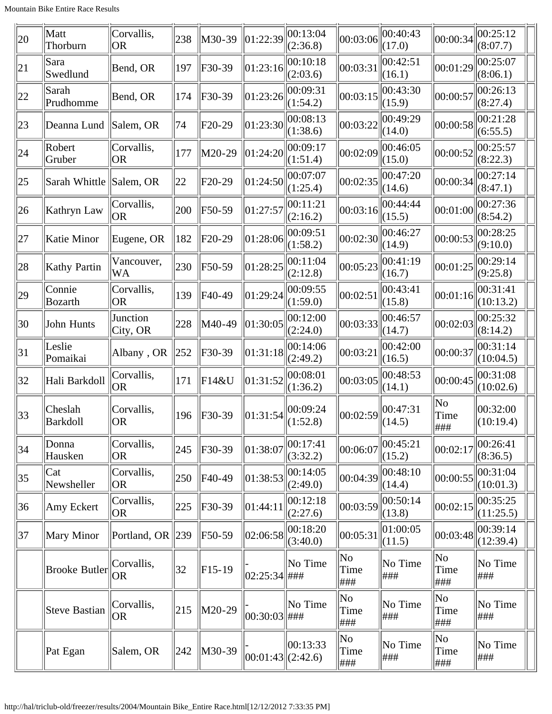| 20           | Matt<br>Thorburn     | Corvallis,<br> OR      | 238            | M30-39   | 01:22:39              | 00:13:04<br>(2:36.8) | 00:03:06                      | 00:40:43<br>(17.0) | 00:00:34           | 00:25:12<br>(8:07.7)  |
|--------------|----------------------|------------------------|----------------|----------|-----------------------|----------------------|-------------------------------|--------------------|--------------------|-----------------------|
| 21           | Sara<br>Swedlund     | Bend, OR               | 197            | F30-39   | 01:23:16              | 00:10:18<br>(2:03.6) | 00:03:31                      | 00:42:51<br>(16.1) | 00:01:29           | 00:25:07<br>(8:06.1)  |
| 22           | Sarah<br>Prudhomme   | Bend, OR               | 174            | F30-39   | 01:23:26              | 00:09:31<br>(1:54.2) | 00:03:15                      | 00:43:30<br>(15.9) | 00:00:57           | 00:26:13<br>(8:27.4)  |
| 23           | Deanna Lund          | Salem, OR              | 74             | F20-29   | 01:23:30              | 00:08:13<br>(1:38.6) | 00:03:22                      | 00:49:29<br>(14.0) | 00:00:58           | 00:21:28<br>(6:55.5)  |
| 24           | Robert<br>Gruber     | Corvallis,<br>OR.      | 177            | M20-29   | 01:24:20              | 00:09:17<br>(1:51.4) | 00:02:09                      | 00:46:05<br>(15.0) | 00:00:52           | 00:25:57<br>(8:22.3)  |
| $ 25\rangle$ | Sarah Whittle        | Salem, OR              | $ 22\rangle$   | F20-29   | 01:24:50              | 00:07:07<br>(1:25.4) | 00:02:35                      | 00:47:20<br>(14.6) | 00:00:34           | 00:27:14<br>(8:47.1)  |
| 26           | Kathryn Law          | Corvallis,<br> OR      | 200            | F50-59   | 01:27:57              | 00:11:21<br>(2:16.2) | 00:03:16                      | 00:44:44<br>(15.5) | 00:01:00           | 00:27:36<br>(8:54.2)  |
| 27           | Katie Minor          | Eugene, OR             | 182            | F20-29   | 01:28:06              | 00:09:51<br>(1:58.2) | 00:02:30                      | 00:46:27<br>(14.9) | 00:00:53           | 00:28:25<br>(9:10.0)  |
| 28           | Kathy Partin         | Vancouver,<br>WA       | 230            | F50-59   | 01:28:25              | 00:11:04<br>(2:12.8) | 00:05:23                      | 00:41:19<br>(16.7) | 00:01:25           | 00:29:14<br>(9:25.8)  |
| 29           | Connie<br>Bozarth    | Corvallis,<br> OR      | 139            | F40-49   | 01:29:24              | 00:09:55<br>(1:59.0) | 00:02:51                      | 00:43:41<br>(15.8) | 00:01:16           | 00:31:41<br>(10:13.2) |
| 30           | John Hunts           | Junction<br>City, OR   | 228            | M40-49   | 01:30:05              | 00:12:00<br>(2:24.0) | 00:03:33                      | 00:46:57<br>(14.7) | 00:02:03           | 00:25:32<br>(8:14.2)  |
| 31           | Leslie<br>Pomaikai   | Albany, OR             | 252            | F30-39   | 01:31:18              | 00:14:06<br>(2:49.2) | 00:03:21                      | 00:42:00<br>(16.5) | 00:00:37           | 00:31:14<br>(10:04.5) |
| 32           | Hali Barkdoll        | Corvallis,<br> OR      | <sup>171</sup> | F14&U    | 01:31:52              | 00:08:01<br>(1:36.2) | 00:03:05                      | 00:48:53<br>(14.1) | 00:00:45           | 00:31:08<br>(10:02.6) |
| $ 33\rangle$ | Cheslah<br> Barkdoll | Corvallis,<br> OR      | 196            | F30-39   | 01:31:54              | 00:09:24<br>(1:52.8) | 00:02:59                      | 00:47:31<br>(14.5) | No<br>Time<br>###  | 00:32:00<br>(10:19.4) |
| 34           | Donna<br>Hausken     | Corvallis,<br> OR      | 245            | F30-39   | 01:38:07              | 00:17:41<br>(3:32.2) | 00:06:07                      | 00:45:21<br>(15.2) | 00:02:17           | 00:26:41<br>(8:36.5)  |
| 35           | Cat<br>Newsheller    | Corvallis,<br> OR      | 250            | F40-49   | 01:38:53              | 00:14:05<br>(2:49.0) | 00:04:39                      | 00:48:10<br>(14.4) | 00:00:55           | 00:31:04<br>(10:01.3) |
| 36           | Amy Eckert           | Corvallis,<br> OR      | 225            | F30-39   | 01:44:11              | 00:12:18<br>(2:27.6) | 00:03:59                      | 00:50:14<br>(13.8) | 00:02:15           | 00:35:25<br>(11:25.5) |
| 37           | Mary Minor           | Portland, OR $\ 239\ $ |                | F50-59   | 02:06:58              | 00:18:20<br>(3:40.0) | 00:05:31                      | 01:00:05<br>(11.5) | 00:03:48           | 00:39:14<br>(12:39.4) |
|              | <b>Brooke Butler</b> | Corvallis,<br> OR      | 32             | $F15-19$ | $ 02:25:34 $ ###      | No Time              | No<br>Time<br>###             | No Time<br> ###    | No<br>Time<br>###  | No Time<br>###        |
|              | Steve Bastian        | Corvallis,<br> OR      | 215            | M20-29   | $ 00:30:03 $ ###      | No Time              | N <sub>o</sub><br>Time<br>### | No Time<br> ###    | No<br>Time<br>###  | No Time<br>###        |
|              | Pat Egan             | Salem, OR              | 242            | M30-39   | $ 00:01:43 $ (2:42.6) | 00:13:33             | No<br>Time<br>###             | No Time<br> ###    | No<br>Time<br> ### | No Time<br>###        |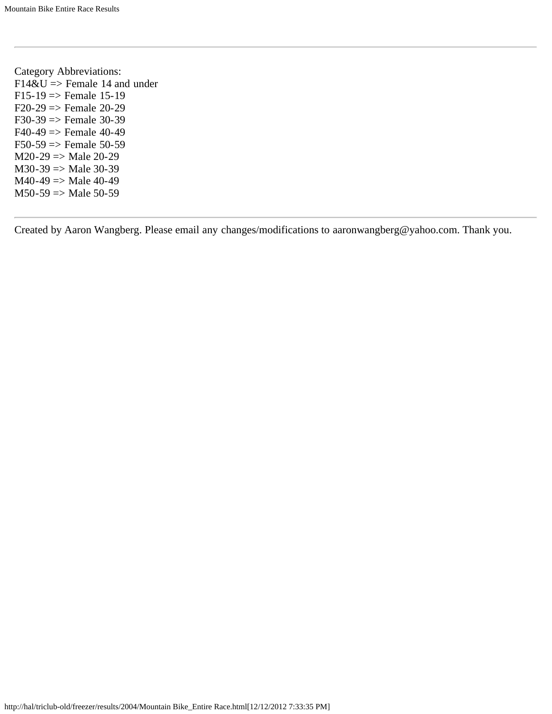Category Abbreviations:  $F14&U \Rightarrow$  Female 14 and under  $F15-19 \Rightarrow$  Female 15-19  $F20-29 \Rightarrow$  Female 20-29  $F30-39 \Rightarrow$  Female 30-39  $F40-49 \Rightarrow$  Female 40-49  $F50-59 \Rightarrow$  Female 50-59  $M20-29$  => Male 20-29  $M30-39 \Rightarrow Male 30-39$  $M40-49 \Rightarrow Male 40-49$  $M50-59$  => Male 50-59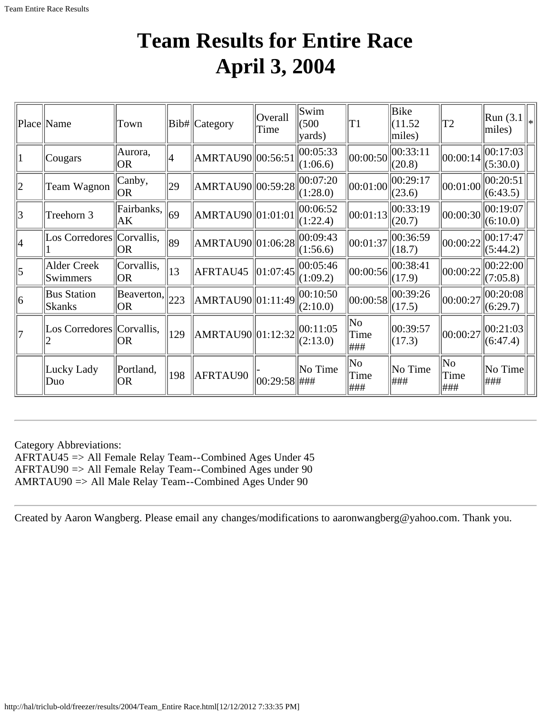## **Team Results for Entire Race April 3, 2004**

<span id="page-25-0"></span>

|             | Place Name                          | Town                                         |     | Bib# Category          | Overall<br>Time | Swim<br>(500)<br>$\vert$ yards) | T1                 | Bike<br>(11.52)<br>miles)                              | T <sub>2</sub>     | $\ $ Run (3.1 $\ _*$<br>$ $ miles) |  |
|-------------|-------------------------------------|----------------------------------------------|-----|------------------------|-----------------|---------------------------------|--------------------|--------------------------------------------------------|--------------------|------------------------------------|--|
|             | Cougars                             | Aurora,<br> OR                               | 4   | AMRTAU90  00:56:51     |                 | 00:05:33<br>(1:06.6)            | 00:00:50           | 00:33:11<br>(20.8)                                     | 00:00:14           | 00:17:03 <br>(5:30.0)              |  |
| $ 2\rangle$ | Team Wagnon                         | Canby,<br> OR                                | 29  | AMRTAU90  00:59:28     |                 | 00:07:20<br>(1:28.0)            |                    | $\left\  00:01:00 \right\  _{00}^{00:29:17}$<br>(23.6) | 00:01:00           | 00:20:51<br>(6:43.5)               |  |
| 3           | Treehorn 3                          | Fairbanks,<br>AK                             | 69  | AMRTAU90  01:01:01     |                 | 00:06:52<br>(1:22.4)            | 00:01:13           | 00:33:19<br>(20.7)                                     | 00:00:30           | 00:19:07<br>(6:10.0)               |  |
| 4           | Los Corredores Corvallis,           | OR                                           | 89  | AMRTAU90  01:06:28     |                 | 00:09:43<br>(1:56.6)            | 00:01:37           | 00:36:59<br>(18.7)                                     | 00:00:22           | 00:17:47 <br>(5:44.2)              |  |
| 5           | <b>Alder Creek</b><br>Swimmers      | Corvallis,<br> OR                            | 13  | AFRTAU45               | 01:07:45        | 00:05:46<br>(1:09.2)            | 00:00:56           | 00:38:41<br>(17.9)                                     | 00:00:22           | 00:22:00 <br>(7:05.8)              |  |
| $ 6\rangle$ | <b>Bus Station</b><br><b>Skanks</b> | $\sqrt{\text{Beaverton}}$ , 223<br><b>OR</b> |     | AMRTAU90  01:11:49     |                 | 00:10:50<br>(2:10.0)            | 00:00:58           | 00:39:26<br>(17.5)                                     | 00:00:27           | 00:20:08 <br>(6:29.7)              |  |
| 17          | Los Corredores Corvallis,           | OR                                           | 129 | $\ AMRTAU90\ 01:12:32$ |                 | 00:11:05<br>(2:13.0)            | No<br>Time<br> ### | 00:39:57<br>(17.3)                                     | 00:00:27           | 00:21:03 <br>(6:47.4)              |  |
|             | Lucky Lady<br>Duo                   | Portland,<br><b>OR</b>                       | 198 | AFRTAU90               | 00:29:58  ###   | No Time                         | No<br>Time<br>###  | No Time<br>###                                         | No<br>Time<br> ### | No Time<br>###                     |  |

Category Abbreviations: AFRTAU45 => All Female Relay Team--Combined Ages Under 45 AFRTAU90 => All Female Relay Team--Combined Ages under 90 AMRTAU90 => All Male Relay Team--Combined Ages Under 90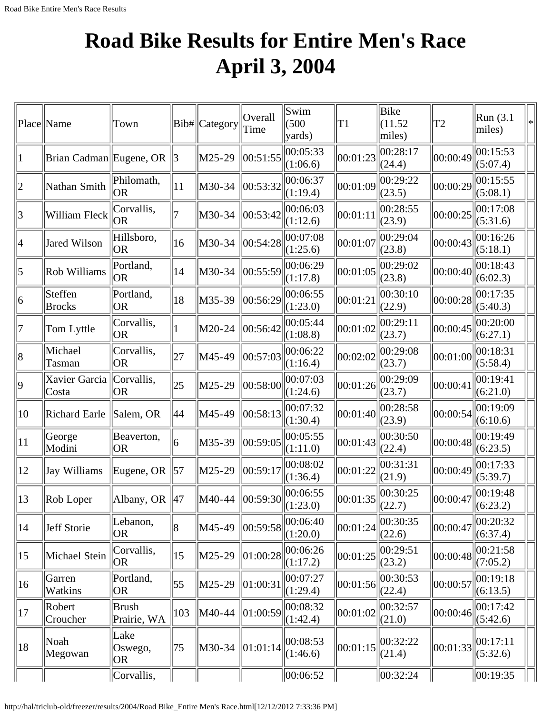## <span id="page-26-0"></span>**Road Bike Results for Entire Men's Race April 3, 2004**

|              | Place Name               | Town                         |     | Bib# Category | Overall<br>Time                | Swim<br>(500)<br>yards) | T1       | Bike<br>(11.52)<br>miles) | T2       | Run(3.1)<br>miles)        | $\ast$ |
|--------------|--------------------------|------------------------------|-----|---------------|--------------------------------|-------------------------|----------|---------------------------|----------|---------------------------|--------|
|              | Brian Cadman Eugene, OR  |                              | 3   | M25-29        | 00:51:55                       | 00:05:33<br>(1:06.6)    | 00:01:23 | 00:28:17<br>(24.4)        | 00:00:49 | 00:15:53<br>(5:07.4)      |        |
| 2            | Nathan Smith             | Philomath,<br> OR            | 11  | M30-34        | 00:53:32                       | 00:06:37<br>(1:19.4)    | 00:01:09 | 00:29:22<br>(23.5)        | 00:00:29 | 00:15:55<br>(5:08.1)      |        |
| 3            | William Fleck            | Corvallis,<br> OR            |     | M30-34        | 00:53:42                       | 00:06:03<br>(1:12.6)    | 00:01:11 | 00:28:55<br>(23.9)        | 00:00:25 | 00:17:08<br>(5:31.6)      |        |
| 4            | Jared Wilson             | Hillsboro,<br>OR)            | 16  | M30-34        | 00:54:28                       | 00:07:08<br>(1:25.6)    | 00:01:07 | 00:29:04<br>(23.8)        | 00:00:43 | 00:16:26<br>(5:18.1)      |        |
| 5            | Rob Williams             | Portland,<br> OR             | 14  | M30-34        | 00:55:59                       | 00:06:29<br>(1:17.8)    | 00:01:05 | 00:29:02<br>(23.8)        | 00:00:40 | 00:18:43<br>(6:02.3)      |        |
| 6            | Steffen<br><b>Brocks</b> | Portland,<br><b>OR</b>       | 18  | M35-39        | 00:56:29                       | 00:06:55<br>(1:23.0)    | 00:01:21 | 00:30:10<br>(22.9)        | 00:00:28 | 00:17:35<br>(5:40.3)      |        |
| 7            | Tom Lyttle               | Corvallis,<br> OR            |     | M20-24        | 00:56:42                       | 00:05:44<br>(1:08.8)    | 00:01:02 | 00:29:11<br>(23.7)        | 00:00:45 | 00:20:00<br>(6:27.1)      |        |
| 8            | Michael<br>Tasman        | Corvallis,<br>OR.            | 27  | M45-49        | 00:57:03                       | 00:06:22<br>(1:16.4)    | 00:02:02 | 00:29:08<br>(23.7)        | 00:01:00 | 00:18:31<br>(5:58.4)      |        |
| 9            | Xavier Garcia<br>Costa   | Corvallis,<br> OR            | 25  | M25-29        | 00:58:00                       | 00:07:03<br>(1:24.6)    | 00:01:26 | 00:29:09<br>(23.7)        | 00:00:41 | 00:19:41<br>(6:21.0)      |        |
| 10           | <b>Richard Earle</b>     | Salem, OR                    | 44  | M45-49        | 00:58:13                       | 00:07:32<br>(1:30.4)    | 00:01:40 | 00:28:58<br>(23.9)        | 00:00:54 | 00:19:09<br>(6:10.6)      |        |
| 11           | George<br>Modini         | Beaverton,<br><b>OR</b>      | 6   | M35-39        | 00:59:05                       | 00:05:55<br>(1:11.0)    | 00:01:43 | 00:30:50<br>(22.4)        | 00:00:48 | 00:19:49<br>(6:23.5)      |        |
| 12           | Jay Williams             | Eugene, OR                   | 57  | M25-29        | 00:59:17                       | 00:08:02<br>(1:36.4)    | 00:01:22 | 00:31:31<br>(21.9)        | 00:00:49 | 00:17:33<br>(5:39.7)      |        |
| 13           | Rob Loper                | Albany, OR                   | 47  | M40-44        | $\vert\vert 00$ :59:30 $\vert$ | 00:06:55<br>(1:23.0)    | 00:01:35 | 00:30:25<br>(22.7)        | 00:00:47 | 00:19:48<br>$\ $ (6:23.2) |        |
| $ 14\rangle$ | Jeff Storie              | Lebanon,<br><b>OR</b>        | 8   | M45-49        | 00:59:58                       | 00:06:40<br>(1:20.0)    | 00:01:24 | 00:30:35<br>(22.6)        | 00:00:47 | 00:20:32<br>(6:37.4)      |        |
| 15           | Michael Stein            | Corvallis,<br> OR            | 15  | M25-29        | 01:00:28                       | 00:06:26<br>(1:17.2)    | 00:01:25 | 00:29:51<br>(23.2)        | 00:00:48 | 00:21:58<br>(7:05.2)      |        |
| $ 16\rangle$ | Garren<br>Watkins        | Portland,<br>OR <sub>.</sub> | 55  | M25-29        | 01:00:31                       | 00:07:27<br>(1:29.4)    | 00:01:56 | 00:30:53<br>(22.4)        | 00:00:57 | 00:19:18<br>(6:13.5)      |        |
| 17           | Robert<br>Croucher       | <b>Brush</b><br>Prairie, WA  | 103 | M40-44        | 01:00:59                       | 00:08:32<br>(1:42.4)    | 00:01:02 | 00:32:57<br>(21.0)        | 00:00:46 | 00:17:42<br>(5:42.6)      |        |
| 18           | Noah<br>Megowan          | Lake<br>Oswego,<br> OR       | 75  | M30-34        | 01:01:14                       | 00:08:53<br>(1:46.6)    | 00:01:15 | 00:32:22<br>(21.4)        | 00:01:33 | 00:17:11<br>(5:32.6)      |        |
|              |                          | Corvallis,                   |     |               |                                | 00:06:52                |          | 00:32:24                  |          | 00:19:35                  |        |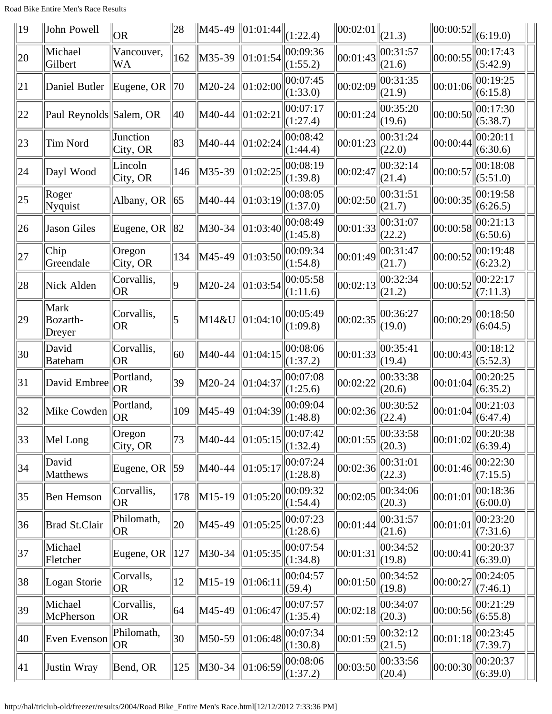Road Bike Entire Men's Race Results

| $\parallel$ 19 | John Powell                | <b>OR</b>               | 28           | M45-49 | $\ 01:01:44\ $ | (1:22.4)             | $\ 00:02:01\ $ | (21.3)             | $\left\Vert 00:00:52\right\Vert$ | (6:19.0)             |
|----------------|----------------------------|-------------------------|--------------|--------|----------------|----------------------|----------------|--------------------|----------------------------------|----------------------|
| 20             | Michael<br>Gilbert         | Vancouver,<br>WA        | 162          | M35-39 | 01:01:54       | 00:09:36<br>(1:55.2) | 00:01:43       | 00:31:57<br>(21.6) | 00:00:55                         | 00:17:43<br>(5:42.9) |
| 21             | Daniel Butler              | Eugene, OR              | 70           | M20-24 | 01:02:00       | 00:07:45<br>(1:33.0) | 00:02:09       | 00:31:35<br>(21.9) | 00:01:06                         | 00:19:25<br>(6:15.8) |
| 22             | Paul Reynolds Salem, OR    |                         | 40           | M40-44 | 01:02:21       | 00:07:17<br>(1:27.4) | 00:01:24       | 00:35:20<br>(19.6) | 00:00:50                         | 00:17:30<br>(5:38.7) |
| 23             | Tim Nord                   | Junction<br>City, OR    | 83           | M40-44 | 01:02:24       | 00:08:42<br>(1:44.4) | 00:01:23       | 00:31:24<br>(22.0) | 00:00:44                         | 00:20:11<br>(6:30.6) |
| 24             | Dayl Wood                  | Lincoln<br>City, OR     | 146          | M35-39 | 01:02:25       | 00:08:19<br>(1:39.8) | 00:02:47       | 00:32:14<br>(21.4) | 00:00:57                         | 00:18:08<br>(5:51.0) |
| $ 25\rangle$   | Roger<br>Nyquist           | Albany, OR              | 65           | M40-44 | 01:03:19       | 00:08:05<br>(1:37.0) | 00:02:50       | 00:31:51<br>(21.7) | 00:00:35                         | 00:19:58<br>(6:26.5) |
| 26             | Jason Giles                | Eugene, OR              | 82           | M30-34 | 01:03:40       | 00:08:49<br>(1:45.8) | 00:01:33       | 00:31:07<br>(22.2) | 00:00:58                         | 00:21:13<br>(6:50.6) |
| 27             | Chip<br>Greendale          | Oregon<br>City, OR      | 134          | M45-49 | 01:03:50       | 00:09:34<br>(1:54.8) | 00:01:49       | 00:31:47<br>(21.7) | 00:00:52                         | 00:19:48<br>(6:23.2) |
| 28             | Nick Alden                 | Corvallis,<br> OR       | g            | M20-24 | 01:03:54       | 00:05:58<br>(1:11.6) | 00:02:13       | 00:32:34<br>(21.2) | 00:00:52                         | 00:22:17<br>(7:11.3) |
| $ 29\rangle$   | Mark<br>Bozarth-<br>Dreyer | Corvallis,<br><b>OR</b> | 5            | M14&U  | 01:04:10       | 00:05:49<br>(1:09.8) | 00:02:35       | 00:36:27<br>(19.0) | 00:00:29                         | 00:18:50<br>(6:04.5) |
| $ 30\rangle$   | David<br><b>Bateham</b>    | Corvallis,<br> OR       | 60           | M40-44 | 01:04:15       | 00:08:06<br>(1:37.2) | 00:01:33       | 00:35:41<br>(19.4) | 00:00:43                         | 00:18:12<br>(5:52.3) |
| 31             | David Embree               | Portland,<br> OR        | 39           | M20-24 | 01:04:37       | 00:07:08<br>(1:25.6) | 00:02:22       | 00:33:38<br>(20.6) | 00:01:04                         | 00:20:25<br>(6:35.2) |
| 32             | Mike Cowden                | Portland,<br> OR        | 109          | M45-49 | 01:04:39       | 00:09:04<br>(1:48.8) | 00:02:36       | 00:30:52<br>(22.4) | 00:01:04                         | 00:21:03<br>(6:47.4) |
| $ 33\rangle$   | Mel Long                   | Oregon<br>City, OR      | 73           | M40-44 | 01:05:15       | 00:07:42<br>(1:32.4) | 00:01:55       | 00:33:58<br>(20.3) | 00:01:02                         | 00:20:38<br>(6:39.4) |
| 34             | David<br>Matthews          | Eugene, OR              | $ 59\rangle$ | M40-44 | 01:05:17       | 00:07:24<br>(1:28.8) | 00:02:36       | 00:31:01<br>(22.3) | 00:01:46                         | 00:22:30<br>(7:15.5) |
| 35             | <b>Ben Hemson</b>          | Corvallis,<br> OR       | 178          | M15-19 | 01:05:20       | 00:09:32<br>(1:54.4) | 00:02:05       | 00:34:06<br>(20.3) | 00:01:01                         | 00:18:36<br>(6:00.0) |
| 36             | Brad St.Clair              | Philomath,<br> OR       | 20           | M45-49 | 01:05:25       | 00:07:23<br>(1:28.6) | 00:01:44       | 00:31:57<br>(21.6) | 00:01:01                         | 00:23:20<br>(7:31.6) |
| 37             | Michael<br>Fletcher        | Eugene, OR              | 127          | M30-34 | 01:05:35       | 00:07:54<br>(1:34.8) | 00:01:31       | 00:34:52<br>(19.8) | 00:00:41                         | 00:20:37<br>(6:39.0) |
| 38             | Logan Storie               | Corvalls,<br> OR        | 12           | M15-19 | 01:06:11       | 00:04:57<br>(59.4)   | 00:01:50       | 00:34:52<br>(19.8) | 00:00:27                         | 00:24:05<br>(7:46.1) |
| 39             | Michael<br>McPherson       | Corvallis,<br> OR       | 64           | M45-49 | 01:06:47       | 00:07:57<br>(1:35.4) | 00:02:18       | 00:34:07<br>(20.3) | 00:00:56                         | 00:21:29<br>(6:55.8) |
| 40             | Even Evenson               | Philomath,<br> OR       | 30           | M50-59 | 01:06:48       | 00:07:34<br>(1:30.8) | 00:01:59       | 00:32:12<br>(21.5) | 00:01:18                         | 00:23:45<br>(7:39.7) |
| 41             | Justin Wray                | Bend, OR                | 125          | M30-34 | 01:06:59       | 00:08:06<br>(1:37.2) | 00:03:50       | 00:33:56<br>(20.4) | 00:00:30                         | 00:20:37<br>(6:39.0) |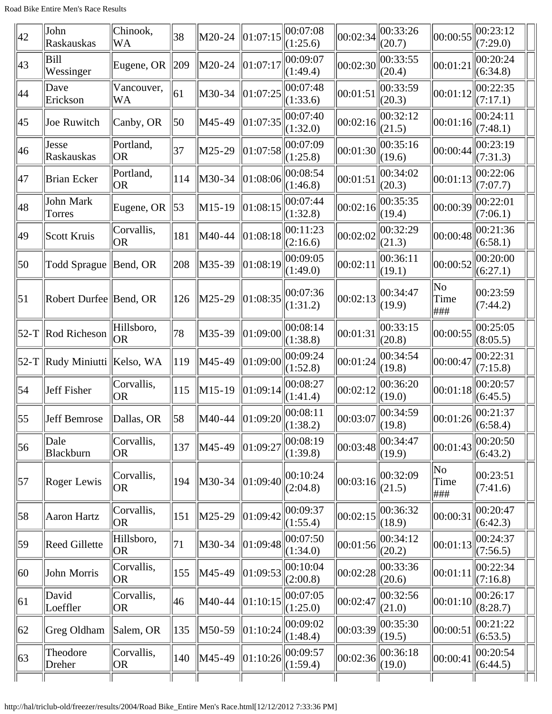| $ 42\rangle$     | John<br>Raskauskas               | Chinook,<br><b>WA</b>   | 38  | M20-24   | 01:07:15                  | 00:07:08<br>(1:25.6)         | 00:02:34 | 00:33:26<br>(20.7) | 00:00:55           | 00:23:12<br>(7:29.0) |  |
|------------------|----------------------------------|-------------------------|-----|----------|---------------------------|------------------------------|----------|--------------------|--------------------|----------------------|--|
| 43               | Bill<br>Wessinger                | Eugene, OR              | 209 | M20-24   | 01:07:17                  | 00:09:07<br>(1:49.4)         | 00:02:30 | 00:33:55<br>(20.4) | 00:01:21           | 00:20:24<br>(6:34.8) |  |
| 44               | Dave<br>Erickson                 | Vancouver,<br><b>WA</b> | 61  | M30-34   | 01:07:25                  | 00:07:48<br>(1:33.6)         | 00:01:51 | 00:33:59<br>(20.3) | 00:01:12           | 00:22:35<br>(7:17.1) |  |
| 45               | Joe Ruwitch                      | Canby, OR               | 50  | M45-49   | 01:07:35                  | 00:07:40<br>(1:32.0)         | 00:02:16 | 00:32:12<br>(21.5) | 00:01:16           | 00:24:11<br>(7:48.1) |  |
| 46               | Jesse<br>Raskauskas              | Portland,<br><b>OR</b>  | 37  | M25-29   | 01:07:58                  | 00:07:09<br>(1:25.8)         | 00:01:30 | 00:35:16<br>(19.6) | 00:00:44           | 00:23:19<br>(7:31.3) |  |
| 47               | <b>Brian Ecker</b>               | Portland,<br><b>OR</b>  | 114 | M30-34   | 01:08:06                  | 00:08:54<br>(1:46.8)         | 00:01:51 | 00:34:02<br>(20.3) | 00:01:13           | 00:22:06<br>(7:07.7) |  |
| 48               | John Mark<br>Torres              | Eugene, OR              | 53  | $M15-19$ | 01:08:15                  | 00:07:44<br>(1:32.8)         | 00:02:16 | 00:35:35<br>(19.4) | 00:00:39           | 00:22:01<br>(7:06.1) |  |
| 49               | Scott Kruis                      | Corvallis,<br><b>OR</b> | 181 | M40-44   | 01:08:18                  | 00:11:23<br>(2:16.6)         | 00:02:02 | 00:32:29<br>(21.3) | 00:00:48           | 00:21:36<br>(6:58.1) |  |
| 50               | Todd Sprague                     | $\parallel$ Bend, OR    | 208 | M35-39   | 01:08:19                  | 00:09:05<br>(1:49.0)         | 00:02:11 | 00:36:11<br>(19.1) | 00:00:52           | 00:20:00<br>(6:27.1) |  |
| 51               | Robert Durfee Bend, OR           |                         | 126 | M25-29   | 01:08:35                  | 00:07:36<br>(1:31.2)         | 00:02:13 | 00:34:47<br>(19.9) | No<br>Time<br> ### | 00:23:59<br>(7:44.2) |  |
|                  | $52-T$ Rod Richeson              | Hillsboro,<br> OR       | 78  | M35-39   | 01:09:00                  | 00:08:14<br>(1:38.8)         | 00:01:31 | 00:33:15<br>(20.8) | 00:00:55           | 00:25:05<br>(8:05.5) |  |
|                  | 52-T   Rudy Miniutti   Kelso, WA |                         | 119 | M45-49   | 01:09:00                  | 00:09:24<br>(1:52.8)         | 00:01:24 | 00:34:54<br>(19.8) | 00:00:47           | 00:22:31<br>(7:15.8) |  |
| $\vert 54 \vert$ | Jeff Fisher                      | Corvallis,<br> OR       | 115 | M15-19   | 01:09:14                  | 00:08:27<br>(1:41.4)         | 00:02:12 | 00:36:20<br>(19.0) | 00:01:18           | 00:20:57<br>(6:45.5) |  |
| 55               | Jeff Bemrose                     | Dallas, OR              | 58  | M40-44   | $\vert 01$ :09:20 $\vert$ | 00:08:11<br>$\Vert$ (1:38.2) | 00:03:07 | 00:34:59<br>(19.8) | 00:01:26           | 00:21:37<br>(6:58.4) |  |
| 56               | Dale<br>Blackburn                | Corvallis,<br><b>OR</b> | 137 | M45-49   | 01:09:27                  | 00:08:19<br>(1:39.8)         | 00:03:48 | 00:34:47<br>(19.9) | 00:01:43           | 00:20:50<br>(6:43.2) |  |
| $\vert 57 \vert$ | Roger Lewis                      | Corvallis,<br>OR.       | 194 | M30-34   | 01:09:40                  | 00:10:24<br>(2:04.8)         | 00:03:16 | 00:32:09<br>(21.5) | No<br>Time<br> ### | 00:23:51<br>(7:41.6) |  |
| 58               | Aaron Hartz                      | Corvallis,<br><b>OR</b> | 151 | M25-29   | 01:09:42                  | 00:09:37<br>(1:55.4)         | 00:02:15 | 00:36:32<br>(18.9) | 00:00:31           | 00:20:47<br>(6:42.3) |  |
| 59               | <b>Reed Gillette</b>             | Hillsboro,<br> OR       | 71  | M30-34   | 01:09:48                  | 00:07:50<br>(1:34.0)         | 00:01:56 | 00:34:12<br>(20.2) | 00:01:13           | 00:24:37<br>(7:56.5) |  |
| 60               | John Morris                      | Corvallis,<br> OR       | 155 | M45-49   | 01:09:53                  | 00:10:04<br>(2:00.8)         | 00:02:28 | 00:33:36<br>(20.6) | 00:01:11           | 00:22:34<br>(7:16.8) |  |
| 61               | David<br>Loeffler                | Corvallis,<br><b>OR</b> | 46  | M40-44   | 01:10:15                  | 00:07:05<br>(1:25.0)         | 00:02:47 | 00:32:56<br>(21.0) | 00:01:10           | 00:26:17<br>(8:28.7) |  |
| 62               | Greg Oldham                      | Salem, OR               | 135 | M50-59   | 01:10:24                  | 00:09:02<br>(1:48.4)         | 00:03:39 | 00:35:30<br>(19.5) | 00:00:51           | 00:21:22<br>(6:53.5) |  |
| $ 63\rangle$     | Theodore<br>Dreher               | Corvallis,<br><b>OR</b> | 140 | M45-49   | 01:10:26                  | 00:09:57<br>(1:59.4)         | 00:02:36 | 00:36:18<br>(19.0) | 00:00:41           | 00:20:54<br>(6:44.5) |  |
|                  |                                  |                         |     |          |                           |                              |          |                    |                    |                      |  |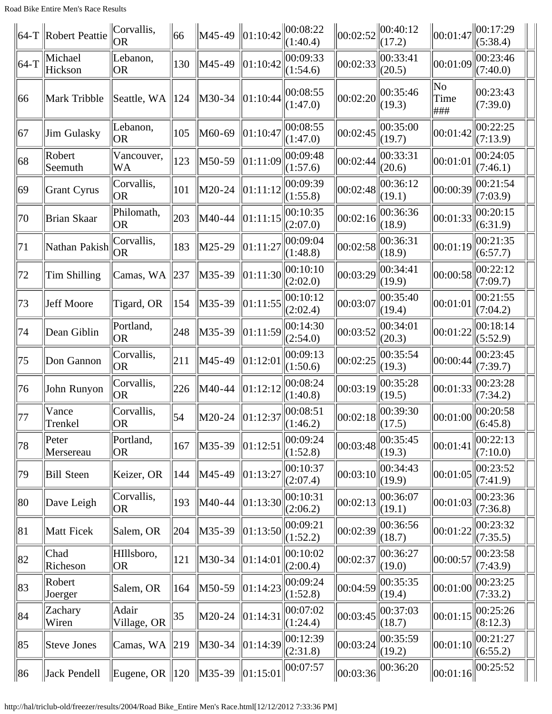|        | $ 64-T $ Robert Peattie | Corvallis,<br><b>OR</b>              | 66            | $\big $ M45-49 | 01:10:42 | 100:08:22<br>(1:40.4) | $\ 00:02:52\ 00:40:12$ | (17.2)                  | 00:01:47                              | 00:17:29<br>(5:38.4)                  |  |
|--------|-------------------------|--------------------------------------|---------------|----------------|----------|-----------------------|------------------------|-------------------------|---------------------------------------|---------------------------------------|--|
| $64-T$ | Michael<br>Hickson      | Lebanon,<br>OR                       | 130           | M45-49         | 01:10:42 | 00:09:33<br>(1:54.6)  | 00:02:33               | 00:33:41<br>(20.5)      | 00:01:09                              | 00:23:46<br>(7:40.0)                  |  |
| 66     | Mark Tribble            | Seattle, WA                          | $ 124\rangle$ | M30-34         | 01:10:44 | 00:08:55<br>(1:47.0)  | 00:02:20               | 00:35:46<br>(19.3)      | $\overline{\text{No}}$<br>Time<br>### | 00:23:43<br>(7:39.0)                  |  |
| 67     | Jim Gulasky             | Lebanon,<br> OR                      | 105           | M60-69         | 01:10:47 | 00:08:55<br>(1:47.0)  | 00:02:45               | 00:35:00<br>(19.7)      | 00:01:42                              | 00:22:25<br>(7:13.9)                  |  |
| 68     | Robert<br>Seemuth       | Vancouver,<br>WA                     | 123           | M50-59         | 01:11:09 | 00:09:48<br>(1:57.6)  | 00:02:44               | 00:33:31<br>(20.6)      | 00:01:01                              | 00:24:05<br>(7:46.1)                  |  |
| 69     | Grant Cyrus             | Corvallis,<br> OR                    | 101           | M20-24         | 01:11:12 | 00:09:39<br>(1:55.8)  | 00:02:48               | 00:36:12<br>(19.1)      | 00:00:39                              | 00:21:54<br>(7:03.9)                  |  |
| 70     | Brian Skaar             | Philomath,<br> OR                    | 203           | M40-44         | 01:11:15 | 00:10:35<br>(2:07.0)  | 00:02:16               | 00:36:36<br>(18.9)      | 00:01:33                              | 00:20:15<br>(6:31.9)                  |  |
| 71     | Nathan Pakish           | Corvallis,<br><b>OR</b>              | 183           | M25-29         | 01:11:27 | 00:09:04<br>(1:48.8)  | 00:02:58               | 00:36:31<br>(18.9)      | 00:01:19                              | 00:21:35<br>(6:57.7)                  |  |
| 72     | Tim Shilling            | Camas, WA                            | 237           | M35-39         | 01:11:30 | 00:10:10<br>(2:02.0)  | 00:03:29               | 00:34:41<br>(19.9)      | 00:00:58                              | 00:22:12<br>(7:09.7)                  |  |
| 73     | Jeff Moore              | Tigard, OR                           | 154           | M35-39         | 01:11:55 | 00:10:12<br>(2:02.4)  | 00:03:07               | 00:35:40<br>(19.4)      | 00:01:01                              | 00:21:55<br>(7:04.2)                  |  |
| 74     | Dean Giblin             | Portland,<br> OR                     | 248           | M35-39         | 01:11:59 | 00:14:30<br>(2:54.0)  | 00:03:52               | 00:34:01<br>(20.3)      | 00:01:22                              | 00:18:14<br>(5:52.9)                  |  |
| 75     | Don Gannon              | Corvallis,<br>OR <sub>.</sub>        | 211           | M45-49         | 01:12:01 | 00:09:13<br>(1:50.6)  | 00:02:25               | 00:35:54<br>(19.3)      | 00:00:44                              | 00:23:45<br>(7:39.7)                  |  |
| 76     | John Runyon             | Corvallis,<br> OR                    | 226           | M40-44         | 01:12:12 | 00:08:24<br>(1:40.8)  | 00:03:19               | 00:35:28<br>(19.5)      | 00:01:33                              | 00:23:28<br>(7:34.2)                  |  |
| 77     | Vance<br>Trenkel        | Corvallis,<br> OR                    | 54            | M20-24         | 01:12:37 | 00:08:51<br>(1:46.2)  | 00:02:18               | 00:39:30<br>$\ $ (17.5) | 00:01:00                              | 00:20:58<br>$\left  (6.45.8) \right $ |  |
| 78     | Peter<br>Mersereau      | Portland,<br> OR                     | 167           | M35-39         | 01:12:51 | 00:09:24<br>(1:52.8)  | 00:03:48               | 00:35:45<br>(19.3)      | 00:01:41                              | 00:22:13<br>(7:10.0)                  |  |
| 79     | Bill Steen              | Keizer, OR                           | 144           | M45-49         | 01:13:27 | 00:10:37<br>(2:07.4)  | 00:03:10               | 00:34:43<br>(19.9)      | 00:01:05                              | 00:23:52<br>(7:41.9)                  |  |
| 80     | Dave Leigh              | Corvallis,<br> OR                    | 193           | M40-44         | 01:13:30 | 00:10:31<br>(2:06.2)  | 00:02:13               | 00:36:07<br>(19.1)      | 00:01:03                              | 00:23:36<br>(7:36.8)                  |  |
| 81     | Matt Ficek              | Salem, OR                            | 204           | M35-39         | 01:13:50 | 00:09:21<br>(1:52.2)  | 00:02:39               | 00:36:56<br>(18.7)      | 00:01:22                              | 00:23:32<br>(7:35.5)                  |  |
| 82     | Chad<br>Richeson        | HIllsboro,<br>OR <sub>.</sub>        | 121           | M30-34         | 01:14:01 | 00:10:02<br>(2:00.4)  | 00:02:37               | 00:36:27<br>(19.0)      | 00:00:57                              | 00:23:58<br>(7:43.9)                  |  |
| 83     | Robert<br>Joerger       | Salem, OR                            | 164           | M50-59         | 01:14:23 | 00:09:24<br>(1:52.8)  | 00:04:59               | 00:35:35<br>(19.4)      | 00:01:00                              | 00:23:25<br>(7:33.2)                  |  |
| 84     | Zachary<br>Wiren        | Adair<br>Village, OR                 | 35            | M20-24         | 01:14:31 | 00:07:02<br>(1:24.4)  | 00:03:45               | 00:37:03<br>(18.7)      | 00:01:15                              | 00:25:26<br>(8:12.3)                  |  |
| 85     | Steve Jones             | Camas, WA $\ 219$                    |               | M30-34         | 01:14:39 | 00:12:39<br>(2:31.8)  | 00:03:24               | 00:35:59<br>(19.2)      | 00:01:10                              | 00:21:27<br>(6:55.2)                  |  |
| 86     | Jack Pendell            | Eugene, OR   120   M35-39   01:15:01 |               |                |          | 00:07:57              | 00:03:36               | 00:36:20                | 00:01:16                              | 00:25:52                              |  |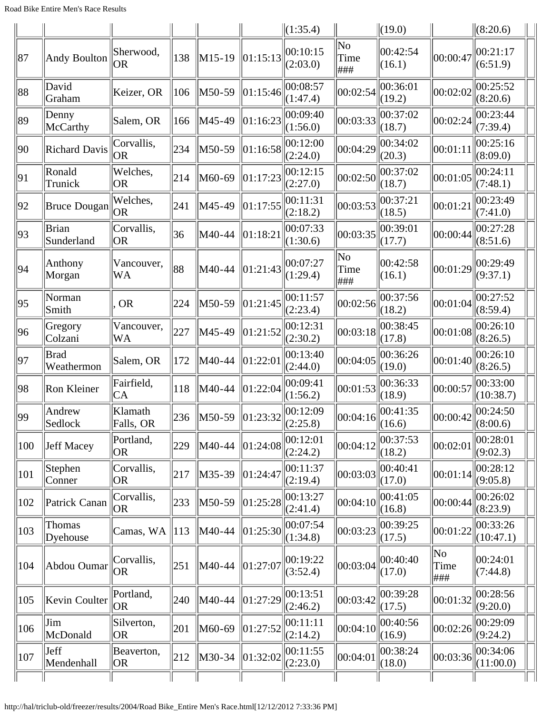|     |                           |                         |     |        |          | $\ (1:35.4)$              |                   | $\ $ (19.0)               |                   | (8:20.6)              |  |
|-----|---------------------------|-------------------------|-----|--------|----------|---------------------------|-------------------|---------------------------|-------------------|-----------------------|--|
| 87  | <b>Andy Boulton</b>       | Sherwood,<br> OR        | 138 | M15-19 | 01:15:13 | 00:10:15<br>(2:03.0)      | No<br>Time<br>### | 00:42:54<br>(16.1)        | 00:00:47          | 00:21:17<br>(6:51.9)  |  |
| 88  | David<br>Graham           | Keizer, OR              | 106 | M50-59 | 01:15:46 | 00:08:57<br>(1:47.4)      | 00:02:54          | 00:36:01<br>(19.2)        | 00:02:02          | 00:25:52<br>(8:20.6)  |  |
| 89  | Denny<br>McCarthy         | Salem, OR               | 166 | M45-49 | 01:16:23 | 00:09:40<br>(1:56.0)      | 00:03:33          | 00:37:02<br>(18.7)        | 00:02:24          | 00:23:44<br>(7:39.4)  |  |
| 90  | <b>Richard Davis</b>      | Corvallis,<br> OR       | 234 | M50-59 | 01:16:58 | 00:12:00<br>(2:24.0)      | 00:04:29          | 00:34:02<br>(20.3)        | 00:01:11          | 00:25:16<br>(8:09.0)  |  |
| 91  | Ronald<br>Trunick         | Welches,<br> OR         | 214 | M60-69 | 01:17:23 | 00:12:15<br>(2:27.0)      | 00:02:50          | 00:37:02<br>(18.7)        | 00:01:05          | 00:24:11<br>(7:48.1)  |  |
| 92  | Bruce Dougan              | Welches,<br> OR         | 241 | M45-49 | 01:17:55 | 00:11:31<br>(2:18.2)      | 00:03:53          | 00:37:21<br>(18.5)        | 00:01:21          | 00:23:49<br>(7:41.0)  |  |
| 93  | Brian<br>Sunderland       | Corvallis,<br> OR       | 36  | M40-44 | 01:18:21 | 00:07:33<br>(1:30.6)      | 00:03:35          | 00:39:01<br>(17.7)        | 00:00:44          | 00:27:28<br>(8:51.6)  |  |
| 94  | Anthony<br>Morgan         | Vancouver,<br><b>WA</b> | 88  | M40-44 | 01:21:43 | 00:07:27<br>(1:29.4)      | No<br>Time<br>### | 00:42:58<br>(16.1)        | 00:01:29          | 00:29:49<br>(9:37.1)  |  |
| 95  | Norman<br>Smith           | <b>OR</b>               | 224 | M50-59 | 01:21:45 | 00:11:57<br>(2:23.4)      | 00:02:56          | 00:37:56<br>(18.2)        | 00:01:04          | 00:27:52<br>(8:59.4)  |  |
| 96  | Gregory<br>Colzani        | Vancouver,<br>WA        | 227 | M45-49 | 01:21:52 | 00:12:31<br>(2:30.2)      | 00:03:18          | 00:38:45<br>(17.8)        | 00:01:08          | 00:26:10<br>(8:26.5)  |  |
| 97  | <b>Brad</b><br>Weathermon | Salem, OR               | 172 | M40-44 | 01:22:01 | 00:13:40<br>(2:44.0)      | 00:04:05          | 00:36:26<br>(19.0)        | 00:01:40          | 00:26:10<br>(8:26.5)  |  |
| 98  | Ron Kleiner               | Fairfield,<br>IСA       | 118 | M40-44 | 01:22:04 | 00:09:41<br>(1:56.2)      | 00:01:53          | 00:36:33<br>(18.9)        | 00:00:57          | 00:33:00<br>(10:38.7) |  |
| 99  | Andrew<br>Sedlock         | Klamath<br>Falls, OR    | 236 | M50-59 | 01:23:32 | 00:12:09<br>$\ $ (2:25.8) | 00:04:16          | 00:41:35<br>$\Vert(16.6)$ | 00:00:42          | 00:24:50<br>(8:00.6)  |  |
| 100 | Jeff Macey                | Portland,<br> OR        | 229 | M40-44 | 01:24:08 | 00:12:01<br>(2:24.2)      | 00:04:12          | 00:37:53<br>(18.2)        | 00:02:01          | 00:28:01<br>(9:02.3)  |  |
| 101 | Stephen<br>Conner         | Corvallis,<br> OR       | 217 | M35-39 | 01:24:47 | 00:11:37<br>(2:19.4)      | 00:03:03          | 00:40:41<br>(17.0)        | 00:01:14          | 00:28:12<br>(9:05.8)  |  |
| 102 | Patrick Canan             | Corvallis,<br> OR       | 233 | M50-59 | 01:25:28 | 00:13:27<br>(2:41.4)      | 00:04:10          | 00:41:05<br>(16.8)        | 00:00:44          | 00:26:02<br>(8:23.9)  |  |
| 103 | Thomas<br>Dyehouse        | Camas, WA               | 113 | M40-44 | 01:25:30 | 00:07:54<br>(1:34.8)      | 00:03:23          | 00:39:25<br>(17.5)        | 00:01:22          | 00:33:26<br>(10:47.1) |  |
| 104 | Abdou Oumar               | Corvallis,<br> OR       | 251 | M40-44 | 01:27:07 | 00:19:22<br>(3:52.4)      | 00:03:04          | 00:40:40<br>(17.0)        | No<br>Time<br>### | 00:24:01<br>(7:44.8)  |  |
| 105 | Kevin Coulter             | Portland,<br> OR        | 240 | M40-44 | 01:27:29 | 00:13:51<br>(2:46.2)      | 00:03:42          | 00:39:28<br>(17.5)        | 00:01:32          | 00:28:56<br>(9:20.0)  |  |
| 106 | Jim<br>McDonald           | Silverton,<br> OR       | 201 | M60-69 | 01:27:52 | 00:11:11<br>(2:14.2)      | 00:04:10          | 00:40:56<br>(16.9)        | 00:02:26          | 00:29:09<br>(9:24.2)  |  |
| 107 | Jeff<br>Mendenhall        | Beaverton,<br> OR       | 212 | M30-34 | 01:32:02 | 00:11:55<br>(2:23.0)      | 00:04:01          | 00:38:24<br>(18.0)        | 00:03:36          | 00:34:06<br>(11:00.0) |  |
|     |                           |                         |     |        |          |                           |                   |                           |                   |                       |  |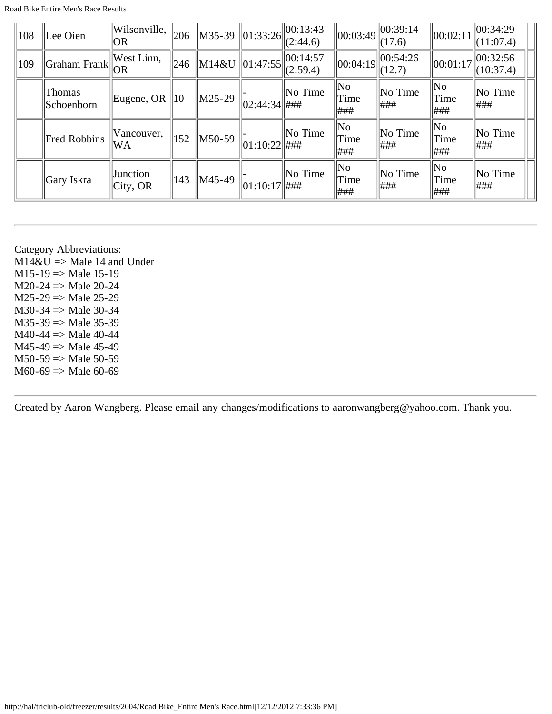| $\parallel$ 108 | Lee Oien             | $\ $ Wilsonville, $\ $ <sub>206</sub><br> OR |              |                  |                  | $\ $ M35-39 $\ $ 01:33:26 $\ $ O0:13:43<br>(2:44.6) |                         | $\ 00:03:49\ 00:39:14$<br>(17.6) | 00:02:11                    | 00:34:29<br>(11:07.4) |
|-----------------|----------------------|----------------------------------------------|--------------|------------------|------------------|-----------------------------------------------------|-------------------------|----------------------------------|-----------------------------|-----------------------|
| $ 109\rangle$   | Graham Frank         | West Linn,<br>OR                             | 246          | M14&U   01:47:55 |                  | $\ 00:14:57$<br>(2:59.4)                            | $\ 00:04:19\ $          | $\ 00:54:26$<br>(12.7)           | $\vert 00:01:17 \vert$      | 00:32:56<br>(10:37.4) |
|                 | Thomas<br>Schoenborn | Eugene, OR                                   | $ 10\rangle$ | $\vert$ M25-29   | $ 02:44:34 $ ### | No Time                                             | No<br>Time<br> ###      | No Time<br>###                   | No<br>Time<br>###           | $\ $ No Time<br> ###  |
|                 | <b>Fred Robbins</b>  | Vancouver,<br>lWΑ                            | 152          | M50-59           | 01:10:22  #HH    | No Time                                             | No<br>Time<br> ###      | No Time<br>###                   | $\ $ No<br>Time<br>###      | $\ $ No Time<br>###   |
|                 | Gary Iskra           | Junction<br> City, OR                        | 143          | M45-49           | 01:10:17  #HH    | No Time                                             | $\ $ No<br>Time<br> ### | No Time<br>###                   | $\ $ No<br>$\ $ Time<br>### | $\ $ No Time<br> ###  |

Category Abbreviations:  $M14\&U \Rightarrow Male 14$  and Under  $M15-19 \Rightarrow Male 15-19$  $M20-24$  => Male 20-24  $M25-29 \Rightarrow Male 25-29$  $M30-34$  => Male 30-34  $M35-39 \Rightarrow Male 35-39$  $M40-44 \Rightarrow$  Male 40-44  $M45-49 \Rightarrow Male 45-49$  $M50-59 \Rightarrow Male 50-59$  $M60-69 \Rightarrow Male 60-69$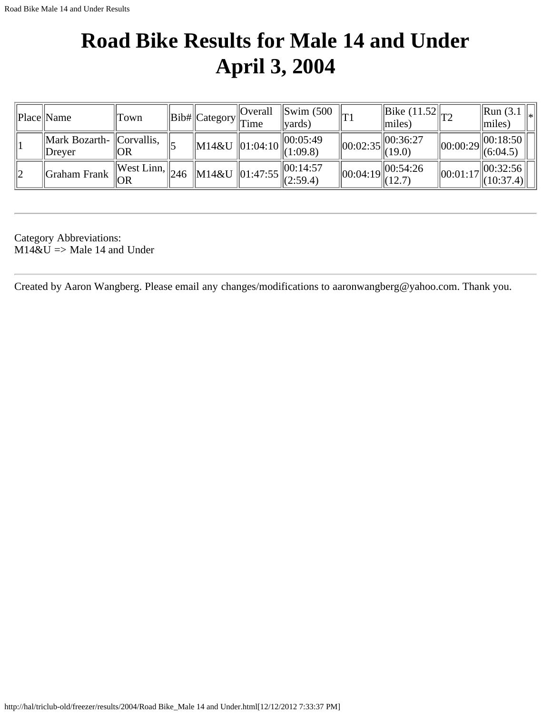## <span id="page-32-0"></span>**Road Bike Results for Male 14 and Under April 3, 2004**

| Place  Name                                  | 'Town                               | $\ Bib\ $ Category $\ T\ $ | Overall | $\parallel$ Swim (500<br>vards)                                 |                | $\left\  \frac{\text{Bike}}{\text{Bik}} \left( \frac{11.52}{\text{T2}} \right) \right\ $<br>$\vert \vert$ miles) |          | $\parallel$ Run (3.1<br>$\parallel$ miles)                                                                                                                                                                                                                                                                                           |
|----------------------------------------------|-------------------------------------|----------------------------|---------|-----------------------------------------------------------------|----------------|------------------------------------------------------------------------------------------------------------------|----------|--------------------------------------------------------------------------------------------------------------------------------------------------------------------------------------------------------------------------------------------------------------------------------------------------------------------------------------|
| $\ $ Mark Bozarth- $\ $ Corvallis,<br>Drever | OR                                  | $\ M14\&U\ 01:04:10\ $     |         | 00:05:49<br>$\ $ (1:09.8)                                       | $\ 00:02:35\ $ | .  00:36:27<br>$\ $ (19.0)                                                                                       |          | $\frac{1}{2}$ $\frac{1}{2}$ $\frac{1}{2}$ $\frac{1}{2}$ $\frac{1}{2}$ $\frac{1}{2}$ $\frac{1}{2}$ $\frac{1}{2}$ $\frac{1}{2}$ $\frac{1}{2}$ $\frac{1}{2}$ $\frac{1}{2}$ $\frac{1}{2}$ $\frac{1}{2}$ $\frac{1}{2}$ $\frac{1}{2}$ $\frac{1}{2}$ $\frac{1}{2}$ $\frac{1}{2}$ $\frac{1}{2}$ $\frac{1}{2}$ $\frac{1}{2}$<br>$\ $ (6:04.5) |
| Graham Frank                                 | $  West Linn,   _{246}   v$<br>' OR |                            |         | ro $\ M14\&U\ 01:47:55\ _{(2:59.4)}^{\cup\cup\cdots\cup\cdots}$ | $\ 00:04:19\ $ | $\vert$  00:54:26<br>$\ $ (12.7)                                                                                 | 00:01:17 | 00:32:56 <br>$\ $ (10:37.4) $\ $                                                                                                                                                                                                                                                                                                     |

Category Abbreviations:  $M14\&U \Rightarrow Male 14$  and Under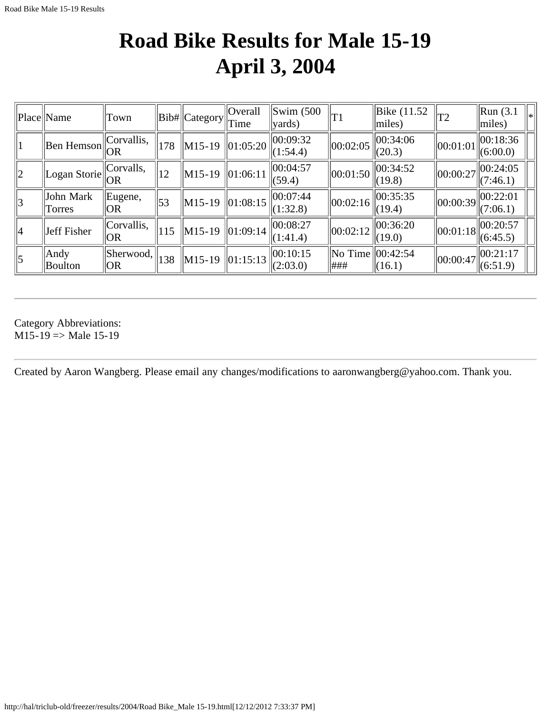## **Road Bike Results for Male 15-19 April 3, 2004**

<span id="page-33-0"></span>

|                | Place Name             | Town              |            | Bib#  Category | <b>Overall</b><br>Time | $\left  \text{Swim } (500 \right $<br>$\vert \text{vards} \rangle$ | T1                  | Bike (11.52)<br>$\vert$ miles) | T2       | $\parallel$ Run (3.1)<br>$ $ miles) | $\left\vert _{*}\right\vert$ |
|----------------|------------------------|-------------------|------------|----------------|------------------------|--------------------------------------------------------------------|---------------------|--------------------------------|----------|-------------------------------------|------------------------------|
|                | $\ $ Ben Hemson $\ $   | Corvallis,<br> OR | 178        | $\ M15-19\ $   | 01:05:20               | 00:09:32<br>(1:54.4)                                               | 00:02:05            | 00:34:06<br>(20.3)             | 00:01:01 | 00:18:36<br>(6:00.0)                |                              |
| $ 2\rangle$    | Logan Storie           | Corvalls,<br> OR  | 12         | $\ M15-19\ $   | 01:06:11               | 00:04:57<br>(59.4)                                                 | $\ 00:01:50\ $      | 00:34:52<br>(19.8)             | 00:00:27 | 00:24:05<br>(7:46.1)                |                              |
| $ 3\rangle$    | John Mark<br>Torres    | Eugene,<br> OR    | $\vert$ 53 | $\ M15-19\ $   | 01:08:15               | 00:07:44<br>(1:32.8)                                               | 00:02:16            | 00:35:35<br>(19.4)             | 00:00:39 | 00:22:01<br>(7:06.1)                |                              |
| 14             | Jeff Fisher            | Corvallis,<br> OR | 115        | $\ M15-19\ $   | 01:09:14               | 00:08:27<br>(1:41.4)                                               | 00:02:12            | 00:36:20<br>(19.0)             | 00:01:18 | 00:20:57<br>(6:45.5)                |                              |
| $\overline{5}$ | Andy<br><b>Boulton</b> | Sherwood,<br> OR  | 138        | $\ M15-19\ $   | 01:15:13               | 00:10:15<br>(2:03.0)                                               | $\ $ No Time<br>### | 00:42:54<br>(16.1)             | 00:00:47 | 00:21:17<br>(6:51.9)                |                              |

Category Abbreviations:  $M15-19 \Rightarrow Male 15-19$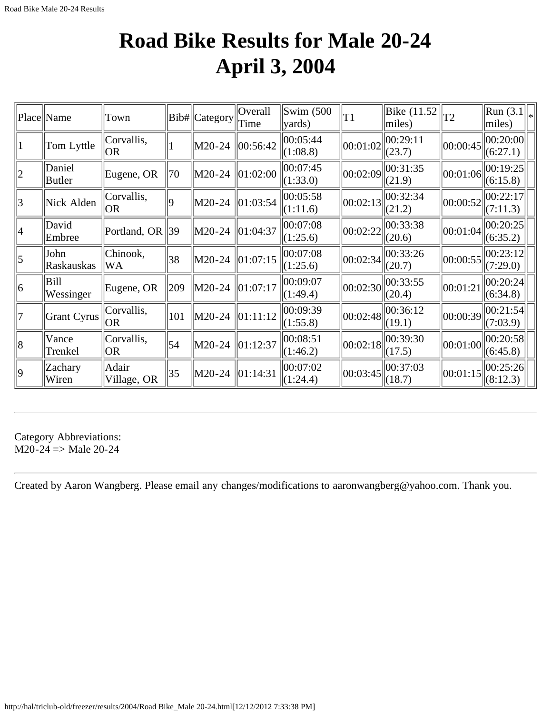## **Road Bike Results for Male 20-24 April 3, 2004**

<span id="page-34-0"></span>

|                | Place  Name             | Town                    |     | Bib# Category | Overall<br>Time | Swim $(500)$<br>$\vert$ yards) | T1       | Bike $(11.52)$<br>miles)                       | T2       | $\left\  \text{Run}(3.1) \right\ _*$<br>$ $ miles) |  |
|----------------|-------------------------|-------------------------|-----|---------------|-----------------|--------------------------------|----------|------------------------------------------------|----------|----------------------------------------------------|--|
|                | Tom Lyttle              | Corvallis,<br> OR       | 1   | M20-24        | 00:56:42        | 00:05:44 <br>(1:08.8)          |          | $\left\  00:01:02 \right\ $<br>(23.7)          | 00:00:45 | 00:20:00 <br>(6:27.1)                              |  |
| $ 2\rangle$    | Daniel<br><b>Butler</b> | Eugene, OR              | 70  | M20-24        | 01:02:00        | 00:07:45<br>(1:33.0)           |          | $\ 00:02:09\ $<br>(21.9)                       | 00:01:06 | 00:19:25 <br>(6:15.8)                              |  |
| 3              | Nick Alden              | Corvallis,<br> OR       | 9   | M20-24        | 01:03:54        | 00:05:58<br>(1:11.6)           | 00:02:13 | 00:32:34<br>(21.2)                             | 00:00:52 | 00:22:17 <br>(7:11.3)                              |  |
| 4              | David<br>Embree         | Portland, OR 39         |     | M20-24        | 01:04:37        | 00:07:08<br>(1:25.6)           | 00:02:22 | 00:33:38<br>(20.6)                             | 00:01:04 | 00:20:25 <br>(6:35.2)                              |  |
| $\overline{5}$ | John<br>Raskauskas      | Chinook,<br><b>WA</b>   | 38  | M20-24        | 01:07:15        | 00:07:08<br>(1:25.6)           | 00:02:34 | 00:33:26<br>(20.7)                             | 00:00:55 | 00:23:12 <br>(7:29.0)                              |  |
| 6              | Bill<br>Wessinger       | Eugene, OR              | 209 | M20-24        | 01:07:17        | 00:09:07<br>(1:49.4)           | 00:02:30 | 00:33:55<br>(20.4)                             | 00:01:21 | 00:20:24 <br>(6:34.8)                              |  |
| 7              | Grant Cyrus             | Corvallis,<br> OR       | 101 | M20-24        | 01:11:12        | 00:09:39<br>(1:55.8)           |          | $\ 00:02:48\ _{\infty}^{00:36:12}$<br> (19.1)  | 00:00:39 | 00:21:54 <br>(7:03.9)                              |  |
| 8              | Vance<br>Trenkel        | Corvallis,<br><b>OR</b> | 54  | M20-24        | 01:12:37        | 00:08:51<br>(1:46.2)           |          | $\left\  00:02:18 \right\  00:39:30$<br>(17.5) | 00:01:00 | 00:20:58 <br>(6:45.8)                              |  |
| $ 9\rangle$    | Zachary<br>Wiren        | Adair<br>Village, OR    | 35  | M20-24        | 01:14:31        | 00:07:02<br>(1:24.4)           | 00:03:45 | 00:37:03<br> (18.7)                            | 00:01:15 | 00:25:26 <br>(8:12.3)                              |  |

Category Abbreviations:  $M20-24$  => Male 20-24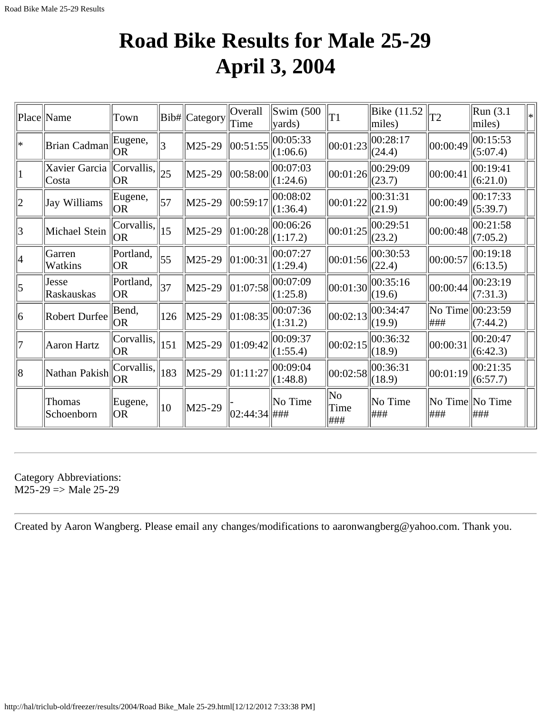## **Road Bike Results for Male 25-29 April 3, 2004**

<span id="page-35-0"></span>

|                 | Place  Name                | Town              |              | Bib# Category | Overall<br>Time | $\text{Swim}\; (500$<br>yards) | T1                | Bike (11.52<br>miles)                                     | T2                       | Run(3.1)<br>miles)   | lж |
|-----------------|----------------------------|-------------------|--------------|---------------|-----------------|--------------------------------|-------------------|-----------------------------------------------------------|--------------------------|----------------------|----|
| $\ast$          | Brian Cadman               | Eugene,<br> OR    | 3            | M25-29        | 00:51:55        | 00:05:33<br>(1:06.6)           | 00:01:23          | 00:28:17<br>(24.4)                                        | 00:00:49                 | 00:15:53<br>(5:07.4) |    |
| 1               | Xavier Garcia<br>Costa     | Corvallis <br> OR | $ 25\rangle$ | M25-29        | 00:58:00        | 00:07:03<br>(1:24.6)           | 00:01:26          | 00:29:09<br>(23.7)                                        | 00:00:41                 | 00:19:41<br>(6:21.0) |    |
| $ 2\rangle$     | Jay Williams               | Eugene,<br> OR    | 57           | M25-29        | 00:59:17        | 00:08:02<br>(1:36.4)           | 00:01:22          | $\ 00:31:31$<br>(21.9)                                    | 00:00:49                 | 00:17:33<br>(5:39.7) |    |
| $\vert 3 \vert$ | Michael Stein              | Corvallis,<br> OR | 15           | M25-29        | 01:00:28        | 00:06:26<br>(1:17.2)           | 00:01:25          | 00:29:51<br>(23.2)                                        | 00:00:48                 | 00:21:58<br>(7:05.2) |    |
| 4               | Garren<br>Watkins          | Portland,<br> OR  | 55           | M25-29        | 01:00:31        | 00:07:27<br>(1:29.4)           | 00:01:56          | 00:30:53<br>(22.4)                                        | 00:00:57                 | 00:19:18<br>(6:13.5) |    |
| $\vert$ 5       | Jesse<br><b>Raskauskas</b> | Portland,<br> OR  | 37           | M25-29        | 01:07:58        | 00:07:09<br>(1:25.8)           |                   | $\left\  00:01:30 \right\ _{\infty}^{2}$<br>(19.6)        | 00:00:44                 | 00:23:19<br>(7:31.3) |    |
| 6               | Robert Durfee              | Bend,<br> OR      | 126          | M25-29        | 01:08:35        | 00:07:36<br>(1:31.2)           | 00:02:13          | 00:34:47<br>(19.9)                                        | No Time<br> ###          | 00:23:59<br>(7:44.2) |    |
| 7               | Aaron Hartz                | Corvallis,<br> OR | 151          | M25-29        | 01:09:42        | 00:09:37<br>(1:55.4)           | 00:02:15          | 00:36:32<br>(18.9)                                        | 00:00:31                 | 00:20:47<br>(6:42.3) |    |
| 8               | Nathan Pakish              | Corvallis <br> OR | 183          | M25-29        | 01:11:27        | 00:09:04<br>(1:48.8)           |                   | $\left\  00:02:58 \right\  00:\overline{36:31}$<br>(18.9) | 00:01:19                 | 00:21:35<br>(6:57.7) |    |
|                 | Thomas<br>Schoenborn       | Eugene,<br> OR    | $ 10\rangle$ | M25-29        | 02:44:34 ###    | No Time                        | No<br>Time<br>### | No Time<br> ###                                           | No Time  No Time<br> ### | ###                  |    |

Category Abbreviations:  $M25-29 \Rightarrow Male 25-29$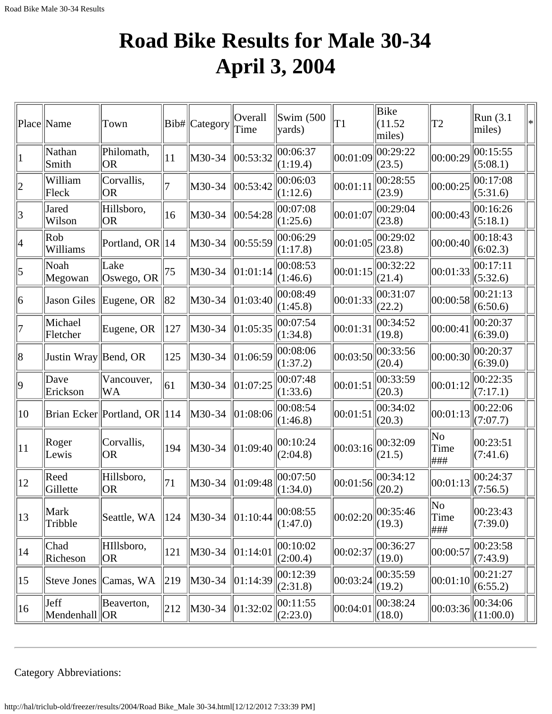# **Road Bike Results for Male 30-34 April 3, 2004**

|              | Place Name            | Town                          |     | Bib# Category | Overall<br>Time | $\text{Swim}\; (500$<br>$\vert$ yards) | T1       | Bike<br>(11.52)<br>miles) | T2                 | Run (3.1)<br>miles)   | ∗ |
|--------------|-----------------------|-------------------------------|-----|---------------|-----------------|----------------------------------------|----------|---------------------------|--------------------|-----------------------|---|
| П            | Nathan<br>Smith       | Philomath,<br><b>OR</b>       | 11  | M30-34        | 00:53:32        | 00:06:37<br>(1:19.4)                   | 00:01:09 | 00:29:22<br>(23.5)        | 00:00:29           | 00:15:55<br>(5:08.1)  |   |
| 2            | William<br>Fleck      | Corvallis,<br>OR              | 7   | M30-34        | 00:53:42        | 00:06:03<br>(1:12.6)                   | 00:01:11 | 00:28:55<br>(23.9)        | 00:00:25           | 00:17:08<br>(5:31.6)  |   |
| 3            | Jared<br>Wilson       | Hillsboro,<br><b>OR</b>       | 16  | M30-34        | 00:54:28        | 00:07:08<br>(1:25.6)                   | 00:01:07 | 00:29:04<br>(23.8)        | 00:00:43           | 00:16:26<br>(5:18.1)  |   |
| 4            | Rob<br>Williams       | Portland, OR  14              |     | M30-34        | 00:55:59        | 00:06:29<br>(1:17.8)                   | 00:01:05 | 00:29:02<br>(23.8)        | 00:00:40           | 00:18:43<br>(6:02.3)  |   |
| 5            | Noah<br>Megowan       | Lake<br>Oswego, OR            | 75  | M30-34        | 01:01:14        | 00:08:53<br>(1:46.6)                   | 00:01:15 | 00:32:22<br>(21.4)        | 00:01:33           | 00:17:11<br>(5:32.6)  |   |
| 6            | Jason Giles           | Eugene, OR                    | 82  | M30-34        | 01:03:40        | 00:08:49<br>(1:45.8)                   | 00:01:33 | 00:31:07<br>(22.2)        | 00:00:58           | 00:21:13<br>(6:50.6)  |   |
| 17           | Michael<br>Fletcher   | Eugene, OR                    | 127 | M30-34        | 01:05:35        | 00:07:54<br>(1:34.8)                   | 00:01:31 | 00:34:52<br>(19.8)        | 00:00:41           | 00:20:37<br>(6:39.0)  |   |
| 8            | Justin Wray Bend, OR  |                               | 125 | M30-34        | $\ 01:06:59$    | 00:08:06<br>(1:37.2)                   | 00:03:50 | 00:33:56<br>(20.4)        | 00:00:30           | 00:20:37<br>(6:39.0)  |   |
| $ 9\rangle$  | Dave<br>Erickson      | Vancouver,<br>WA              | 61  | M30-34        | $\ 01:07:25$    | 00:07:48<br>(1:33.6)                   | 00:01:51 | 00:33:59<br>(20.3)        | 00:01:12           | 00:22:35<br>(7:17.1)  |   |
| 10           |                       | Brian Ecker Portland, OR 114  |     | M30-34        | 01:08:06        | 00:08:54<br>(1:46.8)                   | 00:01:51 | 00:34:02<br>(20.3)        | 00:01:13           | 00:22:06<br>(7:07.7)  |   |
| $ 11\rangle$ | Roger<br>Lewis        | Corvallis,<br><b>OR</b>       | 194 | M30-34        | 01:09:40        | 00:10:24<br>(2:04.8)                   | 00:03:16 | 00:32:09<br>(21.5)        | No<br>Time<br> ### | 00:23:51<br>(7:41.6)  |   |
| $ 12\rangle$ | Reed<br>Gillette      | Hillsboro,<br><b>OR</b>       | 71  | M30-34        | 01:09:48        | 00:07:50<br>(1:34.0)                   | 00:01:56 | 00:34:12<br>(20.2)        | 00:01:13           | 00:24:37<br>(7:56.5)  |   |
| 13           | Mark<br>Tribble       | Seattle, WA                   | 124 | M30-34        | 01:10:44        | 00:08:55<br>(1:47.0)                   | 00:02:20 | 00:35:46<br>(19.3)        | No<br>Time<br>###  | 00:23:43<br>(7:39.0)  |   |
| $ 14\rangle$ | Chad<br>Richeson      | HIllsboro,<br>OR <sub>.</sub> | 121 | M30-34        | 01:14:01        | 00:10:02 <br>(2:00.4)                  | 00:02:37 | 00:36:27<br>(19.0)        | 00:00:57           | 00:23:58<br>(7:43.9)  |   |
| $ 15\rangle$ | Steve Jones           | Camas, WA                     | 219 | M30-34        | $\ 01:14:39$    | 00:12:39<br>(2:31.8)                   | 00:03:24 | 00:35:59<br>(19.2)        | 00:01:10           | 00:21:27<br>(6:55.2)  |   |
| $ 16\rangle$ | Jeff<br>Mendenhall OR | Beaverton,                    | 212 | M30-34        | 01:32:02        | 00:11:55<br>(2:23.0)                   | 00:04:01 | 00:38:24<br>(18.0)        | 00:03:36           | 00:34:06<br>(11:00.0) |   |

Category Abbreviations: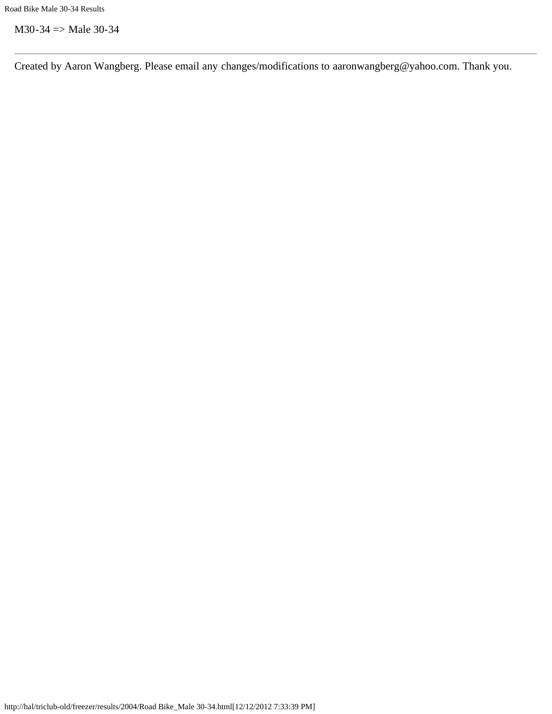$M30-34 \implies Male 30-34$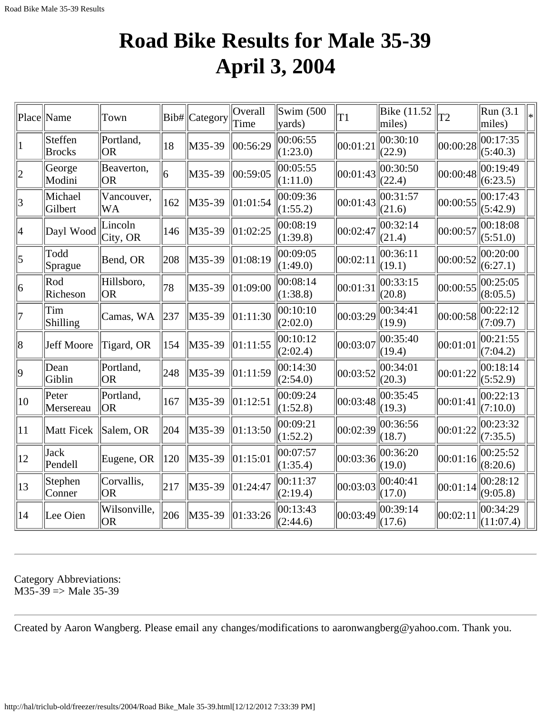#### **Road Bike Results for Male 35-39 April 3, 2004**

|                          | Place Name                  | Town                      | Bib#          | $\ $ Category $\ $ Time | Overall      | $\mathrm{Swim}\;$ (500<br>$\vert$ yards) | T1       | Bike (11.52<br>miles) | T <sub>2</sub> | Run(3.1)<br>miles)    | ∗ |
|--------------------------|-----------------------------|---------------------------|---------------|-------------------------|--------------|------------------------------------------|----------|-----------------------|----------------|-----------------------|---|
|                          | Steffen<br><b>Brocks</b>    | Portland,<br><b>OR</b>    | 18            | M35-39                  | 00:56:29     | 00:06:55<br>(1:23.0)                     | 00:01:21 | 00:30:10<br>(22.9)    | 00:00:28       | 00:17:35<br>(5:40.3)  |   |
| $\overline{2}$           | George<br>Modini            | Beaverton,<br><b>OR</b>   | 6             | M35-39                  | 00:59:05     | 00:05:55<br>(1:11.0)                     | 00:01:43 | 00:30:50<br>(22.4)    | 00:00:48       | 00:19:49<br>(6:23.5)  |   |
| 3                        | Michael<br>Gilbert          | Vancouver,<br><b>WA</b>   | $ 162\rangle$ | M35-39                  | $\ 01:01:54$ | 00:09:36<br>(1:55.2)                     | 00:01:43 | 00:31:57<br>(21.6)    | 00:00:55       | 00:17:43<br>(5:42.9)  |   |
| $\overline{\mathcal{A}}$ | Dayl Wood                   | Lincoln<br>City, OR       | 146           | $M35-39$                | 01:02:25     | 00:08:19<br>(1:39.8)                     | 00:02:47 | 00:32:14<br>(21.4)    | 00:00:57       | 00:18:08<br>(5:51.0)  |   |
| 5                        | Todd<br>Sprague             | Bend, OR                  | 208           | M35-39                  | 01:08:19     | 00:09:05<br>(1:49.0)                     | 00:02:11 | 00:36:11<br>(19.1)    | 00:00:52       | 00:20:00<br>(6:27.1)  |   |
| 6                        | $\mathsf{Ro}$ d<br>Richeson | Hillsboro,<br>OR.         | 78            | M35-39                  | 01:09:00     | 00:08:14<br>(1:38.8)                     | 00:01:31 | 00:33:15<br>(20.8)    | 00:00:55       | 00:25:05<br>(8:05.5)  |   |
| 7                        | Tim<br>Shilling             | Camas, WA                 | 237           | M35-39                  | 01:11:30     | 00:10:10<br>(2:02.0)                     | 00:03:29 | 00:34:41<br>(19.9)    | 00:00:58       | 00:22:12<br>(7:09.7)  |   |
| 8                        | Jeff Moore                  | Tigard, OR                | 154           | M35-39                  | 01:11:55     | 00:10:12<br>(2:02.4)                     | 00:03:07 | 00:35:40<br>(19.4)    | 00:01:01       | 00:21:55<br>(7:04.2)  |   |
| 9                        | Dean<br>Giblin              | Portland,<br><b>OR</b>    | 248           | M35-39                  | 01:11:59     | 00:14:30<br>(2:54.0)                     | 00:03:52 | 00:34:01<br>(20.3)    | 00:01:22       | 00:18:14<br>(5:52.9)  |   |
| 10                       | Peter<br>Mersereau          | Portland,<br> OR          | 167           | M35-39                  | 01:12:51     | 00:09:24<br>(1:52.8)                     | 00:03:48 | 00:35:45<br>(19.3)    | 00:01:41       | 00:22:13<br>(7:10.0)  |   |
| 11                       | Matt Ficek                  | Salem, OR                 | 204           | M35-39                  | 01:13:50     | 00:09:21<br>(1:52.2)                     | 00:02:39 | 00:36:56<br>(18.7)    | 00:01:22       | 00:23:32<br>(7:35.5)  |   |
| 12                       | Jack<br>Pendell             | Eugene, OR                | 120           | M35-39                  | 01:15:01     | 00:07:57<br>(1:35.4)                     | 00:03:36 | 00:36:20<br>(19.0)    | 00:01:16       | 00:25:52<br>(8:20.6)  |   |
| 13                       | Stephen<br>Conner           | Corvallis,<br> OR         | 217           | M35-39                  | 01:24:47     | 00:11:37<br>(2:19.4)                     | 00:03:03 | 00:40:41<br>(17.0)    | 00:01:14       | 00:28:12<br>(9:05.8)  |   |
| 14                       | Lee Oien                    | Wilsonville,<br><b>OR</b> | 206           | M35-39                  | 01:33:26     | 00:13:43<br>(2:44.6)                     | 00:03:49 | 00:39:14<br>(17.6)    | 00:02:11       | 00:34:29<br>(11:07.4) |   |

Category Abbreviations:  $M35-39 \Rightarrow Male 35-39$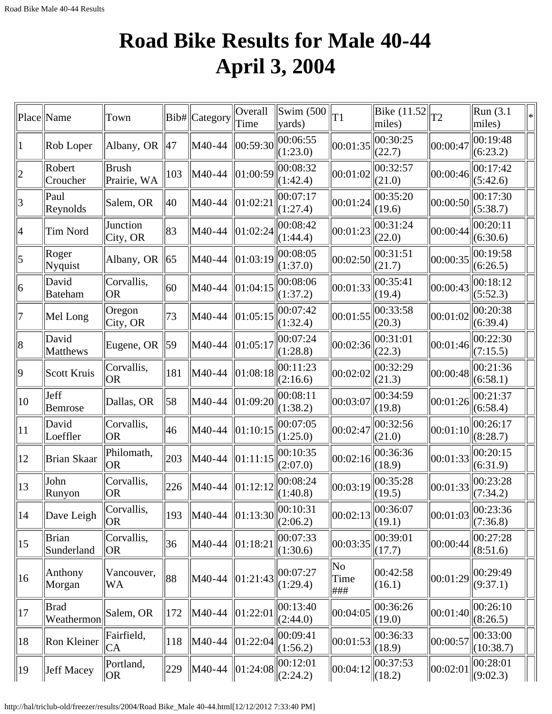# **Road Bike Results for Male 40-44 April 3, 2004**

|                | Place Name                 | Town                        |     | Bib# Category | Overall<br>Time                    | $\vert$ Swim (500 $\vert$<br>$\vert$ yards) | T1                 | Bike $(11.52)$<br>miles)         | T2       | Run (3.1<br>miles)    | l∗ |
|----------------|----------------------------|-----------------------------|-----|---------------|------------------------------------|---------------------------------------------|--------------------|----------------------------------|----------|-----------------------|----|
| 1              | Rob Loper                  | Albany, OR                  | 47  | M40-44        | 00:59:30                           | 00:06:55<br>(1:23.0)                        | 00:01:35           | 00:30:25<br>(22.7)               | 00:00:47 | 00:19:48<br>(6:23.2)  |    |
| $\overline{2}$ | Robert<br>Croucher         | <b>Brush</b><br>Prairie, WA | 103 | M40-44        | 01:00:59                           | 00:08:32<br>(1:42.4)                        | 00:01:02           | 00:32:57<br>(21.0)               | 00:00:46 | 00:17:42<br>(5:42.6)  |    |
| 3              | Paul<br>Reynolds           | Salem, OR                   | 40  | M40-44        | 01:02:21                           | 00:07:17<br>(1:27.4)                        | 00:01:24           | 00:35:20<br>(19.6)               | 00:00:50 | 00:17:30<br>(5:38.7)  |    |
| 4              | Tim Nord                   | Junction<br>City, OR        | 83  | M40-44        | 01:02:24                           | 00:08:42<br>(1:44.4)                        | 00:01:23           | 00:31:24<br>(22.0)               | 00:00:44 | 00:20:11<br>(6:30.6)  |    |
| 5              | Roger<br>Nyquist           | Albany, OR                  | 65  | M40-44        | 01:03:19                           | 00:08:05<br>(1:37.0)                        | 00:02:50           | 00:31:51<br>(21.7)               | 00:00:35 | 00:19:58<br>(6:26.5)  |    |
| 6              | David<br>Bateham           | Corvallis,<br><b>OR</b>     | 60  | M40-44        | 01:04:15                           | 00:08:06<br>(1:37.2)                        | 00:01:33           | 00:35:41<br>(19.4)               | 00:00:43 | 00:18:12<br>(5:52.3)  |    |
| 7              | Mel Long                   | Oregon<br>City, OR          | 73  | M40-44        | 01:05:15                           | 00:07:42<br>(1:32.4)                        | 00:01:55           | 00:33:58<br>(20.3)               | 00:01:02 | 00:20:38<br>(6:39.4)  |    |
| 8              | David<br>Matthews          | Eugene, OR                  | 59  | M40-44        | 01:05:17                           | 00:07:24<br>(1:28.8)                        | 00:02:36           | 00:31:01<br>(22.3)               | 00:01:46 | 00:22:30<br>(7:15.5)  |    |
| 9              | Scott Kruis                | Corvallis,<br><b>OR</b>     | 181 | M40-44        | 01:08:18                           | 00:11:23<br>(2:16.6)                        | 00:02:02           | 00:32:29<br>(21.3)               | 00:00:48 | 00:21:36<br>(6:58.1)  |    |
| 10             | Jeff<br>Bemrose            | Dallas, OR                  | 58  | M40-44        | 01:09:20                           | 00:08:11<br>(1:38.2)                        | 00:03:07           | 00:34:59<br>(19.8)               | 00:01:26 | 00:21:37<br>(6:58.4)  |    |
| 11             | David<br>Loeffler          | Corvallis,<br><b>OR</b>     | 46  | M40-44        | 01:10:15                           | 00:07:05<br>(1:25.0)                        | 00:02:47           | 00:32:56<br>(21.0)               | 00:01:10 | 00:26:17<br>(8:28.7)  |    |
| 12             | Brian Skaar                | Philomath,<br><b>OR</b>     | 203 | M40-44        | 01:11:15                           | 00:10:35<br>(2:07.0)                        | 00:02:16           | 00:36:36<br>(18.9)               | 00:01:33 | 00:20:15<br>(6:31.9)  |    |
| 13             | John<br>Runyon             | Corvallis,<br><b>OR</b>     | 226 | M40-44        | 01:12:12                           | 00:08:24<br>(1:40.8)                        | 00:03:19           | 00:35:28<br>(19.5)               | 00:01:33 | 00:23:28<br>(7:34.2)  |    |
| 14             | Dave Leigh                 | Corvallis,<br><b>OR</b>     | 193 | M40-44        | $\ 01:13:30\ _{\infty}^{00:10:31}$ | (2:06.2)                                    |                    | $\ 00:02:13\ 00:36:07$<br>(19.1) | 00:01:03 | 00:23:36<br>(7:36.8)  |    |
| 15             | <b>Brian</b><br>Sunderland | Corvallis,<br><b>OR</b>     | 36  | M40-44        | 01:18:21                           | 00:07:33<br>(1:30.6)                        | 00:03:35           | 00:39:01<br>(17.7)               | 00:00:44 | 00:27:28<br>(8:51.6)  |    |
| 16             | Anthony<br>Morgan          | Vancouver,<br>WA            | 88  | M40-44        | 01:21:43                           | 00:07:27<br>(1:29.4)                        | No<br>Time<br> ### | 00:42:58<br>(16.1)               | 00:01:29 | 00:29:49<br>(9:37.1)  |    |
| 17             | Brad<br>Weathermon         | Salem, OR                   | 172 | M40-44        | 01:22:01                           | 00:13:40<br>(2:44.0)                        | 00:04:05           | 00:36:26<br>(19.0)               | 00:01:40 | 00:26:10<br>(8:26.5)  |    |
| 18             | Ron Kleiner                | Fairfield,<br>CA            | 118 | M40-44        | 01:22:04                           | 00:09:41<br>(1:56.2)                        | 00:01:53           | 00:36:33<br>(18.9)               | 00:00:57 | 00:33:00<br>(10:38.7) |    |
| 19             | Jeff Macey                 | Portland,<br> OR            | 229 | M40-44        | 01:24:08                           | 00:12:01<br> (2:24.2)                       | 00:04:12           | 00:37:53<br>$\ (18.2)$           | 00:02:01 | 00:28:01<br>(9:02.3)  |    |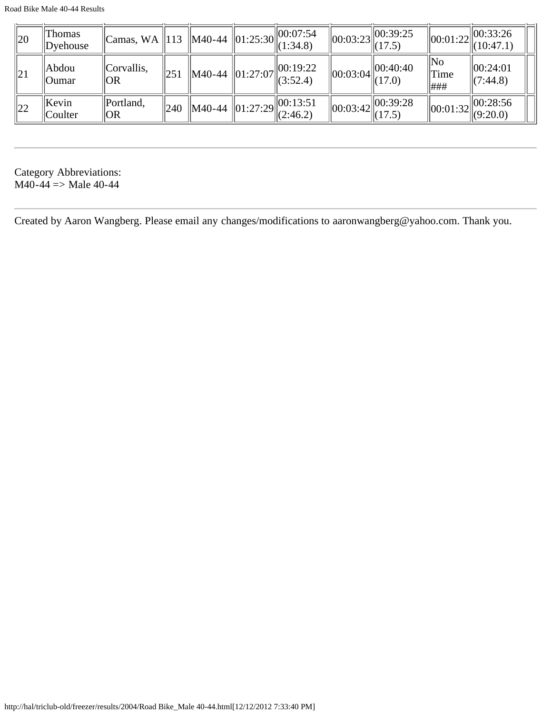Road Bike Male 40-44 Results

| $\parallel$ 20 | Thomas<br>Dyehouse    | $\ $ Camas, WA $\ $ 113 $\ $ M40-44 $\ $ 01:25:30 $\ $ 00:07:54 |                  |                | $\Vert (1:34.8)$                                 | $\left\Vert 00:03:23\right\Vert 1$ | $\vert$  00:39:25<br>(17.5) |                    | $\ 00:01:22\ ^{00:33:26}$<br>$\Vert (10:47.1)$ |
|----------------|-----------------------|-----------------------------------------------------------------|------------------|----------------|--------------------------------------------------|------------------------------------|-----------------------------|--------------------|------------------------------------------------|
| 21             | Abdou<br><b>Oumar</b> | Corvallis,<br> OR                                               | 251              | M40-44         | 00:19:22<br>+4 $  01:27:07  $ (3:52.4)           | $\ 00:03:04\ $                     | 00:40:40<br>(17.0)          | ∥No<br>Time<br>### | 00:24:01<br>$\Vert$ (7:44.8)                   |
| 22             | Kevin<br>Coulter      | Portland,<br> OR                                                | $^{\prime}$  240 | $\vert$ M40-44 | $\vert$ 00:13:51<br>$44$   01:27:29   $(2:46.2)$ | $\vert 00:03:42 \vert \vert$       | 00:39:28<br>$\ $ (17.5)     |                    | 00:28:56<br>$\ 00:01:32\ _{(9:20.0)}^{\infty}$ |

Category Abbreviations:  $M40-44 \Rightarrow Male 40-44$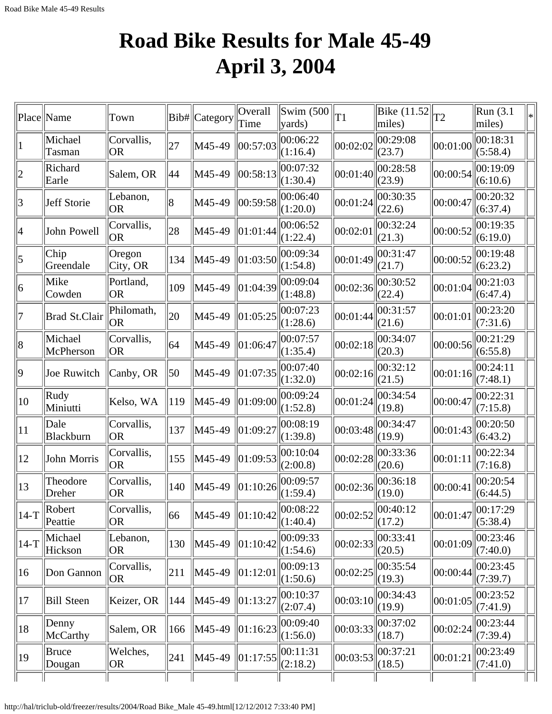# **Road Bike Results for Male 45-49 April 3, 2004**

|                          | Place  Name          | Town                    | Bib# | Category | Overall<br>Time | Swim $(500)$<br>$\vert$ yards)                     | T1       | Bike $(11.52$ <sub>T2</sub><br>miles) |                                           | Run(3.1)<br>miles)   | ∗∣ |
|--------------------------|----------------------|-------------------------|------|----------|-----------------|----------------------------------------------------|----------|---------------------------------------|-------------------------------------------|----------------------|----|
|                          | Michael<br>Tasman    | Corvallis,<br><b>OR</b> | 27   | M45-49   | 00:57:03        | 00:06:22<br>(1:16.4)                               | 00:02:02 | 00:29:08<br>(23.7)                    | 00:01:00                                  | 00:18:31<br>(5:58.4) |    |
| $\overline{2}$           | Richard<br>Earle     | Salem, OR               | 44   | M45-49   | 00:58:13        | 00:07:32<br>(1:30.4)                               | 00:01:40 | 00:28:58<br>(23.9)                    | 00:00:54                                  | 00:19:09<br>(6:10.6) |    |
| $\overline{3}$           | Jeff Storie          | Lebanon,<br><b>OR</b>   | 18   | M45-49   | 00:59:58        | 00:06:40<br>(1:20.0)                               | 00:01:24 | 00:30:35<br>(22.6)                    | 00:00:47                                  | 00:20:32<br>(6:37.4) |    |
| $\overline{\mathcal{A}}$ | John Powell          | Corvallis,<br><b>OR</b> | 28   | M45-49   | 01:01:44        | 00:06:52<br>(1:22.4)                               | 00:02:01 | 00:32:24<br>(21.3)                    | 00:00:52                                  | 00:19:35<br>(6:19.0) |    |
| 5                        | Chip <br>Greendale   | Oregon<br>City, OR      | 134  | M45-49   | 01:03:50        | 00:09:34<br>(1:54.8)                               | 00:01:49 | 00:31:47<br>(21.7)                    | 00:00:52                                  | 00:19:48<br>(6:23.2) |    |
| 6                        | Mike<br>Cowden       | Portland,<br><b>OR</b>  | 109  | M45-49   | 01:04:39        | 00:09:04<br>(1:48.8)                               | 00:02:36 | 00:30:52<br>(22.4)                    | 00:01:04                                  | 00:21:03<br>(6:47.4) |    |
| 7                        | <b>Brad St.Clair</b> | Philomath,<br><b>OR</b> | 20   | M45-49   | 01:05:25        | 00:07:23<br>(1:28.6)                               | 00:01:44 | 00:31:57<br>(21.6)                    | 00:01:01                                  | 00:23:20<br>(7:31.6) |    |
| $\vert 8$                | Michael<br>McPherson | Corvallis,<br><b>OR</b> | 64   | M45-49   | 01:06:47        | 00:07:57<br>(1:35.4)                               | 00:02:18 | 00:34:07<br>(20.3)                    | 00:00:56                                  | 00:21:29<br>(6:55.8) |    |
| $ 9\rangle$              | Joe Ruwitch          | Canby, OR               | 50   | M45-49   | 01:07:35        | 00:07:40<br>(1:32.0)                               | 00:02:16 | 00:32:12<br>(21.5)                    | 00:01:16                                  | 00:24:11<br>(7:48.1) |    |
| 10                       | Rudy<br>Miniutti     | Kelso, WA               | 119  | M45-49   | 01:09:00        | 00:09:24<br>(1:52.8)                               | 00:01:24 | 00:34:54<br>(19.8)                    | 00:00:47                                  | 00:22:31<br>(7:15.8) |    |
| 11                       | Dale<br>Blackburn    | Corvallis,<br><b>OR</b> | 137  | M45-49   | 01:09:27        | 00:08:19<br>(1:39.8)                               | 00:03:48 | 00:34:47<br>(19.9)                    | 00:01:43                                  | 00:20:50<br>(6:43.2) |    |
| 12                       | John Morris          | Corvallis,<br><b>OR</b> | 155  | M45-49   | 01:09:53        | 00:10:04<br>(2:00.8)                               | 00:02:28 | 00:33:36<br>(20.6)                    | 00:01:11                                  | 00:22:34<br>(7:16.8) |    |
| 13                       | Theodore<br>Dreher   | Corvallis,<br>OR        | 140  | M45-49   | 01:10:26        | 00:09:57<br>(1:59.4)                               | 00:02:36 | 00:36:18<br>(19.0)                    | 00:00:41                                  | 00:20:54<br>(6:44.5) |    |
| $14-T$                   | Robert<br>Peattie    | Corvallis,<br>OR        | 66   | M45-49   |                 | $\ 01:10:42\ _{\mathbb{Z}}^{00:08:22}$<br>(1:40.4) | 00:02:52 | $\ 00:40:12$<br>(17.2)                | $\left\Vert 00:01:47\right\Vert 00:17:29$ | (5:38.4)             |    |
| $14-T$                   | Michael<br>Hickson   | Lebanon,<br><b>OR</b>   | 130  | M45-49   | 01:10:42        | 00:09:33<br>(1:54.6)                               | 00:02:33 | 00:33:41<br>(20.5)                    | 00:01:09                                  | 00:23:46<br>(7:40.0) |    |
| 16                       | Don Gannon           | Corvallis,<br><b>OR</b> | 211  | M45-49   | 01:12:01        | 00:09:13<br>(1:50.6)                               | 00:02:25 | 00:35:54<br>(19.3)                    | 00:00:44                                  | 00:23:45<br>(7:39.7) |    |
| 17                       | Bill Steen           | Keizer, OR              | 144  | M45-49   | 01:13:27        | 00:10:37<br>(2:07.4)                               | 00:03:10 | 00:34:43<br>(19.9)                    | 00:01:05                                  | 00:23:52<br>(7:41.9) |    |
| 18                       | Denny<br>McCarthy    | Salem, OR               | 166  | M45-49   | 01:16:23        | 00:09:40<br>(1:56.0)                               | 00:03:33 | 00:37:02<br>(18.7)                    | 00:02:24                                  | 00:23:44<br>(7:39.4) |    |
| 19                       | Bruce<br>Dougan      | Welches,<br>OR          | 241  | M45-49   | 01:17:55        | 00:11:31<br>(2:18.2)                               | 00:03:53 | 00:37:21<br>(18.5)                    | 00:01:21                                  | 00:23:49<br>(7:41.0) |    |
|                          |                      |                         |      |          |                 |                                                    |          |                                       |                                           |                      |    |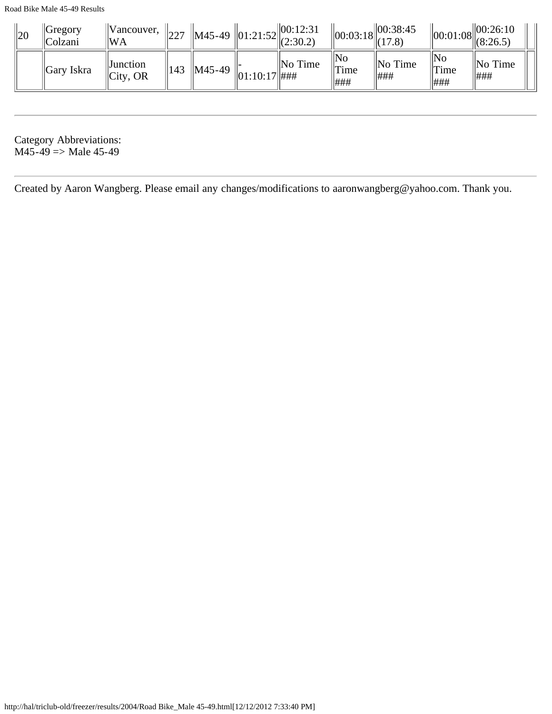| 20 | Gregory<br>Colzani | Vancouver,<br>'WA            | $\parallel$ 227 | M45-49 $\left\  01:21:52 \right\  00:12:31$<br>(2:30.2) |               |                     |                                              | $\left\  00:03:18 \right\  00:38:45$<br>(17.8) |                                 | 00:26:10<br>$\mathcal{L}$ $\left\  00:01:08 \right\ $ (8:26.5) |
|----|--------------------|------------------------------|-----------------|---------------------------------------------------------|---------------|---------------------|----------------------------------------------|------------------------------------------------|---------------------------------|----------------------------------------------------------------|
|    | Gary Iskra         | <b>Junction</b><br> City, OR | 143             | $\parallel$ M45-49                                      | 01:10:17  #HH | $\parallel$ No Time | $\mathbb{N}_0$<br><sup>' </sup> Time<br> ### | $\ $ No Time<br>###                            | No<br><sup>' </sup> Time<br>### | $\parallel$ No Time<br>###                                     |

Category Abbreviations:  $M45-49 \Rightarrow$  Male 45-49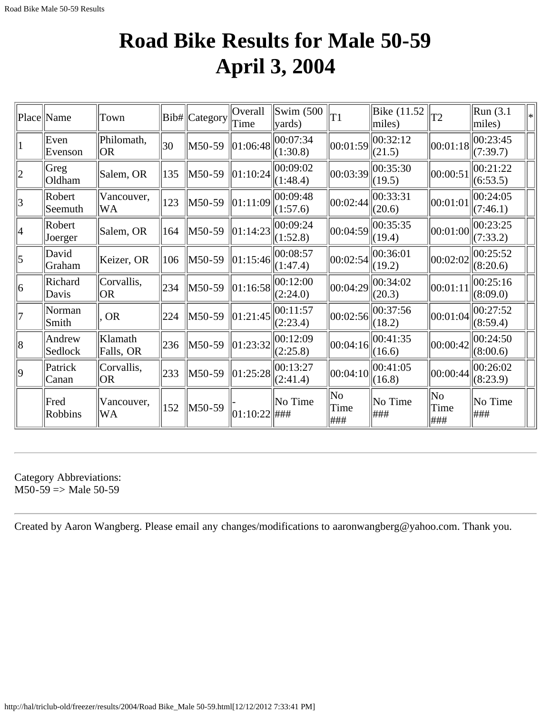#### **Road Bike Results for Male 50-59 April 3, 2004**

|             | Place Name        | Town                 |              | Bib#  Category | Overall<br>Time           | Swim (500<br>$\vert$ yards) | T1                                    | Bike (11.52<br>miles) | T <sub>2</sub>     | Run (3.1)<br>miles)  | $\left  \ast \right $ |
|-------------|-------------------|----------------------|--------------|----------------|---------------------------|-----------------------------|---------------------------------------|-----------------------|--------------------|----------------------|-----------------------|
|             | Even<br>Evenson   | Philomath,<br> OR    | $ 30\rangle$ | M50-59         | 01:06:48                  | 00:07:34<br>(1:30.8)        | 00:01:59                              | 00:32:12<br>(21.5)    | 00:01:18           | 00:23:45<br>(7:39.7) |                       |
| $ 2\rangle$ | Greg<br>Oldham    | Salem, OR            | 135          | M50-59         | 01:10:24                  | 00:09:02<br>(1:48.4)        | 00:03:39                              | 00:35:30<br>(19.5)    | 00:00:51           | 00:21:22<br>(6:53.5) |                       |
| 3           | Robert<br>Seemuth | Vancouver,<br> WA    | 123          | M50-59         | 01:11:09                  | 00:09:48<br>(1:57.6)        | 00:02:44                              | 00:33:31<br>(20.6)    | 00:01:01           | 00:24:05<br>(7:46.1) |                       |
| 4           | Robert<br>Joerger | Salem, OR            | 164          | M50-59         | $\ 01:14:23\ $            | 00:09:24<br>(1:52.8)        | 00:04:59                              | 00:35:35<br>(19.4)    | 00:01:00           | 00:23:25<br>(7:33.2) |                       |
| 5           | David<br>Graham   | Keizer, OR           | 106          | M50-59         | 01:15:46                  | 00:08:57<br>(1:47.4)        | 00:02:54                              | 00:36:01<br>(19.2)    | 00:02:02           | 00:25:52<br>(8:20.6) |                       |
| 6           | Richard<br>Davis  | Corvallis,<br> OR    | 234          | M50-59         | $\left  01:16:58 \right $ | 00:12:00<br>(2:24.0)        | 00:04:29                              | 00:34:02<br>(20.3)    | 00:01:11           | 00:25:16<br>(8:09.0) |                       |
| 7           | Norman<br>Smith   | <b>OR</b>            | 224          | M50-59         | 01:21:45                  | 00:11:57<br>(2:23.4)        | 00:02:56                              | 00:37:56<br>(18.2)    | 00:01:04           | 00:27:52<br>(8:59.4) |                       |
| 8           | Andrew<br>Sedlock | Klamath<br>Falls, OR | 236          | M50-59         | 01:23:32                  | 00:12:09<br>(2:25.8)        | 00:04:16                              | 00:41:35<br>(16.6)    | 00:00:42           | 00:24:50<br>(8:00.6) |                       |
| $ 9\rangle$ | Patrick<br>Canan  | Corvallis,<br> OR    | 233          | M50-59         | $\vert 01:25:28 \vert$    | 00:13:27<br>(2:41.4)        | 00:04:10                              | 00:41:05<br>(16.8)    | 00:00:44           | 00:26:02<br>(8:23.9) |                       |
|             | Fred<br>Robbins   | Vancouver,<br>WA     | 152          | M50-59         | $ 01:10:22 $ ###          | No Time                     | $\overline{\text{No}}$<br>Time<br>### | No Time<br>###        | No<br>Time<br> ### | No Time<br>###       |                       |

Category Abbreviations:  $M50-59 \Rightarrow Male 50-59$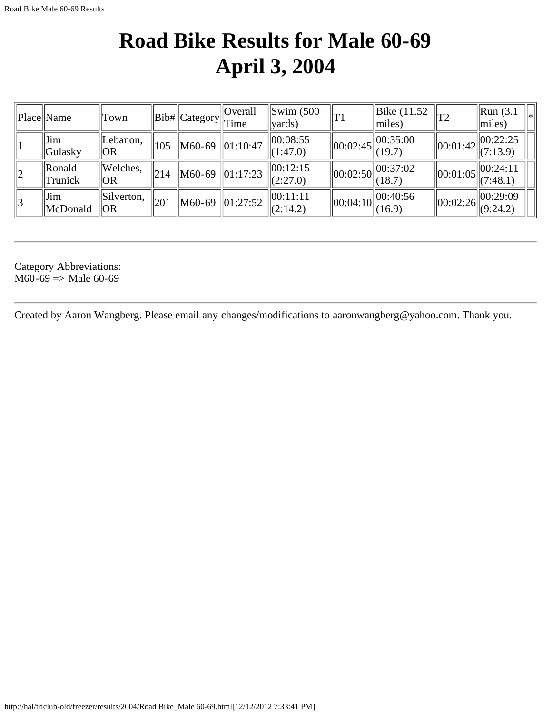### **Road Bike Results for Male 60-69 April 3, 2004**

|             | Place  Name                                                       | Town                          |     | $\ Bib\ $ Category $\ $ Time | <b>Overall</b> | $\text{Swim}\ (500$<br>vards)    | $T_1$          | Bike (11.52)<br>miles)       | T <sub>2</sub> | $\left \text{Run}\right. (3.1\right.$<br>l∗<br>miles) |
|-------------|-------------------------------------------------------------------|-------------------------------|-----|------------------------------|----------------|----------------------------------|----------------|------------------------------|----------------|-------------------------------------------------------|
|             | $\ $ Jim<br>Gulasky                                               | ILebanon,<br> OR              | 105 | M60-69                       | $\ 01:10:47$   | 00:08:55<br>(1:47.0)             | $\ 00:02:45\ $ | $\ 00:35:00\ $<br> (19.7)    |                | 00:22:25<br>$\ 00:01:42\ _{(7:13.9)}^{\circ}$         |
| $ 2\rangle$ | <b>Ronald</b><br>Trunick                                          | Welches.<br> OR               | 214 | M60-69                       | $\ 01:17:23\ $ | $\parallel 00:12:15$<br>(2:27.0) | $\ 00:02:50\ $ | 00:37:02<br>(18.7)           |                | 00:24:11<br>$\ 00:01:05\ _{(7:48.1)}^{\infty}$        |
| 13          | $\left\Vert \mathbf{J}\mathbf{im}\right\Vert$<br><b>IMcDonald</b> | $\parallel$ Silverton,<br> OR | 201 | $\parallel$ M60-69           | $\ 01:27:52\ $ | 00:11:11<br> (2:14.2)            | $\ 00:04:10\ $ | 00:40:56<br>$\frac{1}{16.9}$ | $\ 00:02:26\ $ | 00:29:09<br> (9:24.2)                                 |

Category Abbreviations:  $M60-69 \Rightarrow Male 60-69$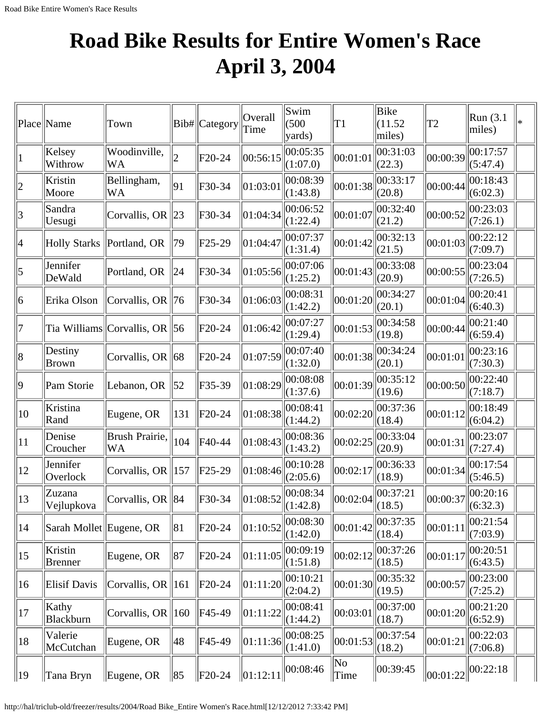# **Road Bike Results for Entire Women's Race April 3, 2004**

|                 | Place Name              | Town                          |                | Bib# Category       | Overall<br>Time | Swim<br>(500)<br>yards) | T <sub>1</sub> | <b>Bike</b><br>(11.52)<br>miles) | T2                                                         | $\mathsf{Run}(3.1)$<br>miles) |  |
|-----------------|-------------------------|-------------------------------|----------------|---------------------|-----------------|-------------------------|----------------|----------------------------------|------------------------------------------------------------|-------------------------------|--|
|                 | Kelsey<br>Withrow       | Woodinville,<br><b>WA</b>     |                | F <sub>20</sub> -24 | 00:56:15        | 00:05:35<br>(1:07.0)    | 00:01:01       | 00:31:03<br>(22.3)               | 00:00:39                                                   | 00:17:57<br>(5:47.4)          |  |
| $ 2\rangle$     | Kristin<br>Moore        | Bellingham,<br>WA             | 91             | F30-34              | 01:03:01        | 00:08:39<br>(1:43.8)    | 00:01:38       | 00:33:17<br>(20.8)               | 00:00:44                                                   | 00:18:43<br>(6:02.3)          |  |
| $\vert 3 \vert$ | Sandra<br>Uesugi        | Corvallis, OR                 | $\parallel$ 23 | F30-34              | 01:04:34        | 00:06:52<br>(1:22.4)    | 00:01:07       | 00:32:40<br>(21.2)               | 00:00:52                                                   | 00:23:03<br>(7:26.1)          |  |
| 4               | <b>Holly Starks</b>     | Portland, OR                  | 79             | F25-29              | 01:04:47        | 00:07:37<br>(1:31.4)    | 00:01:42       | 00:32:13<br>(21.5)               | 00:01:03                                                   | 00:22:12<br>(7:09.7)          |  |
| 5               | Jennifer<br>DeWald      | Portland, OR                  | 24             | F30-34              | 01:05:56        | 00:07:06<br>(1:25.2)    | 00:01:43       | 00:33:08<br>(20.9)               | 00:00:55                                                   | 00:23:04<br>(7:26.5)          |  |
| 6               | Erika Olson             | Corvallis, OR $\ 76$          |                | F30-34              | 01:06:03        | 00:08:31<br>(1:42.2)    | 00:01:20       | 00:34:27<br>(20.1)               | 00:01:04                                                   | 00:20:41<br>(6:40.3)          |  |
| 7               |                         | Tia Williams Corvallis, OR 56 |                | F <sub>20</sub> -24 | 01:06:42        | 00:07:27<br>(1:29.4)    | 00:01:53       | 00:34:58<br>(19.8)               | 00:00:44                                                   | 00:21:40<br>(6:59.4)          |  |
| 8               | Destiny<br><b>Brown</b> | Corvallis, OR $\ $ 68         |                | F <sub>20</sub> -24 | 01:07:59        | 00:07:40<br>(1:32.0)    | 00:01:38       | 00:34:24<br>(20.1)               | 00:01:01                                                   | 00:23:16<br>(7:30.3)          |  |
| $\vert 9 \vert$ | Pam Storie              | Lebanon, OR                   | 52             | F35-39              | 01:08:29        | 00:08:08<br>(1:37.6)    | 00:01:39       | 00:35:12<br>(19.6)               | 00:00:50                                                   | 00:22:40<br>(7:18.7)          |  |
| $ 10\rangle$    | Kristina<br>Rand        | Eugene, OR                    | 131            | $F20-24$            | 01:08:38        | 00:08:41<br>(1:44.2)    | 00:02:20       | 00:37:36<br>(18.4)               | 00:01:12                                                   | 00:18:49<br>(6:04.2)          |  |
| $ 11\rangle$    | Denise<br>Croucher      | Brush Prairie,<br>WA          | 104            | F40-44              | 01:08:43        | 00:08:36<br>(1:43.2)    | 00:02:25       | 00:33:04<br>(20.9)               | 00:01:31                                                   | 00:23:07<br>(7:27.4)          |  |
| 12              | Jennifer<br>Overlock    | Corvallis, OR $\parallel$ 157 |                | F25-29              | 01:08:46        | 00:10:28<br>(2:05.6)    | 00:02:17       | 00:36:33<br>(18.9)               | 00:01:34                                                   | 00:17:54<br>(5:46.5)          |  |
| 13              | Zuzana<br>Vejlupkova    | Corvallis, OR $\ 84$          |                | F30-34              | 01:08:52        | 00:08:34<br>(1:42.8)    | 00:02:04       | 00:37:21<br>(18.5)               | $\left\  00:00:37 \right\  \xrightarrow{\text{Cov} = 2.3}$ | 00:20:16                      |  |
| 14              | Sarah Mollet Eugene, OR |                               | 81             | F <sub>20</sub> -24 | 01:10:52        | 00:08:30<br>(1:42.0)    | 00:01:42       | 00:37:35<br>(18.4)               | 00:01:11                                                   | 00:21:54<br>(7:03.9)          |  |
| 15              | Kristin<br>Brenner      | Eugene, OR                    | 87             | $F20-24$            | 01:11:05        | 00:09:19<br>(1:51.8)    | 00:02:12       | 00:37:26<br>(18.5)               | 00:01:17                                                   | 00:20:51<br>(6:43.5)          |  |
| 16              | Elisif Davis            | Corvallis, OR $\parallel$ 161 |                | F20-24              | 01:11:20        | 00:10:21<br>(2:04.2)    | 00:01:30       | 00:35:32<br>(19.5)               | 00:00:57                                                   | 00:23:00<br>(7:25.2)          |  |
| 17              | Kathy<br>Blackburn      | Corvallis, OR $\parallel$ 160 |                | F45-49              | 01:11:22        | 00:08:41<br>(1:44.2)    | 00:03:01       | 00:37:00<br>(18.7)               | 00:01:20                                                   | 00:21:20<br>(6:52.9)          |  |
| 18              | Valerie<br>McCutchan    | Eugene, OR                    | 48             | F45-49              | 01:11:36        | 00:08:25<br>(1:41.0)    | 00:01:53       | 00:37:54<br>(18.2)               | 00:01:21                                                   | 00:22:03<br>(7:06.8)          |  |
| $ 19\rangle$    | Tana Bryn               | Eugene, OR                    | 85             | $\ $ F20-24         | 01:12:11        | 00:08:46                | No<br>Time     | 00:39:45                         | $\vert 00:01:22\vert$                                      | 00:22:18                      |  |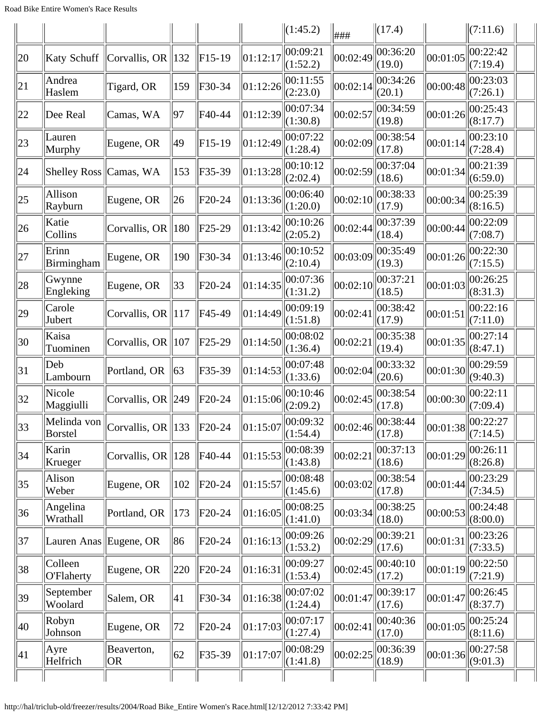|              |                        |                              |     |                     |              | (1:45.2)             | ###                 | $\Vert$ (17.4)     |                                             | (7:11.6)             |  |
|--------------|------------------------|------------------------------|-----|---------------------|--------------|----------------------|---------------------|--------------------|---------------------------------------------|----------------------|--|
| 20           | Katy Schuff            | Corvallis, OR                | 132 | $F15-19$            | 01:12:17     | 00:09:21<br>(1:52.2) | 00:02:49            | 00:36:20<br>(19.0) | 00:01:05                                    | 00:22:42<br>(7:19.4) |  |
| 21           | Andrea<br>Haslem       | Tigard, OR                   | 159 | F30-34              | 01:12:26     | 00:11:55<br>(2:23.0) | 00:02:14            | 00:34:26<br>(20.1) | 00:00:48                                    | 00:23:03<br>(7:26.1) |  |
| 22           | Dee Real               | Camas, WA                    | 97  | F40-44              | 01:12:39     | 00:07:34<br>(1:30.8) | 00:02:57            | 00:34:59<br>(19.8) | 00:01:26                                    | 00:25:43<br>(8:17.7) |  |
| 23           | Lauren<br>Murphy       | Eugene, OR                   | 49  | $F15-19$            | 01:12:49     | 00:07:22<br>(1:28.4) | 00:02:09            | 00:38:54<br>(17.8) | 00:01:14                                    | 00:23:10<br>(7:28.4) |  |
| 24           | Shelley Ross Camas, WA |                              | 153 | F35-39              | 01:13:28     | 00:10:12<br>(2:02.4) | 00:02:59            | 00:37:04<br>(18.6) | 00:01:34                                    | 00:21:39<br>(6:59.0) |  |
| 25           | Allison<br>Rayburn     | Eugene, OR                   | 26  | F <sub>20</sub> -24 | 01:13:36     | 00:06:40<br>(1:20.0) | 00:02:10            | 00:38:33<br>(17.9) | 00:00:34                                    | 00:25:39<br>(8:16.5) |  |
| 26           | Katie<br>Collins       | Corvallis, OR                | 180 | F <sub>25</sub> -29 | 01:13:42     | 00:10:26<br>(2:05.2) | 00:02:44            | 00:37:39<br>(18.4) | 00:00:44                                    | 00:22:09<br>(7:08.7) |  |
| 27           | Erinn<br>Birmingham    | Eugene, OR                   | 190 | F30-34              | 01:13:46     | 00:10:52<br>(2:10.4) | 00:03:09            | 00:35:49<br>(19.3) | 00:01:26                                    | 00:22:30<br>(7:15.5) |  |
| 28           | Gwynne<br>Engleking    | Eugene, OR                   | 33  | F <sub>20</sub> -24 | 01:14:35     | 00:07:36<br>(1:31.2) | 00:02:10            | 00:37:21<br>(18.5) | 00:01:03                                    | 00:26:25<br>(8:31.3) |  |
| $ 29\rangle$ | Carole<br>Jubert       | Corvallis, OR $\ 117$        |     | F45-49              | 01:14:49     | 00:09:19<br>(1:51.8) | 00:02:41            | 00:38:42<br>(17.9) | 00:01:51                                    | 00:22:16<br>(7:11.0) |  |
| 30           | Kaisa<br>Tuominen      | Corvallis, OR                | 107 | F25-29              | 01:14:50     | 00:08:02<br>(1:36.4) | 00:02:21            | 00:35:38<br>(19.4) | 00:01:35                                    | 00:27:14<br>(8:47.1) |  |
| 31           | Deb<br>Lambourn        | Portland, OR                 | 63  | F35-39              | 01:14:53     | 00:07:48<br>(1:33.6) | 00:02:04            | 00:33:32<br>(20.6) | 00:01:30                                    | 00:29:59<br>(9:40.3) |  |
| 32           | Nicole<br>Maggiulli    | Corvallis, OR $\ 249$        |     | F20-24              | 01:15:06     | 00:10:46<br>(2:09.2) | 00:02:45            | 00:38:54<br>(17.8) | 00:00:30                                    | 00:22:11<br>(7:09.4) |  |
| 33           | Melinda von<br>Borstel | Corvallis, OR 133 $ F20-24 $ |     |                     | $\ 01:15:07$ | 00:09:32<br>(1:54.4) | $ 00:02:46 \, 7.8)$ | 00:38:44           | $\ 00:01:38\ _{(7:14.5)}^{\cup \cup \dots}$ | $\ 00:22:27$         |  |
| 34           | Karin<br>Krueger       | Corvallis, OR                | 128 | F40-44              | 01:15:53     | 00:08:39<br>(1:43.8) | 00:02:21            | 00:37:13<br>(18.6) | 00:01:29                                    | 00:26:11<br>(8:26.8) |  |
| 35           | Alison<br>Weber        | Eugene, OR                   | 102 | F20-24              | 01:15:57     | 00:08:48<br>(1:45.6) | 00:03:02            | 00:38:54<br>(17.8) | 00:01:44                                    | 00:23:29<br>(7:34.5) |  |
| 36           | Angelina<br>Wrathall   | Portland, OR                 | 173 | F20-24              | 01:16:05     | 00:08:25<br>(1:41.0) | 00:03:34            | 00:38:25<br>(18.0) | 00:00:53                                    | 00:24:48<br>(8:00.0) |  |
| 37           | Lauren Anas Eugene, OR |                              | 86  | F <sub>20</sub> -24 | 01:16:13     | 00:09:26<br>(1:53.2) | 00:02:29            | 00:39:21<br>(17.6) | 00:01:31                                    | 00:23:26<br>(7:33.5) |  |
| 38           | Colleen<br>O'Flaherty  | Eugene, OR                   | 220 | F20-24              | 01:16:31     | 00:09:27<br>(1:53.4) | 00:02:45            | 00:40:10<br>(17.2) | 00:01:19                                    | 00:22:50<br>(7:21.9) |  |
| 39           | September<br>Woolard   | Salem, OR                    | 41  | F30-34              | 01:16:38     | 00:07:02<br>(1:24.4) | 00:01:47            | 00:39:17<br>(17.6) | 00:01:47                                    | 00:26:45<br>(8:37.7) |  |
| 40           | Robyn<br>Johnson       | Eugene, OR                   | 72  | F20-24              | 01:17:03     | 00:07:17<br>(1:27.4) | 00:02:41            | 00:40:36<br>(17.0) | 00:01:05                                    | 00:25:24<br>(8:11.6) |  |
| 41           | Ayre<br>Helfrich       | Beaverton,<br><b>OR</b>      | 62  | F35-39              | 01:17:07     | 00:08:29<br>(1:41.8) | 00:02:25            | 00:36:39<br>(18.9) | 00:01:36                                    | 00:27:58<br>(9:01.3) |  |
|              |                        |                              |     |                     |              |                      |                     |                    |                                             |                      |  |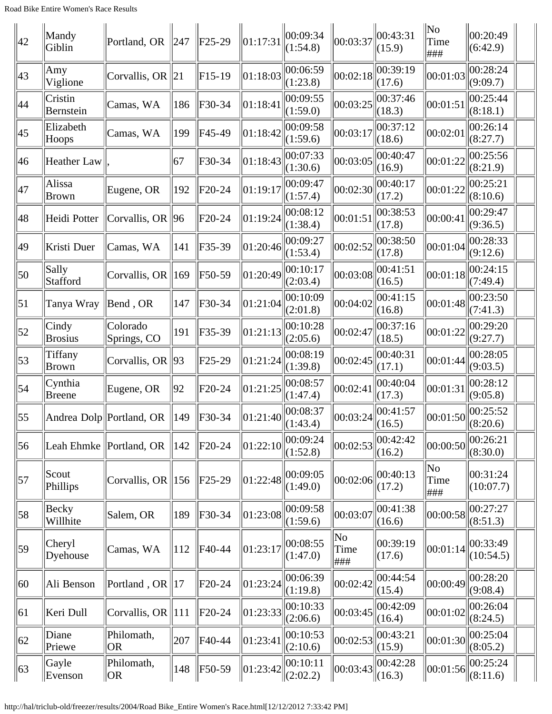| 42               | Mandy<br>Giblin          | Portland, OR                  | $\parallel$ 247 | $F25-29$            | 01:17:31                                         | 00:09:34<br>(1:54.8) | 00:03:37                              | 00:43:31<br>(15.9)  | No<br>Time<br>###                                   | 00:20:49<br>(6:42.9)      |
|------------------|--------------------------|-------------------------------|-----------------|---------------------|--------------------------------------------------|----------------------|---------------------------------------|---------------------|-----------------------------------------------------|---------------------------|
| 43               | Amy<br>Viglione          | Corvallis, OR                 | 21              | $F15-19$            | 01:18:03                                         | 00:06:59<br>(1:23.8) | 00:02:18                              | 00:39:19<br>(17.6)  | 00:01:03                                            | 00:28:24<br>(9:09.7)      |
| 44               | Cristin<br>Bernstein     | Camas, WA                     | 186             | F30-34              | 01:18:41                                         | 00:09:55<br>(1:59.0) | 00:03:25                              | 00:37:46<br>(18.3)  | 00:01:51                                            | 00:25:44<br>(8:18.1)      |
| 45               | Elizabeth<br>Hoops       | Camas, WA                     | 199             | F45-49              | 01:18:42                                         | 00:09:58<br>(1:59.6) | 00:03:17                              | 00:37:12<br>(18.6)  | 00:02:01                                            | 00:26:14<br>(8:27.7)      |
| 46               | <b>Heather Law</b>       |                               | 67              | F30-34              | 01:18:43                                         | 00:07:33<br>(1:30.6) | 00:03:05                              | 00:40:47<br>(16.9)  | 00:01:22                                            | 00:25:56<br>(8:21.9)      |
| 47               | Alissa<br>Brown          | Eugene, OR                    | 192             | F20-24              | 01:19:17                                         | 00:09:47<br>(1:57.4) | 00:02:30                              | 00:40:17<br>(17.2)  | 00:01:22                                            | 00:25:21<br>(8:10.6)      |
| 48               | Heidi Potter             | Corvallis, OR $\ 96\ $        |                 | F20-24              | 01:19:24                                         | 00:08:12<br>(1:38.4) | 00:01:51                              | 00:38:53<br>(17.8)  | 00:00:41                                            | 00:29:47<br>(9:36.5)      |
| 49               | Kristi Duer              | Camas, WA                     | 141             | F35-39              | 01:20:46                                         | 00:09:27<br>(1:53.4) | 00:02:52                              | 00:38:50<br>(17.8)  | 00:01:04                                            | 00:28:33<br>(9:12.6)      |
| 50               | Sally<br>Stafford        | Corvallis, OR 169             |                 | F50-59              | 01:20:49                                         | 00:10:17<br>(2:03.4) | 00:03:08                              | 00:41:51<br>(16.5)  | 00:01:18                                            | 00:24:15<br>(7:49.4)      |
| $\vert 51 \vert$ | Tanya Wray               | Bend, OR                      | 147             | F30-34              | 01:21:04                                         | 00:10:09<br>(2:01.8) | 00:04:02                              | 00:41:15<br>(16.8)  | 00:01:48                                            | 00:23:50<br>(7:41.3)      |
| 52               | Cindy<br><b>Brosius</b>  | Colorado<br>Springs, CO       | 191             | F35-39              | 01:21:13                                         | 00:10:28<br>(2:05.6) | 00:02:47                              | 00:37:16<br>(18.5)  | 00:01:22                                            | 00:29:20<br>(9:27.7)      |
| 53               | Tiffany<br><b>Brown</b>  | Corvallis, OR                 | $ 93\rangle$    | F25-29              | 01:21:24                                         | 00:08:19<br>(1:39.8) | 00:02:45                              | 00:40:31<br>(17.1)  | 00:01:44                                            | 00:28:05<br>(9:03.5)      |
| 54               | Cynthia<br><b>Breene</b> | Eugene, OR                    | 92              | F <sub>20</sub> -24 | 01:21:25                                         | 00:08:57<br>(1:47.4) | 00:02:41                              | 00:40:04<br>(17.3)  | 00:01:31                                            | 00:28:12<br>(9:05.8)      |
| $\vert 55 \vert$ |                          | Andrea Dolp  Portland, OR     | 149             | F30-34              | $\left\  01:21:40 \right\  \underline{(1:43.4)}$ | 00:08:37             | 00:03:24                              | 00:41:57<br>(16.5)  | $\left\  00:01:50 \right\  \leq \frac{(8:20.6)}{2}$ | 00:25:52                  |
| 56               | Leah Ehmke               | Portland, OR                  | 142             | F20-24              | 01:22:10                                         | 00:09:24<br>(1:52.8) | 00:02:53                              | 00:42:42<br>(16.2)  | 00:00:50                                            | 00:26:21<br>(8:30.0)      |
| 57               | Scout<br>Phillips        | Corvallis, OR $\parallel$ 156 |                 | F25-29              | 01:22:48                                         | 00:09:05<br>(1:49.0) | 00:02:06                              | 00:40:13<br>(17.2)  | No<br>Time<br>###                                   | 00:31:24<br>(10:07.7)     |
| 58               | Becky<br>Willhite        | Salem, OR                     | 189             | F30-34              | 01:23:08                                         | 00:09:58<br>(1:59.6) | 00:03:07                              | 00:41:38<br>(16.6)  | 00:00:58                                            | 00:27:27<br>(8:51.3)      |
| 59               | Cheryl<br>Dyehouse       | Camas, WA                     | 112             | F40-44              | 01:23:17                                         | 00:08:55<br>(1:47.0) | $\overline{\text{No}}$<br>Time<br>### | 00:39:19<br>(17.6)  | 00:01:14                                            | 00:33:49<br>(10:54.5)     |
| 60               | Ali Benson               | Portland, OR                  | $\parallel$ 17  | F <sub>20</sub> -24 | 01:23:24                                         | 00:06:39<br>(1:19.8) | 00:02:42                              | 00:44:54<br>(15.4)  | 00:00:49                                            | 00:28:20<br>(9:08.4)      |
| 61               | Keri Dull                | Corvallis, OR                 | 111             | F20-24              | 01:23:33                                         | 00:10:33<br>(2:06.6) | 00:03:45                              | 00:42:09<br>(16.4)  | 00:01:02                                            | 00:26:04<br>(8:24.5)      |
| 62               | Diane<br>Priewe          | Philomath,<br><b>OR</b>       | 207             | F40-44              | 01:23:41                                         | 00:10:53<br>(2:10.6) | 00:02:53                              | 00:43:21<br>(15.9)  | 00:01:30                                            | 00:25:04<br>(8:05.2)      |
| 63               | Gayle<br>Evenson         | Philomath,<br> OR             | 148             | F50-59              | 01:23:42                                         | 00:10:11<br>(2:02.2) | 00:03:43                              | 00:42:28<br> (16.3) | 00:01:56                                            | 00:25:24<br>$\ $ (8:11.6) |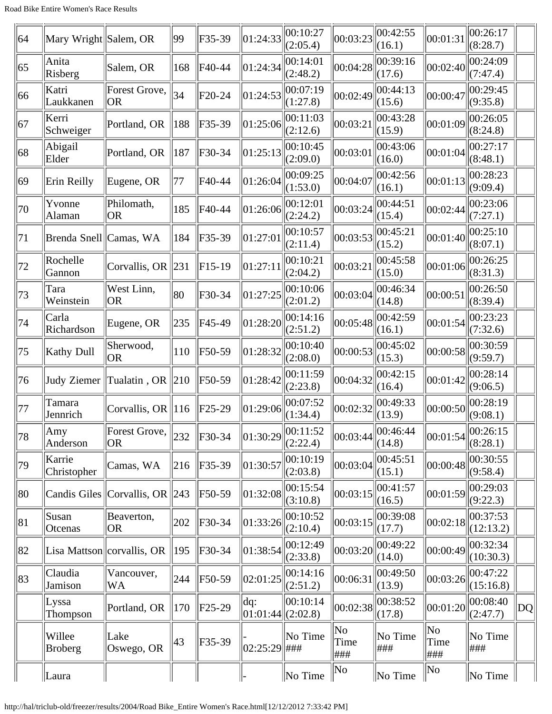| 64           | Mary Wright Salem, OR    |                               | 99              | F35-39   | 01:24:33         | 00:10:27<br>(2:05.4)           | 00:03:23           | 00:42:55<br>(16.1) | 00:01:31           | 00:26:17<br>(8:28.7)                                      |                 |
|--------------|--------------------------|-------------------------------|-----------------|----------|------------------|--------------------------------|--------------------|--------------------|--------------------|-----------------------------------------------------------|-----------------|
| 65           | Anita<br>Risberg         | Salem, OR                     | 168             | F40-44   | 01:24:34         | 00:14:01<br>(2:48.2)           | 00:04:28           | 00:39:16<br>(17.6) | 00:02:40           | 00:24:09<br>(7:47.4)                                      |                 |
| 66           | Katri<br>Laukkanen       | Forest Grove,<br> OR          | 34              | $F20-24$ | 01:24:53         | 00:07:19<br>(1:27.8)           | 00:02:49           | 00:44:13<br>(15.6) | 00:00:47           | 00:29:45<br>(9:35.8)                                      |                 |
| 67           | Kerri<br>Schweiger       | Portland, OR                  | 188             | F35-39   | 01:25:06         | 00:11:03<br>(2:12.6)           | 00:03:21           | 00:43:28<br>(15.9) | 00:01:09           | 00:26:05<br>(8:24.8)                                      |                 |
| 68           | Abigail<br>Elder         | Portland, OR                  | 187             | F30-34   | 01:25:13         | 00:10:45<br>(2:09.0)           | 00:03:01           | 00:43:06<br>(16.0) | 00:01:04           | 00:27:17<br>(8:48.1)                                      |                 |
| 69           | Erin Reilly              | Eugene, OR                    | 77              | F40-44   | 01:26:04         | 00:09:25<br>(1:53.0)           | 00:04:07           | 00:42:56<br>(16.1) | 00:01:13           | 00:28:23<br>(9:09.4)                                      |                 |
| 70           | Yvonne<br>Alaman         | Philomath,<br> OR             | 185             | F40-44   | 01:26:06         | 00:12:01<br>(2:24.2)           | 00:03:24           | 00:44:51<br>(15.4) | 00:02:44           | 00:23:06<br>(7:27.1)                                      |                 |
| 71           | Brenda Snell  Camas, WA  |                               | 184             | F35-39   | 01:27:01         | 00:10:57<br>(2:11.4)           | 00:03:53           | 00:45:21<br>(15.2) | 00:01:40           | 00:25:10<br>(8:07.1)                                      |                 |
| 72           | Rochelle<br>Gannon       | Corvallis, OR $\ 231$         |                 | $F15-19$ | 01:27:11         | 00:10:21<br>(2:04.2)           | 00:03:21           | 00:45:58<br>(15.0) | 00:01:06           | 00:26:25<br>(8:31.3)                                      |                 |
| 73           | Tara<br>Weinstein        | West Linn,<br> OR             | 80              | F30-34   | 01:27:25         | 00:10:06<br>(2:01.2)           | 00:03:04           | 00:46:34<br>(14.8) | 00:00:51           | 00:26:50<br>(8:39.4)                                      |                 |
| 74           | Carla<br>Richardson      | Eugene, OR                    | 235             | F45-49   | 01:28:20         | 00:14:16<br>(2:51.2)           | 00:05:48           | 00:42:59<br>(16.1) | 00:01:54           | 00:23:23<br>(7:32.6)                                      |                 |
| 75           | Kathy Dull               | Sherwood,<br> OR              | 110             | F50-59   | 01:28:32         | 00:10:40<br>(2:08.0)           | 00:00:53           | 00:45:02<br>(15.3) | 00:00:58           | 00:30:59<br>(9:59.7)                                      |                 |
| 76           | Judy Ziemer              | Tualatin, OR                  | $\parallel$ 210 | F50-59   | 01:28:42         | 00:11:59<br>(2:23.8)           | 00:04:32           | 00:42:15<br>(16.4) | 00:01:42           | 00:28:14<br>(9:06.5)                                      |                 |
| 77           | Tamara<br>Jennrich       | Corvallis, OR $\parallel$ 116 |                 | $F25-29$ | 01:29:06         | 00:07:52<br>(1:34.4)           | 00:02:32           | 00:49:33<br>(13.9) | 00:00:50           | 00:28:19<br>(9:08.1)                                      |                 |
| 78           | Amy<br>Anderson          | Forest Grove,<br><b>OR</b>    | 232             | F30-34   | 01:30:29         | 00:11:52<br>(2:22.4)           | 00:03:44           | 00:46:44<br>(14.8) |                    | $\left  00:01:54 \right\  \frac{00:26:15}{0}$<br>(8:28.1) |                 |
| 79           | Karrie<br>Christopher    | Camas, WA                     | 216             | F35-39   | 01:30:57         | 00:10:19<br>(2:03.8)           | 00:03:04           | 00:45:51<br>(15.1) | 00:00:48           | 00:30:55<br>(9:58.4)                                      |                 |
| 80           | Candis Giles             | Corvallis, OR $\ 243\ $       |                 | F50-59   | 01:32:08         | 00:15:54<br>(3:10.8)           | 00:03:15           | 00:41:57<br>(16.5) | 00:01:59           | 00:29:03<br>(9:22.3)                                      |                 |
| 81           | Susan<br>Otcenas         | Beaverton,<br>OR <sub>.</sub> | 202             | F30-34   | 01:33:26         | $ 00:10:52\rangle$<br>(2:10.4) | 00:03:15           | 00:39:08<br>(17.7) | 00:02:18           | 00:37:53<br>(12:13.2)                                     |                 |
| 82           |                          | Lisa Mattson  corvallis, OR   | 195             | F30-34   | 01:38:54         | 00:12:49<br>(2:33.8)           | 00:03:20           | 00:49:22<br>(14.0) | 00:00:49           | 00:32:34<br>(10:30.3)                                     |                 |
| $ 83\rangle$ | Claudia<br>Jamison       | Vancouver,<br>WA              | 244             | F50-59   | 02:01:25         | 00:14:16<br>(2:51.2)           | 00:06:31           | 00:49:50<br>(13.9) | 00:03:26           | 00:47:22<br>(15:16.8)                                     |                 |
|              | Lyssa<br>Thompson        | Portland, OR                  | 170             | $F25-29$ | dq:<br> 01:01:44 | 00:10:14<br>(2:02.8)           | 00:02:38           | 00:38:52<br>(17.8) | 00:01:20           | 00:08:40<br>(2:47.7)                                      | $ \mathrm{DQ} $ |
|              | Willee<br><b>Broberg</b> | Lake<br>Oswego, OR            | 43              | F35-39   | $ 02:25:29 $ ### | No Time                        | No<br>Time<br> ### | No Time<br>###     | No<br>Time<br> ### | No Time<br> ###                                           |                 |
|              | Laura                    |                               |                 |          |                  | $\ $ No Time                   | No                 | $\ $ No Time       | No                 | $\ $ No Time                                              |                 |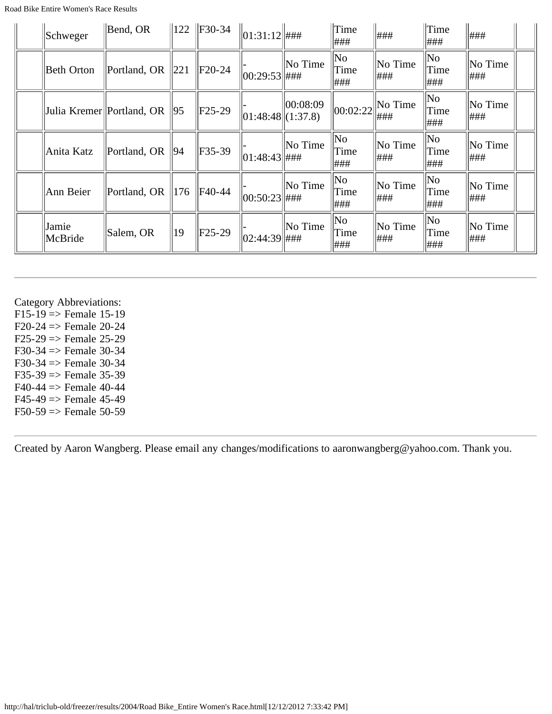| Schweger         | $\parallel$ Bend, OR                    |                 | $\ 122\ $ F30-34 | $ 01:31:12 $ ###       |          | Time<br>###        | ###                     | $\ $ Time<br> ###           | ###             |  |
|------------------|-----------------------------------------|-----------------|------------------|------------------------|----------|--------------------|-------------------------|-----------------------------|-----------------|--|
| Beth Orton       | $\mathbb{P}\text{ortland}, \mathbb{OR}$ | $\parallel 221$ | $IF20-24$        | $ 00:29:53 $ ###       | No Time  | No<br>Time<br> ### | No Time<br>###          | $\ $ No<br>$\ $ Time<br>### | No Time<br> ### |  |
|                  | Julia Kremer Portland, OR               | 95              | $ F25-29$        | $\ 01:48:48\ (1:37.8)$ | 00:08:09 | 00:02:22           | $\vert$ No Time<br> ### | $\ $ No<br>Time<br>###      | No Time<br> ### |  |
| Anita Katz       | Portland, OR                            | 94              | F35-39           | 01:48:43  ###          | No Time  | No<br>Time<br> ### | No Time<br> ###         | $\ $ No<br>$\ $ Time<br>### | No Time<br> ### |  |
| Ann Beier        | Portland, OR                            | 176             | F40-44           | $ 00:50:23 $ ###       | No Time  | No<br>Time<br>###  | No Time<br> ###         | $\ $ No<br>Time<br>###      | No Time<br> ### |  |
| Jamie<br>McBride | Salem, OR                               | 19              | $F25-29$         | $ 02:44:39 $ ###       | No Time  | No<br>Time<br> ### | No Time<br> ###         | $\ $ No<br>$\ $ Time<br>### | No Time<br> ### |  |

Category Abbreviations:

 $F15-19$  => Female 15-19  $F20-24$  => Female 20-24  $F25-29 \Rightarrow$  Female 25-29 F30-34  $\Rightarrow$  Female 30-34 F30-34  $\Rightarrow$  Female 30-34  $F35-39 \Rightarrow$  Female 35-39  $F40-44 \implies$  Female 40-44  $F45-49 \Rightarrow$  Female 45-49  $F50-59 \Rightarrow$  Female 50-59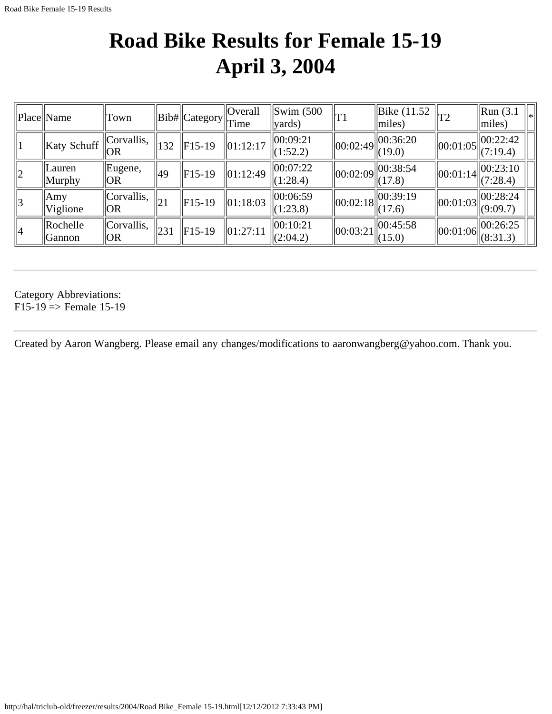### **Road Bike Results for Female 15-19 April 3, 2004**

|             | Place Name                       | Town               |     | Bib#  Category | Overall<br>Time        | $\parallel$ Swim (500<br>$\vert$ yards)      | T1       | $\vert$ Bike (11.52)<br>$\vert$ miles)                            | 'T2            | $\parallel$ Run (3.1)<br>∥∗<br>$\vert$ miles)                       |
|-------------|----------------------------------|--------------------|-----|----------------|------------------------|----------------------------------------------|----------|-------------------------------------------------------------------|----------------|---------------------------------------------------------------------|
|             | Katy Schuff                      | Corvallis,<br> OR  | 132 | $ F15-19$      | $\ 01:12:17$           | 00:09:21<br>$\Vert (1:52.2) \Vert$           |          | $\left\  00:02:49 \right\  00:36:20$<br>$\ $ (19.0)               | 00:01:05       | 00:22:42<br>(7:19.4)                                                |
| $ 2\rangle$ | $ $ Lauren<br>  Murphy           | Eugene,<br> OR     | 49  | $ F15-19$      | $\vert 01:12:49 \vert$ | $ 00:07:22\rangle$<br>$\Vert (1:28.4) \Vert$ |          | $\left\  00:02:09 \right\  \overline{00:38:54}$<br>$\ (17.8)$     | $\ 00:01:14\ $ | $\ 00:23:10\ $<br>(7:28.4)                                          |
| 3           | Amy<br>Viglione                  | Corvallis,<br>  OR | 21  | $ F15-19$      | $\ 01:18:03\ $         | 00:06:59<br>$\Vert (1:23.8) \Vert$           |          | $\left\  00:02:18 \right\  \overline{00:39:19}$<br>$\Vert (17.6)$ | 00:01:03       | $\left\  \begin{matrix} 00:28:24 \\ (9:09.7) \end{matrix} \right\ $ |
| 4           | <b>Rochelle</b><br><b>Sannon</b> | Corvallis,<br>  OR | 231 | $ F15-19$      | 01:27:11               | 00:10:21<br> (2:04.2)                        | 00:03:21 | 00:45:58<br>$\ $ (15.0)                                           | 00:01:06       | 00:26:25<br>$\ (8:31.3)$                                            |

Category Abbreviations:  $F15-19 \Rightarrow$  Female 15-19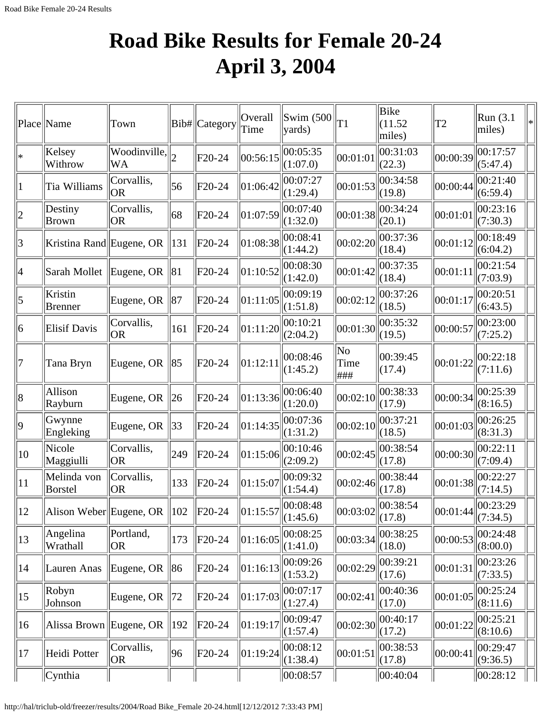## **Road Bike Results for Female 20-24 April 3, 2004**

|                | Place Name                              | Town                         |                | Bib# Category | Overall<br>Time | $\vert$ Swim (500 $\vert$<br> yards) | T <sub>1</sub>    | <b>Bike</b><br>(11.52)<br>miles) | T <sub>2</sub> | Run (3.1)<br>miles)  | ∗ |
|----------------|-----------------------------------------|------------------------------|----------------|---------------|-----------------|--------------------------------------|-------------------|----------------------------------|----------------|----------------------|---|
| $\ast$         | Kelsey<br>Withrow                       | Woodinville,<br><b>WA</b>    | $\overline{2}$ | F20-24        | 00:56:15        | 00:05:35<br>(1:07.0)                 | 00:01:01          | 00:31:03<br>(22.3)               | 00:00:39       | 00:17:57<br>(5:47.4) |   |
| 1              | Tia Williams                            | Corvallis,<br> OR            | 56             | F20-24        | 01:06:42        | 00:07:27<br>(1:29.4)                 | 00:01:53          | 00:34:58<br>(19.8)               | 00:00:44       | 00:21:40<br>(6:59.4) |   |
| $\overline{2}$ | Destiny<br><b>Brown</b>                 | Corvallis,<br> OR            | 68             | F20-24        | 01:07:59        | 00:07:40<br>(1:32.0)                 | 00:01:38          | 00:34:24<br>(20.1)               | 00:01:01       | 00:23:16<br>(7:30.3) |   |
| 3              | Kristina Rand Eugene, OR                |                              | 131            | $F20-24$      | 01:08:38        | 00:08:41<br>(1:44.2)                 | 00:02:20          | 00:37:36<br>(18.4)               | 00:01:12       | 00:18:49<br>(6:04.2) |   |
| 4              | Sarah Mollet                            | Eugene, OR                   | 81             | F20-24        | 01:10:52        | 00:08:30<br>(1:42.0)                 | 00:01:42          | 00:37:35<br>(18.4)               | 00:01:11       | 00:21:54<br>(7:03.9) |   |
| 5              | Kristin<br><b>Brenner</b>               | Eugene, OR                   | 87             | F20-24        | 01:11:05        | 00:09:19<br>(1:51.8)                 | 00:02:12          | 00:37:26<br>(18.5)               | 00:01:17       | 00:20:51<br>(6:43.5) |   |
| 6              | Elisif Davis                            | Corvallis,<br> OR            | 161            | $F20-24$      | 01:11:20        | 00:10:21<br>(2:04.2)                 | 00:01:30          | 00:35:32<br>(19.5)               | 00:00:57       | 00:23:00<br>(7:25.2) |   |
| 7              | Tana Bryn                               | Eugene, OR   85              |                | F20-24        | 01:12:11        | 00:08:46<br>(1:45.2)                 | No<br>Time<br>### | 00:39:45<br>(17.4)               | 00:01:22       | 00:22:18<br>(7:11.6) |   |
| 8              | Allison<br>Rayburn                      | Eugene, OR $ $               | $\ 26\ $       | F20-24        | 01:13:36        | 00:06:40<br>(1:20.0)                 | 00:02:10          | 00:38:33<br>(17.9)               | 00:00:34       | 00:25:39<br>(8:16.5) |   |
| 9              | Gwynne<br>Engleking                     | Eugene, OR                   | 33             | F20-24        | 01:14:35        | 00:07:36<br>(1:31.2)                 | 00:02:10          | 00:37:21<br>(18.5)               | 00:01:03       | 00:26:25<br>(8:31.3) |   |
| 10             | Nicole<br>Maggiulli                     | Corvallis,<br><b>OR</b>      | 249            | F20-24        | 01:15:06        | 00:10:46<br>(2:09.2)                 | 00:02:45          | 00:38:54<br>(17.8)               | 00:00:30       | 00:22:11<br>(7:09.4) |   |
| 11             | Melinda von<br>Borstel                  | Corvallis,<br> OR            | 133            | F20-24        | 01:15:07        | 00:09:32<br>(1:54.4)                 | 00:02:46          | 00:38:44<br>(17.8)               | 00:01:38       | 00:22:27<br>(7:14.5) |   |
| 12             | Alison Weber Eugene, OR $\parallel$ 102 |                              |                | $F20-24$      | 01:15:57        | 00:08:48<br>(1:45.6)                 | 00:03:02          | 00:38:54<br>(17.8)               | 00:01:44       | 00:23:29<br>(7:34.5) |   |
| 13             | Angelina<br>Wrathall                    | Portland,<br>OR <sub>.</sub> | 173            | $F20-24$      | 01:16:05        | 00:08:25<br>(1:41.0)                 | 00:03:34          | 00:38:25<br>(18.0)               | 00:00:53       | 00:24:48<br>(8:00.0) |   |
| 14             | Lauren Anas                             | Eugene, OR                   | 86             | F20-24        | 01:16:13        | 00:09:26<br>(1:53.2)                 | 00:02:29          | 00:39:21<br>(17.6)               | 00:01:31       | 00:23:26<br>(7:33.5) |   |
| 15             | Robyn<br>Johnson                        | Eugene, OR                   | 72             | $F20-24$      | 01:17:03        | 00:07:17<br>(1:27.4)                 | 00:02:41          | 00:40:36<br>(17.0)               | 00:01:05       | 00:25:24<br>(8:11.6) |   |
| 16             | Alissa Brown Eugene, OR                 |                              | 192            | $F20-24$      | 01:19:17        | 00:09:47<br>(1:57.4)                 | 00:02:30          | 00:40:17<br>(17.2)               | 00:01:22       | 00:25:21<br>(8:10.6) |   |
| 17             | Heidi Potter                            | Corvallis,<br> OR            | 96             | $F20-24$      | 01:19:24        | 00:08:12<br>(1:38.4)                 | 00:01:51          | 00:38:53<br>(17.8)               | 00:00:41       | 00:29:47<br>(9:36.5) |   |
|                | Cynthia                                 |                              |                |               |                 | 00:08:57                             |                   | 00:40:04                         |                | 00:28:12             |   |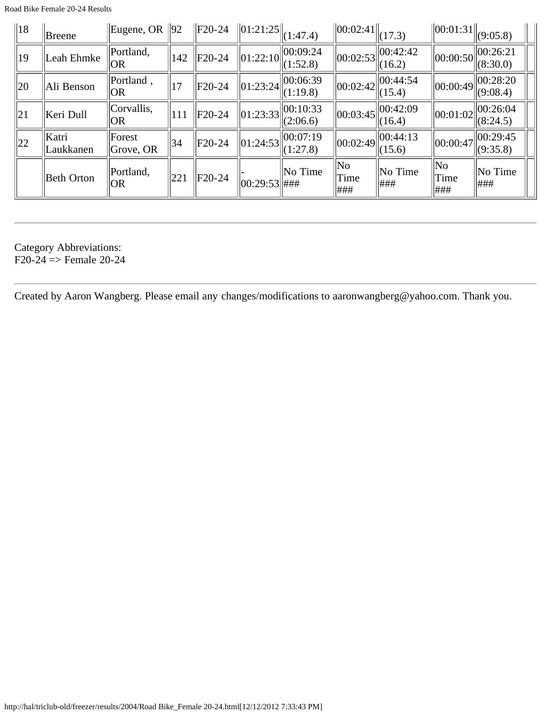|--|

| $\parallel$ 18 | Breene             | Eugene, OR $\ 92\ $ |                 | $ $ F20-24 | $\ 01:21:25\ $ | (1:47.4)                 | $\ 00:02:41\ $          | (17.3)                 | $\ 00:01:31\ $         | (9:05.8)                 |
|----------------|--------------------|---------------------|-----------------|------------|----------------|--------------------------|-------------------------|------------------------|------------------------|--------------------------|
| 19             | Leah Ehmke         | Portland,<br> OR    | 142             | $F20-24$   | $\ 01:22:10\ $ | $\ 00:09:24$<br>(1:52.8) | 00:02:53                | $\ 00:42:42$<br>(16.2) | 00:00:50               | $\ 00:26:21$<br>(8:30.0) |
| $\parallel$ 20 | Ali Benson         | Portland,<br> OR    | 17              | $F20-24$   | $\ 01:23:24\ $ | 00:06:39<br>(1:19.8)     | 00:02:42                | 00:44:54<br>(15.4)     | 00:00:49               | 00:28:20<br>(9:08.4)     |
| $\vert$ 21     | Keri Dull          | Corvallis,<br> OR   | 111             | $F20-24$   | $\ 01:23:33\ $ | 00:10:33<br>(2:06.6)     | 00:03:45                | $\ 00:42:09$<br>(16.4) | 00:01:02               | 00:26:04<br>(8:24.5)     |
| $\parallel$ 22 | Katri<br>Laukkanen | Forest<br>Grove, OR | 34              | $ F20-24 $ | $\ 01:24:53\ $ | 00:07:19<br>(1:27.8)     | 00:02:49                | 00:44:13<br>(15.6)     | 00:00:47               | $\ 00:29:45$<br>(9:35.8) |
|                | <b>Beth Orton</b>  | Portland,<br> OR    | $\parallel 221$ | $F20-24$   | 00:29:53  #HH  | No Time                  | $\ $ No<br>Time<br> ### | $\ $ No Time<br>###    | $\ $ No<br>Time<br>### | No Time<br>###           |

Category Abbreviations:

 $F20-24 \Rightarrow$  Female 20-24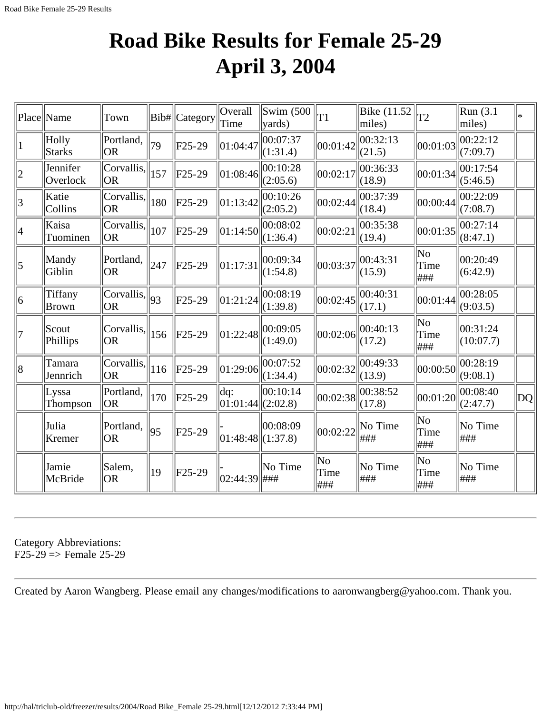#### **Road Bike Results for Female 25-29 April 3, 2004**

|                 | Place  Name             | Town                                                 |     | Bib#  Category | Overall<br>Time                          | $\mathrm{Swim}\;$ (500<br>$\vert$ yards) | T1                                     | Bike (11.52<br>miles) | T2                  | Run (3.1)<br>miles)   | $\ast$      |
|-----------------|-------------------------|------------------------------------------------------|-----|----------------|------------------------------------------|------------------------------------------|----------------------------------------|-----------------------|---------------------|-----------------------|-------------|
|                 | Holly<br>Starks         | Portland,<br><b>OR</b>                               | 79  | $F25-29$       | 01:04:47                                 | 00:07:37<br>(1:31.4)                     | 00:01:42                               | 00:32:13<br>(21.5)    | 00:01:03            | 00:22:12<br>(7:09.7)  |             |
| $ 2\rangle$     | Jennifer<br>Overlock    | Corvallis,<br> OR                                    | 157 | $F25-29$       | 01:08:46                                 | 00:10:28<br>(2:05.6)                     | 00:02:17                               | 00:36:33<br>(18.9)    | 00:01:34            | 00:17:54<br>(5:46.5)  |             |
| $\vert 3 \vert$ | Katie<br>Collins        | Corvallis,<br><b>OR</b>                              | 180 | $F25-29$       | 01:13:42                                 | 00:10:26<br>(2:05.2)                     | 00:02:44                               | 00:37:39<br>(18.4)    | 00:00:44            | 00:22:09<br>(7:08.7)  |             |
| 4               | Kaisa<br>Tuominen       | Corvallis,<br>OR)                                    | 107 | $F25-29$       | 01:14:50                                 | 00:08:02<br>(1:36.4)                     | 00:02:21                               | 00:35:38<br>(19.4)    | 00:01:35            | 00:27:14<br>(8:47.1)  |             |
| $\vert$ 5       | Mandy<br>Giblin         | Portland.<br><b>OR</b>                               | 247 | $F25-29$       | 01:17:31                                 | 00:09:34<br>(1:54.8)                     | 00:03:37                               | 00:43:31<br>(15.9)    | No<br>Time<br> ###  | 00:20:49<br>(6:42.9)  |             |
| 6               | Tiffany<br><b>Brown</b> | $\overline{\text{Corvallis}}, \parallel_{93}$<br> OR |     | $F25-29$       | 01:21:24                                 | 00:08:19<br>(1:39.8)                     | 00:02:45                               | 00:40:31<br>(17.1)    | 00:01:44            | 00:28:05<br>(9:03.5)  |             |
| 7               | Scout<br>Phillips       | Corvallis,<br><b>OR</b>                              | 156 | $F25-29$       | 01:22:48                                 | 00:09:05<br>(1:49.0)                     | 00:02:06                               | 00:40:13<br>(17.2)    | No<br>Time<br>###   | 00:31:24<br>(10:07.7) |             |
| 8               | Tamara<br>Jennrich      | Corvallis,<br> OR                                    | 116 | $F25-29$       | 01:29:06                                 | 00:07:52<br>(1:34.4)                     | 00:02:32                               | 00:49:33<br>(13.9)    | 00:00:50            | 00:28:19<br>(9:08.1)  |             |
|                 | Lyssa<br>Thompson       | Portland,<br><b>OR</b>                               | 170 | $F25-29$       | $\frac{dq}{dt}$<br>$ 01:01:44 $ (2:02.8) | 00:10:14                                 | 00:02:38                               | 00:38:52<br>(17.8)    | 00:01:20            | 00:08:40<br>(2:47.7)  | $ \rm{DQ} $ |
|                 | Julia<br>Kremer         | Portland,<br><b>OR</b>                               | 95  | F25-29         | $ 01:48:48 $ (1:37.8)                    | 00:08:09                                 | 00:02:22                               | No Time<br>###        | No<br>Time<br> ###  | No Time<br> ###       |             |
|                 | Jamie<br>McBride        | Salem,<br><b>OR</b>                                  | 19  | $F25-29$       | $ 02:44:39 $ ###                         | No Time                                  | $\overline{\text{No}}$<br>Time<br> ### | No Time<br>###        | No.<br>Time<br> ### | No Time<br> ###       |             |

Category Abbreviations:  $F25-29 \Rightarrow$  Female 25-29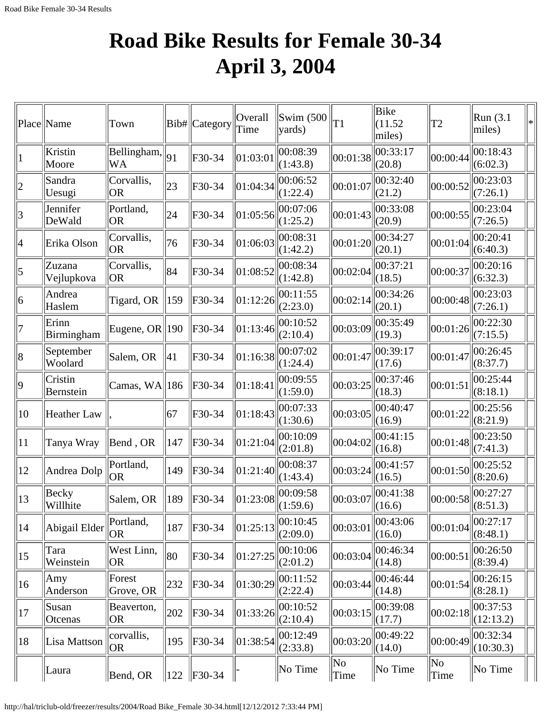## **Road Bike Results for Female 30-34 April 3, 2004**

|                          | Place Name           | Town                                        |               | Bib#  Category | Overall<br>Time | Swim $(500)$<br>yards) | T <sub>1</sub> | Bike<br>(11.52)<br>miles) | T <sub>2</sub> | Run (3.1)<br>miles)   | $\ast$ |
|--------------------------|----------------------|---------------------------------------------|---------------|----------------|-----------------|------------------------|----------------|---------------------------|----------------|-----------------------|--------|
|                          | Kristin<br>Moore     | $\overline{\text{Bellingham}}$ ,   91<br>WA |               | F30-34         | 01:03:01        | 00:08:39<br>(1:43.8)   | 00:01:38       | 00:33:17<br>(20.8)        | 00:00:44       | 00:18:43<br>(6:02.3)  |        |
| $ 2\rangle$              | Sandra<br>Uesugi     | Corvallis,<br><b>OR</b>                     | 23            | F30-34         | 01:04:34        | 00:06:52<br>(1:22.4)   | 00:01:07       | 00:32:40<br>(21.2)        | 00:00:52       | 00:23:03<br>(7:26.1)  |        |
| 3                        | Jennifer<br>DeWald   | Portland,<br> OR                            | 24            | F30-34         | 01:05:56        | 00:07:06<br>(1:25.2)   | 00:01:43       | 00:33:08<br>(20.9)        | 00:00:55       | 00:23:04<br>(7:26.5)  |        |
| $\overline{\mathcal{A}}$ | Erika Olson          | Corvallis,<br> OR                           | 76            | F30-34         | 01:06:03        | 00:08:31<br>(1:42.2)   | 00:01:20       | 00:34:27<br>(20.1)        | 00:01:04       | 00:20:41<br>(6:40.3)  |        |
| 5                        | Zuzana<br>Vejlupkova | Corvallis,<br> OR                           | 84            | F30-34         | 01:08:52        | 00:08:34<br>(1:42.8)   | 00:02:04       | 00:37:21<br>(18.5)        | 00:00:37       | 00:20:16<br>(6:32.3)  |        |
| 6                        | Andrea<br>Haslem     | Tigard, OR $\parallel$ 159                  |               | F30-34         | 01:12:26        | 00:11:55<br>(2:23.0)   | 00:02:14       | 00:34:26<br>(20.1)        | 00:00:48       | 00:23:03<br>(7:26.1)  |        |
| 7                        | Erinn<br>Birmingham  | Eugene, OR $ 190$                           |               | F30-34         | 01:13:46        | 00:10:52<br>(2:10.4)   | 00:03:09       | 00:35:49<br>(19.3)        | 00:01:26       | 00:22:30<br>(7:15.5)  |        |
| 8                        | September<br>Woolard | Salem, OR                                   | 41            | F30-34         | 01:16:38        | 00:07:02<br>(1:24.4)   | 00:01:47       | 00:39:17<br>(17.6)        | 00:01:47       | 00:26:45<br>(8:37.7)  |        |
| $ 9\rangle$              | Cristin<br>Bernstein | Camas, WA  186                              |               | F30-34         | 01:18:41        | 00:09:55<br>(1:59.0)   | 00:03:25       | 00:37:46<br>(18.3)        | 00:01:51       | 00:25:44<br>(8:18.1)  |        |
| 10                       | Heather Law          |                                             | 67            | F30-34         | 01:18:43        | 00:07:33<br>(1:30.6)   | 00:03:05       | 00:40:47<br>(16.9)        | 00:01:22       | 00:25:56<br>(8:21.9)  |        |
| 11                       | Tanya Wray           | Bend, OR                                    | 147           | F30-34         | 01:21:04        | 00:10:09<br>(2:01.8)   | 00:04:02       | 00:41:15<br>(16.8)        | 00:01:48       | 00:23:50<br>(7:41.3)  |        |
| 12                       | Andrea Dolp          | Portland,<br>OR <sub>.</sub>                | 149           | F30-34         | 01:21:40        | 00:08:37<br>(1:43.4)   | 00:03:24       | 00:41:57<br>(16.5)        | 00:01:50       | 00:25:52<br>(8:20.6)  |        |
| 13                       | Becky<br>Willhite    | Salem, OR                                   | 189           | F30-34         | 01:23:08        | 00:09:58<br>(1:59.6)   | 00:03:07       | 00:41:38<br>(16.6)        | 00:00:58       | 00:27:27<br>(8:51.3)  |        |
| 14                       | Abigail Elder        | Portland,<br>OR                             | 187           | F30-34         | 01:25:13        | 00:10:45<br>(2:09.0)   | 00:03:01       | 00:43:06<br>(16.0)        | 00:01:04       | 00:27:17<br>(8:48.1)  |        |
| 15                       | Tara<br>Weinstein    | West Linn,<br><b>OR</b>                     | 80            | F30-34         | 01:27:25        | 00:10:06<br>(2:01.2)   | 00:03:04       | 00:46:34<br>(14.8)        | 00:00:51       | 00:26:50<br>(8:39.4)  |        |
| 16                       | Amy<br>Anderson      | Forest<br>Grove, OR                         | 232           | F30-34         | 01:30:29        | 00:11:52<br>(2:22.4)   | 00:03:44       | 00:46:44<br>(14.8)        | 00:01:54       | 00:26:15<br>(8:28.1)  |        |
| 17                       | Susan<br>Otcenas     | Beaverton,<br>OR <sub>.</sub>               | 202           | F30-34         | 01:33:26        | 00:10:52<br>(2:10.4)   | 00:03:15       | 00:39:08<br>(17.7)        | 00:02:18       | 00:37:53<br>(12:13.2) |        |
| 18                       | Lisa Mattson         | corvallis,<br>OR                            | 195           | F30-34         | 01:38:54        | 00:12:49<br>(2:33.8)   | 00:03:20       | 00:49:22<br>(14.0)        | 00:00:49       | 00:32:34<br>(10:30.3) |        |
|                          | Laura                | Bend, OR                                    | $ 122\rangle$ | $\ $ F30-34    |                 | No Time                | No<br>Time     | No Time                   | No<br>Time     | No Time               |        |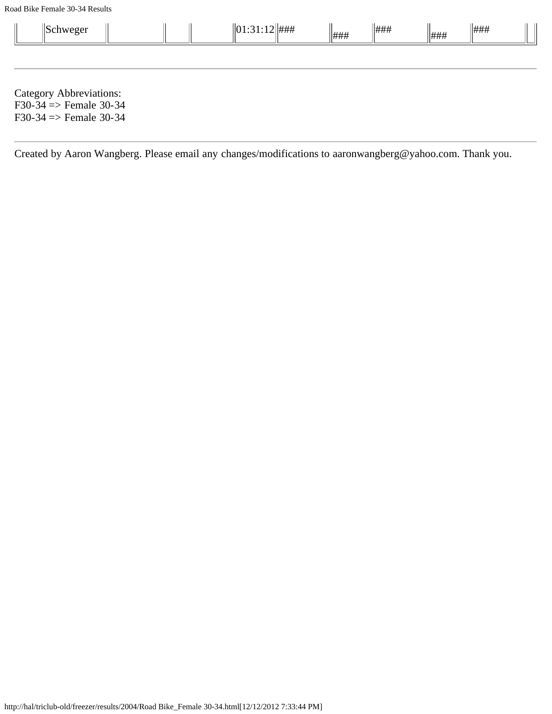Road Bike Female 30-34 Results

| $\parallel$ Schweger                                                                              |  | $\ 01:31:12\ $ ### | ### | ### | ### | ### |  |
|---------------------------------------------------------------------------------------------------|--|--------------------|-----|-----|-----|-----|--|
|                                                                                                   |  |                    |     |     |     |     |  |
| Category Abbreviations:<br>$F30-34 \Rightarrow$ Female 30-34<br>$F30-34 \Rightarrow$ Female 30-34 |  |                    |     |     |     |     |  |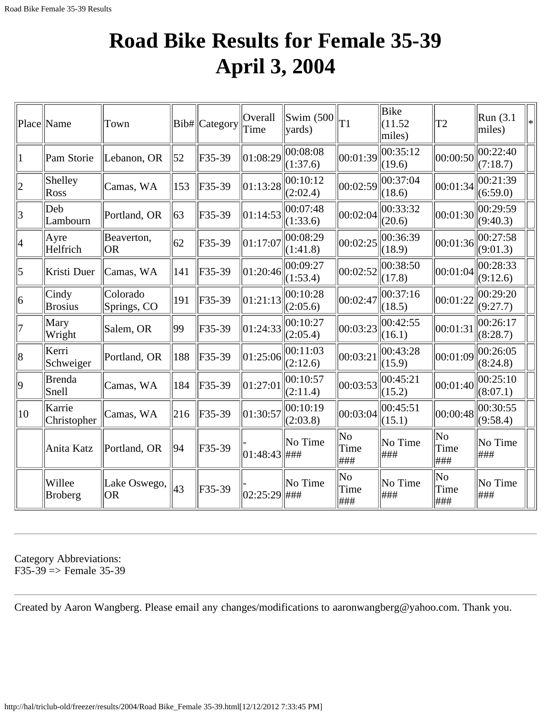#### **Road Bike Results for Female 35-39 April 3, 2004**

|                | Place Name               | Town                      |     | Bib# Category | Overall<br>Time | Swim (500<br>vards)         | T1                 | Bike<br>(11.52)<br>miles) | T <sub>2</sub>                | Run(3.1)<br>miles)   | $\ast$ |
|----------------|--------------------------|---------------------------|-----|---------------|-----------------|-----------------------------|--------------------|---------------------------|-------------------------------|----------------------|--------|
| 1              | Pam Storie               | Lebanon, OR               | 52  | F35-39        | 01:08:29        | 00:08:08<br>(1:37.6)        | 00:01:39           | 00:35:12<br>(19.6)        | 00:00:50                      | 00:22:40<br>(7:18.7) |        |
| $\overline{2}$ | Shelley<br>Ross          | Camas, WA                 | 153 | F35-39        | 01:13:28        | 00:10:12<br>(2:02.4)        | 00:02:59           | 00:37:04<br>(18.6)        | 00:01:34                      | 00:21:39<br>(6:59.0) |        |
| $\overline{3}$ | Deb<br>Lambourn          | Portland, OR              | 63  | F35-39        | 01:14:53        | 00:07:48<br>(1:33.6)        | 00:02:04           | 00:33:32<br>(20.6)        | 00:01:30                      | 00:29:59<br>(9:40.3) |        |
| 4              | Ayre<br>Helfrich         | Beaverton,<br><b>OR</b>   | 62  | F35-39        | 01:17:07        | 00:08:29<br>(1:41.8)        | 00:02:25           | 00:36:39<br>(18.9)        | 00:01:36                      | 00:27:58<br>(9:01.3) |        |
| 5              | Kristi Duer              | Camas, WA                 | 141 | F35-39        | 01:20:46        | 00:09:27<br>(1:53.4)        | 00:02:52           | 00:38:50<br>(17.8)        | 00:01:04                      | 00:28:33<br>(9:12.6) |        |
| 6              | Cindy<br><b>Brosius</b>  | Colorado<br>Springs, CO   | 191 | F35-39        | 01:21:13        | 00:10:28<br>(2:05.6)        | 00:02:47           | 00:37:16<br>(18.5)        | 00:01:22                      | 00:29:20<br>(9:27.7) |        |
| 7              | Mary<br>Wright           | Salem, OR                 | 99  | F35-39        | 01:24:33        | 00:10:27<br>(2:05.4)        | 00:03:23           | 00:42:55<br>(16.1)        | 00:01:31                      | 00:26:17<br>(8:28.7) |        |
| 8              | Kerri<br>Schweiger       | Portland, OR              | 188 | F35-39        | 01:25:06        | 00:11:03<br>(2:12.6)        | 00:03:21           | 00:43:28<br>(15.9)        | 00:01:09                      | 00:26:05<br>(8:24.8) |        |
| $ 9\rangle$    | <b>Brenda</b><br>Snell   | Camas, WA                 | 184 | F35-39        | 01:27:01        | 00:10:57<br>(2:11.4)        | 00:03:53           | 00:45:21<br>(15.2)        | 00:01:40                      | 00:25:10<br>(8:07.1) |        |
| 10             | Karrie<br>Christopher    | Camas, WA                 | 216 | F35-39        | 01:30:57        | 00:10:19<br>(2:03.8)        | 00:03:04           | 00:45:51<br>(15.1)        | 00:00:48                      | 00:30:55<br>(9:58.4) |        |
|                | Anita Katz               | Portland, OR              | 94  | F35-39        | 01:48:43        | No Time<br>###              | No<br>Time<br> ### | No Time<br> ###           | N <sub>o</sub><br>Time<br>### | No Time<br>###       |        |
|                | Willee<br><b>Broberg</b> | Lake Oswego,<br><b>OR</b> | 43  | F35-39        | 02:25:29        | No Time<br>$\frac{4+}{4+1}$ | No<br>Time<br> ### | No Time<br> ###           | No<br>Time<br>###             | No Time<br>###       |        |

Category Abbreviations:  $F35-39 \Rightarrow$  Female 35-39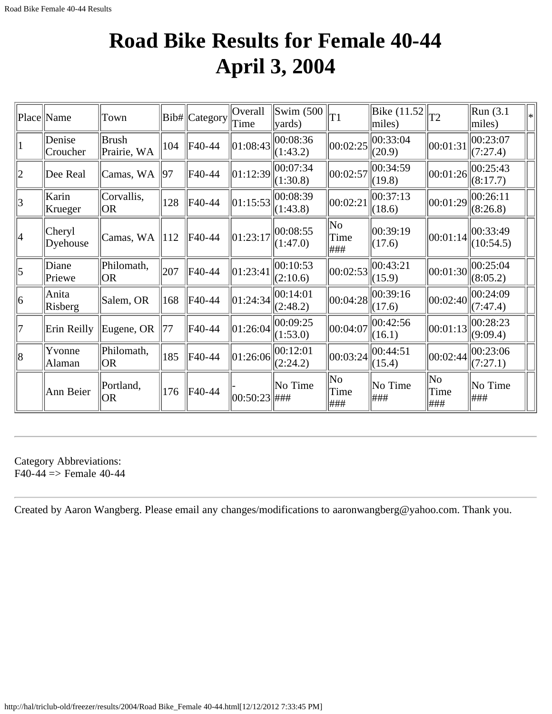### **Road Bike Results for Female 40-44 April 3, 2004**

|                 | Place Name         | Town                        |                 | Bib# Category | Overall<br>Time  | $\text{Swim}\; (500$<br>vards) | T1                 | Bike $(11.52)$<br>miles)   | T <sub>2</sub>                        | Run (3.1<br>miles)    |  |
|-----------------|--------------------|-----------------------------|-----------------|---------------|------------------|--------------------------------|--------------------|----------------------------|---------------------------------------|-----------------------|--|
|                 | Denise<br>Croucher | <b>Brush</b><br>Prairie, WA | 104             | F40-44        | 01:08:43         | 00:08:36<br>(1:43.2)           | 00:02:25           | 00:33:04<br>(20.9)         | 00:01:31                              | 00:23:07<br>(7:27.4)  |  |
| $ 2\rangle$     | Dee Real           | Camas, WA                   | 197             | F40-44        | 01:12:39         | 00:07:34<br>(1:30.8)           | 00:02:57           | 00:34:59<br>(19.8)         | 00:01:26                              | 00:25:43<br>(8:17.7)  |  |
| $\vert 3 \vert$ | Karin<br>Krueger   | Corvallis,<br> OR           | 128             | F40-44        | 01:15:53         | 00:08:39<br>(1:43.8)           | 00:02:21           | 00:37:13<br>$\Vert (18.6)$ | 00:01:29                              | 00:26:11<br>(8:26.8)  |  |
| 4               | Cheryl<br>Dyehouse | Camas, WA                   | $\parallel$ 112 | F40-44        | 01:23:17         | 00:08:55<br>(1:47.0)           | No<br>Time<br> ### | 00:39:19<br>(17.6)         | 00:01:14                              | 00:33:49<br>(10:54.5) |  |
| $\vert 5 \vert$ | Diane<br>Priewe    | Philomath,<br>OR)           | 207             | F40-44        | 01:23:41         | 00:10:53<br>(2:10.6)           | 00:02:53           | 00:43:21<br>(15.9)         | 00:01:30                              | 00:25:04<br>(8:05.2)  |  |
| 6               | Anita<br>Risberg   | Salem, OR                   | 168             | F40-44        | 01:24:34         | 00:14:01<br>(2:48.2)           | 00:04:28           | 00:39:16<br>$\vert$ (17.6) | 00:02:40                              | 00:24:09<br>(7:47.4)  |  |
| 7               | Erin Reilly        | Eugene, OR                  | 77              | F40-44        | 01:26:04         | 00:09:25<br>(1:53.0)           | 00:04:07           | 00:42:56<br>$\ $ (16.1)    | 00:01:13                              | 00:28:23<br>(9:09.4)  |  |
| 8               | Yvonne<br>Alaman   | Philomath,<br> OR           | 185             | F40-44        | 01:26:06         | 00:12:01<br>(2:24.2)           | 00:03:24           | 00:44:51<br>(15.4)         | 00:02:44                              | 00:23:06<br>(7:27.1)  |  |
|                 | Ann Beier          | Portland,<br> OR            | 176             | F40-44        | $ 00:50:23 $ ### | No Time                        | No<br>Time<br> ### | $\ $ No Time<br> ###       | $\overline{\text{No}}$<br>Time<br>### | No Time<br> ###       |  |

Category Abbreviations:  $F40-44 \Rightarrow$  Female 40-44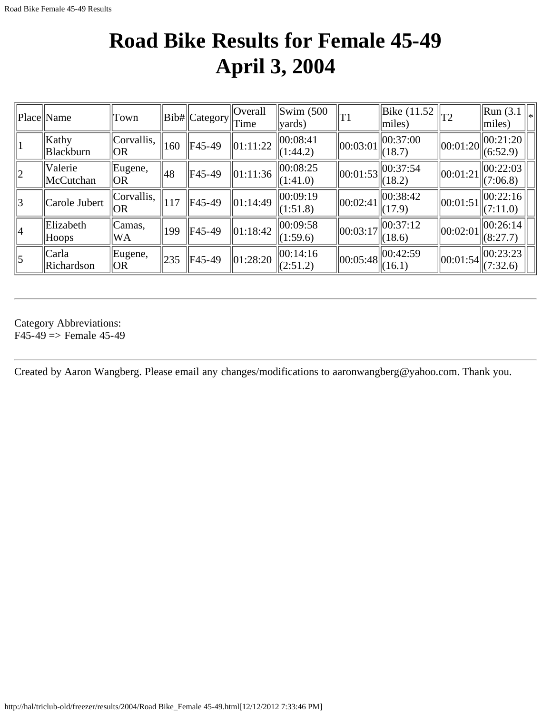### **Road Bike Results for Female 45-49 April 3, 2004**

|             | Place Name                | Town              |     | $  Bib#  $ Category $  $ Time | <b>Overall</b> | $\text{Swim}\; (500$<br> yards) | T1                             | Bike (11.52<br>miles) | T2                 | $\ $ Run (3.1 $\ _*$ )<br>$\vert$ miles)     |
|-------------|---------------------------|-------------------|-----|-------------------------------|----------------|---------------------------------|--------------------------------|-----------------------|--------------------|----------------------------------------------|
|             | Kathy<br><b>Blackburn</b> | Corvallis,<br> OR | 160 | F45-49                        | 01:11:22       | 00:08:41<br>(1:44.2)            | $\vert\vert 00$ :03:01 $\vert$ | 00:37:00<br>(18.7)    |                    | $\ 00:01:20\  00:21:20 \ $<br>(6:52.9)       |
| $ 2\rangle$ | Valerie<br>McCutchan      | Eugene,<br> OR    | 48  | F45-49                        | 01:11:36       | 00:08:25<br>(1:41.0)            | $\ 00:01:53\ $                 | 00:37:54<br>(18.2)    | $\vert$ [00:01:21] | 00:22:03<br>(7:06.8)                         |
| 3           | Carole Jubert             | Corvallis,<br> OR | 117 | F45-49                        | 01:14:49       | 00:09:19<br>(1:51.8)            | 00:02:41                       | 00:38:42 <br>(17.9)   | 00:01:51           | $\parallel$ 00:22:16 $\parallel$<br>(7:11.0) |
| 4           | Elizabeth<br>$ $ Hoops    | Camas,<br>WA.     | 199 | $FA5-49$                      | 01:18:42       | 00:09:58<br>(1:59.6)            | 00:03:17                       | 00:37:12<br>(18.6)    | $\ 00:02:01\ $     | 00:26:14 <br>(8:27.7)                        |
| $\vert$ 5   | Carla<br>Richardson       | Eugene,<br> OR    | 235 | F45-49                        | 01:28:20       | 00:14:16<br>(2:51.2)            | 00:05:48                       | 00:42:59<br>(16.1)    | $\ 00:01:54\ $     | 00:23:23 <br>(7:32.6)                        |

Category Abbreviations:  $F45-49 \Rightarrow$  Female 45-49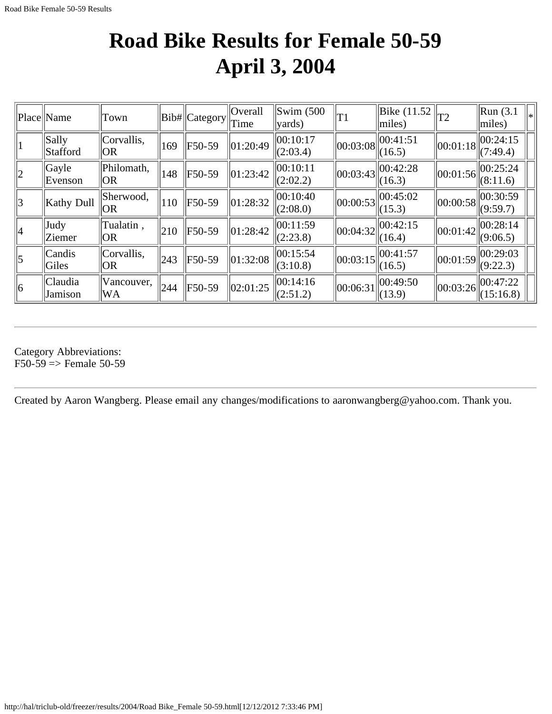#### **Road Bike Results for Female 50-59 April 3, 2004**

|             | Place Name         | Town                   |     | Bib# Category | Overall<br>Time          | $\text{Swim}\; (500$<br>$\vert$ yards) | $\Vert$ T1 | Bike (11.52)<br>$\vert$ miles)                                             | T <sub>2</sub>                      | Run(3.1)<br>l*<br>miles) |
|-------------|--------------------|------------------------|-----|---------------|--------------------------|----------------------------------------|------------|----------------------------------------------------------------------------|-------------------------------------|--------------------------|
|             | Sally<br>Stafford  | Corvallis,<br> OR      | 169 | F50-59        | $\ 01:20:49$             | 00:10:17<br>(2:03.4)                   | 00:03:08   | 00:41:51<br>(16.5)                                                         | $\vert\vert 00$ :01:18 $\vert\vert$ | 00:24:15<br>(7:49.4)     |
| $ 2\rangle$ | Gayle<br>Evenson   | Philomath,<br> OR      | 148 | F50-59        | $\vert 01:23:42 \vert$   | 00:10:11<br>(2:02.2)                   | 00:03:43   | 00:42:28<br>(16.3)                                                         | $\ 00:01:56\ $                      | 00:25:24<br>(8:11.6)     |
| 3           | Kathy Dull         | Sherwood,<br> OR       | 110 | F50-59        | $\ 01:28:32\ $           | 00:10:40<br>(2:08.0)                   | 00:00:53   | 00:45:02<br>(15.3)                                                         | $\left\vert 00:00:58\right\vert$    | 00:30:59<br>(9:59.7)     |
| 4           | Judy<br>Ziemer     | Tualatin,<br><b>OR</b> | 210 | F50-59        | $\vert 01:28:42 \rangle$ | 00:11:59<br>(2:23.8)                   |            | $\left\  00:04:32 \right\  \left\  00:\overline{42:15} \right\ $<br>(16.4) | 00:01:42                            | 00:28:14<br>(9:06.5)     |
| $\vert$ 5   | Candis<br>Giles    | Corvallis,<br> OR      | 243 | F50-59        | $\ 01:32:08$             | 00:15:54<br>(3:10.8)                   | 00:03:15   | 00:41:57<br>(16.5)                                                         | $\vert\vert 00$ :01:59 $\vert$      | 00:29:03<br>(9:22.3)     |
| 6           | Claudia<br>Jamison | Vancouver,<br> WA      | 244 | F50-59        | $\ 02:01:25$             | 00:14:16<br>(2:51.2)                   | 00:06:31   | 00:49:50<br>$\vert$ (13.9)                                                 | $\left\vert 00:03:26\right\vert$    | 00:47:22<br>(15:16.8)    |

Category Abbreviations:  $F50-59$  => Female 50-59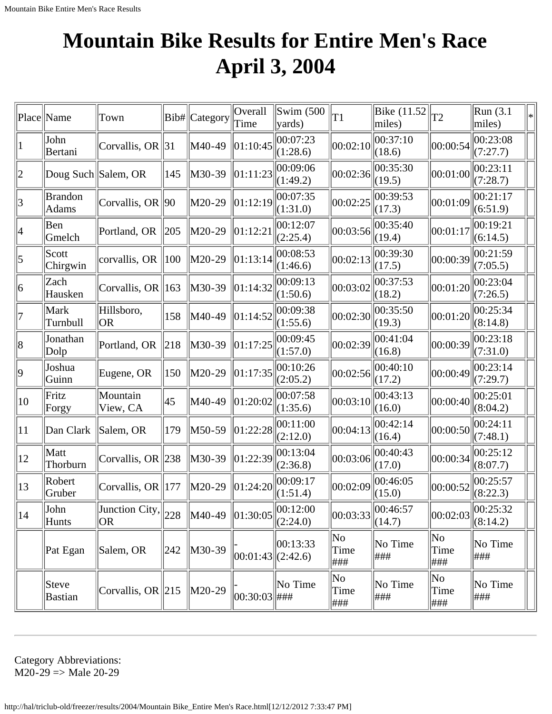# **Mountain Bike Results for Entire Men's Race April 3, 2004**

|                 | Place Name                     | Town                                                                    |     | Bib# Category                           | Overall<br>Time       | $\text{Swim}\left(500\right)$<br>vards) | T1                 | Bike $(11.52)$<br>miles)              | $ _{T2}$           | Run (3.1)<br>miles)        | ∗ |
|-----------------|--------------------------------|-------------------------------------------------------------------------|-----|-----------------------------------------|-----------------------|-----------------------------------------|--------------------|---------------------------------------|--------------------|----------------------------|---|
|                 | John<br>Bertani                | Corvallis, OR $\ 31$                                                    |     | M40-49                                  | 01:10:45              | 00:07:23<br>(1:28.6)                    | 00:02:10           | 00:37:10<br>(18.6)                    | 00:00:54           | 00:23:08<br>(7:27.7)       |   |
| $\overline{2}$  | Doug Such Salem, OR            |                                                                         | 145 | M30-39                                  | $\ 01:11:23$          | 00:09:06<br>(1:49.2)                    | 00:02:36           | 00:35:30<br>(19.5)                    | 00:01:00           | 00:23:11<br>(7:28.7)       |   |
| $\vert 3 \vert$ | <b>Brandon</b><br><b>Adams</b> | Corvallis, OR $ 90$                                                     |     | M20-29                                  | 01:12:19              | 00:07:35<br>(1:31.0)                    | 00:02:25           | 00:39:53<br>(17.3)                    | 00:01:09           | 00:21:17<br>(6:51.9)       |   |
| 4               | Ben<br>Gmelch                  | Portland, OR 205                                                        |     | M20-29                                  | 01:12:21              | 00:12:07<br>(2:25.4)                    | 00:03:56           | 00:35:40<br>(19.4)                    | 00:01:17           | 00:19:21<br>(6:14.5)       |   |
| 5               | Scott<br>Chirgwin              | corvallis, OR $\parallel$ 100                                           |     | M20-29                                  | 01:13:14              | 00:08:53<br>(1:46.6)                    | 00:02:13           | 00:39:30<br>(17.5)                    | 00:00:39           | 00:21:59<br>(7:05.5)       |   |
| 6               | Zach<br>Hausken                | Corvallis, OR $\parallel$ 163                                           |     | M30-39                                  | 01:14:32              | 00:09:13<br>(1:50.6)                    | 00:03:02           | 00:37:53<br>(18.2)                    | 00:01:20           | 00:23:04<br>(7:26.5)       |   |
| 7               | Mark<br>Turnbull               | Hillsboro,<br>OR)                                                       | 158 | M40-49                                  | 01:14:52              | 00:09:38<br>(1:55.6)                    | 00:02:30           | 00:35:50<br>(19.3)                    | 00:01:20           | 00:25:34<br>(8:14.8)       |   |
| 8               | Jonathan<br>Dolp               | Portland, OR                                                            | 218 | M30-39                                  | 01:17:25              | 00:09:45<br>(1:57.0)                    | 00:02:39           | 00:41:04<br>(16.8)                    | 00:00:39           | 00:23:18<br>(7:31.0)       |   |
| $ 9\rangle$     | Joshua<br>Guinn                | Eugene, OR                                                              | 150 | M20-29                                  | 01:17:35              | 00:10:26<br>(2:05.2)                    | 00:02:56           | 00:40:10<br>(17.2)                    | 00:00:49           | 00:23:14<br>(7:29.7)       |   |
| 10              | Fritz<br>Forgy                 | Mountain<br>View, CA                                                    | 45  | M40-49                                  | 01:20:02              | 00:07:58<br>(1:35.6)                    | 00:03:10           | 00:43:13<br>(16.0)                    | 00:00:40           | 00:25:01<br>(8:04.2)       |   |
| 11              | Dan Clark                      | Salem, OR                                                               | 179 | M50-59                                  | 01:22:28              | 00:11:00<br>(2:12.0)                    | 00:04:13           | 00:42:14<br>(16.4)                    | 00:00:50           | 00:24:11<br>(7:48.1)       |   |
| 12              | Matt<br>Thorburn               | Corvallis, OR $\ 238$                                                   |     | M30-39                                  | 01:22:39              | 00:13:04<br>(2:36.8)                    | 00:03:06           | 00:40:43<br>(17.0)                    | 00:00:34           | 00:25:12<br>(8:07.7)       |   |
| 13              | Robert<br>Gruber               | Corvallis, OR 177                                                       |     | M20-29                                  | 01:24:20              | 00:09:17<br>(1:51.4)                    | 00:02:09           | 00:46:05<br>(15.0)                    | 00:00:52           | 00:25:57<br>(8:22.3)       |   |
| 14              | John<br>Hunts                  | $\sqrt{3}$ Junction City, $\left\  \frac{1}{228} \right\ $<br><b>OR</b> |     | $\ $ M40-49 $\ $ 01:30:05 $\ $ 00:12:00 |                       | (2:24.0)                                |                    | $\left\  00:03:33 \right\ $<br>(14.7) | 00:02:03           | $\ 00:25:32\ $<br>(8:14.2) |   |
|                 | Pat Egan                       | Salem, OR                                                               | 242 | M30-39                                  | $ 00:01:43 $ (2:42.6) | 00:13:33                                | No<br>Time<br> ### | No Time<br> ###                       | No<br>Time<br> ### | No Time<br> ###            |   |
|                 | Steve<br>Bastian               | Corvallis, OR $\ 215\ $                                                 |     | M20-29                                  | $ 00:30:03 $ ###      | $\ $ No Time                            | No<br>Time<br> ### | No Time<br> ###                       | No<br>Time<br> ### | No Time<br>###             |   |

Category Abbreviations:  $M20-29$  => Male 20-29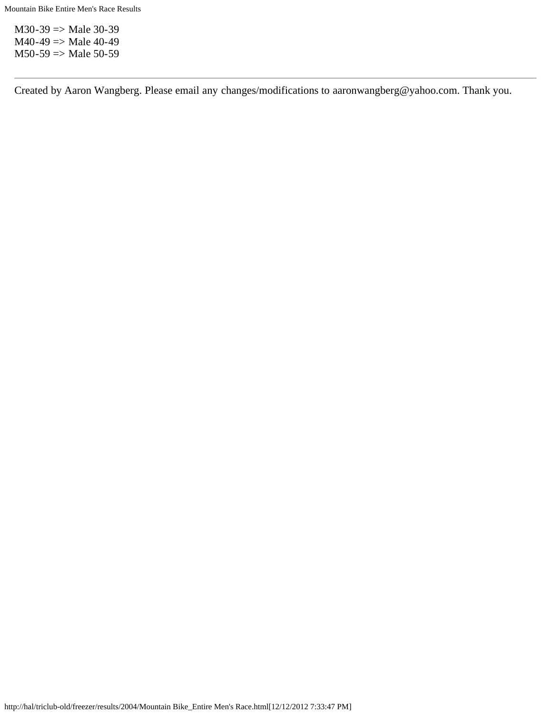$M30-39 \Rightarrow Male 30-39$  $M40-49 \Rightarrow Male 40-49$  $M50-59 \Rightarrow Male 50-59$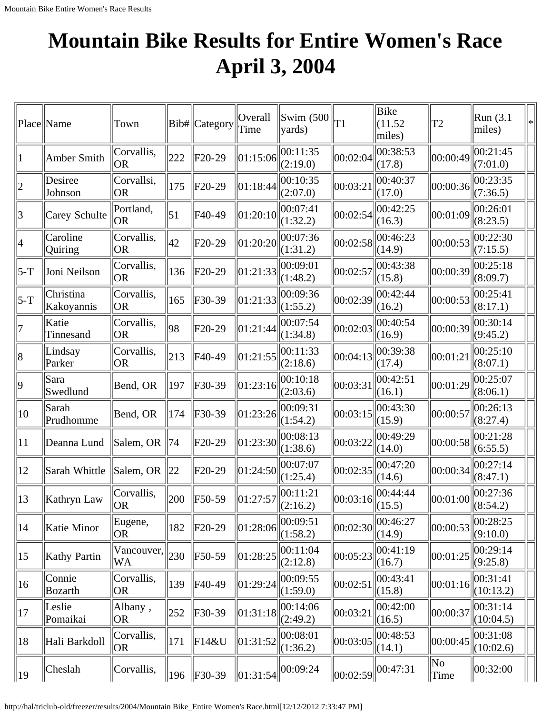# **Mountain Bike Results for Entire Women's Race April 3, 2004**

|              | Place Name              | Town                          |                  | Bib# Category | Overall<br>Time | $\vert$ Swim (500 $\vert$<br>$\vert$ yards) | T1       | <b>Bike</b><br>(11.52)<br>miles) | T2         | Run (3.1)<br>miles)   | ∗ |
|--------------|-------------------------|-------------------------------|------------------|---------------|-----------------|---------------------------------------------|----------|----------------------------------|------------|-----------------------|---|
| 1            | Amber Smith             | Corvallis,<br> OR             | 222              | $F20-29$      | 01:15:06        | 00:11:35<br>(2:19.0)                        | 00:02:04 | 00:38:53<br>(17.8)               | 00:00:49   | 00:21:45<br>(7:01.0)  |   |
| 2            | Desiree<br>Johnson      | Corvallsi,<br><b>OR</b>       | 175              | $F20-29$      | 01:18:44        | 00:10:35<br>(2:07.0)                        | 00:03:21 | 00:40:37<br>(17.0)               | 00:00:36   | 00:23:35<br>(7:36.5)  |   |
| 3            | Carey Schulte           | Portland,<br>OR)              | $\vert 51 \vert$ | F40-49        | 01:20:10        | 00:07:41<br>(1:32.2)                        | 00:02:54 | 00:42:25<br>(16.3)               | 00:01:09   | 00:26:01<br>(8:23.5)  |   |
| 4            | Caroline<br>Quiring     | Corvallis,<br> OR             | 42               | $F20-29$      | 01:20:20        | 00:07:36<br>(1:31.2)                        | 00:02:58 | 00:46:23<br>(14.9)               | 00:00:53   | 00:22:30<br>(7:15.5)  |   |
| 5-T          | Joni Neilson            | Corvallis,<br> OR             | 136              | $F20-29$      | 01:21:33        | 00:09:01<br>(1:48.2)                        | 00:02:57 | 00:43:38<br>(15.8)               | 00:00:39   | 00:25:18<br>(8:09.7)  |   |
| $5-T$        | Christina<br>Kakoyannis | Corvallis,<br>OR.             | 165              | $F30-39$      | 01:21:33        | 00:09:36<br>(1:55.2)                        | 00:02:39 | 00:42:44<br>(16.2)               | 00:00:53   | 00:25:41<br>(8:17.1)  |   |
| 17           | Katie<br>Tinnesand      | Corvallis,<br><b>OR</b>       | 98               | F20-29        | 01:21:44        | 00:07:54<br>(1:34.8)                        | 00:02:03 | 00:40:54<br>(16.9)               | 00:00:39   | 00:30:14<br>(9:45.2)  |   |
| 8            | Lindsay<br>Parker       | Corvallis,<br>OR.             | 213              | F40-49        | 01:21:55        | 00:11:33<br>(2:18.6)                        | 00:04:13 | 00:39:38<br>(17.4)               | 00:01:21   | 00:25:10<br>(8:07.1)  |   |
| $ 9\rangle$  | Sara<br>Swedlund        | Bend, OR                      | 197              | $F30-39$      | 01:23:16        | 00:10:18<br>(2:03.6)                        | 00:03:31 | 00:42:51<br>(16.1)               | 00:01:29   | 00:25:07<br>(8:06.1)  |   |
| $ 10\rangle$ | Sarah<br>Prudhomme      | Bend, OR                      | 174              | $F30-39$      | 01:23:26        | 00:09:31<br>(1:54.2)                        | 00:03:15 | 00:43:30<br>(15.9)               | 00:00:57   | 00:26:13<br>(8:27.4)  |   |
| 11           | Deanna Lund             | Salem, OR                     | 74               | $F20-29$      | 01:23:30        | 00:08:13<br>(1:38.6)                        | 00:03:22 | 00:49:29<br>(14.0)               | 00:00:58   | 00:21:28<br>(6:55.5)  |   |
| $ 12\rangle$ | Sarah Whittle           | Salem, OR                     | 22               | $F20-29$      | 01:24:50        | 00:07:07<br>(1:25.4)                        | 00:02:35 | 00:47:20<br>(14.6)               | 00:00:34   | 00:27:14<br>(8:47.1)  |   |
| $ 13\rangle$ | Kathryn Law             | Corvallis,<br>OR <sub>.</sub> | 200              | F50-59        | 01:27:57        | 00:11:21<br>(2:16.2)                        | 00:03:16 | 00:44:44<br>(15.5)               | 00:01:00   | 00:27:36<br>(8:54.2)  |   |
| $ 14\rangle$ | Katie Minor             | Eugene,<br> OR                | 182              | $F20-29$      | 01:28:06        | 00:09:51<br>(1:58.2)                        | 00:02:30 | 00:46:27<br>(14.9)               | 00:00:53   | 00:28:25<br>(9:10.0)  |   |
| $ 15\rangle$ | <b>Kathy Partin</b>     | Vancouver,<br>WA              | 230              | F50-59        | 01:28:25        | 00:11:04<br>(2:12.8)                        | 00:05:23 | 00:41:19<br>(16.7)               | 00:01:25   | 00:29:14<br>(9:25.8)  |   |
| $ 16\rangle$ | Connie<br>Bozarth       | Corvallis,<br> OR             | 139              | $F40-49$      | 01:29:24        | 00:09:55<br>(1:59.0)                        | 00:02:51 | 00:43:41<br>(15.8)               | 00:01:16   | 00:31:41<br>(10:13.2) |   |
| 17           | Leslie<br>Pomaikai      | Albany,<br>OR.                | 252              | $F30-39$      | 01:31:18        | 00:14:06<br>(2:49.2)                        | 00:03:21 | 00:42:00<br>(16.5)               | 00:00:37   | 00:31:14<br>(10:04.5) |   |
| 18           | Hali Barkdoll           | Corvallis,<br>OR <sub>.</sub> | 171              | $F14\&U$      | 01:31:52        | 00:08:01<br>(1:36.2)                        | 00:03:05 | 00:48:53<br>(14.1)               | 00:00:45   | 00:31:08<br>(10:02.6) |   |
| $ 19\rangle$ | Cheslah                 | Corvallis,                    | 196              | $\ $ F30-39   | 01:31:54        | 00:09:24                                    | 00:02:59 | 00:47:31                         | No<br>Time | 00:32:00              |   |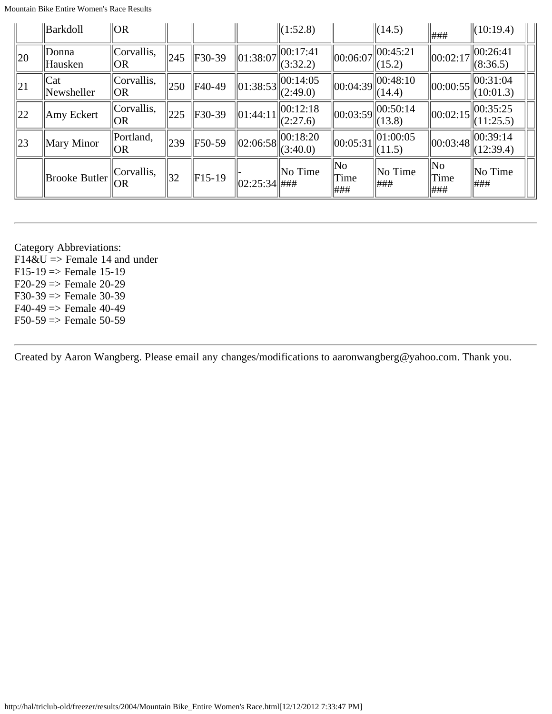Mountain Bike Entire Women's Race Results

|                | Barkdoll                   | $\overline{O}$ $\overline{O}$ $\overline{R}$ |                 |          |                | $\ (1:52.8)$         |                                    | $\ $ (14.5)                                     | ###               | $\ (10:19.4)$                                   |
|----------------|----------------------------|----------------------------------------------|-----------------|----------|----------------|----------------------|------------------------------------|-------------------------------------------------|-------------------|-------------------------------------------------|
| $\parallel$ 20 | Donna<br>Hausken           | Corvallis,<br> OR                            | 245             | $F30-39$ | $\ 01:38:07\ $ | 00:17:41<br>(3:32.2) | $\vert\vert 00$ :06:07 $\vert$     | 00:45:21<br>(15.2)                              | 00:02:17          | 00:26:41<br>(8:36.5)                            |
| $\parallel$ 21 | $\text{Cat}$<br>Newsheller | Corvallis,<br> OR                            | $\parallel 250$ | F40-49   | $\ 01:38:53\ $ | 00:14:05<br>(2:49.0) |                                    | $\left\  00:04:39 \right\  \le 48:10$<br>(14.4) |                   | $\ 00:00:55\ _{\infty}^{00:31:04}$<br>(10:01.3) |
| 22             | Amy Eckert                 | Corvallis <br> OR                            | $\parallel$ 225 | $F30-39$ | $\ 01:44:11\ $ | 00:12:18<br>(2:27.6) | 00:03:59                           | 00:50:14<br>(13.8)                              | 00:02:15          | 00:35:25<br>(11:25.5)                           |
| $\parallel 23$ | Mary Minor                 | Portland,<br> OR                             | 239             | F50-59   | 02:06:58       | 00:18:20<br>(3:40.0) | 00:05:31                           | 01:00:05<br>(11.5)                              | 00:03:48          | 00:39:14<br>(12:39.4)                           |
|                | <b>Brooke Butler</b>       | Corvallis,<br> OR                            | 132             | $F15-19$ | 02:25:34  #HH  | No Time              | $\overline{\rm No}$<br>Time<br>### | No Time<br>###                                  | No<br>Time<br>### | No Time<br>###                                  |

Category Abbreviations:  $F14\&U \Rightarrow$  Female 14 and under  $F15-19 \Rightarrow$  Female 15-19  $F20-29 \Rightarrow$  Female 20-29

 $F30-39 \Rightarrow$  Female 30-39

 $F40-49 \Rightarrow$  Female 40-49

 $F50-59 \Rightarrow$  Female 50-59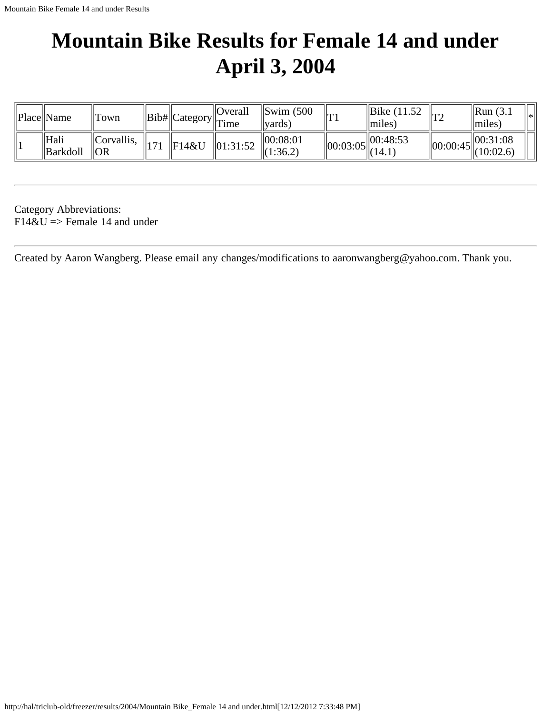# **Mountain Bike Results for Female 14 and under April 3, 2004**

| Place  Name        | 'Town                        |     |               | $\alpha$ Overall<br>$\ \text{Bib#}\ $ Category $\ $ Time | $\left\Vert \text{Swim } (500 \right\Vert$<br>vards) | m        | $\parallel$ Bike (11.52)<br>$\vert$ miles)      | T2             | $\parallel$ Run (3.1)<br>$\vert$ miles)       | l∗ |
|--------------------|------------------------------|-----|---------------|----------------------------------------------------------|------------------------------------------------------|----------|-------------------------------------------------|----------------|-----------------------------------------------|----|
| ' Hali<br>Barkdoll | Corvallis <br>$\overline{O}$ | 171 | $\Vert$ F14&U | $\vert 01:31:52 \vert$                                   | 00:08:01<br>(1:36.2)                                 | 00:03:05 | 00:48:53<br>$^{\prime\prime}$ <sup>(14.1)</sup> | $\ 00:00:45\ $ | $\parallel 00:31:08$<br>$\parallel$ (10:02.6) |    |

Category Abbreviations:  $F14&U \Rightarrow$  Female 14 and under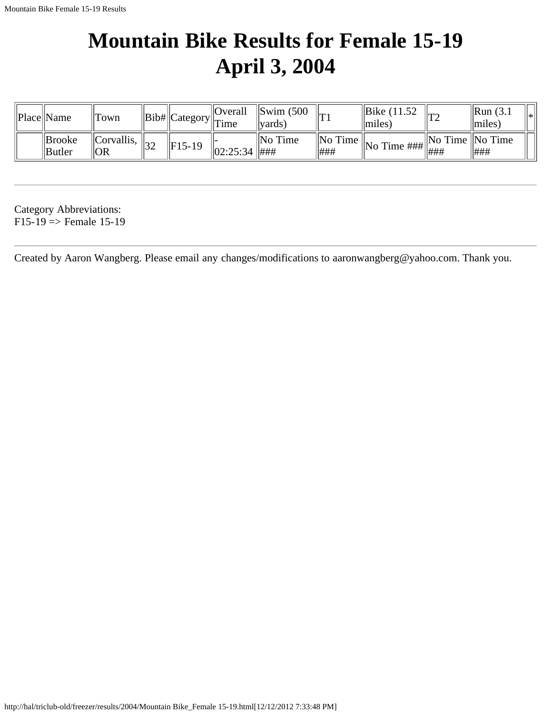# **Mountain Bike Results for Female 15-19 April 3, 2004**

| Place  Name             | 'Town                                  |     |              | $\vert$ Overall<br>$\cdot$ $  \text{Bib#}  \text{Category}  _{\text{Time}}$ | $\parallel$ Swim (500<br><i>v</i> ards) | lm | $\parallel$ Bike (11.52)<br>$\parallel$ miles) | ∕יπי                      | $\parallel$ Run (3.1<br>$\vert$ miles | l∗k |
|-------------------------|----------------------------------------|-----|--------------|-----------------------------------------------------------------------------|-----------------------------------------|----|------------------------------------------------|---------------------------|---------------------------------------|-----|
| Brooke<br><b>Butler</b> | $\Vert$ Corvallis, $\Vert_{22}$<br> OR | ے ر | $\ F15-19\ $ | 02:25:34   ###                                                              | $\ $ No Time                            |    |                                                | $\ $ No Time $\ $ No Time |                                       |     |

Category Abbreviations:  $F15-19 \Rightarrow$  Female 15-19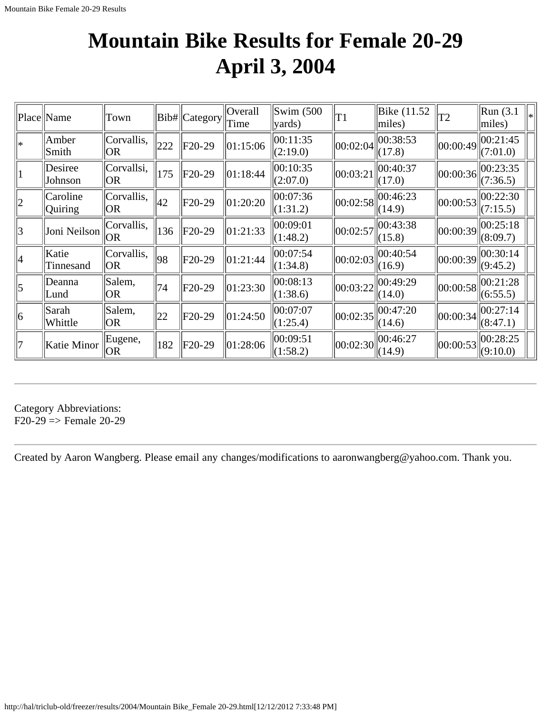### **Mountain Bike Results for Female 20-29 April 3, 2004**

|             | Place Name          | Town                    |              | Bib#  Category | Overall<br>Time | $\parallel$ Swim (500<br>$\vert$ yards) | T1       | Bike (11.52)<br>miles)                                          | T <sub>2</sub> | Run(3.1)<br>miles)   | l* |
|-------------|---------------------|-------------------------|--------------|----------------|-----------------|-----------------------------------------|----------|-----------------------------------------------------------------|----------------|----------------------|----|
| *           | Amber<br>Smith      | Corvallis,<br> OR       | 222          | $F20-29$       | 01:15:06        | 00:11:35<br>(2:19.0)                    | 00:02:04 | 00:38:53<br>(17.8)                                              | 00:00:49       | 00:21:45<br>(7:01.0) |    |
| 1           | Desiree<br>Johnson  | Corvallsi,<br> OR       | 175          | $F20-29$       | 01:18:44        | 00:10:35<br>(2:07.0)                    | 00:03:21 | 00:40:37<br>(17.0)                                              | 00:00:36       | 00:23:35<br>(7:36.5) |    |
| $ 2\rangle$ | Caroline<br>Quiring | Corvallis,<br><b>OR</b> | $ 42\rangle$ | $F20-29$       | 01:20:20        | 00:07:36<br>(1:31.2)                    | 00:02:58 | 00:46:23<br>(14.9)                                              | 00:00:53       | 00:22:30<br>(7:15.5) |    |
| 3           | Joni Neilson        | Corvallis,<br> OR       | 136          | $F20-29$       | 01:21:33        | 00:09:01<br>(1:48.2)                    | 00:02:57 | 00:43:38<br>(15.8)                                              | 00:00:39       | 00:25:18<br>(8:09.7) |    |
| 4           | Katie<br>Tinnesand  | Corvallis,<br> OR       | 98           | $F20-29$       | 01:21:44        | 00:07:54<br>(1:34.8)                    | 00:02:03 | 00:40:54<br>(16.9)                                              | 00:00:39       | 00:30:14<br>(9:45.2) |    |
| $\vert$ 5   | Deanna<br>Lund      | Salem,<br> OR           | 74           | $F20-29$       | 01:23:30        | 00:08:13<br>(1:38.6)                    | 00:03:22 | 00:49:29<br>(14.0)                                              | 00:00:58       | 00:21:28<br>(6:55.5) |    |
| 6           | Sarah<br>Whittle    | Salem,<br><b>OR</b>     | 22           | $F20-29$       | 01:24:50        | 00:07:07<br> (1:25.4)                   | 00:02:35 | 00:47:20<br>(14.6)                                              | 00:00:34       | 00:27:14<br>(8:47.1) |    |
| 7           | Katie Minor         | Eugene,<br> OR          | 182          | $F20-29$       | 01:28:06        | 00:09:51<br>(1:58.2)                    |          | $\left\  00:02:30 \right\  \left\  00:46:27 \right\ $<br>(14.9) | 00:00:53       | 00:28:25<br>(9:10.0) |    |

Category Abbreviations:  $F20-29 \Rightarrow$  Female 20-29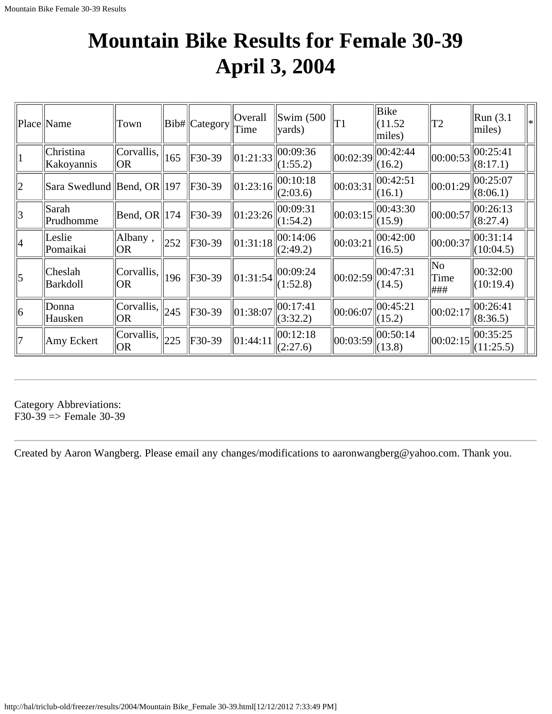## **Mountain Bike Results for Female 30-39 April 3, 2004**

|             | Place  Name                | Town                                                  |     | Bib# Category | Overall<br>Time        | $\text{Swim}\ (500$<br>vards) | T1       | Bike<br>(11.52)<br>miles) | T2                  | Run(3.1)<br>l∗<br>miles) |
|-------------|----------------------------|-------------------------------------------------------|-----|---------------|------------------------|-------------------------------|----------|---------------------------|---------------------|--------------------------|
| $\vert$     | Christina<br>Kakoyannis    | Corvallis,<br> OR                                     | 165 | F30-39        | $\vert 01:21:33 \vert$ | 00:09:36<br>(1:55.2)          | 00:02:39 | 00:42:44<br>(16.2)        | 00:00:53            | 00:25:41<br>(8:17.1)     |
| $ 2\rangle$ | Sara Swedlund Bend, OR 197 |                                                       |     | F30-39        | 01:23:16               | 00:10:18<br>(2:03.6)          | 00:03:31 | 00:42:51<br>(16.1)        | 00:01:29            | 00:25:07<br>(8:06.1)     |
| 3           | Sarah<br>Prudhomme         | $\left \text{Bend}, \text{OR}\right \left 174\right $ |     | F30-39        | 01:23:26               | 00:09:31<br>(1:54.2)          | 00:03:15 | 00:43:30<br>(15.9)        | 00:00:57            | 00:26:13<br>(8:27.4)     |
| 4           | Leslie<br>Pomaikai         | Albany,<br> OR                                        | 252 | F30-39        | 01:31:18               | 00:14:06<br>(2:49.2)          | 00:03:21 | 00:42:00<br>(16.5)        | 00:00:37            | 00:31:14<br>(10:04.5)    |
| $\vert$ 5   | Cheslah<br>Barkdoll        | Corvallis <br> OR                                     | 196 | F30-39        | 01:31:54               | 00:09:24<br>(1:52.8)          | 00:02:59 | 00:47:31<br>(14.5)        | No.<br>Time<br> ### | 00:32:00<br>(10:19.4)    |
| 6           | Donna<br>Hausken           | Corvallis,  <br> OR                                   | 245 | F30-39        | 01:38:07               | 00:17:41<br>(3:32.2)          | 00:06:07 | 00:45:21<br>(15.2)        | 00:02:17            | 00:26:41<br>(8:36.5)     |
| 17          | Amy Eckert                 | Corvallis,<br> OR                                     | 225 | F30-39        | 01:44:11               | 00:12:18<br>(2:27.6)          | 00:03:59 | 00:50:14<br>(13.8)        | 00:02:15            | 00:35:25<br>(11:25.5)    |

Category Abbreviations: F30-39  $\Rightarrow$  Female 30-39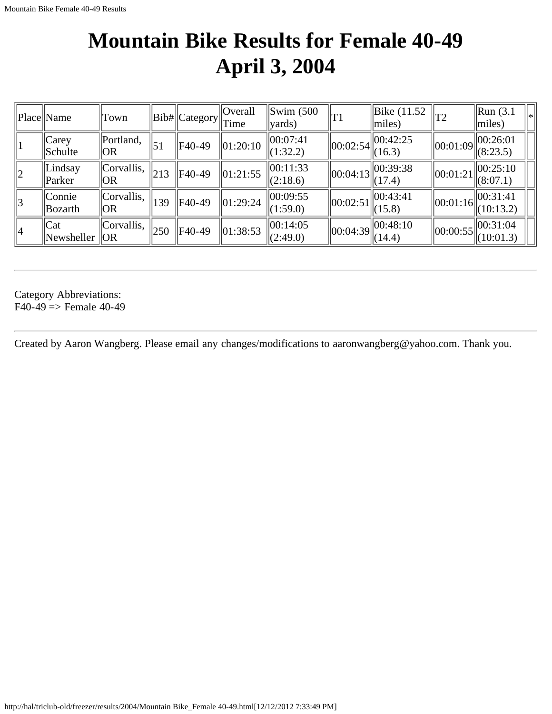## **Mountain Bike Results for Female 40-49 April 3, 2004**

|               | Place Name               | Town              |             | Bib# Category | Overall<br>Time | $\parallel$ Swim (500<br> yards)   | lΤ1            | $\parallel$ Bike (11.52)<br>$\vert$ miles) | T <sub>2</sub>                   | $\left\Vert \text{Run}\left(3.1\right)\right\Vert$<br>∥∗<br>$\vert$ miles) |
|---------------|--------------------------|-------------------|-------------|---------------|-----------------|------------------------------------|----------------|--------------------------------------------|----------------------------------|----------------------------------------------------------------------------|
|               | $ $ Carey<br>Schulte     | Portland,<br> OR  | $\vert$ 51  | F40-49        | $\ 01:20:10$    | 00:07:41<br>$\Vert (1:32.2) \Vert$ | 00:02:54       | 00:42:25<br>(16.3)                         | $\parallel$ 00:01:09 $\parallel$ | 00:26:01<br>(8:23.5)                                                       |
| 2             | Lindsay<br>$\ $ Parker   | Corvallis,<br> OR | $\vert$ 213 | F40-49        | 01:21:55        | 00:11:33<br>(2:18.6)               | 00:04:13       | 00:39:38<br>(17.4)                         | $\vert\vert 00$ :01:21 $\vert$   | 00:25:10<br> (8:07.1)                                                      |
| $\mathcal{E}$ | <i>Connie</i><br>Bozarth | Corvallis,<br> OR | 139         | F40-49        | $\ 01:29:24\ $  | 00:09:55<br>(1:59.0)               | 00:02:51       | $\vert$ 00:43:41<br>(15.8)                 |                                  | $\left\  00:01:16 \right\  00:31:41$<br>(10:13.2)                          |
| 4             | Cat<br>Newsheller $ OR$  | Corvallis,        | 250         | F40-49        | $\ 01:38:53$    | 00:14:05<br>$\Vert(2:49.0)\Vert$   | $\ 00:04:39\ $ | 00:48:10<br>(14.4)                         | $\ 00:00:55\ $                   | $\vert$  00:31:04<br>(10:01.3)                                             |

Category Abbreviations:  $F40-49 \Rightarrow$  Female 40-49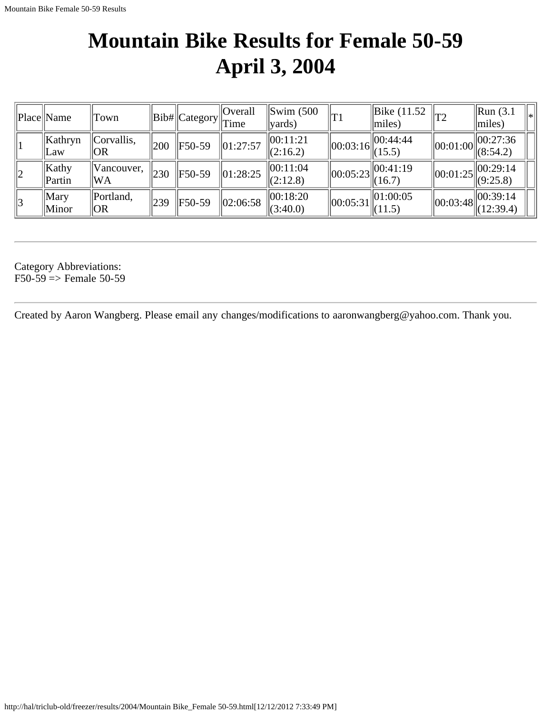### **Mountain Bike Results for Female 50-59 April 3, 2004**

|             | Place  Name        | Town                          |     | $  Bib\#  Category  $ | Overall<br>$\ $ Time | $\text{Swim}\ (500$<br>$\vert$ vards) | T1             | Bike (11.52<br>$\vert$ miles) |                | $\left\vert \text{Run}\left( 3.1\right. \right\vert$<br>∥∗<br>$\parallel$ miles) |
|-------------|--------------------|-------------------------------|-----|-----------------------|----------------------|---------------------------------------|----------------|-------------------------------|----------------|----------------------------------------------------------------------------------|
|             | Kathryn<br>Law     | Corvallis,<br>  OR            | 200 | F50-59                | $\ 01:27:57$         | 00:11:21<br>(2:16.2)                  | $\ 00:03:16\ $ | 00:44:44<br>(15.5)            |                | $\left\  00:01:00 \right\  00:27:36 \newline (8:54.2)$                           |
| $ 2\rangle$ | Kathy<br>Partin    | Vancouver,<br>WA <sup>\</sup> | 230 | F50-59                | $\ 01:28:25$         | 00:11:04<br>(2:12.8)                  |                | $\sqrt{\frac{1}{16.7}}$       | $\ 00:01:25\ $ | 00:29:14<br>$\ $ (9:25.8)                                                        |
| 3           | Mary<br>$\ $ Minor | Portland,<br>  OR             | 239 | F50-59                | 02:06:58             | 00:18:20<br> (3:40.0)                 | 00:05:31       | 01:00:05<br>(11.5)            |                | $\left\  00:03:48 \right\  00:39:14$<br>(12:39.4)                                |

Category Abbreviations:  $F50-59 \Rightarrow$  Female 50-59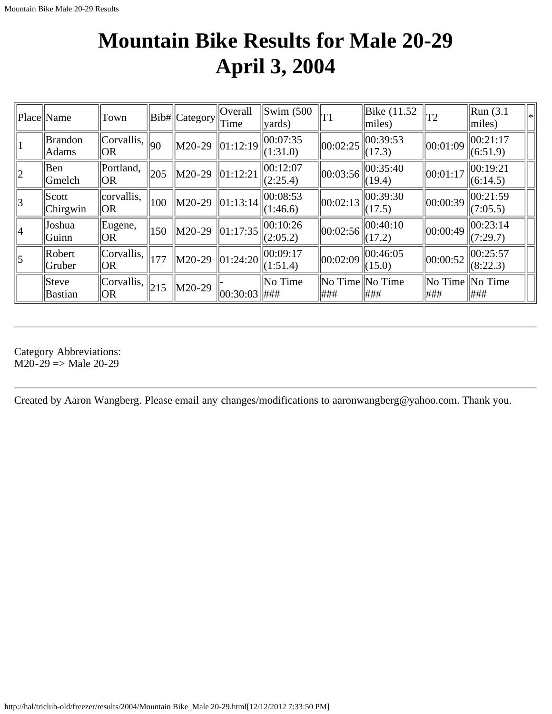# **Mountain Bike Results for Male 20-29 April 3, 2004**

|             | Place Name                       | Town                |     | $  Bib#  $ Category $  $ Time | Overall        | $\left  \text{Swim } (500 \right $<br>$\vert$ vards) | T1                      | Bike (11.52)<br>$ $ miles) | T2                                      | $\parallel$ Run (3.1<br>l*<br>$\vert$ miles) |
|-------------|----------------------------------|---------------------|-----|-------------------------------|----------------|------------------------------------------------------|-------------------------|----------------------------|-----------------------------------------|----------------------------------------------|
| 1           | <b>Brandon</b><br>Adams          | Corvallis,  <br> OR | 90  | $ M20-29$                     | 01:12:19       | 00:07:35<br>(1:31.0)                                 | 00:02:25                | 00:39:53<br>(17.3)         | 00:01:09                                | 00:21:17<br>(6:51.9)                         |
| $ 2\rangle$ | Ben<br>Gmelch                    | Portland,<br> OR    | 205 | $M20-29$                      | 01:12:21       | 100:12:07<br>(2:25.4)                                | 00:03:56                | 00:35:40<br>(19.4)         | 00:01:17                                | 00:19:21<br> (6:14.5)                        |
| $ 3\rangle$ | S <sub>c</sub> ott <br> Chirgwin | corvallis,<br> OR   | 100 | $M20-29$                      | 01:13:14       | 00:08:53<br>(1:46.6)                                 | 00:02:13                | 00:39:30<br>(17.5)         | 00:00:39                                | 00:21:59<br>(7:05.5)                         |
| 4           | Joshua<br>Guinn                  | Eugene,<br> OR      | 150 | M20-29                        | $\ 01:17:35\ $ | 00:10:26<br>(2:05.2)                                 | 00:02:56                | 00:40:10<br>(17.2)         | $ 00:00:49\rangle$                      | 00:23:14<br>(7:29.7)                         |
| $\vert$ 5   | Robert<br>Gruber                 | Corvallis,<br> OR   | 177 | $M20-29$                      | 01:24:20       | 00:09:17<br>(1:51.4)                                 | 00:02:09                | 00:46:05<br>(15.0)         | $ 00:00:52\rangle$                      | 00:25:57<br>(8:22.3)                         |
|             | $ $ Steve<br>Bastian             | Corvallis,<br> OR   | 215 | $M20-29$                      | 00:30:03       | $\ $ No Time<br>###                                  | No Time No Time<br> ### | ###                        | $\vert$ No Time $\vert$ No Time<br> ### | ###                                          |

Category Abbreviations:  $M20-29$  => Male 20-29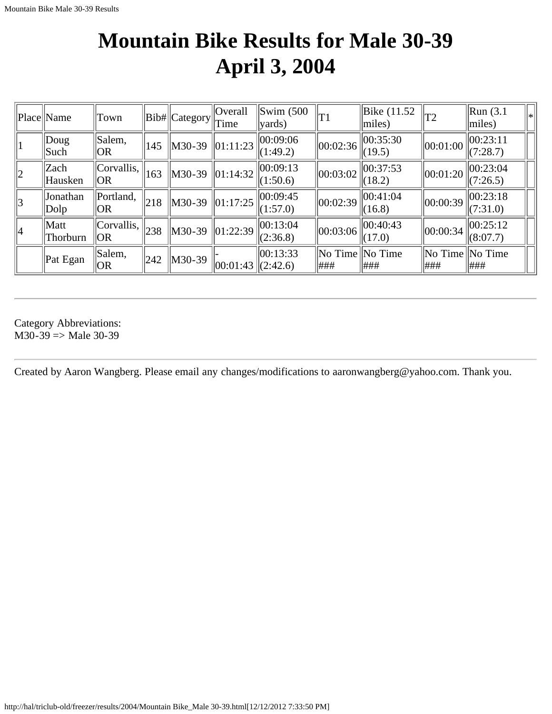# **Mountain Bike Results for Male 30-39 April 3, 2004**

|             | Place Name                  | Town                              |               | Bib#  Category     | Overall<br>Time        | $\parallel$ Swim (500<br>$\vert \vert \text{wards}$ | T1                                | $\vert$ Bike (11.52<br>miles) | T2                                      | $\left\Vert \text{Run}\left(3.1\right)\right\Vert$<br> ∗<br>$\vert$ miles) |
|-------------|-----------------------------|-----------------------------------|---------------|--------------------|------------------------|-----------------------------------------------------|-----------------------------------|-------------------------------|-----------------------------------------|----------------------------------------------------------------------------|
|             | $\vert$ Doug<br>Such        | Salem,<br>$\overline{\text{ OR}}$ | 145           | $\parallel$ M30-39 | $\vert 01:11:23 \vert$ | 00:09:06<br>$\Vert (1:49.2) \Vert$                  | 00:02:36                          | 00:35:30<br>(19.5)            | 00:01:00                                | $\ 00:23:11$<br>(7:28.7)                                                   |
| $ 2\rangle$ | Zach<br>Hausken             | Corvallis,<br> OR                 | $ 163\rangle$ | M30-39             | $\ 01:14:32\ $         | 00:09:13<br>$\Vert (1:50.6) \Vert$                  | 00:03:02                          | 00:37:53<br>(18.2)            | 00:01:20                                | $\ 00:23:04$<br>(7:26.5)                                                   |
| 3           | <b>Jonathan</b><br>$ D$ olp | Portland,<br> OR                  | 218           | M30-39             | $\ 01:17:25\ $         | $\ 00:09:45$<br>$\Vert (1:57.0) \Vert$              | 00:02:39                          | 00:41:04<br>(16.8)            | 00:00:39                                | 00:23:18<br>$\Vert$ (7:31.0)                                               |
| 4           | Matt<br>Thorburn            | Corvallis,<br> OR                 | 238           | M30-39             | $\ 01:22:39$           | 00:13:04<br>(2:36.8)                                | 00:03:06                          | $\ 00:40:43$<br>(17.0)        | 00:00:34                                | 00:25:12<br>(8:07.7)                                                       |
|             | Pat Egan                    | Salem,<br> OR                     | 242           | $\parallel$ M30-39 | $\ 00:01:43\ (2:42.6)$ | 00:13:33                                            | $\ $ No Time $\ $ No Time<br> ### | ###                           | $\vert$ No Time $\vert$ No Time<br> ### | ###                                                                        |

Category Abbreviations:  $M30-39 \Rightarrow Male 30-39$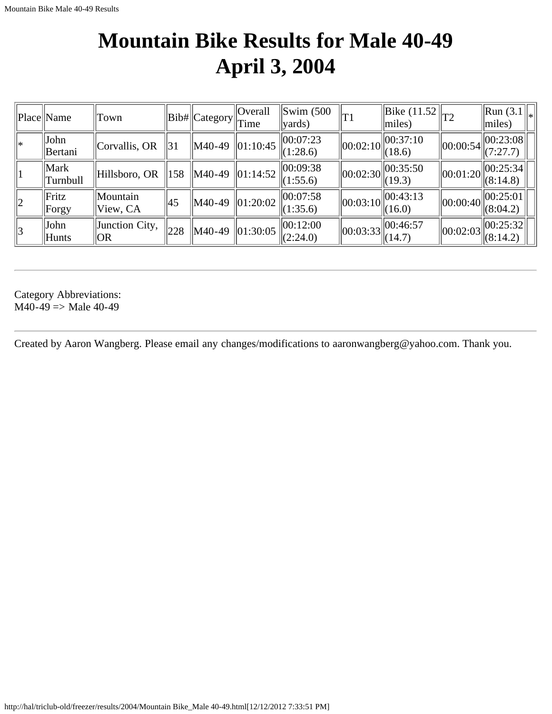#### **Mountain Bike Results for Male 40-49 April 3, 2004**

|             | Place Name             | Town                  |     | Bib# Category | Overall<br>Time | $\left \mathrm{Swim}\right $ (500<br>$\vert$ yards) | T1                     | $\ \overline{\text{Bike} (11.52)}\ _{T2}$<br>$\vert$ miles) |                | $\ {\rm Run}(3.1)\ _*$<br>$\vert$ miles)                      |
|-------------|------------------------|-----------------------|-----|---------------|-----------------|-----------------------------------------------------|------------------------|-------------------------------------------------------------|----------------|---------------------------------------------------------------|
| l∗          | John<br><b>Bertani</b> | $ $ Corvallis, OR     | 31  | M40-49        | 01:10:45        | 00:07:23<br>(1:28.6)                                | $\ 00:02:10\ $         | 00:37:10<br>(18.6)                                          |                | $\left\  00:00:54 \right\  00:23:08 \left\  00:27.7 \right\}$ |
|             | Mark<br>  Turnbull     | Hillsboro, OR         | 158 | M40-49        | $\ 01:14:52\ $  | 00:09:38<br>(1:55.6)                                | $\ 00:02:30\ $         | $\ 00:35:50$<br>(19.3)                                      |                | $\ 00:01:20\ $<br>$\sqrt{(8:14.8)}$                           |
| $ 2\rangle$ | Fritz<br>Forgy         | Mountain<br>View, CA  | 45  | M40-49        | 01:20:02        | 00:07:58<br>(1:35.6)                                | $\ 00:03:10\ $         | 00:43:13<br>(16.0)                                          | $\ 00:00:40\ $ | $\ 00:25:01$<br>(8:04.2)                                      |
| 3           | John<br>Hunts          | Junction City,<br> OR | 228 | M40-49        | $\ 01:30:05\ $  | 00:12:00<br> (2:24.0)                               | $\vert 00:03:33 \vert$ | 00:46:57<br>(14.7)                                          | 00:02:03       | 00:25:32 <br> (8:14.2)                                        |

Category Abbreviations:  $M40-49 \Rightarrow Male 40-49$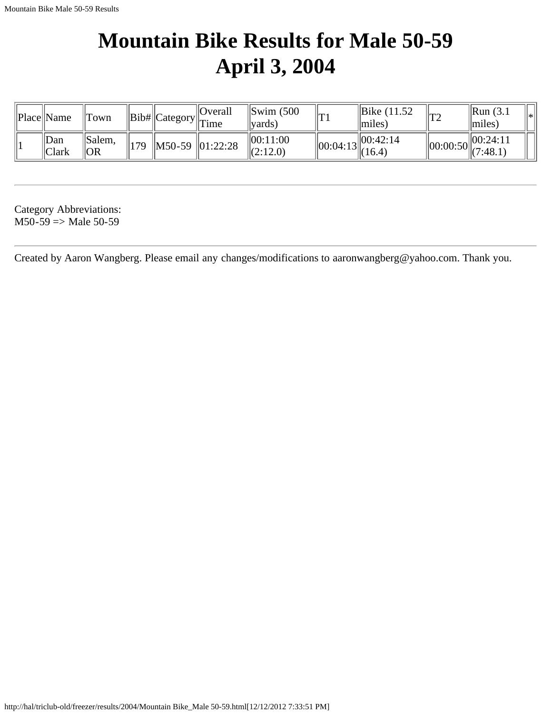#### **Mountain Bike Results for Male 50-59 April 3, 2004**

| Place  Name       | ll'I`own                   |     |                                         | Overall<br>$\mathbb{E}$ = $\ Bib\ $ Category $\ T\ $ | Swim (500<br>'vards) | $ {\rm T1}$    | Bike (11.52<br>miles | ∩ידו           | $\parallel$ Run (3.1<br>$\vert$ miles) | * |
|-------------------|----------------------------|-----|-----------------------------------------|------------------------------------------------------|----------------------|----------------|----------------------|----------------|----------------------------------------|---|
| Dan<br>$ $  Clark | $\parallel$ Salem,<br>  OR | 179 | $\parallel$ M50-59 $\parallel$ 01:22:28 |                                                      | 00:11:00<br>(2:12.0) | $\ 00:04:13\ $ | 100:42:14<br>(16.4)  | $\ 00:00:50\ $ | 100:24:11<br>$\ $ (7:48.1)             |   |

Category Abbreviations:  $M50-59 \Rightarrow Male 50-59$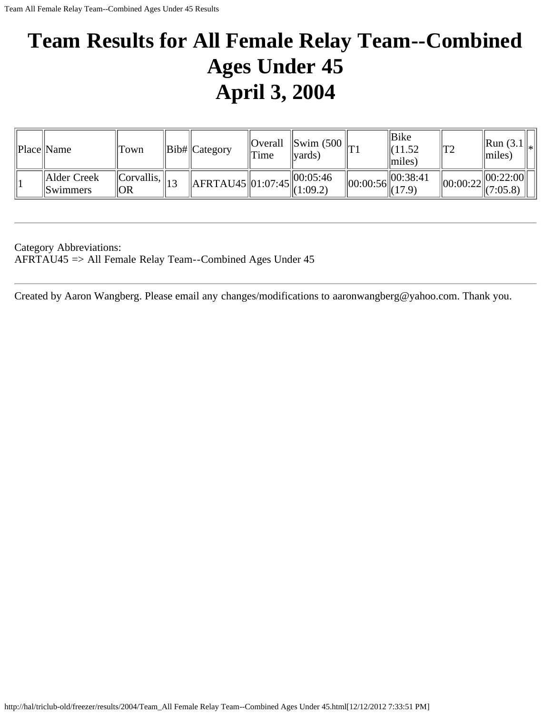# **Team Results for All Female Relay Team--Combined Ages Under 45 April 3, 2004**

| Place Name                     | Town                           | $\ Bib\ $ Category                                      | Time <sup>'</sup> | Overall   Swim (500 $\vert_{\text{T1}}$<br>$\vert \text{vards} \rangle$ | Bike<br>11.52<br>$\vert \vert$ miles)    | $\mathsf{I}T2$ | $\ $ Run (3.1 $\ _*$<br>$\parallel$ miles) |  |
|--------------------------------|--------------------------------|---------------------------------------------------------|-------------------|-------------------------------------------------------------------------|------------------------------------------|----------------|--------------------------------------------|--|
| Alder Creek<br><i>Swimmers</i> | $\ Corvallis, \ _{13}$<br>  OR | $\left\  \right\ $ AFRTAU45 $\left\  01:07:45 \right\ $ |                   | $\parallel 00:05:46$<br>$\ $ (1:09.2)                                   | 00:38:41<br>$\sim$ $\ 00:00:56\ $ (17.9) | 00:00:22       | 00:22:00 <br>(7:05.8)                      |  |

Category Abbreviations: AFRTAU45 => All Female Relay Team--Combined Ages Under 45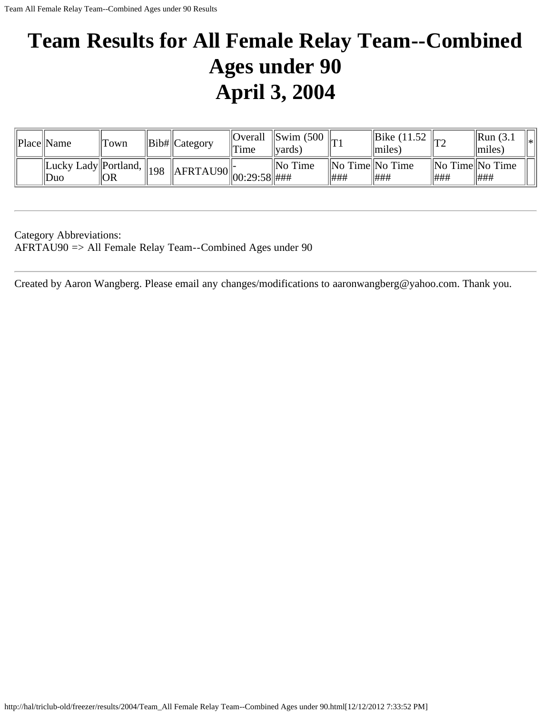# **Team Results for All Female Relay Team--Combined Ages under 90 April 3, 2004**

| Place  Name                 | Town                                         | $\ Bib\ $ Category                        | <sup>'</sup> Time | $\vert$ Overall $\vert$ Swim (500<br>vards) |                                       | Bike (11.52)<br>$\lfloor$ miles $\rfloor$ |     | $\parallel$ Run (3.1)<br>$\vert \vert$ miles) | 'l∗l |
|-----------------------------|----------------------------------------------|-------------------------------------------|-------------------|---------------------------------------------|---------------------------------------|-------------------------------------------|-----|-----------------------------------------------|------|
| Lucky Lady Portland,<br>Duo | $\overline{O}$ $\overline{O}$ $\overline{R}$ | $\ 4498\ $ AFRTAU90 $\ 00:29:58$ $\ $ ### |                   | $\parallel$ No Time                         | $\ No$ Time $\ No$ Time<br><b>H##</b> | ###                                       | ### | $\ $ No Time $\ $ No Time<br> ###             |      |

Category Abbreviations: AFRTAU90 => All Female Relay Team--Combined Ages under 90